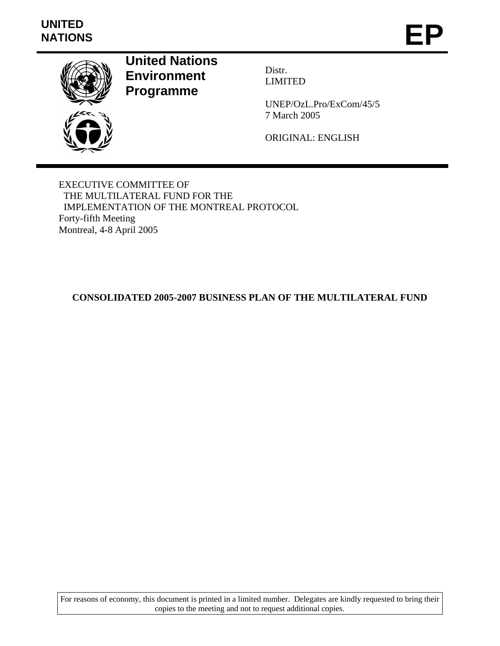# **UNITED**  UNITED<br>NATIONS **EP**



**United Nations Environment Programme** 

Distr. LIMITED

UNEP/OzL.Pro/ExCom/45/5 7 March 2005

ORIGINAL: ENGLISH

EXECUTIVE COMMITTEE OF THE MULTILATERAL FUND FOR THE IMPLEMENTATION OF THE MONTREAL PROTOCOL Forty-fifth Meeting Montreal, 4-8 April 2005

# **CONSOLIDATED 2005-2007 BUSINESS PLAN OF THE MULTILATERAL FUND**

For reasons of economy, this document is printed in a limited number. Delegates are kindly requested to bring their copies to the meeting and not to request additional copies.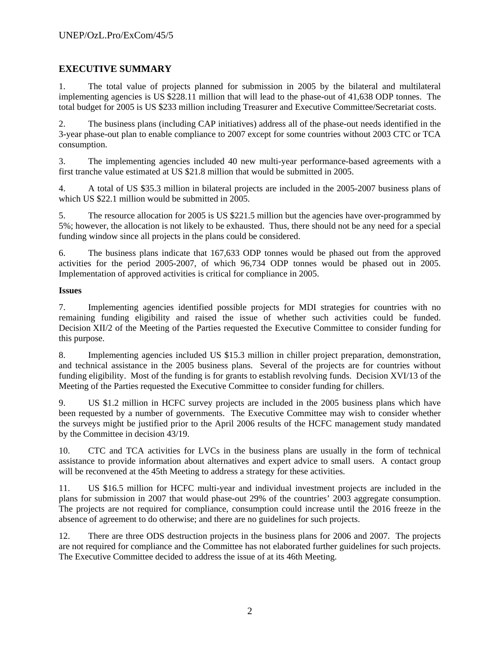# **EXECUTIVE SUMMARY**

1. The total value of projects planned for submission in 2005 by the bilateral and multilateral implementing agencies is US \$228.11 million that will lead to the phase-out of 41,638 ODP tonnes. The total budget for 2005 is US \$233 million including Treasurer and Executive Committee/Secretariat costs.

2. The business plans (including CAP initiatives) address all of the phase-out needs identified in the 3-year phase-out plan to enable compliance to 2007 except for some countries without 2003 CTC or TCA consumption.

3. The implementing agencies included 40 new multi-year performance-based agreements with a first tranche value estimated at US \$21.8 million that would be submitted in 2005.

4. A total of US \$35.3 million in bilateral projects are included in the 2005-2007 business plans of which US \$22.1 million would be submitted in 2005.

5. The resource allocation for 2005 is US \$221.5 million but the agencies have over-programmed by 5%; however, the allocation is not likely to be exhausted. Thus, there should not be any need for a special funding window since all projects in the plans could be considered.

6. The business plans indicate that 167,633 ODP tonnes would be phased out from the approved activities for the period 2005-2007, of which 96,734 ODP tonnes would be phased out in 2005. Implementation of approved activities is critical for compliance in 2005.

### **Issues**

7. Implementing agencies identified possible projects for MDI strategies for countries with no remaining funding eligibility and raised the issue of whether such activities could be funded. Decision XII/2 of the Meeting of the Parties requested the Executive Committee to consider funding for this purpose.

8. Implementing agencies included US \$15.3 million in chiller project preparation, demonstration, and technical assistance in the 2005 business plans. Several of the projects are for countries without funding eligibility. Most of the funding is for grants to establish revolving funds. Decision XVI/13 of the Meeting of the Parties requested the Executive Committee to consider funding for chillers.

9. US \$1.2 million in HCFC survey projects are included in the 2005 business plans which have been requested by a number of governments. The Executive Committee may wish to consider whether the surveys might be justified prior to the April 2006 results of the HCFC management study mandated by the Committee in decision 43/19.

10. CTC and TCA activities for LVCs in the business plans are usually in the form of technical assistance to provide information about alternatives and expert advice to small users. A contact group will be reconvened at the 45th Meeting to address a strategy for these activities.

11. US \$16.5 million for HCFC multi-year and individual investment projects are included in the plans for submission in 2007 that would phase-out 29% of the countries' 2003 aggregate consumption. The projects are not required for compliance, consumption could increase until the 2016 freeze in the absence of agreement to do otherwise; and there are no guidelines for such projects.

12. There are three ODS destruction projects in the business plans for 2006 and 2007. The projects are not required for compliance and the Committee has not elaborated further guidelines for such projects. The Executive Committee decided to address the issue of at its 46th Meeting.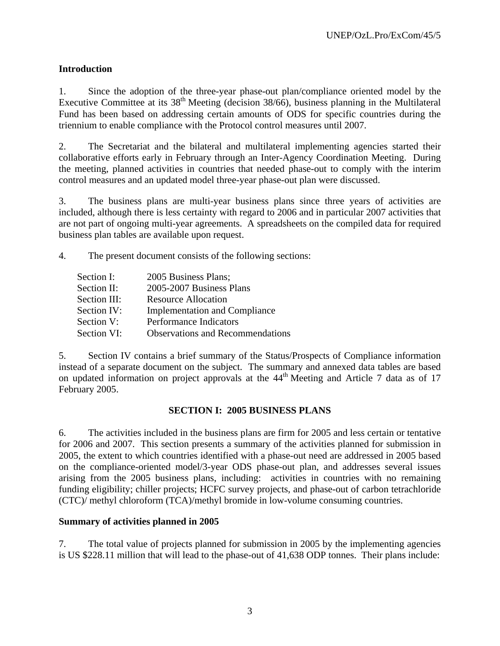# **Introduction**

1. Since the adoption of the three-year phase-out plan/compliance oriented model by the Executive Committee at its  $38<sup>th</sup>$  Meeting (decision  $38/66$ ), business planning in the Multilateral Fund has been based on addressing certain amounts of ODS for specific countries during the triennium to enable compliance with the Protocol control measures until 2007.

2. The Secretariat and the bilateral and multilateral implementing agencies started their collaborative efforts early in February through an Inter-Agency Coordination Meeting. During the meeting, planned activities in countries that needed phase-out to comply with the interim control measures and an updated model three-year phase-out plan were discussed.

3. The business plans are multi-year business plans since three years of activities are included, although there is less certainty with regard to 2006 and in particular 2007 activities that are not part of ongoing multi-year agreements. A spreadsheets on the compiled data for required business plan tables are available upon request.

4. The present document consists of the following sections:

| Section I:   | 2005 Business Plans;                    |
|--------------|-----------------------------------------|
| Section II:  | 2005-2007 Business Plans                |
| Section III: | <b>Resource Allocation</b>              |
| Section IV:  | <b>Implementation and Compliance</b>    |
| Section V:   | Performance Indicators                  |
| Section VI:  | <b>Observations and Recommendations</b> |

5. Section IV contains a brief summary of the Status/Prospects of Compliance information instead of a separate document on the subject. The summary and annexed data tables are based on updated information on project approvals at the  $44<sup>th</sup>$  Meeting and Article 7 data as of 17 February 2005.

# **SECTION I: 2005 BUSINESS PLANS**

6. The activities included in the business plans are firm for 2005 and less certain or tentative for 2006 and 2007. This section presents a summary of the activities planned for submission in 2005, the extent to which countries identified with a phase-out need are addressed in 2005 based on the compliance-oriented model/3-year ODS phase-out plan, and addresses several issues arising from the 2005 business plans, including: activities in countries with no remaining funding eligibility; chiller projects; HCFC survey projects, and phase-out of carbon tetrachloride (CTC)/ methyl chloroform (TCA)/methyl bromide in low-volume consuming countries.

# **Summary of activities planned in 2005**

7. The total value of projects planned for submission in 2005 by the implementing agencies is US \$228.11 million that will lead to the phase-out of 41,638 ODP tonnes. Their plans include: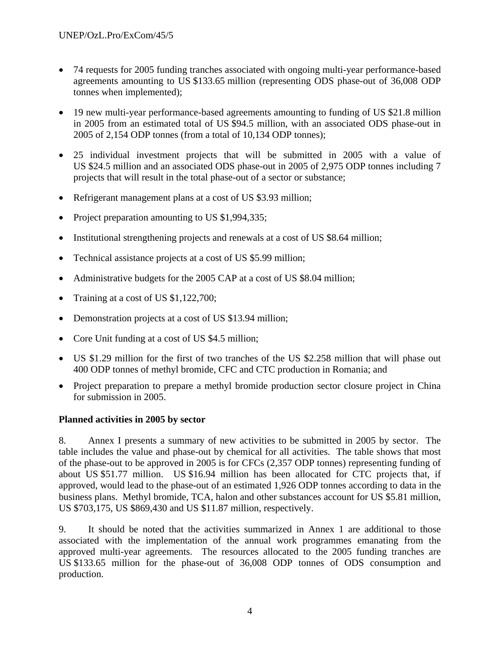- 74 requests for 2005 funding tranches associated with ongoing multi-year performance-based agreements amounting to US \$133.65 million (representing ODS phase-out of 36,008 ODP tonnes when implemented);
- 19 new multi-year performance-based agreements amounting to funding of US \$21.8 million in 2005 from an estimated total of US \$94.5 million, with an associated ODS phase-out in 2005 of 2,154 ODP tonnes (from a total of 10,134 ODP tonnes);
- 25 individual investment projects that will be submitted in 2005 with a value of US \$24.5 million and an associated ODS phase-out in 2005 of 2,975 ODP tonnes including 7 projects that will result in the total phase-out of a sector or substance;
- Refrigerant management plans at a cost of US \$3.93 million;
- Project preparation amounting to US \$1,994,335;
- Institutional strengthening projects and renewals at a cost of US \$8.64 million;
- Technical assistance projects at a cost of US \$5.99 million;
- Administrative budgets for the 2005 CAP at a cost of US \$8.04 million;
- Training at a cost of US \$1,122,700;
- Demonstration projects at a cost of US \$13.94 million;
- Core Unit funding at a cost of US \$4.5 million;
- US \$1.29 million for the first of two tranches of the US \$2.258 million that will phase out 400 ODP tonnes of methyl bromide, CFC and CTC production in Romania; and
- Project preparation to prepare a methyl bromide production sector closure project in China for submission in 2005.

# **Planned activities in 2005 by sector**

8. Annex I presents a summary of new activities to be submitted in 2005 by sector. The table includes the value and phase-out by chemical for all activities. The table shows that most of the phase-out to be approved in 2005 is for CFCs (2,357 ODP tonnes) representing funding of about US \$51.77 million. US \$16.94 million has been allocated for CTC projects that, if approved, would lead to the phase-out of an estimated 1,926 ODP tonnes according to data in the business plans. Methyl bromide, TCA, halon and other substances account for US \$5.81 million, US \$703,175, US \$869,430 and US \$11.87 million, respectively.

9. It should be noted that the activities summarized in Annex 1 are additional to those associated with the implementation of the annual work programmes emanating from the approved multi-year agreements. The resources allocated to the 2005 funding tranches are US \$133.65 million for the phase-out of 36,008 ODP tonnes of ODS consumption and production.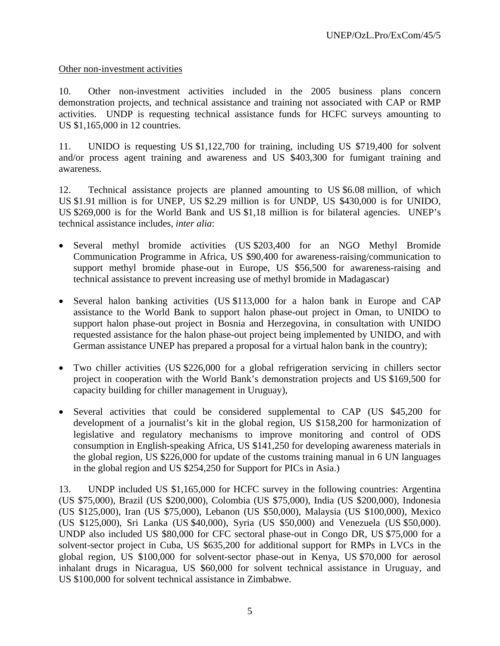### Other non-investment activities

10. Other non-investment activities included in the 2005 business plans concern demonstration projects, and technical assistance and training not associated with CAP or RMP activities. UNDP is requesting technical assistance funds for HCFC surveys amounting to US \$1,165,000 in 12 countries.

11. UNIDO is requesting US \$1,122,700 for training, including US \$719,400 for solvent and/or process agent training and awareness and US \$403,300 for fumigant training and awareness.

12. Technical assistance projects are planned amounting to US \$6.08 million, of which US \$1.91 million is for UNEP, US \$2.29 million is for UNDP, US \$430,000 is for UNIDO, US \$269,000 is for the World Bank and US \$1,18 million is for bilateral agencies. UNEP's technical assistance includes, *inter alia*:

- Several methyl bromide activities (US \$203,400 for an NGO Methyl Bromide Communication Programme in Africa, US \$90,400 for awareness-raising/communication to support methyl bromide phase-out in Europe, US \$56,500 for awareness-raising and technical assistance to prevent increasing use of methyl bromide in Madagascar)
- Several halon banking activities (US \$113,000 for a halon bank in Europe and CAP assistance to the World Bank to support halon phase-out project in Oman, to UNIDO to support halon phase-out project in Bosnia and Herzegovina, in consultation with UNIDO requested assistance for the halon phase-out project being implemented by UNIDO, and with German assistance UNEP has prepared a proposal for a virtual halon bank in the country);
- Two chiller activities (US \$226,000 for a global refrigeration servicing in chillers sector project in cooperation with the World Bank's demonstration projects and US \$169,500 for capacity building for chiller management in Uruguay),
- Several activities that could be considered supplemental to CAP (US \$45,200 for development of a journalist's kit in the global region, US \$158,200 for harmonization of legislative and regulatory mechanisms to improve monitoring and control of ODS consumption in English-speaking Africa, US \$141,250 for developing awareness materials in the global region, US \$226,000 for update of the customs training manual in 6 UN languages in the global region and US \$254,250 for Support for PICs in Asia.)

<sup>13.</sup> UNDP included US \$1,165,000 for HCFC survey in the following countries: Argentina (US \$75,000), Brazil (US \$200,000), Colombia (US \$75,000), India (US \$200,000), Indonesia (US \$125,000), Iran (US \$75,000), Lebanon (US \$50,000), Malaysia (US \$100,000), Mexico (US \$125,000), Sri Lanka (US \$40,000), Syria (US \$50,000) and Venezuela (US \$50,000). UNDP also included US \$80,000 for CFC sectoral phase-out in Congo DR, US \$75,000 for a solvent-sector project in Cuba, US \$635,200 for additional support for RMPs in LVCs in the global region, US \$100,000 for solvent-sector phase-out in Kenya, US \$70,000 for aerosol inhalant drugs in Nicaragua, US \$60,000 for solvent technical assistance in Uruguay, and US \$100,000 for solvent technical assistance in Zimbabwe.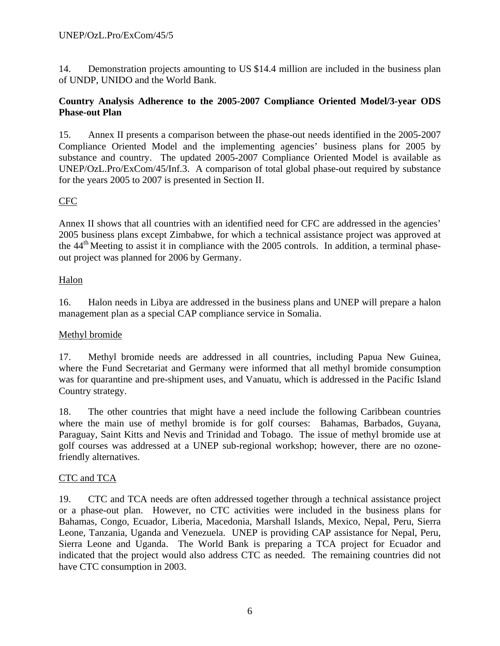14. Demonstration projects amounting to US \$14.4 million are included in the business plan of UNDP, UNIDO and the World Bank.

# **Country Analysis Adherence to the 2005-2007 Compliance Oriented Model/3-year ODS Phase-out Plan**

15. Annex II presents a comparison between the phase-out needs identified in the 2005-2007 Compliance Oriented Model and the implementing agencies' business plans for 2005 by substance and country. The updated 2005-2007 Compliance Oriented Model is available as UNEP/OzL.Pro/ExCom/45/Inf.3. A comparison of total global phase-out required by substance for the years 2005 to 2007 is presented in Section II.

# CFC

Annex II shows that all countries with an identified need for CFC are addressed in the agencies' 2005 business plans except Zimbabwe, for which a technical assistance project was approved at the 44<sup>th</sup> Meeting to assist it in compliance with the 2005 controls. In addition, a terminal phaseout project was planned for 2006 by Germany.

# Halon

16. Halon needs in Libya are addressed in the business plans and UNEP will prepare a halon management plan as a special CAP compliance service in Somalia.

# Methyl bromide

17. Methyl bromide needs are addressed in all countries, including Papua New Guinea, where the Fund Secretariat and Germany were informed that all methyl bromide consumption was for quarantine and pre-shipment uses, and Vanuatu, which is addressed in the Pacific Island Country strategy.

18. The other countries that might have a need include the following Caribbean countries where the main use of methyl bromide is for golf courses: Bahamas, Barbados, Guyana, Paraguay, Saint Kitts and Nevis and Trinidad and Tobago. The issue of methyl bromide use at golf courses was addressed at a UNEP sub-regional workshop; however, there are no ozonefriendly alternatives.

# CTC and TCA

19. CTC and TCA needs are often addressed together through a technical assistance project or a phase-out plan. However, no CTC activities were included in the business plans for Bahamas, Congo, Ecuador, Liberia, Macedonia, Marshall Islands, Mexico, Nepal, Peru, Sierra Leone, Tanzania, Uganda and Venezuela. UNEP is providing CAP assistance for Nepal, Peru, Sierra Leone and Uganda. The World Bank is preparing a TCA project for Ecuador and indicated that the project would also address CTC as needed. The remaining countries did not have CTC consumption in 2003.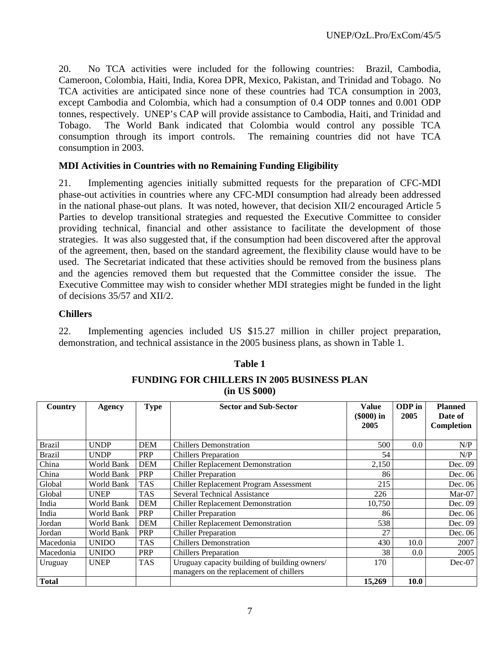20. No TCA activities were included for the following countries: Brazil, Cambodia, Cameroon, Colombia, Haiti, India, Korea DPR, Mexico, Pakistan, and Trinidad and Tobago. No TCA activities are anticipated since none of these countries had TCA consumption in 2003, except Cambodia and Colombia, which had a consumption of 0.4 ODP tonnes and 0.001 ODP tonnes, respectively. UNEP's CAP will provide assistance to Cambodia, Haiti, and Trinidad and Tobago. The World Bank indicated that Colombia would control any possible TCA consumption through its import controls. The remaining countries did not have TCA consumption in 2003.

# **MDI Activities in Countries with no Remaining Funding Eligibility**

21. Implementing agencies initially submitted requests for the preparation of CFC-MDI phase-out activities in countries where any CFC-MDI consumption had already been addressed in the national phase-out plans. It was noted, however, that decision XII/2 encouraged Article 5 Parties to develop transitional strategies and requested the Executive Committee to consider providing technical, financial and other assistance to facilitate the development of those strategies. It was also suggested that, if the consumption had been discovered after the approval of the agreement, then, based on the standard agreement, the flexibility clause would have to be used. The Secretariat indicated that these activities should be removed from the business plans and the agencies removed them but requested that the Committee consider the issue. The Executive Committee may wish to consider whether MDI strategies might be funded in the light of decisions 35/57 and XII/2.

# **Chillers**

22. Implementing agencies included US \$15.27 million in chiller project preparation, demonstration, and technical assistance in the 2005 business plans, as shown in Table 1.

| Country       | Agency       | <b>Type</b> | <b>Sector and Sub-Sector</b>                                                             | <b>Value</b><br>$$000$ in<br>2005 | ODP in<br>2005 | <b>Planned</b><br>Date of<br>Completion |
|---------------|--------------|-------------|------------------------------------------------------------------------------------------|-----------------------------------|----------------|-----------------------------------------|
| <b>Brazil</b> | <b>UNDP</b>  | <b>DEM</b>  | <b>Chillers Demonstration</b>                                                            | 500                               | 0.0            | N/P                                     |
| <b>Brazil</b> | <b>UNDP</b>  | PRP         | <b>Chillers Preparation</b>                                                              | 54                                |                | N/P                                     |
| China         | World Bank   | <b>DEM</b>  | <b>Chiller Replacement Demonstration</b>                                                 | 2,150                             |                | Dec. 09                                 |
| China         | World Bank   | <b>PRP</b>  | <b>Chiller Preparation</b>                                                               | 86                                |                | Dec. 06                                 |
| Global        | World Bank   | <b>TAS</b>  | Chiller Replacement Program Assessment                                                   | 215                               |                | Dec. 06                                 |
| Global        | <b>UNEP</b>  | <b>TAS</b>  | <b>Several Technical Assistance</b>                                                      | 226                               |                | $Mar-07$                                |
| India         | World Bank   | <b>DEM</b>  | <b>Chiller Replacement Demonstration</b>                                                 | 10,750                            |                | Dec. 09                                 |
| India         | World Bank   | <b>PRP</b>  | <b>Chiller Preparation</b>                                                               | 86                                |                | Dec. 06                                 |
| Jordan        | World Bank   | <b>DEM</b>  | <b>Chiller Replacement Demonstration</b>                                                 | 538                               |                | Dec. 09                                 |
| Jordan        | World Bank   | PRP         | <b>Chiller Preparation</b>                                                               | 27                                |                | Dec. 06                                 |
| Macedonia     | <b>UNIDO</b> | TAS         | <b>Chillers Demonstration</b>                                                            | 430                               | 10.0           | 2007                                    |
| Macedonia     | <b>UNIDO</b> | <b>PRP</b>  | <b>Chillers Preparation</b>                                                              | 38                                | 0.0            | 2005                                    |
| Uruguay       | <b>UNEP</b>  | <b>TAS</b>  | Uruguay capacity building of building owners/<br>managers on the replacement of chillers | 170                               |                | $Dec-07$                                |
| <b>Total</b>  |              |             |                                                                                          | 15,269                            | <b>10.0</b>    |                                         |

# **Table 1 FUNDING FOR CHILLERS IN 2005 BUSINESS PLAN (in US \$000)**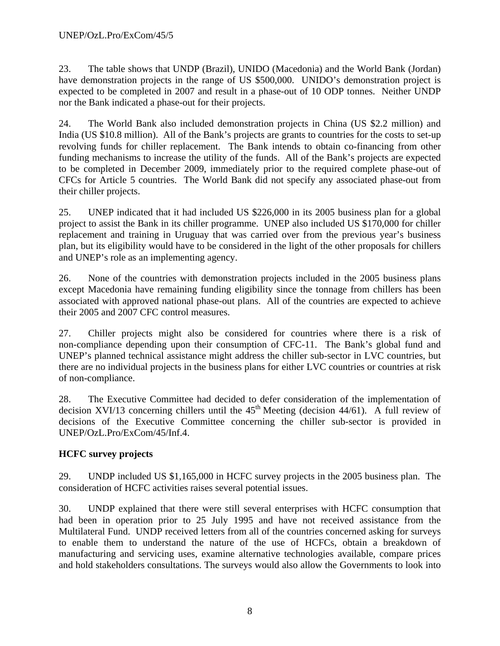23. The table shows that UNDP (Brazil), UNIDO (Macedonia) and the World Bank (Jordan) have demonstration projects in the range of US \$500,000. UNIDO's demonstration project is expected to be completed in 2007 and result in a phase-out of 10 ODP tonnes. Neither UNDP nor the Bank indicated a phase-out for their projects.

24. The World Bank also included demonstration projects in China (US \$2.2 million) and India (US \$10.8 million). All of the Bank's projects are grants to countries for the costs to set-up revolving funds for chiller replacement. The Bank intends to obtain co-financing from other funding mechanisms to increase the utility of the funds. All of the Bank's projects are expected to be completed in December 2009, immediately prior to the required complete phase-out of CFCs for Article 5 countries. The World Bank did not specify any associated phase-out from their chiller projects.

25. UNEP indicated that it had included US \$226,000 in its 2005 business plan for a global project to assist the Bank in its chiller programme. UNEP also included US \$170,000 for chiller replacement and training in Uruguay that was carried over from the previous year's business plan, but its eligibility would have to be considered in the light of the other proposals for chillers and UNEP's role as an implementing agency.

26. None of the countries with demonstration projects included in the 2005 business plans except Macedonia have remaining funding eligibility since the tonnage from chillers has been associated with approved national phase-out plans. All of the countries are expected to achieve their 2005 and 2007 CFC control measures.

27. Chiller projects might also be considered for countries where there is a risk of non-compliance depending upon their consumption of CFC-11. The Bank's global fund and UNEP's planned technical assistance might address the chiller sub-sector in LVC countries, but there are no individual projects in the business plans for either LVC countries or countries at risk of non-compliance.

28. The Executive Committee had decided to defer consideration of the implementation of decision XVI/13 concerning chillers until the  $45<sup>th</sup>$  Meeting (decision 44/61). A full review of decisions of the Executive Committee concerning the chiller sub-sector is provided in UNEP/OzL.Pro/ExCom/45/Inf.4.

# **HCFC survey projects**

29. UNDP included US \$1,165,000 in HCFC survey projects in the 2005 business plan. The consideration of HCFC activities raises several potential issues.

30. UNDP explained that there were still several enterprises with HCFC consumption that had been in operation prior to 25 July 1995 and have not received assistance from the Multilateral Fund. UNDP received letters from all of the countries concerned asking for surveys to enable them to understand the nature of the use of HCFCs, obtain a breakdown of manufacturing and servicing uses, examine alternative technologies available, compare prices and hold stakeholders consultations. The surveys would also allow the Governments to look into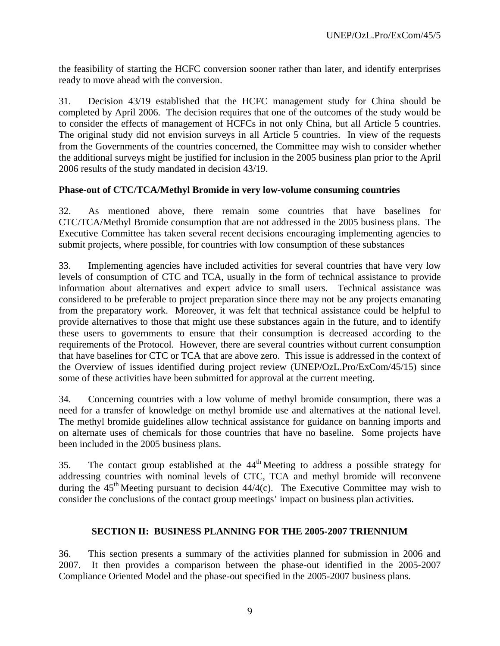the feasibility of starting the HCFC conversion sooner rather than later, and identify enterprises ready to move ahead with the conversion.

31. Decision 43/19 established that the HCFC management study for China should be completed by April 2006. The decision requires that one of the outcomes of the study would be to consider the effects of management of HCFCs in not only China, but all Article 5 countries. The original study did not envision surveys in all Article 5 countries. In view of the requests from the Governments of the countries concerned, the Committee may wish to consider whether the additional surveys might be justified for inclusion in the 2005 business plan prior to the April 2006 results of the study mandated in decision 43/19.

### **Phase-out of CTC/TCA/Methyl Bromide in very low-volume consuming countries**

32. As mentioned above, there remain some countries that have baselines for CTC/TCA/Methyl Bromide consumption that are not addressed in the 2005 business plans. The Executive Committee has taken several recent decisions encouraging implementing agencies to submit projects, where possible, for countries with low consumption of these substances

33. Implementing agencies have included activities for several countries that have very low levels of consumption of CTC and TCA, usually in the form of technical assistance to provide information about alternatives and expert advice to small users. Technical assistance was considered to be preferable to project preparation since there may not be any projects emanating from the preparatory work. Moreover, it was felt that technical assistance could be helpful to provide alternatives to those that might use these substances again in the future, and to identify these users to governments to ensure that their consumption is decreased according to the requirements of the Protocol. However, there are several countries without current consumption that have baselines for CTC or TCA that are above zero. This issue is addressed in the context of the Overview of issues identified during project review (UNEP/OzL.Pro/ExCom/45/15) since some of these activities have been submitted for approval at the current meeting.

34. Concerning countries with a low volume of methyl bromide consumption, there was a need for a transfer of knowledge on methyl bromide use and alternatives at the national level. The methyl bromide guidelines allow technical assistance for guidance on banning imports and on alternate uses of chemicals for those countries that have no baseline. Some projects have been included in the 2005 business plans.

35. The contact group established at the  $44<sup>th</sup>$  Meeting to address a possible strategy for addressing countries with nominal levels of CTC, TCA and methyl bromide will reconvene during the  $45<sup>th</sup>$  Meeting pursuant to decision  $44/4$ (c). The Executive Committee may wish to consider the conclusions of the contact group meetings' impact on business plan activities.

# **SECTION II: BUSINESS PLANNING FOR THE 2005-2007 TRIENNIUM**

36. This section presents a summary of the activities planned for submission in 2006 and 2007. It then provides a comparison between the phase-out identified in the 2005-2007 Compliance Oriented Model and the phase-out specified in the 2005-2007 business plans.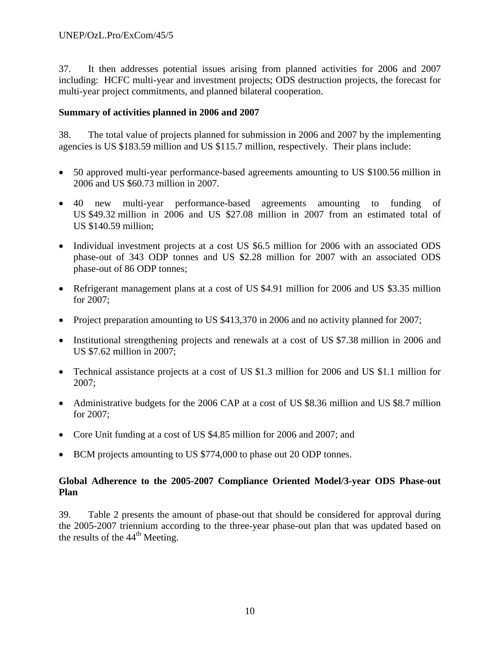37. It then addresses potential issues arising from planned activities for 2006 and 2007 including: HCFC multi-year and investment projects; ODS destruction projects, the forecast for multi-year project commitments, and planned bilateral cooperation.

### **Summary of activities planned in 2006 and 2007**

38. The total value of projects planned for submission in 2006 and 2007 by the implementing agencies is US \$183.59 million and US \$115.7 million, respectively. Their plans include:

- 50 approved multi-year performance-based agreements amounting to US \$100.56 million in 2006 and US \$60.73 million in 2007.
- 40 new multi-year performance-based agreements amounting to funding of US \$49.32 million in 2006 and US \$27.08 million in 2007 from an estimated total of US \$140.59 million;
- Individual investment projects at a cost US \$6.5 million for 2006 with an associated ODS phase-out of 343 ODP tonnes and US \$2.28 million for 2007 with an associated ODS phase-out of 86 ODP tonnes;
- Refrigerant management plans at a cost of US \$4.91 million for 2006 and US \$3.35 million for 2007;
- Project preparation amounting to US \$413,370 in 2006 and no activity planned for 2007;
- Institutional strengthening projects and renewals at a cost of US \$7.38 million in 2006 and US \$7.62 million in 2007;
- Technical assistance projects at a cost of US \$1.3 million for 2006 and US \$1.1 million for 2007;
- Administrative budgets for the 2006 CAP at a cost of US \$8.36 million and US \$8.7 million for 2007;
- Core Unit funding at a cost of US \$4.85 million for 2006 and 2007; and
- BCM projects amounting to US \$774,000 to phase out 20 ODP tonnes.

# **Global Adherence to the 2005-2007 Compliance Oriented Model/3-year ODS Phase-out Plan**

39. Table 2 presents the amount of phase-out that should be considered for approval during the 2005-2007 triennium according to the three-year phase-out plan that was updated based on the results of the  $44<sup>th</sup>$  Meeting.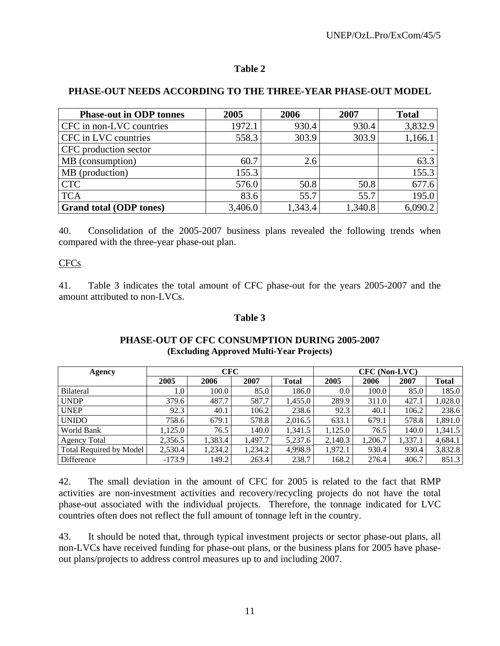### **PHASE-OUT NEEDS ACCORDING TO THE THREE-YEAR PHASE-OUT MODEL**

| <b>Phase-out in ODP tonnes</b> | 2005    | 2006    | 2007    | <b>Total</b> |
|--------------------------------|---------|---------|---------|--------------|
| CFC in non-LVC countries       | 1972.1  | 930.4   | 930.4   | 3,832.9      |
| CFC in LVC countries           | 558.3   | 303.9   | 303.9   | 1,166.1      |
| CFC production sector          |         |         |         |              |
| MB (consumption)               | 60.7    | 2.6     |         | 63.3         |
| MB (production)                | 155.3   |         |         | 155.3        |
| <b>CTC</b>                     | 576.0   | 50.8    | 50.8    | 677.6        |
| <b>TCA</b>                     | 83.6    | 55.7    | 55.7    | 195.0        |
| <b>Grand total (ODP tones)</b> | 3,406.0 | 1,343.4 | 1,340.8 | 6,090.2      |

40. Consolidation of the 2005-2007 business plans revealed the following trends when compared with the three-year phase-out plan.

### CFCs

41. Table 3 indicates the total amount of CFC phase-out for the years 2005-2007 and the amount attributed to non-LVCs.

### **Table 3**

| Agency                         |          | <b>CFC</b> |         |              | CFC (Non-LVC) |         |         |              |  |  |
|--------------------------------|----------|------------|---------|--------------|---------------|---------|---------|--------------|--|--|
|                                | 2005     | 2006       | 2007    | <b>Total</b> | 2005          | 2006    | 2007    | <b>Total</b> |  |  |
| <b>Bilateral</b>               | $1.0\,$  | 100.0      | 85.0    | 186.0        | 0.0           | 100.0   | 85.0    | 185.0        |  |  |
| <b>UNDP</b>                    | 379.6    | 487.7      | 587.7   | 1,455.0      | 289.9         | 311.0   | 427.1   | 1,028.0      |  |  |
| <b>UNEP</b>                    | 92.3     | 40.1       | 106.2   | 238.6        | 92.3          | 40.1    | 106.2   | 238.6        |  |  |
| <b>UNIDO</b>                   | 758.6    | 679.1      | 578.8   | 2,016.5      | 633.1         | 679.1   | 578.8   | 1,891.0      |  |  |
| World Bank                     | 1,125.0  | 76.5       | 140.0   | 1,341.5      | 1,125.0       | 76.5    | 140.0   | 1,341.5      |  |  |
| <b>Agency Total</b>            | 2,356.5  | 1,383.4    | 1,497.7 | 5,237.6      | 2,140.3       | 1,206.7 | 1,337.1 | 4,684.1      |  |  |
| <b>Total Required by Model</b> | 2,530.4  | 1,234.2    | 1,234.2 | 4,998.9      | 1,972.1       | 930.4   | 930.4   | 3,832.8      |  |  |
| Difference                     | $-173.9$ | 149.2      | 263.4   | 238.7        | 168.2         | 276.4   | 406.7   | 851.3        |  |  |

### **PHASE-OUT OF CFC CONSUMPTION DURING 2005-2007 (Excluding Approved Multi-Year Projects)**

42. The small deviation in the amount of CFC for 2005 is related to the fact that RMP activities are non-investment activities and recovery/recycling projects do not have the total phase-out associated with the individual projects. Therefore, the tonnage indicated for LVC countries often does not reflect the full amount of tonnage left in the country.

43. It should be noted that, through typical investment projects or sector phase-out plans, all non-LVCs have received funding for phase-out plans, or the business plans for 2005 have phaseout plans/projects to address control measures up to and including 2007.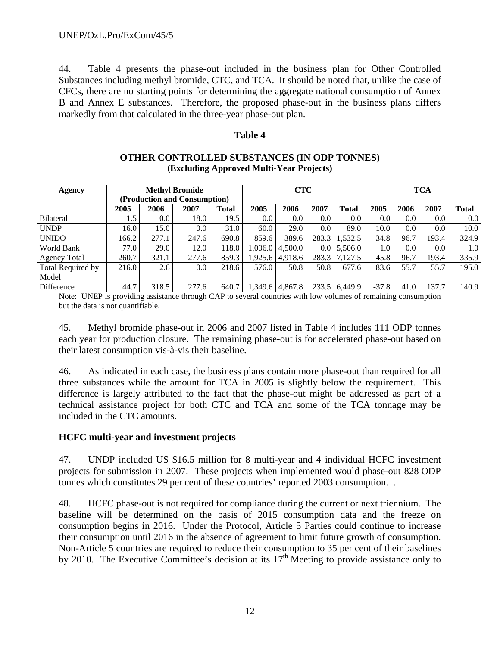44. Table 4 presents the phase-out included in the business plan for Other Controlled Substances including methyl bromide, CTC, and TCA. It should be noted that, unlike the case of CFCs, there are no starting points for determining the aggregate national consumption of Annex B and Annex E substances. Therefore, the proposed phase-out in the business plans differs markedly from that calculated in the three-year phase-out plan.

### **Table 4**

| Agency              |                              |         | <b>Methyl Bromide</b> |       | <b>CTC</b> |                       |         | <b>TCA</b>       |         |         |                  |         |
|---------------------|------------------------------|---------|-----------------------|-------|------------|-----------------------|---------|------------------|---------|---------|------------------|---------|
|                     | (Production and Consumption) |         |                       |       |            |                       |         |                  |         |         |                  |         |
|                     | 2005                         | 2006    | 2007                  | Total | 2005       | 2006                  | 2007    | <b>Total</b>     | 2005    | 2006    | 2007             | Total   |
| <b>Bilateral</b>    | 1.5                          | $0.0\,$ | 18.0                  | 19.5  | $0.0\,$    | 0.0                   | $0.0\,$ | 0.0 <sub>1</sub> | 0.0     | $0.0\,$ | 0.0 <sub>l</sub> | $0.0\,$ |
| <b>UNDP</b>         | 16.0                         | 15.0    | $0.0\,$               | 31.0  | 60.0       | 29.0                  | 0.0     | 89.0             | 10.0    | $0.0\,$ | 0.0 <sub>l</sub> | 10.0    |
| <b>UNIDO</b>        | 166.2                        | 277.1   | 247.6                 | 690.8 | 859.6      | 389.6                 | 283.3   | 1,532.5          | 34.8    | 96.7    | 193.4            | 324.9   |
| World Bank          | 77.0                         | 29.0    | 12.0                  | 118.0 |            | $1,006.0$   $4,500.0$ | 0.0     | 5.506.0          | 1.0     | $0.0\,$ | 0.0 <sub>l</sub> | 1.0     |
| <b>Agency Total</b> | 260.7                        | 321.1   | 277.6                 | 859.3 |            | 1,925.6 4,918.6       | 283.3   | 7,127.5          | 45.8    | 96.7    | 193.4            | 335.9   |
| Total Required by   | 216.0                        | 2.6     | $0.0\,$               | 218.6 | 576.0      | 50.8                  | 50.8    | 677.6            | 83.6    | 55.7    | 55.7             | 195.0   |
| Model               |                              |         |                       |       |            |                       |         |                  |         |         |                  |         |
| Difference          | 44.7                         | 318.5   | 277.6                 | 640.7 |            | 1,349.6 4,867.8       | 233.5   | 6.449.9          | $-37.8$ | 41.0    | 137.7            | 140.9   |

### **OTHER CONTROLLED SUBSTANCES (IN ODP TONNES) (Excluding Approved Multi-Year Projects)**

Note: UNEP is providing assistance through CAP to several countries with low volumes of remaining consumption but the data is not quantifiable.

45. Methyl bromide phase-out in 2006 and 2007 listed in Table 4 includes 111 ODP tonnes each year for production closure. The remaining phase-out is for accelerated phase-out based on their latest consumption vis-à-vis their baseline.

46. As indicated in each case, the business plans contain more phase-out than required for all three substances while the amount for TCA in 2005 is slightly below the requirement. This difference is largely attributed to the fact that the phase-out might be addressed as part of a technical assistance project for both CTC and TCA and some of the TCA tonnage may be included in the CTC amounts.

# **HCFC multi-year and investment projects**

47. UNDP included US \$16.5 million for 8 multi-year and 4 individual HCFC investment projects for submission in 2007. These projects when implemented would phase-out 828 ODP tonnes which constitutes 29 per cent of these countries' reported 2003 consumption. .

48. HCFC phase-out is not required for compliance during the current or next triennium. The baseline will be determined on the basis of 2015 consumption data and the freeze on consumption begins in 2016. Under the Protocol, Article 5 Parties could continue to increase their consumption until 2016 in the absence of agreement to limit future growth of consumption. Non-Article 5 countries are required to reduce their consumption to 35 per cent of their baselines by 2010. The Executive Committee's decision at its  $17<sup>th</sup>$  Meeting to provide assistance only to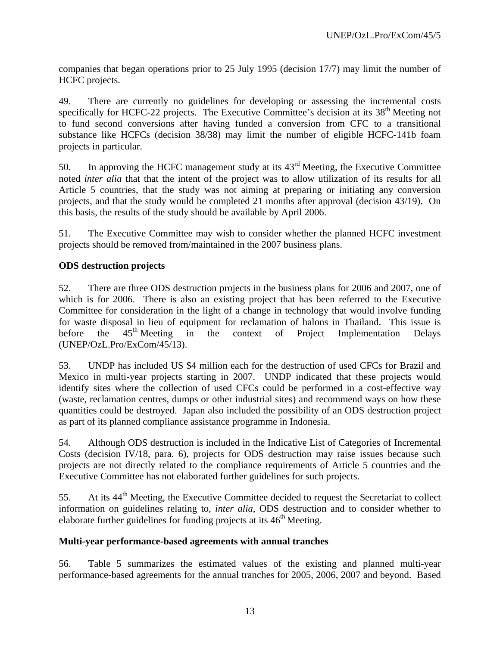companies that began operations prior to 25 July 1995 (decision 17/7) may limit the number of HCFC projects.

49. There are currently no guidelines for developing or assessing the incremental costs specifically for HCFC-22 projects. The Executive Committee's decision at its 38<sup>th</sup> Meeting not to fund second conversions after having funded a conversion from CFC to a transitional substance like HCFCs (decision 38/38) may limit the number of eligible HCFC-141b foam projects in particular.

50. In approving the HCFC management study at its  $43<sup>rd</sup>$  Meeting, the Executive Committee noted *inter alia* that that the intent of the project was to allow utilization of its results for all Article 5 countries, that the study was not aiming at preparing or initiating any conversion projects, and that the study would be completed 21 months after approval (decision 43/19). On this basis, the results of the study should be available by April 2006.

51. The Executive Committee may wish to consider whether the planned HCFC investment projects should be removed from/maintained in the 2007 business plans.

# **ODS destruction projects**

52. There are three ODS destruction projects in the business plans for 2006 and 2007, one of which is for 2006. There is also an existing project that has been referred to the Executive Committee for consideration in the light of a change in technology that would involve funding for waste disposal in lieu of equipment for reclamation of halons in Thailand. This issue is before the  $45<sup>th</sup>$  Meeting in the context of Project Implementation Delays (UNEP/OzL.Pro/ExCom/45/13).

53. UNDP has included US \$4 million each for the destruction of used CFCs for Brazil and Mexico in multi-year projects starting in 2007. UNDP indicated that these projects would identify sites where the collection of used CFCs could be performed in a cost-effective way (waste, reclamation centres, dumps or other industrial sites) and recommend ways on how these quantities could be destroyed. Japan also included the possibility of an ODS destruction project as part of its planned compliance assistance programme in Indonesia.

54. Although ODS destruction is included in the Indicative List of Categories of Incremental Costs (decision IV/18, para. 6), projects for ODS destruction may raise issues because such projects are not directly related to the compliance requirements of Article 5 countries and the Executive Committee has not elaborated further guidelines for such projects.

55. At its  $44<sup>th</sup>$  Meeting, the Executive Committee decided to request the Secretariat to collect information on guidelines relating to, *inter alia*, ODS destruction and to consider whether to elaborate further guidelines for funding projects at its  $46<sup>th</sup>$  Meeting.

# **Multi-year performance-based agreements with annual tranches**

56. Table 5 summarizes the estimated values of the existing and planned multi-year performance-based agreements for the annual tranches for 2005, 2006, 2007 and beyond. Based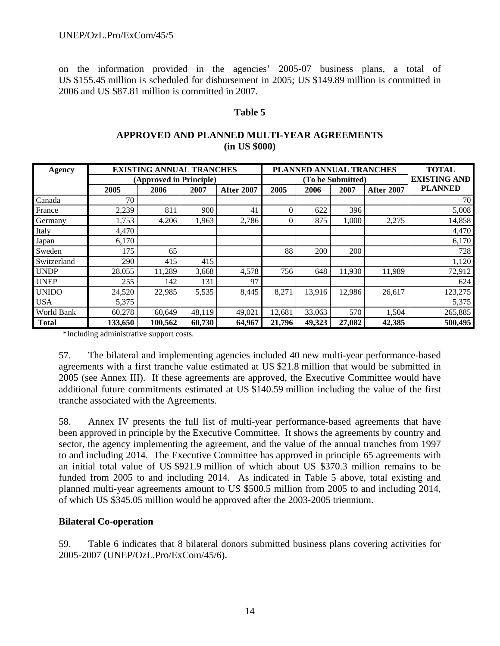on the information provided in the agencies' 2005-07 business plans, a total of US \$155.45 million is scheduled for disbursement in 2005; US \$149.89 million is committed in 2006 and US \$87.81 million is committed in 2007.

### **Table 5**

### **APPROVED AND PLANNED MULTI-YEAR AGREEMENTS (in US \$000)**

| <b>Agency</b> |         | <b>EXISTING ANNUAL TRANCHES</b> |        |                   |          | PLANNED ANNUAL TRANCHES |                   |                   | <b>TOTAL</b>        |
|---------------|---------|---------------------------------|--------|-------------------|----------|-------------------------|-------------------|-------------------|---------------------|
|               |         | (Approved in Principle)         |        |                   |          |                         | (To be Submitted) |                   | <b>EXISTING AND</b> |
|               | 2005    | 2006                            | 2007   | <b>After 2007</b> | 2005     | 2006                    | 2007              | <b>After 2007</b> | <b>PLANNED</b>      |
| Canada        | 70      |                                 |        |                   |          |                         |                   |                   | 70 I                |
| France        | 2,239   | 811                             | 900    | 41                | $\theta$ | 622                     | 396               |                   | 5,008               |
| Germany       | 1,753   | 4,206                           | 1,963  | 2,786             | $\Omega$ | 875                     | 1,000             | 2,275             | 14,858              |
| Italy         | 4,470   |                                 |        |                   |          |                         |                   |                   | 4,470               |
| Japan         | 6,170   |                                 |        |                   |          |                         |                   |                   | 6,170               |
| Sweden        | 175     | 65                              |        |                   | 88       | 200                     | 200               |                   | 728                 |
| Switzerland   | 290     | 415                             | 415    |                   |          |                         |                   |                   | 1,120               |
| <b>UNDP</b>   | 28,055  | 11,289                          | 3,668  | 4,578             | 756      | 648                     | 11,930            | 11,989            | 72,912              |
| <b>UNEP</b>   | 255     | 142                             | 131    | 97                |          |                         |                   |                   | 624                 |
| <b>UNIDO</b>  | 24,520  | 22,985                          | 5,535  | 8.445             | 8,271    | 13.916                  | 12,986            | 26,617            | 123,275             |
| <b>USA</b>    | 5,375   |                                 |        |                   |          |                         |                   |                   | 5,375               |
| World Bank    | 60,278  | 60,649                          | 48,119 | 49,021            | 12,681   | 33,063                  | 570               | 1,504             | 265,885             |
| <b>Total</b>  | 133,650 | 100,562                         | 60,730 | 64,967            | 21,796   | 49,323                  | 27,082            | 42,385            | 500,495             |

\*Including administrative support costs.

57. The bilateral and implementing agencies included 40 new multi-year performance-based agreements with a first tranche value estimated at US \$21.8 million that would be submitted in 2005 (see Annex III). If these agreements are approved, the Executive Committee would have additional future commitments estimated at US \$140.59 million including the value of the first tranche associated with the Agreements.

58. Annex IV presents the full list of multi-year performance-based agreements that have been approved in principle by the Executive Committee. It shows the agreements by country and sector, the agency implementing the agreement, and the value of the annual tranches from 1997 to and including 2014. The Executive Committee has approved in principle 65 agreements with an initial total value of US \$921.9 million of which about US \$370.3 million remains to be funded from 2005 to and including 2014. As indicated in Table 5 above, total existing and planned multi-year agreements amount to US \$500.5 million from 2005 to and including 2014, of which US \$345.05 million would be approved after the 2003-2005 triennium.

# **Bilateral Co-operation**

59. Table 6 indicates that 8 bilateral donors submitted business plans covering activities for 2005-2007 (UNEP/OzL.Pro/ExCom/45/6).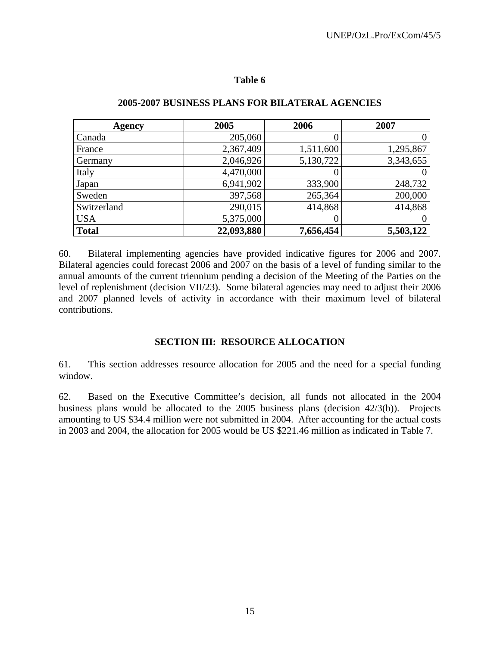| Agency       | 2005       | 2006      | 2007      |
|--------------|------------|-----------|-----------|
| Canada       | 205,060    |           |           |
| France       | 2,367,409  | 1,511,600 | 1,295,867 |
| Germany      | 2,046,926  | 5,130,722 | 3,343,655 |
| Italy        | 4,470,000  |           |           |
| Japan        | 6,941,902  | 333,900   | 248,732   |
| Sweden       | 397,568    | 265,364   | 200,000   |
| Switzerland  | 290,015    | 414,868   | 414,868   |
| <b>USA</b>   | 5,375,000  |           |           |
| <b>Total</b> | 22,093,880 | 7,656,454 | 5,503,122 |

### **2005-2007 BUSINESS PLANS FOR BILATERAL AGENCIES**

60. Bilateral implementing agencies have provided indicative figures for 2006 and 2007. Bilateral agencies could forecast 2006 and 2007 on the basis of a level of funding similar to the annual amounts of the current triennium pending a decision of the Meeting of the Parties on the level of replenishment (decision VII/23). Some bilateral agencies may need to adjust their 2006 and 2007 planned levels of activity in accordance with their maximum level of bilateral contributions.

### **SECTION III: RESOURCE ALLOCATION**

61. This section addresses resource allocation for 2005 and the need for a special funding window.

62. Based on the Executive Committee's decision, all funds not allocated in the 2004 business plans would be allocated to the 2005 business plans (decision 42/3(b)). Projects amounting to US \$34.4 million were not submitted in 2004. After accounting for the actual costs in 2003 and 2004, the allocation for 2005 would be US \$221.46 million as indicated in Table 7.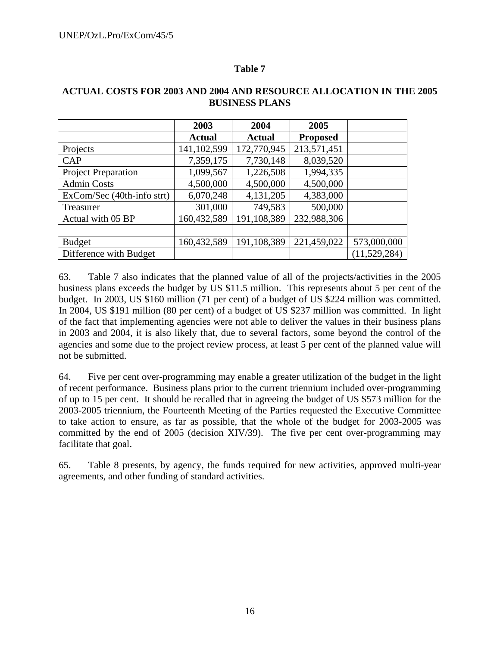|                            | 2003          | 2004          | 2005            |              |
|----------------------------|---------------|---------------|-----------------|--------------|
|                            | <b>Actual</b> | <b>Actual</b> | <b>Proposed</b> |              |
| Projects                   | 141, 102, 599 | 172,770,945   | 213,571,451     |              |
| CAP                        | 7,359,175     | 7,730,148     | 8,039,520       |              |
| <b>Project Preparation</b> | 1,099,567     | 1,226,508     | 1,994,335       |              |
| <b>Admin Costs</b>         | 4,500,000     | 4,500,000     | 4,500,000       |              |
| ExCom/Sec (40th-info strt) | 6,070,248     | 4,131,205     | 4,383,000       |              |
| Treasurer                  | 301,000       | 749,583       | 500,000         |              |
| Actual with 05 BP          | 160,432,589   | 191,108,389   | 232,988,306     |              |
|                            |               |               |                 |              |
| <b>Budget</b>              | 160,432,589   | 191,108,389   | 221,459,022     | 573,000,000  |
| Difference with Budget     |               |               |                 | (11,529,284) |

### **ACTUAL COSTS FOR 2003 AND 2004 AND RESOURCE ALLOCATION IN THE 2005 BUSINESS PLANS**

63. Table 7 also indicates that the planned value of all of the projects/activities in the 2005 business plans exceeds the budget by US \$11.5 million. This represents about 5 per cent of the budget. In 2003, US \$160 million (71 per cent) of a budget of US \$224 million was committed. In 2004, US \$191 million (80 per cent) of a budget of US \$237 million was committed. In light of the fact that implementing agencies were not able to deliver the values in their business plans in 2003 and 2004, it is also likely that, due to several factors, some beyond the control of the agencies and some due to the project review process, at least 5 per cent of the planned value will not be submitted.

64. Five per cent over-programming may enable a greater utilization of the budget in the light of recent performance. Business plans prior to the current triennium included over-programming of up to 15 per cent. It should be recalled that in agreeing the budget of US \$573 million for the 2003-2005 triennium, the Fourteenth Meeting of the Parties requested the Executive Committee to take action to ensure, as far as possible, that the whole of the budget for 2003-2005 was committed by the end of 2005 (decision XIV/39). The five per cent over-programming may facilitate that goal.

65. Table 8 presents, by agency, the funds required for new activities, approved multi-year agreements, and other funding of standard activities.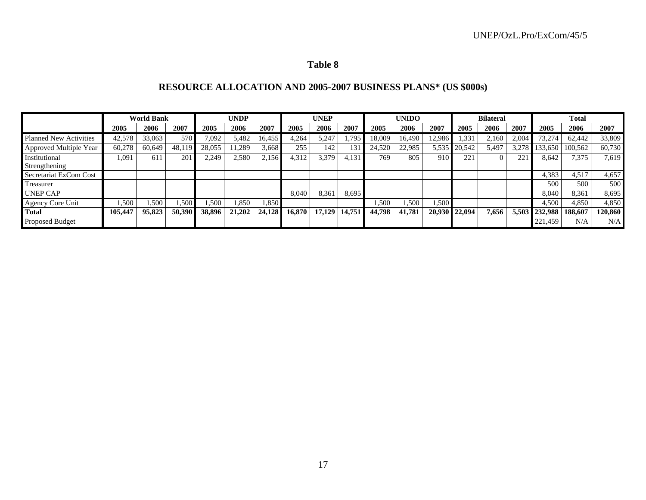# **RESOURCE ALLOCATION AND 2005-2007 BUSINESS PLANS\* (US \$000s)**

|                               | <b>World Bank</b> |        |        | <b>UNDP</b> |        |        | <b>UNEP</b> |        | <b>UNIDO</b> |        |        | <b>Bilateral</b> |               |       | <b>Total</b>          |               |         |         |
|-------------------------------|-------------------|--------|--------|-------------|--------|--------|-------------|--------|--------------|--------|--------|------------------|---------------|-------|-----------------------|---------------|---------|---------|
|                               | 2005              | 2006   | 2007   | 2005        | 2006   | 2007   | 2005        | 2006   | 2007         | 2005   | 2006   | 2007             | 2005          | 2006  | 2007                  | 2005          | 2006    | 2007    |
| <b>Planned New Activities</b> | 42,578            | 33,063 | 570    | 7,092       | 5,482  | 16.455 | 4,264       | 5,247  | .795         | 18,009 | 16.490 | 12,986           | .331          | 2.160 | 2.004                 | 73,274        | 62,442  | 33,809  |
| Approved Multiple Year        | 60,278            | 60.649 | 48,119 | 28,055      | .289   | 3,668  | 255         | 142    | 131          | 24,520 | 22,985 | 5,535            | 20,542        | 5,497 | 3.278                 | 133.650       | 100.562 | 60,730  |
| Institutional                 | 1,091             | 611    | 201    | 2,249       | 2,580  | 2.156  | 4,312       | 3,379  | 4,131        | 769    | 805    | 910              | 221           |       | $\mathcal{D}$<br>44 I | 8,642         | 7,375   | 7,619   |
| Strengthening                 |                   |        |        |             |        |        |             |        |              |        |        |                  |               |       |                       |               |         |         |
| Secretariat ExCom Cost        |                   |        |        |             |        |        |             |        |              |        |        |                  |               |       |                       | 4,383         | 4.517   | 4,657   |
| Treasurer                     |                   |        |        |             |        |        |             |        |              |        |        |                  |               |       |                       | 500           | 500     | 500     |
| <b>UNEP CAP</b>               |                   |        |        |             |        |        | 8,040       | 8.361  | 8,695        |        |        |                  |               |       |                       | 8.040         | 8,361   | 8,695   |
| Agency Core Unit              | .500              | 1,500  | .500   | 1,500       | .850   | 1,850  |             |        |              | 1,500  | .,500  | 1,500            |               |       |                       | 4,500         | 4,850   | 4,850   |
| <b>Total</b>                  | 105,447           | 95,823 | 50,390 | 38,896      | 21,202 | 24.128 | 16.870      | 17,129 | 14,751       | 44,798 | 41,781 |                  | 20,930 22,094 | 7.656 |                       | 5,503 232,988 | 188,607 | 120,860 |
| <b>Proposed Budget</b>        |                   |        |        |             |        |        |             |        |              |        |        |                  |               |       |                       | 221.459       | N/A     | N/A     |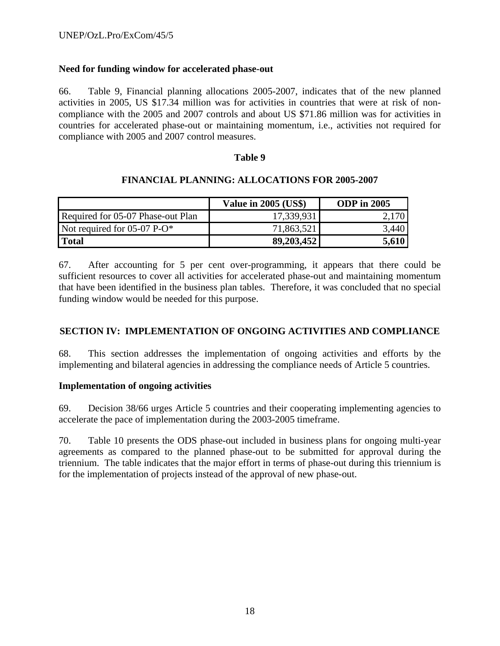# **Need for funding window for accelerated phase-out**

66. Table 9, Financial planning allocations 2005-2007, indicates that of the new planned activities in 2005, US \$17.34 million was for activities in countries that were at risk of noncompliance with the 2005 and 2007 controls and about US \$71.86 million was for activities in countries for accelerated phase-out or maintaining momentum, i.e., activities not required for compliance with 2005 and 2007 control measures.

### **Table 9**

### **FINANCIAL PLANNING: ALLOCATIONS FOR 2005-2007**

|                                   | <b>Value in 2005 (US\$)</b> | <b>ODP</b> in 2005 |
|-----------------------------------|-----------------------------|--------------------|
| Required for 05-07 Phase-out Plan | 17,339,931                  | 2,170              |
| Not required for $05-07$ P-O*     | 71,863,521                  | 3.440              |
| Total                             | 89,203,452                  | 5,610              |

67. After accounting for 5 per cent over-programming, it appears that there could be sufficient resources to cover all activities for accelerated phase-out and maintaining momentum that have been identified in the business plan tables. Therefore, it was concluded that no special funding window would be needed for this purpose.

### **SECTION IV: IMPLEMENTATION OF ONGOING ACTIVITIES AND COMPLIANCE**

68. This section addresses the implementation of ongoing activities and efforts by the implementing and bilateral agencies in addressing the compliance needs of Article 5 countries.

### **Implementation of ongoing activities**

69. Decision 38/66 urges Article 5 countries and their cooperating implementing agencies to accelerate the pace of implementation during the 2003-2005 timeframe.

70. Table 10 presents the ODS phase-out included in business plans for ongoing multi-year agreements as compared to the planned phase-out to be submitted for approval during the triennium. The table indicates that the major effort in terms of phase-out during this triennium is for the implementation of projects instead of the approval of new phase-out.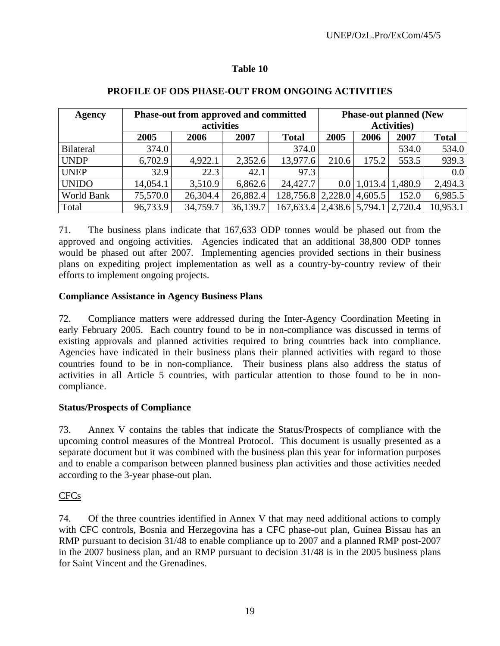| Agency       |          | Phase-out from approved and committed<br>activities |          | <b>Phase-out planned (New</b><br><b>Activities</b> ) |       |                 |              |          |
|--------------|----------|-----------------------------------------------------|----------|------------------------------------------------------|-------|-----------------|--------------|----------|
|              | 2005     | 2006                                                | 2007     | 2005                                                 | 2006  | 2007            | <b>Total</b> |          |
| Bilateral    | 374.0    |                                                     |          | 374.0                                                |       |                 | 534.0        | 534.0    |
| <b>UNDP</b>  | 6,702.9  | 4,922.1                                             | 2,352.6  | 13,977.6                                             | 210.6 | 175.2           | 553.5        | 939.3    |
| <b>UNEP</b>  | 32.9     | 22.3                                                | 42.1     | 97.3                                                 |       |                 |              | 0.0      |
| <b>UNIDO</b> | 14,054.1 | 3,510.9                                             | 6,862.6  | 24,427.7                                             |       | $0.0$   1,013.4 | 1,480.9      | 2,494.3  |
| World Bank   | 75,570.0 | 26,304.4                                            | 26,882.4 | 128,756.8 2,228.0 4,605.5                            |       |                 | 152.0        | 6,985.5  |
| Total        | 96,733.9 | 34,759.7                                            | 36,139.7 | 167,633.4   2,438.6   5,794.1                        |       |                 | 2,720.4      | 10,953.1 |

# **PROFILE OF ODS PHASE-OUT FROM ONGOING ACTIVITIES**

71. The business plans indicate that 167,633 ODP tonnes would be phased out from the approved and ongoing activities. Agencies indicated that an additional 38,800 ODP tonnes would be phased out after 2007. Implementing agencies provided sections in their business plans on expediting project implementation as well as a country-by-country review of their efforts to implement ongoing projects.

# **Compliance Assistance in Agency Business Plans**

72. Compliance matters were addressed during the Inter-Agency Coordination Meeting in early February 2005. Each country found to be in non-compliance was discussed in terms of existing approvals and planned activities required to bring countries back into compliance. Agencies have indicated in their business plans their planned activities with regard to those countries found to be in non-compliance. Their business plans also address the status of activities in all Article 5 countries, with particular attention to those found to be in noncompliance.

# **Status/Prospects of Compliance**

73. Annex V contains the tables that indicate the Status/Prospects of compliance with the upcoming control measures of the Montreal Protocol. This document is usually presented as a separate document but it was combined with the business plan this year for information purposes and to enable a comparison between planned business plan activities and those activities needed according to the 3-year phase-out plan.

# CFCs

74. Of the three countries identified in Annex V that may need additional actions to comply with CFC controls, Bosnia and Herzegovina has a CFC phase-out plan, Guinea Bissau has an RMP pursuant to decision 31/48 to enable compliance up to 2007 and a planned RMP post-2007 in the 2007 business plan, and an RMP pursuant to decision 31/48 is in the 2005 business plans for Saint Vincent and the Grenadines.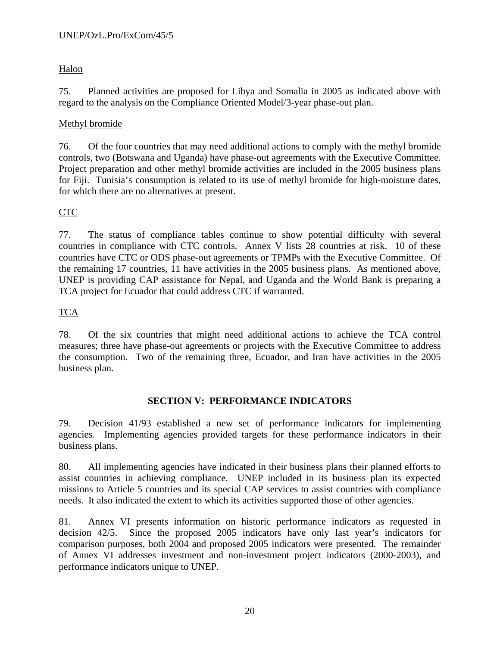# Halon

75. Planned activities are proposed for Libya and Somalia in 2005 as indicated above with regard to the analysis on the Compliance Oriented Model/3-year phase-out plan.

# Methyl bromide

76. Of the four countries that may need additional actions to comply with the methyl bromide controls, two (Botswana and Uganda) have phase-out agreements with the Executive Committee. Project preparation and other methyl bromide activities are included in the 2005 business plans for Fiji. Tunisia's consumption is related to its use of methyl bromide for high-moisture dates, for which there are no alternatives at present.

# CTC

77. The status of compliance tables continue to show potential difficulty with several countries in compliance with CTC controls. Annex V lists 28 countries at risk. 10 of these countries have CTC or ODS phase-out agreements or TPMPs with the Executive Committee. Of the remaining 17 countries, 11 have activities in the 2005 business plans. As mentioned above, UNEP is providing CAP assistance for Nepal, and Uganda and the World Bank is preparing a TCA project for Ecuador that could address CTC if warranted.

# TCA

78. Of the six countries that might need additional actions to achieve the TCA control measures; three have phase-out agreements or projects with the Executive Committee to address the consumption. Two of the remaining three, Ecuador, and Iran have activities in the 2005 business plan.

# **SECTION V: PERFORMANCE INDICATORS**

79. Decision 41/93 established a new set of performance indicators for implementing agencies. Implementing agencies provided targets for these performance indicators in their business plans.

80. All implementing agencies have indicated in their business plans their planned efforts to assist countries in achieving compliance. UNEP included in its business plan its expected missions to Article 5 countries and its special CAP services to assist countries with compliance needs. It also indicated the extent to which its activities supported those of other agencies.

81. Annex VI presents information on historic performance indicators as requested in decision 42/5. Since the proposed 2005 indicators have only last year's indicators for comparison purposes, both 2004 and proposed 2005 indicators were presented. The remainder of Annex VI addresses investment and non-investment project indicators (2000-2003), and performance indicators unique to UNEP.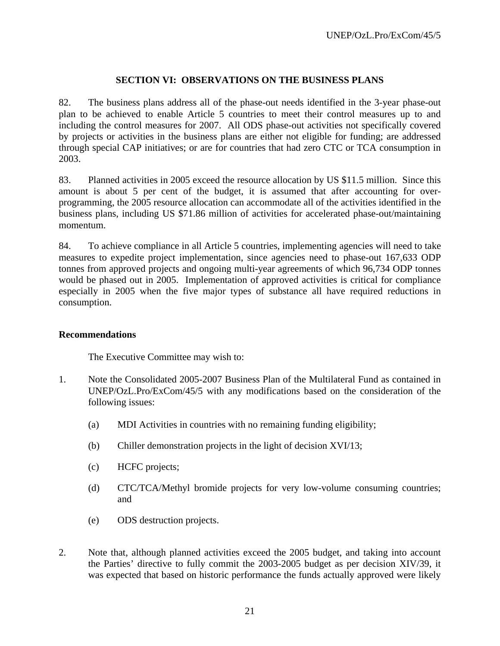### **SECTION VI: OBSERVATIONS ON THE BUSINESS PLANS**

82. The business plans address all of the phase-out needs identified in the 3-year phase-out plan to be achieved to enable Article 5 countries to meet their control measures up to and including the control measures for 2007. All ODS phase-out activities not specifically covered by projects or activities in the business plans are either not eligible for funding; are addressed through special CAP initiatives; or are for countries that had zero CTC or TCA consumption in 2003.

83. Planned activities in 2005 exceed the resource allocation by US \$11.5 million. Since this amount is about 5 per cent of the budget, it is assumed that after accounting for overprogramming, the 2005 resource allocation can accommodate all of the activities identified in the business plans, including US \$71.86 million of activities for accelerated phase-out/maintaining momentum.

84. To achieve compliance in all Article 5 countries, implementing agencies will need to take measures to expedite project implementation, since agencies need to phase-out 167,633 ODP tonnes from approved projects and ongoing multi-year agreements of which 96,734 ODP tonnes would be phased out in 2005. Implementation of approved activities is critical for compliance especially in 2005 when the five major types of substance all have required reductions in consumption.

### **Recommendations**

The Executive Committee may wish to:

- 1. Note the Consolidated 2005-2007 Business Plan of the Multilateral Fund as contained in UNEP/OzL.Pro/ExCom/45/5 with any modifications based on the consideration of the following issues:
	- (a) MDI Activities in countries with no remaining funding eligibility;
	- (b) Chiller demonstration projects in the light of decision XVI/13;
	- (c) HCFC projects;
	- (d) CTC/TCA/Methyl bromide projects for very low-volume consuming countries; and
	- (e) ODS destruction projects.
- 2. Note that, although planned activities exceed the 2005 budget, and taking into account the Parties' directive to fully commit the 2003-2005 budget as per decision XIV/39, it was expected that based on historic performance the funds actually approved were likely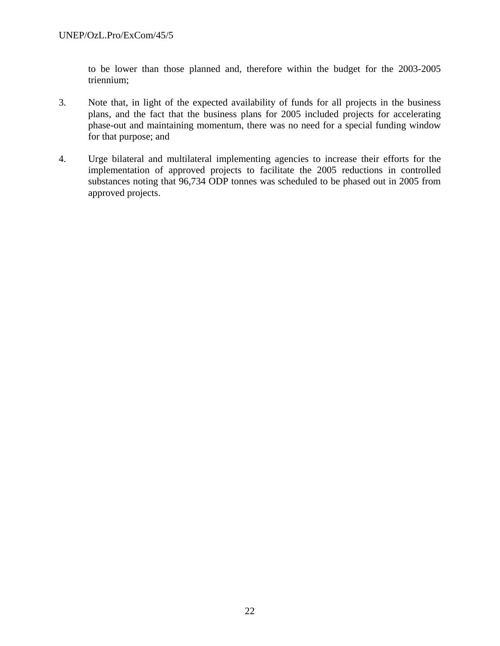to be lower than those planned and, therefore within the budget for the 2003-2005 triennium;

- 3. Note that, in light of the expected availability of funds for all projects in the business plans, and the fact that the business plans for 2005 included projects for accelerating phase-out and maintaining momentum, there was no need for a special funding window for that purpose; and
- 4. Urge bilateral and multilateral implementing agencies to increase their efforts for the implementation of approved projects to facilitate the 2005 reductions in controlled substances noting that 96,734 ODP tonnes was scheduled to be phased out in 2005 from approved projects.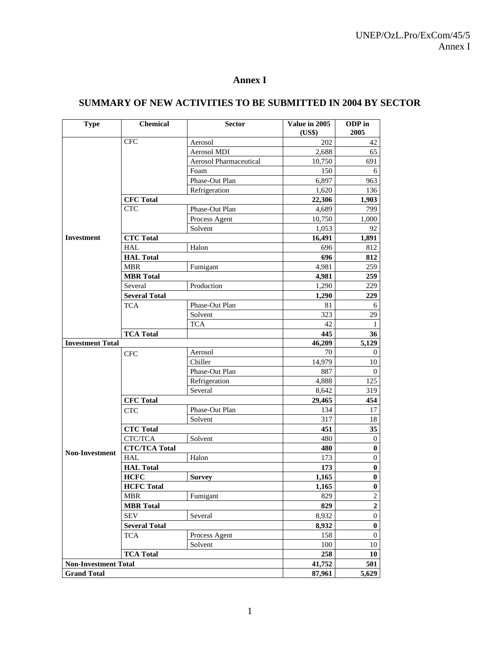# **Annex I**

# **SUMMARY OF NEW ACTIVITIES TO BE SUBMITTED IN 2004 BY SECTOR**

| <b>Type</b>                 | <b>Chemical</b>                  | <b>Sector</b>                  | Value in 2005   | ODP in<br>2005              |
|-----------------------------|----------------------------------|--------------------------------|-----------------|-----------------------------|
|                             | <b>CFC</b>                       |                                | (US\$)          |                             |
|                             |                                  | Aerosol                        | 202             | 42                          |
|                             |                                  | Aerosol MDI                    | 2,688           | 65                          |
|                             |                                  | Aerosol Pharmaceutical<br>Foam | 10,750<br>150   | 691                         |
|                             |                                  | Phase-Out Plan                 |                 | 6                           |
|                             |                                  | Refrigeration                  | 6,897           | 963                         |
|                             |                                  |                                | 1,620           | 136                         |
|                             | <b>CFC</b> Total<br><b>CTC</b>   | Phase-Out Plan                 | 22,306<br>4,689 | 1,903<br>799                |
|                             |                                  |                                |                 |                             |
|                             |                                  | Process Agent<br>Solvent       | 10,750          | 1,000<br>92                 |
| <b>Investment</b>           |                                  |                                | 1,053           |                             |
|                             | <b>CTC Total</b><br><b>HAL</b>   |                                | 16,491          | 1,891                       |
|                             |                                  | Halon                          | 696             | 812                         |
|                             | <b>HAL Total</b>                 |                                | 696             | 812                         |
|                             | <b>MBR</b>                       | Fumigant                       | 4,981           | 259                         |
|                             | <b>MBR</b> Total                 |                                | 4,981           | 259                         |
|                             | Several                          | Production                     | 1,290           | 229                         |
|                             | <b>Several Total</b>             |                                | 1,290           | 229                         |
|                             | <b>TCA</b>                       | Phase-Out Plan                 | 81              | 6                           |
|                             |                                  | Solvent                        | 323             | 29                          |
|                             |                                  | <b>TCA</b>                     | 42              | $\mathbf{1}$                |
|                             | <b>TCA Total</b>                 |                                | 445             | 36                          |
| <b>Investment Total</b>     |                                  |                                | 46,209          | 5,129                       |
|                             | <b>CFC</b>                       | Aerosol                        | 70              | 0                           |
|                             |                                  | Chiller                        | 14,979          | $10\,$                      |
|                             |                                  | Phase-Out Plan                 | 887             | $\theta$                    |
|                             |                                  | Refrigeration                  | 4,888           | 125                         |
|                             |                                  | Several                        | 8,642           | 319                         |
|                             | <b>CFC</b> Total                 |                                | 29,465          | 454                         |
|                             | <b>CTC</b>                       | Phase-Out Plan                 | 134             | 17                          |
|                             |                                  | Solvent                        | 317             | 18                          |
|                             | <b>CTC Total</b>                 |                                | 451             | 35                          |
|                             | CTC/TCA                          | Solvent                        | 480             | $\boldsymbol{0}$            |
| Non-Investment              | <b>CTC/TCA Total</b>             |                                | 480             | $\bf{0}$                    |
|                             | <b>HAL</b><br><b>HAL Total</b>   | Halon                          | 173<br>173      | 0<br>$\bf{0}$               |
|                             |                                  |                                |                 |                             |
|                             | <b>HCFC</b><br><b>HCFC</b> Total | <b>Survey</b>                  | 1,165<br>1,165  | $\bf{0}$                    |
|                             | <b>MBR</b>                       | Fumigant                       |                 | $\pmb{0}$<br>$\overline{c}$ |
|                             |                                  |                                | 829             | $\overline{2}$              |
|                             | <b>MBR</b> Total                 |                                | 829             |                             |
|                             | <b>SEV</b>                       | Several                        | 8,932           | $\boldsymbol{0}$            |
|                             | <b>Several Total</b>             |                                | 8,932           | $\boldsymbol{0}$            |
|                             | <b>TCA</b>                       | Process Agent                  | 158             | $\overline{0}$              |
|                             |                                  | Solvent                        | 100             | 10                          |
|                             | <b>TCA Total</b>                 |                                | 258             | 10                          |
| <b>Non-Investment Total</b> |                                  |                                | 41,752          | 501                         |
| <b>Grand Total</b>          |                                  |                                | 87,961          | 5,629                       |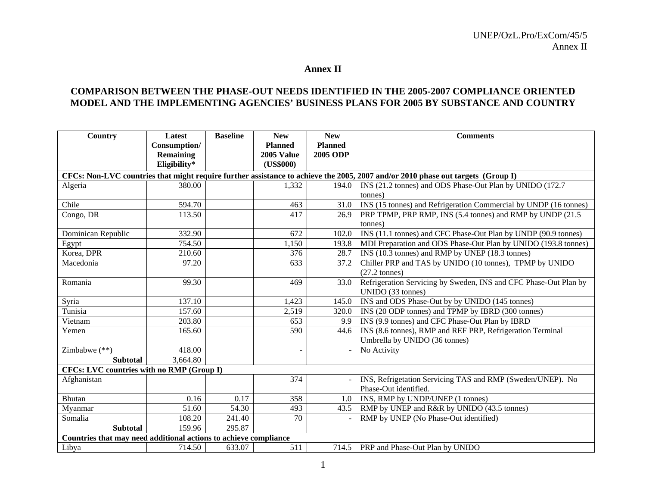#### **Annex II**

### **COMPARISON BETWEEN THE PHASE-OUT NEEDS IDENTIFIED IN THE 2005-2007 COMPLIANCE ORIENTED MODEL AND THE IMPLEMENTING AGENCIES' BUSINESS PLANS FOR 2005 BY SUBSTANCE AND COUNTRY**

| Country                                                          | Latest           | <b>Baseline</b> | <b>New</b>     | <b>New</b>      | <b>Comments</b>                                                                                                                 |
|------------------------------------------------------------------|------------------|-----------------|----------------|-----------------|---------------------------------------------------------------------------------------------------------------------------------|
|                                                                  | Consumption/     |                 | <b>Planned</b> | <b>Planned</b>  |                                                                                                                                 |
|                                                                  | <b>Remaining</b> |                 | 2005 Value     | <b>2005 ODP</b> |                                                                                                                                 |
|                                                                  | Eligibility*     |                 | (US\$000)      |                 |                                                                                                                                 |
|                                                                  |                  |                 |                |                 | CFCs: Non-LVC countries that might require further assistance to achieve the 2005, 2007 and/or 2010 phase out targets (Group I) |
| Algeria                                                          | 380.00           |                 | 1,332          | 194.0           | INS (21.2 tonnes) and ODS Phase-Out Plan by UNIDO (172.7                                                                        |
|                                                                  |                  |                 |                |                 | (tonnes)                                                                                                                        |
| Chile                                                            | 594.70           |                 | 463            | 31.0            | INS (15 tonnes) and Refrigeration Commercial by UNDP (16 tonnes)                                                                |
| Congo, $\overline{\text{DR}}$                                    | 113.50           |                 | 417            | 26.9            | PRP TPMP, PRP RMP, INS (5.4 tonnes) and RMP by UNDP (21.5                                                                       |
|                                                                  |                  |                 |                |                 | tonnes)                                                                                                                         |
| Dominican Republic                                               | 332.90           |                 | 672            | 102.0           | INS (11.1 tonnes) and CFC Phase-Out Plan by UNDP (90.9 tonnes)                                                                  |
| Egypt                                                            | 754.50           |                 | 1,150          | 193.8           | MDI Preparation and ODS Phase-Out Plan by UNIDO (193.8 tonnes)                                                                  |
| Korea, DPR                                                       | 210.60           |                 | 376            | 28.7            | INS (10.3 tonnes) and RMP by UNEP (18.3 tonnes)                                                                                 |
| Macedonia                                                        | 97.20            |                 | 633            | 37.2            | Chiller PRP and TAS by UNIDO (10 tonnes), TPMP by UNIDO                                                                         |
|                                                                  |                  |                 |                |                 | $(27.2 \text{ tonnes})$                                                                                                         |
| Romania                                                          | 99.30            |                 | 469            | 33.0            | Refrigeration Servicing by Sweden, INS and CFC Phase-Out Plan by                                                                |
|                                                                  |                  |                 |                |                 | UNIDO (33 tonnes)                                                                                                               |
| Syria                                                            | 137.10           |                 | 1,423          | 145.0           | INS and ODS Phase-Out by by UNIDO (145 tonnes)                                                                                  |
| Tunisia                                                          | 157.60           |                 | 2,519          | 320.0           | INS (20 ODP tonnes) and TPMP by IBRD (300 tonnes)                                                                               |
| Vietnam                                                          | 203.80           |                 | 653            | 9.9             | INS (9.9 tonnes) and CFC Phase-Out Plan by IBRD                                                                                 |
| Yemen                                                            | 165.60           |                 | 590            | 44.6            | INS (8.6 tonnes), RMP and REF PRP, Refrigeration Terminal                                                                       |
|                                                                  |                  |                 |                |                 | Umbrella by UNIDO (36 tonnes)                                                                                                   |
| Zimbabwe (**)                                                    | 418.00           |                 |                |                 | No Activity                                                                                                                     |
| <b>Subtotal</b>                                                  | 3,664.80         |                 |                |                 |                                                                                                                                 |
| CFCs: LVC countries with no RMP (Group I)                        |                  |                 |                |                 |                                                                                                                                 |
| Afghanistan                                                      |                  |                 | 374            |                 | INS, Refrigetation Servicing TAS and RMP (Sweden/UNEP). No                                                                      |
|                                                                  |                  |                 |                |                 | Phase-Out identified.                                                                                                           |
| <b>Bhutan</b>                                                    | 0.16             | 0.17            | 358            | 1.0             | INS, RMP by UNDP/UNEP (1 tonnes)                                                                                                |
| Myanmar                                                          | 51.60            | 54.30           | 493            | 43.5            | RMP by UNEP and R&R by UNIDO (43.5 tonnes)                                                                                      |
| Somalia                                                          | 108.20           | 241.40          | 70             |                 | RMP by UNEP (No Phase-Out identified)                                                                                           |
| <b>Subtotal</b>                                                  | 159.96           | 295.87          |                |                 |                                                                                                                                 |
| Countries that may need additional actions to achieve compliance |                  |                 |                |                 |                                                                                                                                 |
| Libya                                                            | 714.50           | 633.07          | 511            |                 | 714.5   PRP and Phase-Out Plan by UNIDO                                                                                         |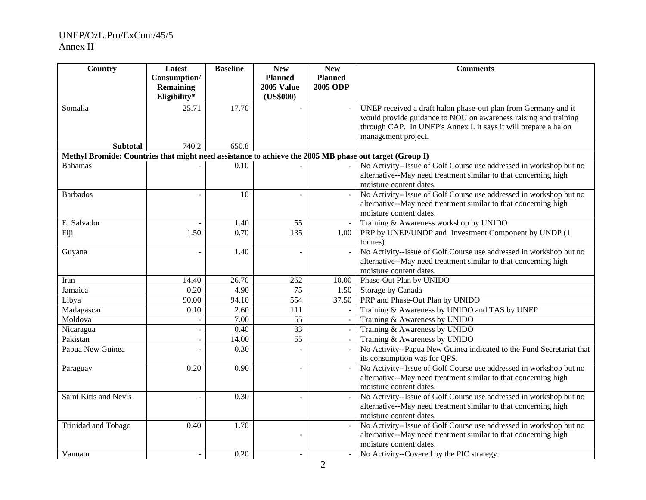| Country                                                                                                | Latest           | <b>Baseline</b>   | <b>New</b>        | <b>New</b>               | <b>Comments</b>                                                      |
|--------------------------------------------------------------------------------------------------------|------------------|-------------------|-------------------|--------------------------|----------------------------------------------------------------------|
|                                                                                                        | Consumption/     |                   | <b>Planned</b>    | <b>Planned</b>           |                                                                      |
|                                                                                                        | <b>Remaining</b> |                   | <b>2005 Value</b> | <b>2005 ODP</b>          |                                                                      |
|                                                                                                        | Eligibility*     |                   | (US\$000)         |                          |                                                                      |
| Somalia                                                                                                | 25.71            | 17.70             |                   |                          | UNEP received a draft halon phase-out plan from Germany and it       |
|                                                                                                        |                  |                   |                   |                          | would provide guidance to NOU on awareness raising and training      |
|                                                                                                        |                  |                   |                   |                          | through CAP. In UNEP's Annex I. it says it will prepare a halon      |
|                                                                                                        |                  |                   |                   |                          | management project.                                                  |
| <b>Subtotal</b>                                                                                        | 740.2            | 650.8             |                   |                          |                                                                      |
| Methyl Bromide: Countries that might need assistance to achieve the 2005 MB phase out target (Group I) |                  |                   |                   |                          |                                                                      |
| <b>Bahamas</b>                                                                                         |                  | 0.10              |                   |                          | No Activity--Issue of Golf Course use addressed in workshop but no   |
|                                                                                                        |                  |                   |                   |                          | alternative--May need treatment similar to that concerning high      |
|                                                                                                        |                  |                   |                   |                          | moisture content dates.                                              |
| <b>Barbados</b>                                                                                        |                  | 10                |                   |                          | No Activity--Issue of Golf Course use addressed in workshop but no   |
|                                                                                                        |                  |                   |                   |                          | alternative--May need treatment similar to that concerning high      |
|                                                                                                        |                  |                   |                   |                          | moisture content dates.                                              |
| El Salvador                                                                                            |                  | 1.40              | 55                |                          | Training & Awareness workshop by UNIDO                               |
| Fiji                                                                                                   | 1.50             | $\overline{0.70}$ | 135               | 1.00                     | PRP by UNEP/UNDP and Investment Component by UNDP (1)                |
|                                                                                                        |                  |                   |                   |                          | tonnes)                                                              |
| Guyana                                                                                                 |                  | 1.40              |                   |                          | No Activity--Issue of Golf Course use addressed in workshop but no   |
|                                                                                                        |                  |                   |                   |                          | alternative--May need treatment similar to that concerning high      |
|                                                                                                        |                  |                   |                   |                          | moisture content dates.                                              |
| Iran                                                                                                   | 14.40            | 26.70             | 262               | 10.00                    | Phase-Out Plan by UNIDO                                              |
| Jamaica                                                                                                | 0.20             | 4.90              | 75                | 1.50                     | Storage by Canada                                                    |
| Libya                                                                                                  | 90.00            | 94.10             | $\sqrt{554}$      | 37.50                    | PRP and Phase-Out Plan by UNIDO                                      |
| Madagascar                                                                                             | 0.10             | 2.60              | 111               | $\overline{a}$           | Training & Awareness by UNIDO and TAS by UNEP                        |
| Moldova                                                                                                |                  | 7.00              | 55                | $\blacksquare$           | Training & Awareness by UNIDO                                        |
| Nicaragua                                                                                              |                  | 0.40              | $\overline{33}$   | $\overline{\phantom{a}}$ | Training & Awareness by UNIDO                                        |
| Pakistan                                                                                               |                  | 14.00             | $\overline{55}$   | $\overline{a}$           | Training & Awareness by UNIDO                                        |
| Papua New Guinea                                                                                       |                  | 0.30              |                   |                          | No Activity--Papua New Guinea indicated to the Fund Secretariat that |
|                                                                                                        |                  |                   |                   |                          | its consumption was for QPS.                                         |
| Paraguay                                                                                               | 0.20             | 0.90              |                   | $\overline{a}$           | No Activity--Issue of Golf Course use addressed in workshop but no   |
|                                                                                                        |                  |                   |                   |                          | alternative--May need treatment similar to that concerning high      |
|                                                                                                        |                  |                   |                   |                          | moisture content dates.                                              |
| <b>Saint Kitts and Nevis</b>                                                                           |                  | 0.30              |                   |                          | No Activity--Issue of Golf Course use addressed in workshop but no   |
|                                                                                                        |                  |                   |                   |                          | alternative--May need treatment similar to that concerning high      |
|                                                                                                        |                  |                   |                   |                          | moisture content dates.                                              |
| Trinidad and Tobago                                                                                    | 0.40             | 1.70              |                   |                          | No Activity--Issue of Golf Course use addressed in workshop but no   |
|                                                                                                        |                  |                   |                   |                          | alternative--May need treatment similar to that concerning high      |
|                                                                                                        |                  |                   |                   |                          | moisture content dates.                                              |
| Vanuatu                                                                                                |                  | 0.20              |                   |                          | No Activity--Covered by the PIC strategy.                            |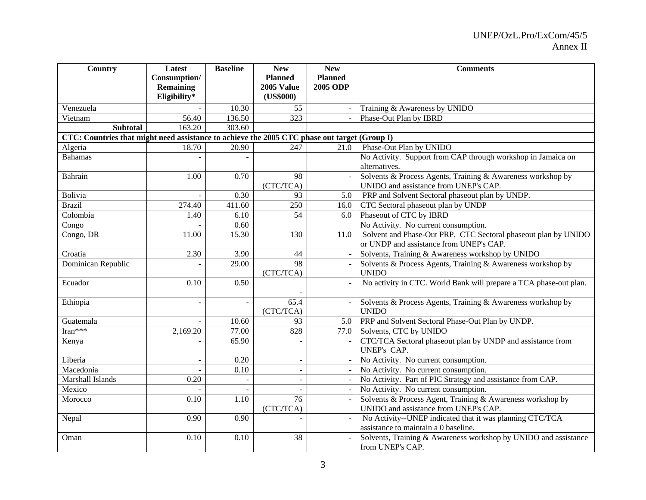| Country                                                                                      | Latest           | <b>Baseline</b> | <b>New</b>        | <b>New</b>      | <b>Comments</b>                                                   |
|----------------------------------------------------------------------------------------------|------------------|-----------------|-------------------|-----------------|-------------------------------------------------------------------|
|                                                                                              | Consumption/     |                 | <b>Planned</b>    | <b>Planned</b>  |                                                                   |
|                                                                                              | <b>Remaining</b> |                 | <b>2005 Value</b> | <b>2005 ODP</b> |                                                                   |
|                                                                                              | Eligibility*     |                 | (US\$000)         |                 |                                                                   |
| Venezuela                                                                                    |                  | 10.30           | 55                |                 | Training & Awareness by UNIDO                                     |
| Vietnam                                                                                      | 56.40            | 136.50          | 323               |                 | Phase-Out Plan by IBRD                                            |
| <b>Subtotal</b>                                                                              | 163.20           | 303.60          |                   |                 |                                                                   |
| CTC: Countries that might need assistance to achieve the 2005 CTC phase out target (Group I) |                  |                 |                   |                 |                                                                   |
| Algeria                                                                                      | 18.70            | 20.90           | 247               | 21.0            | Phase-Out Plan by UNIDO                                           |
| <b>Bahamas</b>                                                                               |                  |                 |                   |                 | No Activity. Support from CAP through workshop in Jamaica on      |
|                                                                                              |                  |                 |                   |                 | alternatives.                                                     |
| Bahrain                                                                                      | 1.00             | 0.70            | 98                |                 | Solvents & Process Agents, Training & Awareness workshop by       |
|                                                                                              |                  |                 | (CTC/TCA)         |                 | UNIDO and assistance from UNEP's CAP.                             |
| Bolivia                                                                                      |                  | 0.30            | 93                | 5.0             | PRP and Solvent Sectoral phaseout plan by UNDP.                   |
| <b>Brazil</b>                                                                                | 274.40           | 411.60          | 250               | 16.0            | CTC Sectoral phaseout plan by UNDP                                |
| Colombia                                                                                     | 1.40             | 6.10            | 54                | 6.0             | Phaseout of CTC by IBRD                                           |
| Congo                                                                                        |                  | 0.60            |                   |                 | No Activity. No current consumption.                              |
| Congo, DR                                                                                    | 11.00            | 15.30           | 130               | 11.0            | Solvent and Phase-Out PRP, CTC Sectoral phaseout plan by UNIDO    |
|                                                                                              |                  |                 |                   |                 | or UNDP and assistance from UNEP's CAP.                           |
| Croatia                                                                                      | 2.30             | 3.90            | 44                |                 | Solvents, Training & Awareness workshop by UNIDO                  |
| Dominican Republic                                                                           |                  | 29.00           | 98                |                 | Solvents & Process Agents, Training & Awareness workshop by       |
|                                                                                              |                  |                 | (CTC/TCA)         |                 | <b>UNIDO</b>                                                      |
| Ecuador                                                                                      | 0.10             | 0.50            |                   |                 | No activity in CTC. World Bank will prepare a TCA phase-out plan. |
|                                                                                              |                  |                 |                   |                 |                                                                   |
| Ethiopia                                                                                     |                  | $\overline{a}$  | 65.4              |                 | Solvents & Process Agents, Training & Awareness workshop by       |
|                                                                                              |                  |                 | (CTC/TCA)         |                 | <b>UNIDO</b>                                                      |
| Guatemala                                                                                    |                  | 10.60           | 93                | 5.0             | PRP and Solvent Sectoral Phase-Out Plan by UNDP.                  |
| Iran***                                                                                      | 2,169.20         | 77.00           | 828               | 77.0            | Solvents, CTC by UNIDO                                            |
| Kenya                                                                                        |                  | 65.90           |                   |                 | CTC/TCA Sectoral phaseout plan by UNDP and assistance from        |
|                                                                                              |                  |                 |                   |                 | UNEP's CAP.                                                       |
| Liberia                                                                                      |                  | 0.20            |                   |                 | No Activity. No current consumption.                              |
| Macedonia                                                                                    |                  | 0.10            | $\blacksquare$    |                 | No Activity. No current consumption.                              |
| Marshall Islands                                                                             | 0.20             | $\sim$          | ÷.                |                 | No Activity. Part of PIC Strategy and assistance from CAP.        |
| Mexico                                                                                       |                  | $\blacksquare$  |                   |                 | No Activity. No current consumption.                              |
| Morocco                                                                                      | 0.10             | 1.10            | 76                |                 | Solvents & Process Agent, Training & Awareness workshop by        |
|                                                                                              |                  |                 | (CTC/TCA)         |                 | UNIDO and assistance from UNEP's CAP.                             |
| Nepal                                                                                        | 0.90             | 0.90            |                   |                 | No Activity--UNEP indicated that it was planning CTC/TCA          |
|                                                                                              |                  |                 |                   |                 | assistance to maintain a 0 baseline.                              |
| Oman                                                                                         | 0.10             | 0.10            | 38                |                 | Solvents, Training & Awareness workshop by UNIDO and assistance   |
|                                                                                              |                  |                 |                   |                 | from UNEP's CAP.                                                  |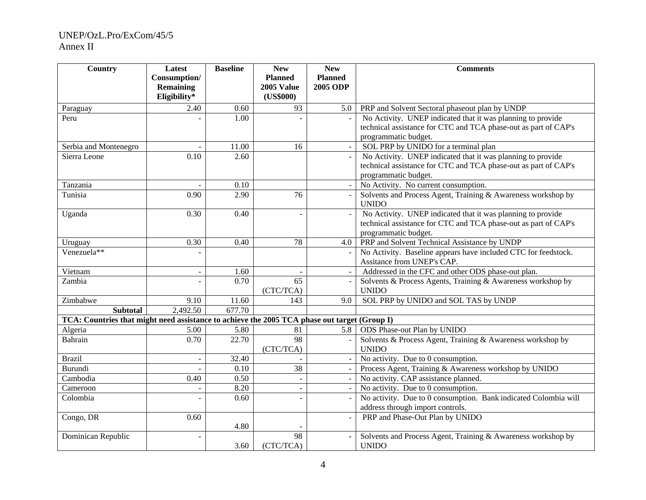| Country                                                                                      | Latest           | <b>Baseline</b> | <b>New</b>      | <b>New</b>               | <b>Comments</b>                                                 |
|----------------------------------------------------------------------------------------------|------------------|-----------------|-----------------|--------------------------|-----------------------------------------------------------------|
|                                                                                              | Consumption/     |                 | <b>Planned</b>  | <b>Planned</b>           |                                                                 |
|                                                                                              | <b>Remaining</b> |                 | 2005 Value      | <b>2005 ODP</b>          |                                                                 |
|                                                                                              | Eligibility*     |                 | (US\$000)       |                          |                                                                 |
| Paraguay                                                                                     | 2.40             | 0.60            | 93              | 5.0                      | PRP and Solvent Sectoral phaseout plan by UNDP                  |
| Peru                                                                                         |                  | 1.00            |                 |                          | No Activity. UNEP indicated that it was planning to provide     |
|                                                                                              |                  |                 |                 |                          | technical assistance for CTC and TCA phase-out as part of CAP's |
|                                                                                              |                  |                 |                 |                          | programmatic budget.                                            |
| Serbia and Montenegro                                                                        |                  | 11.00           | 16              |                          | SOL PRP by UNIDO for a terminal plan                            |
| Sierra Leone                                                                                 | 0.10             | 2.60            |                 |                          | No Activity. UNEP indicated that it was planning to provide     |
|                                                                                              |                  |                 |                 |                          | technical assistance for CTC and TCA phase-out as part of CAP's |
|                                                                                              |                  |                 |                 |                          | programmatic budget.                                            |
| Tanzania                                                                                     |                  | 0.10            |                 | $\sim$                   | No Activity. No current consumption.                            |
| Tunisia                                                                                      | 0.90             | 2.90            | $\overline{76}$ |                          | Solvents and Process Agent, Training & Awareness workshop by    |
|                                                                                              |                  |                 |                 |                          | <b>UNIDO</b>                                                    |
| Uganda                                                                                       | 0.30             | 0.40            |                 |                          | No Activity. UNEP indicated that it was planning to provide     |
|                                                                                              |                  |                 |                 |                          | technical assistance for CTC and TCA phase-out as part of CAP's |
|                                                                                              |                  |                 |                 |                          | programmatic budget.                                            |
| Uruguay                                                                                      | 0.30             | 0.40            | 78              | 4.0                      | PRP and Solvent Technical Assistance by UNDP                    |
| Venezuela**                                                                                  |                  |                 |                 |                          | No Activity. Baseline appears have included CTC for feedstock.  |
|                                                                                              |                  |                 |                 |                          | Assitance from UNEP's CAP.                                      |
| Vietnam                                                                                      | $\blacksquare$   | 1.60            |                 |                          | Addressed in the CFC and other ODS phase-out plan.              |
| Zambia                                                                                       |                  | 0.70            | 65              |                          | Solvents & Process Agents, Training & Awareness workshop by     |
|                                                                                              |                  |                 | (CTC/TCA)       |                          | <b>UNIDO</b>                                                    |
| Zimbabwe                                                                                     | 9.10             | 11.60           | 143             | 9.0                      | SOL PRP by UNIDO and SOL TAS by UNDP                            |
| <b>Subtotal</b>                                                                              | 2,492.50         | 677.70          |                 |                          |                                                                 |
| TCA: Countries that might need assistance to achieve the 2005 TCA phase out target (Group I) |                  |                 |                 |                          |                                                                 |
| Algeria                                                                                      | 5.00             | 5.80            | 81              | 5.8                      | ODS Phase-out Plan by UNIDO                                     |
| Bahrain                                                                                      | 0.70             | 22.70           | 98              |                          | Solvents & Process Agent, Training & Awareness workshop by      |
|                                                                                              |                  |                 | (CTC/TCA)       |                          | <b>UNIDO</b>                                                    |
| <b>Brazil</b>                                                                                |                  | 32.40           |                 |                          | No activity. Due to 0 consumption.                              |
| Burundi                                                                                      |                  | 0.10            | 38              | $\overline{\phantom{a}}$ | Process Agent, Training & Awareness workshop by UNIDO           |
| Cambodia                                                                                     | 0.40             | 0.50            |                 |                          | No activity. CAP assistance planned.                            |
| Cameroon                                                                                     |                  | 8.20            |                 | $\overline{\phantom{a}}$ | No activity. Due to 0 consumption.                              |
| Colombia                                                                                     |                  | 0.60            |                 |                          | No activity. Due to 0 consumption. Bank indicated Colombia will |
|                                                                                              |                  |                 |                 |                          | address through import controls.                                |
| Congo, DR                                                                                    | 0.60             |                 |                 |                          | PRP and Phase-Out Plan by UNIDO                                 |
|                                                                                              |                  | 4.80            |                 |                          |                                                                 |
| Dominican Republic                                                                           |                  |                 | 98              |                          | Solvents and Process Agent, Training & Awareness workshop by    |
|                                                                                              |                  | 3.60            | (CTC/TCA)       |                          | <b>UNIDO</b>                                                    |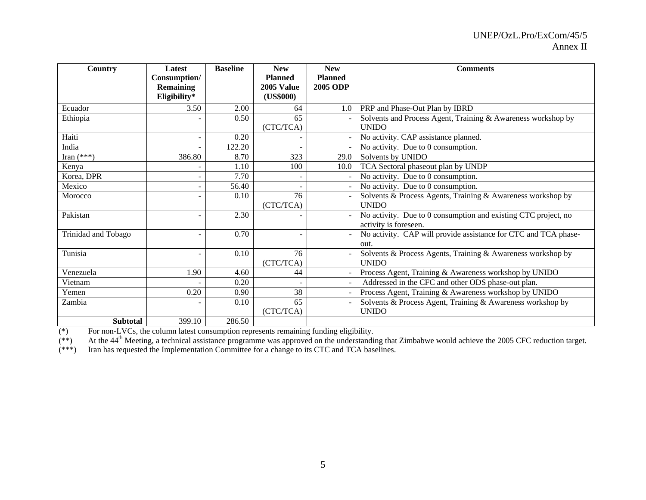| Country             | <b>Latest</b><br>Consumption/<br><b>Remaining</b><br>Eligibility* | <b>Baseline</b> | <b>New</b><br><b>Planned</b><br>2005 Value<br>(US\$000) | <b>New</b><br><b>Planned</b><br><b>2005 ODP</b> | <b>Comments</b>                                                                         |
|---------------------|-------------------------------------------------------------------|-----------------|---------------------------------------------------------|-------------------------------------------------|-----------------------------------------------------------------------------------------|
| Ecuador             | 3.50                                                              | 2.00            | 64                                                      | 1.0                                             | PRP and Phase-Out Plan by IBRD                                                          |
| Ethiopia            |                                                                   | 0.50            | 65                                                      |                                                 | Solvents and Process Agent, Training & Awareness workshop by                            |
|                     |                                                                   |                 | (CTC/TCA)                                               |                                                 | <b>UNIDO</b>                                                                            |
| Haiti               |                                                                   | 0.20            |                                                         |                                                 | No activity. CAP assistance planned.                                                    |
| India               |                                                                   | 122.20          |                                                         |                                                 | No activity. Due to 0 consumption.                                                      |
| Iran $(***)$        | 386.80                                                            | 8.70            | 323                                                     | 29.0                                            | Solvents by UNIDO                                                                       |
| Kenya               |                                                                   | 1.10            | 100                                                     | 10.0                                            | TCA Sectoral phaseout plan by UNDP                                                      |
| Korea, DPR          |                                                                   | 7.70            |                                                         |                                                 | No activity. Due to 0 consumption.                                                      |
| Mexico              |                                                                   | 56.40           |                                                         |                                                 | No activity. Due to 0 consumption.                                                      |
| Morocco             |                                                                   | 0.10            | 76                                                      |                                                 | Solvents & Process Agents, Training & Awareness workshop by                             |
|                     |                                                                   |                 | (CTC/TCA)                                               |                                                 | <b>UNIDO</b>                                                                            |
| Pakistan            |                                                                   | 2.30            |                                                         |                                                 | No activity. Due to 0 consumption and existing CTC project, no<br>activity is foreseen. |
| Trinidad and Tobago |                                                                   | 0.70            |                                                         |                                                 | No activity. CAP will provide assistance for CTC and TCA phase-                         |
|                     |                                                                   |                 |                                                         |                                                 | out.                                                                                    |
| Tunisia             |                                                                   | 0.10            | 76                                                      |                                                 | Solvents & Process Agents, Training & Awareness workshop by                             |
|                     |                                                                   |                 | (CTC/TCA)                                               |                                                 | <b>UNIDO</b>                                                                            |
| Venezuela           | 1.90                                                              | 4.60            | 44                                                      |                                                 | Process Agent, Training & Awareness workshop by UNIDO                                   |
| Vietnam             |                                                                   | 0.20            |                                                         |                                                 | Addressed in the CFC and other ODS phase-out plan.                                      |
| Yemen               | 0.20                                                              | 0.90            | 38                                                      |                                                 | Process Agent, Training & Awareness workshop by UNIDO                                   |
| Zambia              |                                                                   | 0.10            | 65                                                      |                                                 | Solvents & Process Agent, Training & Awareness workshop by                              |
|                     |                                                                   |                 | (CTC/TCA)                                               |                                                 | <b>UNIDO</b>                                                                            |
| <b>Subtotal</b>     | 399.10                                                            | 286.50          |                                                         |                                                 |                                                                                         |

(\*) For non-LVCs, the column latest consumption represents remaining funding eligibility.

 $(**)$  At the 44<sup>th</sup> Meeting, a technical assistance programme was approved on the understanding that Zimbabwe would achieve the 2005 CFC reduction target.

(\*\*\*) Iran has requested the Implementation Committee for a change to its CTC and TCA baselines.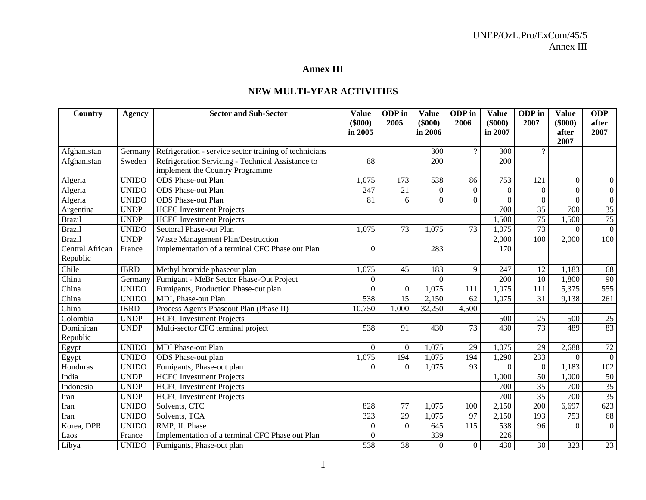#### **Annex III**

### **NEW MULTI-YEAR ACTIVITIES**

| Country         | Agency        | <b>Sector and Sub-Sector</b>                           | <b>Value</b>     | ODP in           | <b>Value</b>     | ODP in         | <b>Value</b>     | ODP in          | <b>Value</b>   | <b>ODP</b>       |
|-----------------|---------------|--------------------------------------------------------|------------------|------------------|------------------|----------------|------------------|-----------------|----------------|------------------|
|                 |               |                                                        | $($ \$000 $)$    | 2005             | $($ \$000 $)$    | 2006           | $(\$000)$        | 2007            | $($ \$000 $)$  | after            |
|                 |               |                                                        | in 2005          |                  | in 2006          |                | in 2007          |                 | after<br>2007  | 2007             |
| Afghanistan     | Germany       | Refrigeration - service sector training of technicians |                  |                  | 300              | $\overline{?}$ | 300              | $\overline{?}$  |                |                  |
| Afghanistan     | Sweden        | Refrigeration Servicing - Technical Assistance to      | 88               |                  | 200              |                | 200              |                 |                |                  |
|                 |               | implement the Country Programme                        |                  |                  |                  |                |                  |                 |                |                  |
| Algeria         | <b>UNIDO</b>  | <b>ODS</b> Phase-out Plan                              | 1,075            | 173              | 538              | 86             | 753              | 121             | $\Omega$       | $\overline{0}$   |
| Algeria         | <b>UNIDO</b>  | ODS Phase-out Plan                                     | 247              | 21               | $\boldsymbol{0}$ | $\mathbf{0}$   | $\boldsymbol{0}$ | $\overline{0}$  | $\overline{0}$ | $\boldsymbol{0}$ |
| Algeria         | <b>UNIDO</b>  | <b>ODS</b> Phase-out Plan                              | 81               | 6                | $\mathbf{0}$     | $\overline{0}$ | $\boldsymbol{0}$ | $\overline{0}$  | $\overline{0}$ | $\overline{0}$   |
| Argentina       | <b>UNDP</b>   | <b>HCFC</b> Investment Projects                        |                  |                  |                  |                | 700              | $\overline{35}$ | 700            | 35               |
| <b>Brazil</b>   | <b>UNDP</b>   | <b>HCFC</b> Investment Projects                        |                  |                  |                  |                | 1,500            | $\overline{75}$ | 1,500          | 75               |
| <b>Brazil</b>   | <b>UNIDO</b>  | Sectoral Phase-out Plan                                | 1,075            | 73               | 1,075            | 73             | 1,075            | $\overline{73}$ | $\Omega$       | $\overline{0}$   |
| <b>Brazil</b>   | <b>UNDP</b>   | Waste Management Plan/Destruction                      |                  |                  |                  |                | 2,000            | 100             | 2,000          | 100              |
| Central African | France        | Implementation of a terminal CFC Phase out Plan        | $\Omega$         |                  | 283              |                | 170              |                 |                |                  |
| Republic        |               |                                                        |                  |                  |                  |                |                  |                 |                |                  |
| Chile           | <b>IBRD</b>   | Methyl bromide phaseout plan                           | 1,075            | 45               | 183              | 9              | 247              | 12              | 1,183          | 68               |
| China           | <b>German</b> | Fumigant - MeBr Sector Phase-Out Project               | $\Omega$         |                  | $\Omega$         |                | 200              | 10              | 1,800          | 90               |
| China           | <b>UNIDO</b>  | Fumigants, Production Phase-out plan                   | $\Omega$         | $\boldsymbol{0}$ | 1,075            | 111            | 1,075            | 111             | 5,375          | 555              |
| China           | <b>UNIDO</b>  | MDI, Phase-out Plan                                    | 538              | $\overline{15}$  | 2,150            | 62             | 1,075            | 31              | 9,138          | 261              |
| China           | <b>IBRD</b>   | Process Agents Phaseout Plan (Phase II)                | 10,750           | 1,000            | 32,250           | 4,500          |                  |                 |                |                  |
| Colombia        | <b>UNDP</b>   | <b>HCFC</b> Investment Projects                        |                  |                  |                  |                | 500              | 25              | 500            | 25               |
| Dominican       | <b>UNDP</b>   | Multi-sector CFC terminal project                      | 538              | 91               | 430              | 73             | 430              | $\overline{73}$ | 489            | 83               |
| Republic        |               |                                                        |                  |                  |                  |                |                  |                 |                |                  |
| Egypt           | <b>UNIDO</b>  | <b>MDI</b> Phase-out Plan                              | $\overline{0}$   | $\mathbf{0}$     | 1,075            | 29             | 1,075            | 29              | 2,688          | 72               |
| Egypt           | <b>UNIDO</b>  | ODS Phase-out plan                                     | 1,075            | 194              | 1,075            | 194            | 1,290            | 233             | $\Omega$       | $\overline{0}$   |
| Honduras        | <b>UNIDO</b>  | Fumigants, Phase-out plan                              | $\Omega$         | $\Omega$         | 1,075            | 93             | $\theta$         | $\overline{0}$  | 1,183          | 102              |
| India           | <b>UNDP</b>   | <b>HCFC</b> Investment Projects                        |                  |                  |                  |                | 1,000            | $\overline{50}$ | 1,000          | $50\,$           |
| Indonesia       | <b>UNDP</b>   | <b>HCFC</b> Investment Projects                        |                  |                  |                  |                | 700              | $\overline{35}$ | 700            | 35               |
| Iran            | <b>UNDP</b>   | <b>HCFC</b> Investment Projects                        |                  |                  |                  |                | 700              | $\overline{35}$ | 700            | 35               |
| Iran            | <b>UNIDO</b>  | Solvents, CTC                                          | 828              | 77               | 1,075            | 100            | 2,150            | 200             | 6,697          | 623              |
| Iran            | <b>UNIDO</b>  | Solvents, TCA                                          | $\overline{323}$ | 29               | 1,075            | 97             | 2,150            | 193             | 753            | 68               |
| Korea, DPR      | <b>UNIDO</b>  | RMP, II. Phase                                         | $\boldsymbol{0}$ | $\mathbf{0}$     | 645              | 115            | 538              | 96              | $\Omega$       | $\boldsymbol{0}$ |
| Laos            | France        | Implementation of a terminal CFC Phase out Plan        | $\overline{0}$   |                  | 339              |                | 226              |                 |                |                  |
| Libya           | <b>UNIDO</b>  | Fumigants, Phase-out plan                              | 538              | 38               | $\boldsymbol{0}$ | $\overline{0}$ | 430              | 30              | 323            | 23               |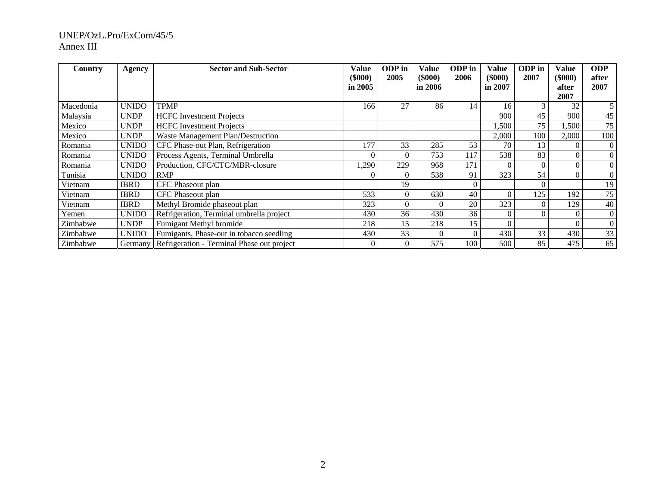| Country   | Agency       | <b>Sector and Sub-Sector</b>               | Value<br>$($ \$000 $)$<br>in $2005$ | ODP in<br>2005 | Value<br>(\$000)<br>in $2006$ | ODP in<br>2006 | Value<br>$(\$000)$<br>in 2007 | ODP in<br>2007 | <b>Value</b><br>$(\$000)$<br>after<br>2007 | <b>ODP</b><br>after<br>2007 |
|-----------|--------------|--------------------------------------------|-------------------------------------|----------------|-------------------------------|----------------|-------------------------------|----------------|--------------------------------------------|-----------------------------|
| Macedonia | <b>UNIDO</b> | <b>TPMP</b>                                | 166                                 | 27             | 86                            | 14             | 16                            | 3              | 32                                         | 5                           |
| Malaysia  | <b>UNDP</b>  | <b>HCFC</b> Investment Projects            |                                     |                |                               |                | 900                           | 45             | 900                                        | 45                          |
| Mexico    | <b>UNDP</b>  | <b>HCFC</b> Investment Projects            |                                     |                |                               |                | .500                          | 75             | 1,500                                      | 75                          |
| Mexico    | <b>UNDP</b>  | Waste Management Plan/Destruction          |                                     |                |                               |                | 2,000                         | 100            | 2,000                                      | 100                         |
| Romania   | <b>UNIDO</b> | CFC Phase-out Plan, Refrigeration          | 177                                 | 33             | 285                           | 53             | 70                            | 13             |                                            | $\overline{0}$              |
| Romania   | <b>UNIDO</b> | Process Agents, Terminal Umbrella          | 0                                   | $\Omega$       | 753                           | 117            | 538                           | 83             |                                            | $\overline{0}$              |
| Romania   | <b>UNIDO</b> | Production, CFC/CTC/MBR-closure            | 1,290                               | 229            | 968                           | 171            | $\Omega$                      |                |                                            | $\overline{0}$              |
| Tunisia   | <b>UNIDO</b> | <b>RMP</b>                                 | 0                                   | $\Omega$       | 538                           | 91             | 323                           | 54             | $\theta$                                   | $\overline{0}$              |
| Vietnam   | <b>IBRD</b>  | CFC Phaseout plan                          |                                     | 19             |                               |                |                               |                |                                            | 19                          |
| Vietnam   | <b>IBRD</b>  | CFC Phaseout plan                          | 533                                 | $\theta$       | 630                           | 40             | $\theta$                      | 125            | 192                                        | 75                          |
| Vietnam   | <b>IBRD</b>  | Methyl Bromide phaseout plan               | 323                                 | $\Omega$       |                               | 20             | 323                           |                | 129                                        | 40                          |
| Yemen     | <b>UNIDO</b> | Refrigeration, Terminal umbrella project   | 430                                 | 36             | 430                           | 36             | $\theta$                      |                |                                            | $\overline{0}$              |
| Zimbabwe  | <b>UNDP</b>  | Fumigant Methyl bromide                    | 218                                 | 15             | 218                           | 15             | $\overline{0}$                |                |                                            | $\overline{0}$              |
| Zimbabwe  | <b>UNIDO</b> | Fumigants, Phase-out in tobacco seedling   | 430                                 | 33             |                               | $\theta$       | 430                           | 33             | 430                                        | 33                          |
| Zimbabwe  | Germany      | Refrigeration - Terminal Phase out project | $\overline{0}$                      | $\Omega$       | 575                           | 100            | 500                           | 85             | 475                                        | 65                          |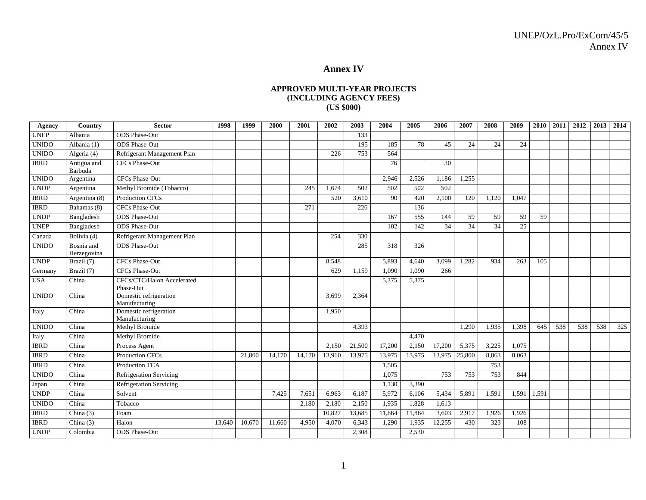#### **Annex IV**

#### **APPROVED MULTI-YEAR PROJECTS (INCLUDING AGENCY FEES) (US \$000)**

| Agency       | Country                   | <b>Sector</b>                           | 1998   | 1999   | 2000   | 2001   | 2002   | 2003   | 2004   | 2005   | 2006   | 2007   | 2008  | 2009  | 2010  | 2011 | 2012 | 2013 | 2014 |
|--------------|---------------------------|-----------------------------------------|--------|--------|--------|--------|--------|--------|--------|--------|--------|--------|-------|-------|-------|------|------|------|------|
| <b>UNEP</b>  | Albania                   | <b>ODS</b> Phase-Out                    |        |        |        |        |        | 133    |        |        |        |        |       |       |       |      |      |      |      |
| <b>UNIDO</b> | Albania (1)               | <b>ODS</b> Phase-Out                    |        |        |        |        |        | 195    | 185    | 78     | 45     | 24     | 24    | 24    |       |      |      |      |      |
| <b>UNIDO</b> | Algeria (4)               | Refrigerant Management Plan             |        |        |        |        | 226    | 753    | 564    |        |        |        |       |       |       |      |      |      |      |
| <b>IBRD</b>  | Antigua and<br>Barbuda    | <b>CFCs Phase-Out</b>                   |        |        |        |        |        |        | 76     |        | 30     |        |       |       |       |      |      |      |      |
| <b>UNIDO</b> | Argentina                 | <b>CFCs Phase-Out</b>                   |        |        |        |        |        |        | 2,946  | 2.526  | 1,186  | 1,255  |       |       |       |      |      |      |      |
| <b>UNDP</b>  | Argentina                 | Methyl Bromide (Tobacco)                |        |        |        | 245    | 1.674  | 502    | 502    | 502    | 502    |        |       |       |       |      |      |      |      |
| <b>IBRD</b>  | Argentina (8)             | <b>Production CFCs</b>                  |        |        |        |        | 520    | 3.610  | 90     | 420    | 2,100  | 120    | 1.120 | 1.047 |       |      |      |      |      |
| <b>IBRD</b>  | Bahamas (8)               | CFCs Phase-Out                          |        |        |        | 271    |        | 226    |        | 136    |        |        |       |       |       |      |      |      |      |
| <b>UNDP</b>  | Bangladesh                | <b>ODS</b> Phase-Out                    |        |        |        |        |        |        | 167    | 555    | 144    | 59     | 59    | 59    | 59    |      |      |      |      |
| <b>UNEP</b>  | Bangladesh                | <b>ODS</b> Phase-Out                    |        |        |        |        |        |        | 102    | 142    | 34     | 34     | 34    | 25    |       |      |      |      |      |
| Canada       | Bolivia (4)               | Refrigerant Management Plan             |        |        |        |        | 254    | 330    |        |        |        |        |       |       |       |      |      |      |      |
| <b>UNIDO</b> | Bosnia and<br>Herzegovina | <b>ODS</b> Phase-Out                    |        |        |        |        |        | 285    | 318    | 326    |        |        |       |       |       |      |      |      |      |
| <b>UNDP</b>  | Brazil (7)                | CFCs Phase-Out                          |        |        |        |        | 8,548  |        | 5,893  | 4,640  | 3,099  | 1,282  | 934   | 263   | 105   |      |      |      |      |
| Germany      | Brazil (7)                | <b>CFCs Phase-Out</b>                   |        |        |        |        | 629    | 1.159  | 1,090  | 1,090  | 266    |        |       |       |       |      |      |      |      |
| <b>USA</b>   | China                     | CFCs/CTC/Halon Accelerated<br>Phase-Out |        |        |        |        |        |        | 5,375  | 5,375  |        |        |       |       |       |      |      |      |      |
| <b>UNIDO</b> | China                     | Domestic refrigeration<br>Manufacturing |        |        |        |        | 3.699  | 2,364  |        |        |        |        |       |       |       |      |      |      |      |
| Italy        | China                     | Domestic refrigeration<br>Manufacturing |        |        |        |        | 1,950  |        |        |        |        |        |       |       |       |      |      |      |      |
| <b>UNIDO</b> | China                     | Methyl Bromide                          |        |        |        |        |        | 4.393  |        |        |        | 1,290  | 1,935 | 1.398 | 645   | 538  | 538  | 538  | 325  |
| Italy        | China                     | Methyl Bromide                          |        |        |        |        |        |        |        | 4.470  |        |        |       |       |       |      |      |      |      |
| <b>IBRD</b>  | China                     | Process Agent                           |        |        |        |        | 2,150  | 21,500 | 17,200 | 2,150  | 17,200 | 5,375  | 3,225 | 1,075 |       |      |      |      |      |
| <b>IBRD</b>  | China                     | <b>Production CFCs</b>                  |        | 21.800 | 14.170 | 14.170 | 13,910 | 13,975 | 13,975 | 13,975 | 13,975 | 25,800 | 8,063 | 8.063 |       |      |      |      |      |
| <b>IBRD</b>  | China                     | Production TCA                          |        |        |        |        |        |        | 1,505  |        |        |        | 753   |       |       |      |      |      |      |
| <b>UNIDO</b> | China                     | <b>Refrigeration Servicing</b>          |        |        |        |        |        |        | 1.075  |        | 753    | 753    | 753   | 844   |       |      |      |      |      |
| Japan        | China                     | <b>Refrigeration Servicing</b>          |        |        |        |        |        |        | 1,130  | 3,390  |        |        |       |       |       |      |      |      |      |
| <b>UNDP</b>  | China                     | Solvent                                 |        |        | 7,425  | 7,651  | 6,963  | 6,187  | 5,972  | 6,106  | 5,434  | 5,891  | 1,591 | 1,591 | 1,591 |      |      |      |      |
| <b>UNIDO</b> | China                     | Tobacco                                 |        |        |        | 2,180  | 2,180  | 2,150  | 1,935  | 1,828  | 1,613  |        |       |       |       |      |      |      |      |
| <b>IBRD</b>  | China $(3)$               | Foam                                    |        |        |        |        | 10,827 | 13,685 | 11,864 | 11,864 | 3,603  | 2,917  | 1,926 | 1,926 |       |      |      |      |      |
| <b>IBRD</b>  | China $(3)$               | Halon                                   | 13,640 | 10,670 | 11,660 | 4,950  | 4,070  | 6,343  | 1,290  | 1,935  | 12,255 | 430    | 323   | 108   |       |      |      |      |      |
| <b>UNDP</b>  | Colombia                  | <b>ODS</b> Phase-Out                    |        |        |        |        |        | 2.308  |        | 2,530  |        |        |       |       |       |      |      |      |      |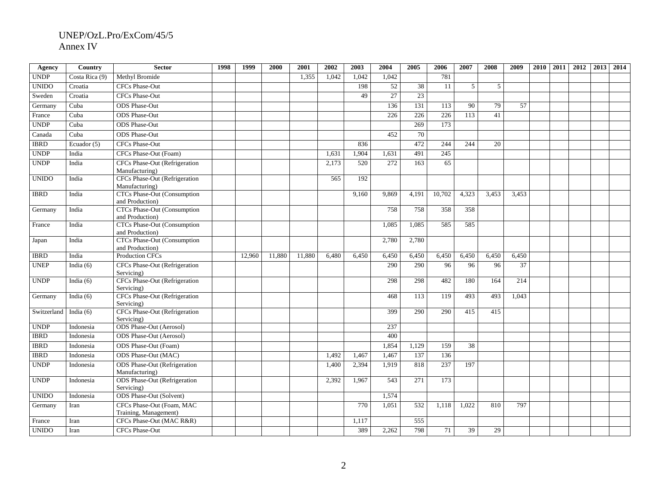| Agency       | Country        | <b>Sector</b>                                          | 1998 | 1999   | 2000   | 2001   | 2002  | 2003  | 2004  | 2005             | 2006   | 2007  | 2008  | 2009  | 2010 | 2011 | 2012 | 2013 | 2014 |
|--------------|----------------|--------------------------------------------------------|------|--------|--------|--------|-------|-------|-------|------------------|--------|-------|-------|-------|------|------|------|------|------|
| <b>UNDP</b>  | Costa Rica (9) | Methyl Bromide                                         |      |        |        | 1,355  | 1,042 | 1,042 | 1,042 |                  | 781    |       |       |       |      |      |      |      |      |
| <b>UNIDO</b> | Croatia        | <b>CFCs Phase-Out</b>                                  |      |        |        |        |       | 198   | 52    | 38               | 11     | 5     | 5     |       |      |      |      |      |      |
| Sweden       | Croatia        | CFCs Phase-Out                                         |      |        |        |        |       | 49    | 27    | 23               |        |       |       |       |      |      |      |      |      |
| Germany      | Cuba           | <b>ODS</b> Phase-Out                                   |      |        |        |        |       |       | 136   | 131              | 113    | 90    | 79    | 57    |      |      |      |      |      |
| France       | Cuba           | <b>ODS</b> Phase-Out                                   |      |        |        |        |       |       | 226   | 226              | 226    | 113   | 41    |       |      |      |      |      |      |
| <b>UNDP</b>  | Cuba           | <b>ODS</b> Phase-Out                                   |      |        |        |        |       |       |       | 269              | 173    |       |       |       |      |      |      |      |      |
| Canada       | Cuba           | <b>ODS</b> Phase-Out                                   |      |        |        |        |       |       | 452   | 70               |        |       |       |       |      |      |      |      |      |
| <b>IBRD</b>  | Ecuador (5)    | <b>CFCs Phase-Out</b>                                  |      |        |        |        |       | 836   |       | 472              | 244    | 244   | 20    |       |      |      |      |      |      |
| <b>UNDP</b>  | India          | CFCs Phase-Out (Foam)                                  |      |        |        |        | 1,631 | 1,904 | 1,631 | 491              | 245    |       |       |       |      |      |      |      |      |
| <b>UNDP</b>  | India          | <b>CFCs Phase-Out (Refrigeration</b><br>Manufacturing) |      |        |        |        | 2,173 | 520   | 272   | 163              | 65     |       |       |       |      |      |      |      |      |
| <b>UNIDO</b> | India          | <b>CFCs Phase-Out (Refrigeration</b><br>Manufacturing) |      |        |        |        | 565   | 192   |       |                  |        |       |       |       |      |      |      |      |      |
| <b>IBRD</b>  | India          | <b>CTCs Phase-Out (Consumption</b><br>and Production)  |      |        |        |        |       | 9.160 | 9,869 | 4.191            | 10,702 | 4,323 | 3,453 | 3,453 |      |      |      |      |      |
| Germany      | India          | <b>CTCs Phase-Out (Consumption</b><br>and Production)  |      |        |        |        |       |       | 758   | 758              | 358    | 358   |       |       |      |      |      |      |      |
| France       | India          | <b>CTCs Phase-Out (Consumption</b><br>and Production)  |      |        |        |        |       |       | 1,085 | 1,085            | 585    | 585   |       |       |      |      |      |      |      |
| Japan        | India          | <b>CTCs Phase-Out (Consumption</b><br>and Production)  |      |        |        |        |       |       | 2,780 | 2,780            |        |       |       |       |      |      |      |      |      |
| <b>IBRD</b>  | India          | <b>Production CFCs</b>                                 |      | 12,960 | 11,880 | 11,880 | 6,480 | 6,450 | 6,450 | 6,450            | 6,450  | 6,450 | 6,450 | 6,450 |      |      |      |      |      |
| <b>UNEP</b>  | India $(6)$    | CFCs Phase-Out (Refrigeration<br>Servicing)            |      |        |        |        |       |       | 290   | 290              | 96     | 96    | 96    | 37    |      |      |      |      |      |
| <b>UNDP</b>  | India $(6)$    | <b>CFCs Phase-Out (Refrigeration</b><br>Servicing)     |      |        |        |        |       |       | 298   | 298              | 482    | 180   | 164   | 214   |      |      |      |      |      |
| Germany      | India $(6)$    | <b>CFCs Phase-Out (Refrigeration</b><br>Servicing)     |      |        |        |        |       |       | 468   | 113              | 119    | 493   | 493   | 1.043 |      |      |      |      |      |
| Switzerland  | India $(6)$    | <b>CFCs Phase-Out (Refrigeration</b><br>Servicing)     |      |        |        |        |       |       | 399   | 290              | 290    | 415   | 415   |       |      |      |      |      |      |
| <b>UNDP</b>  | Indonesia      | <b>ODS</b> Phase-Out (Aerosol)                         |      |        |        |        |       |       | 237   |                  |        |       |       |       |      |      |      |      |      |
| <b>IBRD</b>  | Indonesia      | <b>ODS</b> Phase-Out (Aerosol)                         |      |        |        |        |       |       | 400   |                  |        |       |       |       |      |      |      |      |      |
| <b>IBRD</b>  | Indonesia      | ODS Phase-Out (Foam)                                   |      |        |        |        |       |       | 1,854 | 1.129            | 159    | 38    |       |       |      |      |      |      |      |
| <b>IBRD</b>  | Indonesia      | ODS Phase-Out (MAC)                                    |      |        |        |        | 1,492 | 1,467 | 1,467 | 137              | 136    |       |       |       |      |      |      |      |      |
| <b>UNDP</b>  | Indonesia      | <b>ODS</b> Phase-Out (Refrigeration<br>Manufacturing)  |      |        |        |        | 1.400 | 2.394 | 1.919 | 818              | 237    | 197   |       |       |      |      |      |      |      |
| <b>UNDP</b>  | Indonesia      | <b>ODS</b> Phase-Out (Refrigeration<br>Servicing)      |      |        |        |        | 2,392 | 1.967 | 543   | $\overline{271}$ | 173    |       |       |       |      |      |      |      |      |
| <b>UNIDO</b> | Indonesia      | <b>ODS</b> Phase-Out (Solvent)                         |      |        |        |        |       |       | 1,574 |                  |        |       |       |       |      |      |      |      |      |
| Germany      | Iran           | CFCs Phase-Out (Foam, MAC<br>Training, Management)     |      |        |        |        |       | 770   | 1,051 | 532              | 1,118  | 1,022 | 810   | 797   |      |      |      |      |      |
| France       | Iran           | CFCs Phase-Out (MAC R&R)                               |      |        |        |        |       | 1,117 |       | 555              |        |       |       |       |      |      |      |      |      |
| <b>UNIDO</b> | Iran           | CFCs Phase-Out                                         |      |        |        |        |       | 389   | 2,262 | 798              | 71     | 39    | 29    |       |      |      |      |      |      |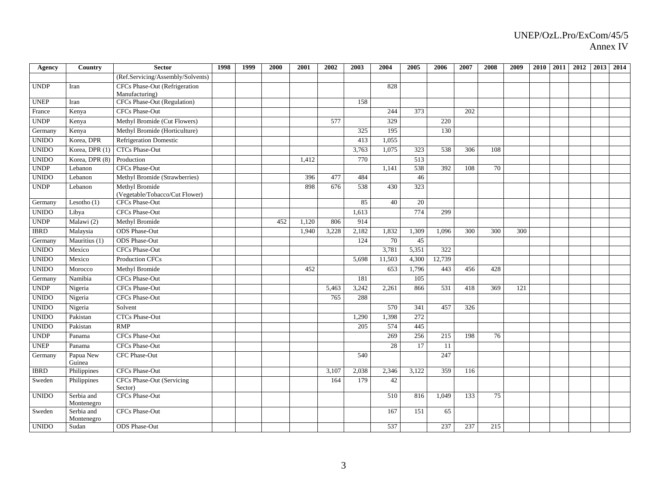| Agency       | Country                  | <b>Sector</b>                                          | 1998 | 1999 | 2000 | 2001  | 2002  | 2003  | 2004   | 2005             | 2006   | 2007 | 2008 | 2009 | <b>2010</b> | 2011 | 2012 | 2013 | 2014 |
|--------------|--------------------------|--------------------------------------------------------|------|------|------|-------|-------|-------|--------|------------------|--------|------|------|------|-------------|------|------|------|------|
|              |                          | (Ref.Servicing/Assembly/Solvents)                      |      |      |      |       |       |       |        |                  |        |      |      |      |             |      |      |      |      |
| <b>UNDP</b>  | Iran                     | <b>CFCs Phase-Out (Refrigeration</b><br>Manufacturing) |      |      |      |       |       |       | 828    |                  |        |      |      |      |             |      |      |      |      |
| <b>UNEP</b>  | Iran                     | <b>CFCs Phase-Out (Regulation)</b>                     |      |      |      |       |       | 158   |        |                  |        |      |      |      |             |      |      |      |      |
| France       | Kenya                    | CFCs Phase-Out                                         |      |      |      |       |       |       | 244    | 373              |        | 202  |      |      |             |      |      |      |      |
| <b>UNDP</b>  | Kenya                    | Methyl Bromide (Cut Flowers)                           |      |      |      |       | 577   |       | 329    |                  | 220    |      |      |      |             |      |      |      |      |
| Germany      | Kenya                    | Methyl Bromide (Horticulture)                          |      |      |      |       |       | 325   | 195    |                  | 130    |      |      |      |             |      |      |      |      |
| <b>UNIDO</b> | Korea, DPR               | <b>Refrigeration Domestic</b>                          |      |      |      |       |       | 413   | 1,055  |                  |        |      |      |      |             |      |      |      |      |
| <b>UNIDO</b> | Korea, DPR (1)           | <b>CTCs Phase-Out</b>                                  |      |      |      |       |       | 3,763 | 1,075  | 323              | 538    | 306  | 108  |      |             |      |      |      |      |
| <b>UNIDO</b> | Korea, DPR (8)           | Production                                             |      |      |      | 1.412 |       | 770   |        | $\overline{513}$ |        |      |      |      |             |      |      |      |      |
| <b>UNDP</b>  | Lebanon                  | CFCs Phase-Out                                         |      |      |      |       |       |       | 1.141  | 538              | 392    | 108  | 70   |      |             |      |      |      |      |
| <b>UNIDO</b> | Lebanon                  | Methyl Bromide (Strawberries)                          |      |      |      | 396   | 477   | 484   |        | 46               |        |      |      |      |             |      |      |      |      |
| <b>UNDP</b>  | Lebanon                  | Methyl Bromide<br>(Vegetable/Tobacco/Cut Flower)       |      |      |      | 898   | 676   | 538   | 430    | 323              |        |      |      |      |             |      |      |      |      |
| Germany      | Lesotho $(1)$            | <b>CFCs Phase-Out</b>                                  |      |      |      |       |       | 85    | 40     | 20               |        |      |      |      |             |      |      |      |      |
| <b>UNIDO</b> | Libya                    | <b>CFCs Phase-Out</b>                                  |      |      |      |       |       | 1,613 |        | 774              | 299    |      |      |      |             |      |      |      |      |
| <b>UNDP</b>  | Malawi (2)               | Methyl Bromide                                         |      |      | 452  | 1,120 | 806   | 914   |        |                  |        |      |      |      |             |      |      |      |      |
| <b>IBRD</b>  | Malaysia                 | <b>ODS</b> Phase-Out                                   |      |      |      | 1,940 | 3,228 | 2,182 | 1,832  | 1,309            | 1,096  | 300  | 300  | 300  |             |      |      |      |      |
| Germany      | Mauritius (1)            | <b>ODS</b> Phase-Out                                   |      |      |      |       |       | 124   | 70     | 45               |        |      |      |      |             |      |      |      |      |
| <b>UNIDO</b> | Mexico                   | CFCs Phase-Out                                         |      |      |      |       |       |       | 3,781  | 5,351            | 322    |      |      |      |             |      |      |      |      |
| <b>UNIDO</b> | Mexico                   | <b>Production CFCs</b>                                 |      |      |      |       |       | 5,698 | 11,503 | 4,300            | 12,739 |      |      |      |             |      |      |      |      |
| <b>UNIDO</b> | Morocco                  | Methyl Bromide                                         |      |      |      | 452   |       |       | 653    | 1,796            | 443    | 456  | 428  |      |             |      |      |      |      |
| Germany      | Namibia                  | <b>CFCs Phase-Out</b>                                  |      |      |      |       |       | 181   |        | $\overline{105}$ |        |      |      |      |             |      |      |      |      |
| <b>UNDP</b>  | Nigeria                  | CFCs Phase-Out                                         |      |      |      |       | 5,463 | 3,242 | 2,261  | 866              | 531    | 418  | 369  | 121  |             |      |      |      |      |
| <b>UNIDO</b> | Nigeria                  | <b>CFCs Phase-Out</b>                                  |      |      |      |       | 765   | 288   |        |                  |        |      |      |      |             |      |      |      |      |
| <b>UNIDO</b> | Nigeria                  | Solvent                                                |      |      |      |       |       |       | 570    | 341              | 457    | 326  |      |      |             |      |      |      |      |
| <b>UNIDO</b> | Pakistan                 | <b>CTCs Phase-Out</b>                                  |      |      |      |       |       | 1.290 | 1.398  | 272              |        |      |      |      |             |      |      |      |      |
| <b>UNIDO</b> | Pakistan                 | RMP                                                    |      |      |      |       |       | 205   | 574    | 445              |        |      |      |      |             |      |      |      |      |
| <b>UNDP</b>  | Panama                   | <b>CFCs Phase-Out</b>                                  |      |      |      |       |       |       | 269    | 256              | 215    | 198  | 76   |      |             |      |      |      |      |
| <b>UNEP</b>  | Panama                   | <b>CFCs Phase-Out</b>                                  |      |      |      |       |       |       | 28     | 17               | 11     |      |      |      |             |      |      |      |      |
| Germany      | Papua New<br>Guinea      | <b>CFC</b> Phase-Out                                   |      |      |      |       |       | 540   |        |                  | 247    |      |      |      |             |      |      |      |      |
| <b>IBRD</b>  | Philippines              | CFCs Phase-Out                                         |      |      |      |       | 3,107 | 2,038 | 2,346  | 3,122            | 359    | 116  |      |      |             |      |      |      |      |
| Sweden       | Philippines              | CFCs Phase-Out (Servicing<br>Sector)                   |      |      |      |       | 164   | 179   | 42     |                  |        |      |      |      |             |      |      |      |      |
| <b>UNIDO</b> | Serbia and<br>Montenegro | <b>CFCs Phase-Out</b>                                  |      |      |      |       |       |       | 510    | 816              | 1,049  | 133  | 75   |      |             |      |      |      |      |
| Sweden       | Serbia and<br>Montenegro | <b>CFCs Phase-Out</b>                                  |      |      |      |       |       |       | 167    | 151              | 65     |      |      |      |             |      |      |      |      |
| <b>UNIDO</b> | Sudan                    | <b>ODS</b> Phase-Out                                   |      |      |      |       |       |       | 537    |                  | 237    | 237  | 215  |      |             |      |      |      |      |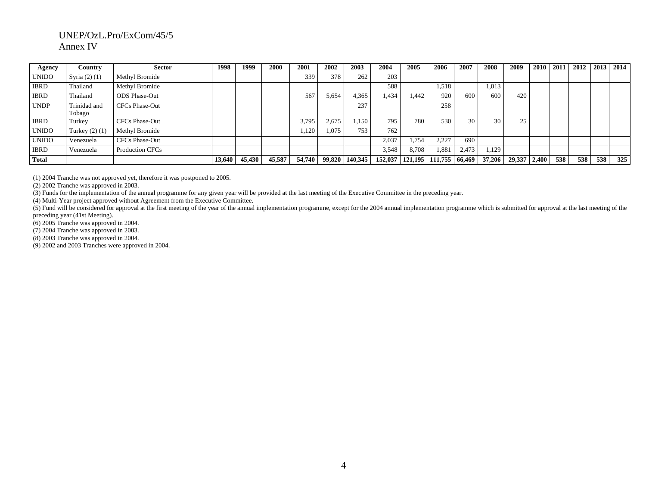| Agency       | Country                | <b>Sector</b>         | 1998   | 1999   | 2000   | 2001   | 2002   | 2003    | 2004    | 2005    | 2006    | 2007   | 2008   | 2009   | 2010  | 2011 | 2012 | 2013 | 2014 |
|--------------|------------------------|-----------------------|--------|--------|--------|--------|--------|---------|---------|---------|---------|--------|--------|--------|-------|------|------|------|------|
| <b>UNIDO</b> | Syria $(2)$ $(1)$      | Methyl Bromide        |        |        |        | 339    | 378    | 262     | 203     |         |         |        |        |        |       |      |      |      |      |
| <b>IBRD</b>  | Thailand               | Methyl Bromide        |        |        |        |        |        |         | 588     |         | 1,518   |        | 1,013  |        |       |      |      |      |      |
| <b>IBRD</b>  | Thailand               | ODS Phase-Out         |        |        |        | 567    | 5,654  | 4,365   | 1.434   | 1.442   | 920     | 600    | 600    | 420    |       |      |      |      |      |
| <b>UNDP</b>  | Trinidad and<br>Tobago | <b>CFCs Phase-Out</b> |        |        |        |        |        | 237     |         |         | 258     |        |        |        |       |      |      |      |      |
| <b>IBRD</b>  | Turkey                 | CFCs Phase-Out        |        |        |        | 3,795  | 2,675  | 1,150   | 795     | 780     | 530     | 30     | 30     | 25     |       |      |      |      |      |
| <b>UNIDO</b> | Turkey $(2)$ $(1)$     | Methyl Bromide        |        |        |        | 1,120  | 1,075  | 753     | 762     |         |         |        |        |        |       |      |      |      |      |
| <b>UNIDO</b> | Venezuela              | <b>CFCs Phase-Out</b> |        |        |        |        |        |         | 2,037   | .,754   | 2,227   | 690    |        |        |       |      |      |      |      |
| <b>IBRD</b>  | Venezuela              | Production CFCs       |        |        |        |        |        |         | 3,548   | 8,708   | 1,881   | 2,473  | 1,129  |        |       |      |      |      |      |
| <b>Total</b> |                        |                       | 13,640 | 45,430 | 45,587 | 54,740 | 99,820 | 140,345 | 152,037 | 121,195 | 111.755 | 66,469 | 37,206 | 29,337 | 2.400 | 538  | 538  | 538  | 325  |

(1) 2004 Tranche was not approved yet, therefore it was postponed to 2005.

(2) 2002 Tranche was approved in 2003.

(3) Funds for the implementation of the annual programme for any given year will be provided at the last meeting of the Executive Committee in the preceding year.

(4) Multi-Year project approved without Agreement from the Executive Committee.

(5) Fund will be considered for approval at the first meeting of the year of the annual implementation programme, except for the 2004 annual implementation programme which is submitted for approval at the last meeting of the preceding year (41st Meeting).

(6) 2005 Tranche was approved in 2004.

(7) 2004 Tranche was approved in 2003.

(8) 2003 Tranche was approved in 2004.

(9) 2002 and 2003 Tranches were approved in 2004.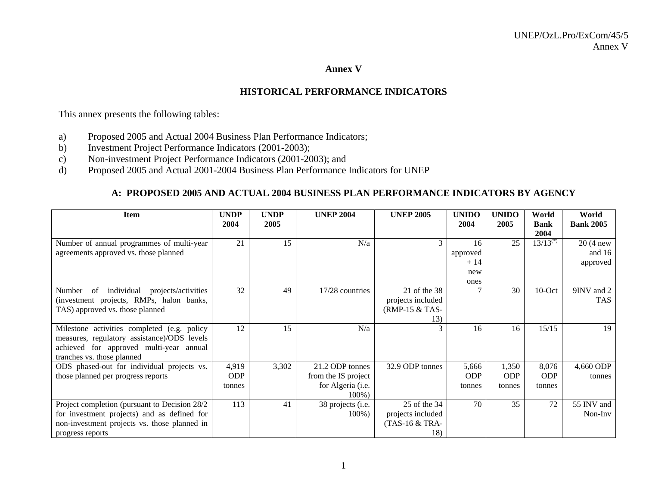#### **Annex V**

## **HISTORICAL PERFORMANCE INDICATORS**

This annex presents the following tables:

- a) Proposed 2005 and Actual 2004 Business Plan Performance Indicators;
- b) Investment Project Performance Indicators (2001-2003);
- c) Non-investment Project Performance Indicators (2001-2003); and
- d) Proposed 2005 and Actual 2001-2004 Business Plan Performance Indicators for UNEP

## **A: PROPOSED 2005 AND ACTUAL 2004 BUSINESS PLAN PERFORMANCE INDICATORS BY AGENCY**

| <b>Item</b>                                       | <b>UNDP</b><br>2004 | <b>UNDP</b><br>2005 | <b>UNEP 2004</b>    | <b>UNEP 2005</b>  | <b>UNIDO</b><br>2004 | <b>UNIDO</b><br>2005 | World<br><b>Bank</b> | World<br><b>Bank 2005</b> |
|---------------------------------------------------|---------------------|---------------------|---------------------|-------------------|----------------------|----------------------|----------------------|---------------------------|
|                                                   |                     |                     |                     |                   |                      |                      | 2004                 |                           |
| Number of annual programmes of multi-year         | 21                  | 15                  | N/a                 | 3                 | 16                   | 25                   | $13/13^{(*)}$        | $20(4)$ new               |
| agreements approved vs. those planned             |                     |                     |                     |                   | approved             |                      |                      | and $16$                  |
|                                                   |                     |                     |                     |                   | $+14$                |                      |                      | approved                  |
|                                                   |                     |                     |                     |                   | new                  |                      |                      |                           |
|                                                   |                     |                     |                     |                   | ones                 |                      |                      |                           |
| of<br>individual<br>Number<br>projects/activities | 32                  | 49                  | 17/28 countries     | 21 of the 38      |                      | 30                   | $10$ -Oct            | 9INV and 2                |
| (investment projects, RMPs, halon banks,          |                     |                     |                     | projects included |                      |                      |                      | <b>TAS</b>                |
| TAS) approved vs. those planned                   |                     |                     |                     | (RMP-15 & TAS-    |                      |                      |                      |                           |
|                                                   |                     |                     |                     | 13)               |                      |                      |                      |                           |
| Milestone activities completed (e.g. policy       | 12                  | 15                  | N/a                 |                   | 16                   | 16                   | 15/15                | 19                        |
| measures, regulatory assistance)/ODS levels       |                     |                     |                     |                   |                      |                      |                      |                           |
| achieved for approved multi-year annual           |                     |                     |                     |                   |                      |                      |                      |                           |
| tranches vs. those planned                        |                     |                     |                     |                   |                      |                      |                      |                           |
| ODS phased-out for individual projects vs.        | 4,919               | 3,302               | 21.2 ODP tonnes     | 32.9 ODP tonnes   | 5,666                | 1,350                | 8,076                | 4,660 ODP                 |
| those planned per progress reports                | <b>ODP</b>          |                     | from the IS project |                   | <b>ODP</b>           | <b>ODP</b>           | <b>ODP</b>           | tonnes                    |
|                                                   | tonnes              |                     | for Algeria (i.e.   |                   | tonnes               | tonnes               | tonnes               |                           |
|                                                   |                     |                     | $100\%$ )           |                   |                      |                      |                      |                           |
| Project completion (pursuant to Decision 28/2)    | 113                 | 41                  | 38 projects (i.e.   | 25 of the 34      | 70                   | 35                   | 72                   | 55 INV and                |
| for investment projects) and as defined for       |                     |                     | $100\%$ )           | projects included |                      |                      |                      | Non-Inv                   |
| non-investment projects vs. those planned in      |                     |                     |                     | (TAS-16 & TRA-    |                      |                      |                      |                           |
| progress reports                                  |                     |                     |                     | 18)               |                      |                      |                      |                           |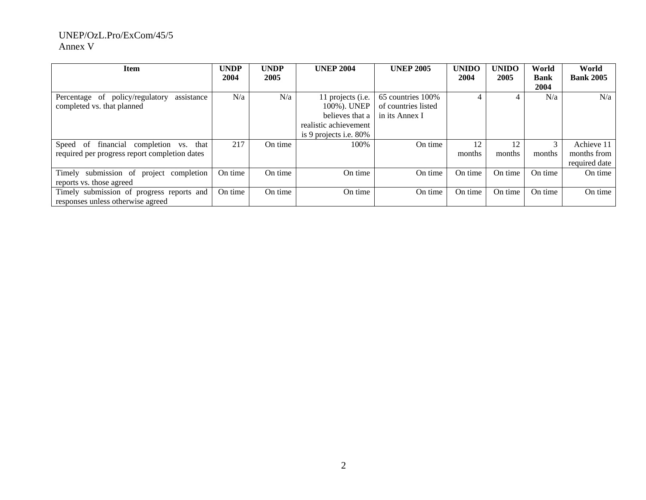| Item                                          | <b>UNDP</b> | <b>UNDP</b> | <b>UNEP 2004</b>          | <b>UNEP 2005</b>    | <b>UNIDO</b> | <b>UNIDO</b> | World       | World            |
|-----------------------------------------------|-------------|-------------|---------------------------|---------------------|--------------|--------------|-------------|------------------|
|                                               | 2004        | 2005        |                           |                     | 2004         | 2005         | <b>Bank</b> | <b>Bank 2005</b> |
|                                               |             |             |                           |                     |              |              | 2004        |                  |
| Percentage of policy/regulatory<br>assistance | N/a         | N/a         | 11 projects (i.e.         | 65 countries 100%   |              |              | N/a         | N/a              |
| completed vs. that planned                    |             |             | 100%). UNEP               | of countries listed |              |              |             |                  |
|                                               |             |             | believes that a           | in its Annex I      |              |              |             |                  |
|                                               |             |             | realistic achievement     |                     |              |              |             |                  |
|                                               |             |             | is 9 projects i.e. $80\%$ |                     |              |              |             |                  |
| Speed of financial<br>completion vs. that     | 217         | On time     | 100%                      | On time             | 12           | 12           |             | Achieve 11       |
| required per progress report completion dates |             |             |                           |                     | months       | months       | months      | months from      |
|                                               |             |             |                           |                     |              |              |             | required date    |
| Timely submission of project completion       | On time     | On time     | On time                   | On time             | On time      | On time      | On time     | On time          |
| reports vs. those agreed                      |             |             |                           |                     |              |              |             |                  |
| Timely submission of progress reports and     | On time     | On time     | On time                   | On time             | On time      | On time      | On time     | On time          |
| responses unless otherwise agreed             |             |             |                           |                     |              |              |             |                  |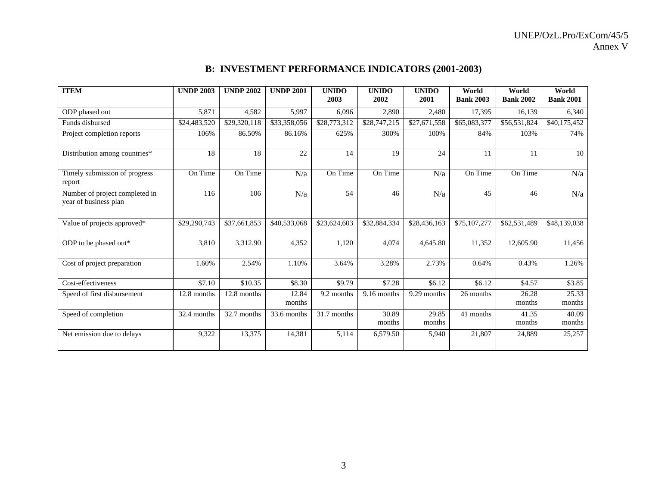# **B: INVESTMENT PERFORMANCE INDICATORS (2001-2003)**

| <b>ITEM</b>                                             | <b>UNDP 2003</b> | <b>UNDP 2002</b> | <b>UNDP 2001</b> | <b>UNIDO</b><br>2003     | <b>UNIDO</b><br>2002 | <b>UNIDO</b><br>2001 | World<br><b>Bank 2003</b> | World<br><b>Bank 2002</b> | World<br><b>Bank 2001</b> |
|---------------------------------------------------------|------------------|------------------|------------------|--------------------------|----------------------|----------------------|---------------------------|---------------------------|---------------------------|
| ODP phased out                                          | 5,871            | 4,582            | 5,997            | 6,096                    | 2,890                | 2,480                | 17,395                    | 16,139                    | 6,340                     |
| Funds disbursed                                         | \$24,483,520     | \$29,320,118     | \$33,358,056     | $\overline{$}28,773,312$ | \$28,747,215         | \$27,671,558         | \$65,083,377              | \$56,531,824              | \$40,175,452              |
| Project completion reports                              | 106%             | 86.50%           | 86.16%           | 625%                     | 300%                 | 100%                 | 84%                       | 103%                      | 74%                       |
| Distribution among countries*                           | 18               | 18               | $\overline{22}$  | 14                       | 19                   | 24                   | 11                        | 11                        | 10                        |
| Timely submission of progress<br>report                 | On Time          | On Time          | N/a              | On Time                  | On Time              | N/a                  | On Time                   | On Time                   | N/a                       |
| Number of project completed in<br>year of business plan | 116              | 106              | N/a              | 54                       | 46                   | N/a                  | 45                        | 46                        | N/a                       |
| Value of projects approved*                             | \$29,290,743     | \$37,661,853     | \$40,533,068     | \$23,624,603             | \$32,884,334         | \$28,436,163         | \$75,107,277              | \$62,531,489              | \$48,139,038              |
| ODP to be phased out*                                   | 3,810            | 3,312.90         | 4,352            | 1,120                    | 4,074                | 4,645.80             | 11,352                    | 12,605.90                 | 11,456                    |
| Cost of project preparation                             | 1.60%            | 2.54%            | 1.10%            | 3.64%                    | 3.28%                | 2.73%                | 0.64%                     | 0.43%                     | 1.26%                     |
| Cost-effectiveness                                      | \$7.10           | \$10.35          | \$8.30           | \$9.79                   | \$7.28               | \$6.12               | \$6.12                    | \$4.57                    | \$3.85                    |
| Speed of first disbursement                             | 12.8 months      | 12.8 months      | 12.84<br>months  | 9.2 months               | 9.16 months          | 9.29 months          | 26 months                 | 26.28<br>months           | 25.33<br>months           |
| Speed of completion                                     | 32.4 months      | 32.7 months      | 33.6 months      | 31.7 months              | 30.89<br>months      | 29.85<br>months      | 41 months                 | 41.35<br>months           | 40.09<br>months           |
| Net emission due to delays                              | 9,322            | 13,375           | 14,381           | 5,114                    | 6,579.50             | 5,940                | 21,807                    | 24,889                    | 25,257                    |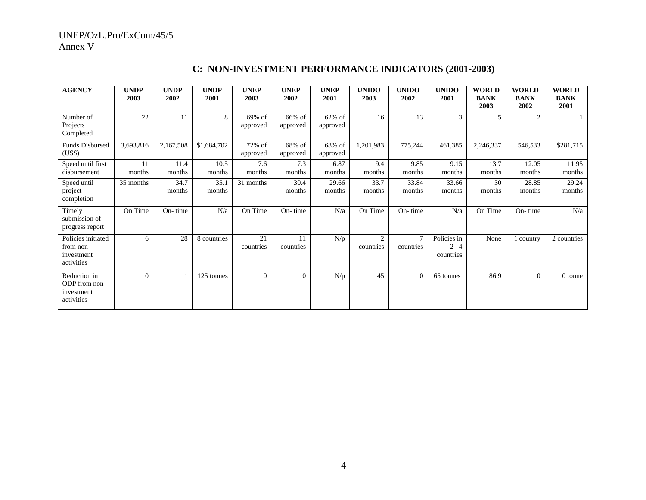| <b>AGENCY</b>                                               | <b>UNDP</b><br>2003 | <b>UNDP</b><br>2002 | <b>UNDP</b><br>2001 | <b>UNEP</b><br>2003 | <b>UNEP</b><br>2002 | <b>UNEP</b><br>2001   | <b>UNIDO</b><br>2003 | <b>UNIDO</b><br>2002 | <b>UNIDO</b><br>2001                | <b>WORLD</b><br><b>BANK</b><br>2003 | <b>WORLD</b><br><b>BANK</b><br>2002 | <b>WORLD</b><br><b>BANK</b><br>2001 |
|-------------------------------------------------------------|---------------------|---------------------|---------------------|---------------------|---------------------|-----------------------|----------------------|----------------------|-------------------------------------|-------------------------------------|-------------------------------------|-------------------------------------|
| Number of<br>Projects<br>Completed                          | 22                  | 11                  | 8                   | 69% of<br>approved  | 66% of<br>approved  | $62\%$ of<br>approved | 16                   | 13                   | 3                                   | 5                                   | 2                                   |                                     |
| Funds Disbursed<br>(US\$)                                   | 3,693,816           | 2,167,508           | \$1,684,702         | 72% of<br>approved  | 68% of<br>approved  | 68% of<br>approved    | 1,201,983            | 775,244              | 461,385                             | 2,246,337                           | 546,533                             | \$281,715                           |
| Speed until first<br>disbursement                           | 11<br>months        | 11.4<br>months      | 10.5<br>months      | 7.6<br>months       | 7.3<br>months       | 6.87<br>months        | 9.4<br>months        | 9.85<br>months       | 9.15<br>months                      | 13.7<br>months                      | 12.05<br>months                     | 11.95<br>months                     |
| Speed until<br>project<br>completion                        | 35 months           | 34.7<br>months      | 35.1<br>months      | 31 months           | 30.4<br>months      | 29.66<br>months       | 33.7<br>months       | 33.84<br>months      | 33.66<br>months                     | 30<br>months                        | 28.85<br>months                     | 29.24<br>months                     |
| Timely<br>submission of<br>progress report                  | On Time             | On-time             | N/a                 | On Time             | On-time             | N/a                   | On Time              | On-time              | N/a                                 | On Time                             | On-time                             | N/a                                 |
| Policies initiated<br>from non-<br>investment<br>activities | 6                   | 28                  | 8 countries         | 21<br>countries     | 11<br>countries     | N/p                   | 2<br>countries       | $\tau$<br>countries  | Policies in<br>$2 - 4$<br>countries | None                                | country                             | 2 countries                         |
| Reduction in<br>ODP from non-<br>investment<br>activities   | $\mathbf{0}$        |                     | 125 tonnes          | $\overline{0}$      | $\overline{0}$      | N/p                   | 45                   | $\overline{0}$       | 65 tonnes                           | 86.9                                | $\overline{0}$                      | 0 tonne                             |

# **C: NON-INVESTMENT PERFORMANCE INDICATORS (2001-2003)**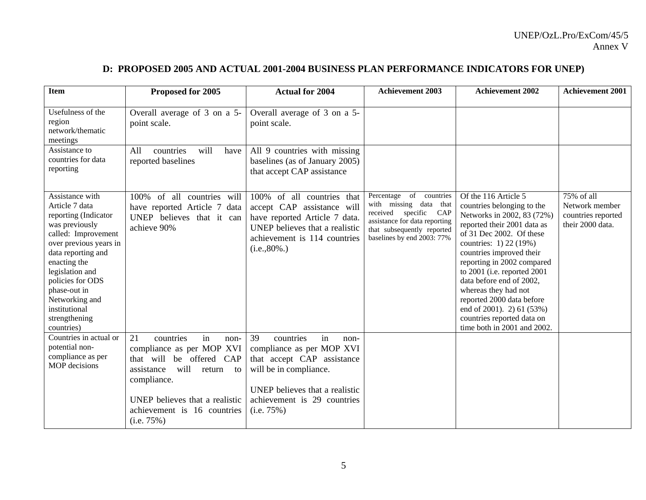# **D: PROPOSED 2005 AND ACTUAL 2001-2004 BUSINESS PLAN PERFORMANCE INDICATORS FOR UNEP)**

| <b>Item</b>                                                                                                                                                                                                                                                                                 | Proposed for 2005                                                                                                                                                                                                          | <b>Actual for 2004</b>                                                                                                                                                                            | <b>Achievement 2003</b>                                                                                                                                                 | <b>Achievement 2002</b>                                                                                                                                                                                                                                                                                                                                                                                                                   | <b>Achievement 2001</b>                                                |
|---------------------------------------------------------------------------------------------------------------------------------------------------------------------------------------------------------------------------------------------------------------------------------------------|----------------------------------------------------------------------------------------------------------------------------------------------------------------------------------------------------------------------------|---------------------------------------------------------------------------------------------------------------------------------------------------------------------------------------------------|-------------------------------------------------------------------------------------------------------------------------------------------------------------------------|-------------------------------------------------------------------------------------------------------------------------------------------------------------------------------------------------------------------------------------------------------------------------------------------------------------------------------------------------------------------------------------------------------------------------------------------|------------------------------------------------------------------------|
| Usefulness of the<br>region<br>network/thematic<br>meetings                                                                                                                                                                                                                                 | Overall average of 3 on a 5-<br>point scale.                                                                                                                                                                               | Overall average of 3 on a 5-<br>point scale.                                                                                                                                                      |                                                                                                                                                                         |                                                                                                                                                                                                                                                                                                                                                                                                                                           |                                                                        |
| Assistance to<br>countries for data<br>reporting                                                                                                                                                                                                                                            | countries<br>will<br>All<br>have<br>reported baselines                                                                                                                                                                     | All 9 countries with missing<br>baselines (as of January 2005)<br>that accept CAP assistance                                                                                                      |                                                                                                                                                                         |                                                                                                                                                                                                                                                                                                                                                                                                                                           |                                                                        |
| Assistance with<br>Article 7 data<br>reporting (Indicator<br>was previously<br>called: Improvement<br>over previous years in<br>data reporting and<br>enacting the<br>legislation and<br>policies for ODS<br>phase-out in<br>Networking and<br>institutional<br>strengthening<br>countries) | of all countries will<br>100%<br>have reported Article 7 data<br>UNEP believes that it can<br>achieve 90%                                                                                                                  | 100% of all countries that<br>accept CAP assistance will<br>have reported Article 7 data.<br>UNEP believes that a realistic<br>achievement is 114 countries<br>$(i.e., 80\%).$                    | Percentage of countries<br>with missing data that<br>received specific CAP<br>assistance for data reporting<br>that subsequently reported<br>baselines by end 2003: 77% | Of the 116 Article 5<br>countries belonging to the<br>Networks in 2002, 83 (72%)<br>reported their 2001 data as<br>of 31 Dec 2002. Of these<br>countries: 1) 22 (19%)<br>countries improved their<br>reporting in 2002 compared<br>to 2001 (i.e. reported 2001<br>data before end of 2002,<br>whereas they had not<br>reported 2000 data before<br>end of 2001). 2) 61 (53%)<br>countries reported data on<br>time both in 2001 and 2002. | 75% of all<br>Network member<br>countries reported<br>their 2000 data. |
| Countries in actual or<br>potential non-<br>compliance as per<br><b>MOP</b> decisions                                                                                                                                                                                                       | in<br>21<br>countries<br>non-<br>compliance as per MOP XVI<br>be offered CAP<br>that will<br>will<br>assistance<br>return to<br>compliance.<br>UNEP believes that a realistic<br>achievement is 16 countries<br>(i.e. 75%) | 39<br>countries<br>in<br>non-<br>compliance as per MOP XVI<br>that accept CAP assistance<br>will be in compliance.<br>UNEP believes that a realistic<br>achievement is 29 countries<br>(i.e. 75%) |                                                                                                                                                                         |                                                                                                                                                                                                                                                                                                                                                                                                                                           |                                                                        |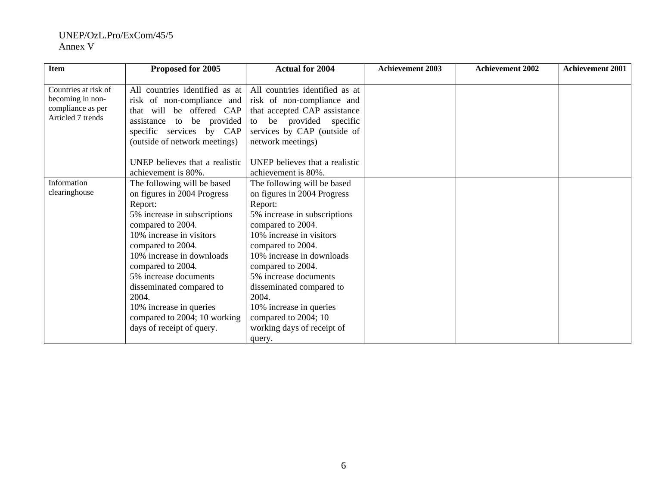| <b>Item</b>                                                                        | Proposed for 2005                                                                                                                                                                                                                                                                                                                                                                   | <b>Actual for 2004</b>                                                                                                                                                                                                                                                                                                                                                                 | <b>Achievement 2003</b> | <b>Achievement 2002</b> | <b>Achievement 2001</b> |
|------------------------------------------------------------------------------------|-------------------------------------------------------------------------------------------------------------------------------------------------------------------------------------------------------------------------------------------------------------------------------------------------------------------------------------------------------------------------------------|----------------------------------------------------------------------------------------------------------------------------------------------------------------------------------------------------------------------------------------------------------------------------------------------------------------------------------------------------------------------------------------|-------------------------|-------------------------|-------------------------|
| Countries at risk of<br>becoming in non-<br>compliance as per<br>Articled 7 trends | All countries identified as at<br>risk of non-compliance and<br>that will be offered CAP<br>assistance to be provided<br>specific services by CAP<br>(outside of network meetings)                                                                                                                                                                                                  | All countries identified as at<br>risk of non-compliance and<br>that accepted CAP assistance<br>to be provided specific<br>services by CAP (outside of<br>network meetings)                                                                                                                                                                                                            |                         |                         |                         |
|                                                                                    | UNEP believes that a realistic<br>achievement is 80%.                                                                                                                                                                                                                                                                                                                               | UNEP believes that a realistic<br>achievement is 80%.                                                                                                                                                                                                                                                                                                                                  |                         |                         |                         |
| Information<br>clearinghouse                                                       | The following will be based<br>on figures in 2004 Progress<br>Report:<br>5% increase in subscriptions<br>compared to 2004.<br>10% increase in visitors<br>compared to 2004.<br>10% increase in downloads<br>compared to 2004.<br>5% increase documents<br>disseminated compared to<br>2004.<br>10% increase in queries<br>compared to 2004; 10 working<br>days of receipt of query. | The following will be based<br>on figures in 2004 Progress<br>Report:<br>5% increase in subscriptions<br>compared to 2004.<br>10% increase in visitors<br>compared to 2004.<br>10% increase in downloads<br>compared to 2004.<br>5% increase documents<br>disseminated compared to<br>2004.<br>10% increase in queries<br>compared to 2004; 10<br>working days of receipt of<br>query. |                         |                         |                         |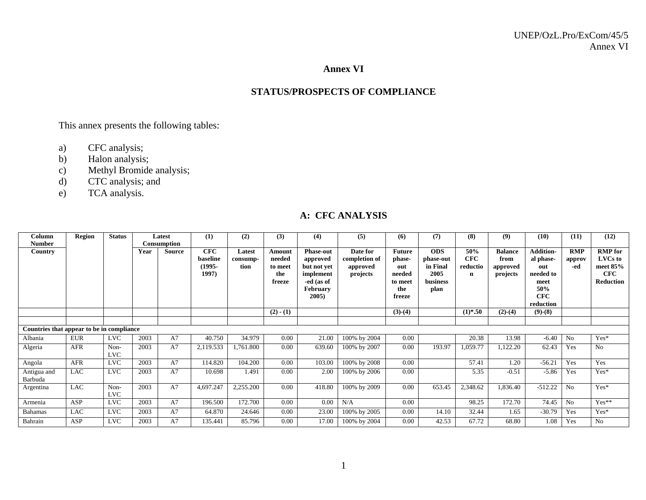#### **Annex VI**

## **STATUS/PROSPECTS OF COMPLIANCE**

This annex presents the following tables:

- a) CFC analysis;
- b) Halon analysis;
- c) Methyl Bromide analysis;
- d) CTC analysis; and
- e) TCA analysis.

## **A: CFC ANALYSIS**

| Column                                    | Region     | <b>Status</b>      |      | Latest      | (1)                                       | (2)                        | (3)                                          | (4)                                                                                         | (5)                                               | (6)                                                                  | (7)                                                                    | (8)                                | (9)                                            | (10)                                                                                        | (11)                        | (12)                                                                    |
|-------------------------------------------|------------|--------------------|------|-------------|-------------------------------------------|----------------------------|----------------------------------------------|---------------------------------------------------------------------------------------------|---------------------------------------------------|----------------------------------------------------------------------|------------------------------------------------------------------------|------------------------------------|------------------------------------------------|---------------------------------------------------------------------------------------------|-----------------------------|-------------------------------------------------------------------------|
| Number                                    |            |                    |      | Consumption |                                           |                            |                                              |                                                                                             |                                                   |                                                                      |                                                                        |                                    |                                                |                                                                                             |                             |                                                                         |
| Country                                   |            |                    | Year | Source      | <b>CFC</b><br>baseline<br>(1995-<br>1997) | Latest<br>consump-<br>tion | Amount<br>needed<br>to meet<br>the<br>freeze | <b>Phase-out</b><br>approved<br>but not yet<br>implement<br>-ed (as of<br>February<br>2005) | Date for<br>completion of<br>approved<br>projects | <b>Future</b><br>phase-<br>out<br>needed<br>to meet<br>the<br>freeze | <b>ODS</b><br>phase-out<br>in Final<br>2005<br><b>business</b><br>plan | 50%<br><b>CFC</b><br>reductio<br>n | <b>Balance</b><br>from<br>approved<br>projects | <b>Addition-</b><br>al phase-<br>out<br>needed to<br>meet<br>50%<br><b>CFC</b><br>reduction | <b>RMP</b><br>approv<br>-ed | <b>RMP</b> for<br>LVCs to<br>meet 85%<br><b>CFC</b><br><b>Reduction</b> |
|                                           |            |                    |      |             |                                           |                            | $(2) - (1)$                                  |                                                                                             |                                                   | $(3)-(4)$                                                            |                                                                        | $(1)*.50$                          | $(2)-(4)$                                      | $(9)-(8)$                                                                                   |                             |                                                                         |
|                                           |            |                    |      |             |                                           |                            |                                              |                                                                                             |                                                   |                                                                      |                                                                        |                                    |                                                |                                                                                             |                             |                                                                         |
| Countries that appear to be in compliance |            |                    |      |             |                                           |                            |                                              |                                                                                             |                                                   |                                                                      |                                                                        |                                    |                                                |                                                                                             |                             |                                                                         |
| Albania                                   | <b>EUR</b> | <b>LVC</b>         | 2003 | A7          | 40.750                                    | 34.979                     | 0.00                                         | 21.00                                                                                       | 100% by 2004                                      | 0.00                                                                 |                                                                        | 20.38                              | 13.98                                          | $-6.40$                                                                                     | N <sub>0</sub>              | $Yes*$                                                                  |
| Algeria                                   | <b>AFR</b> | Non-<br><b>LVC</b> | 2003 | A7          | 2,119.533                                 | 1,761.800                  | 0.00                                         | 639.60                                                                                      | 100% by 2007                                      | 0.00                                                                 | 193.97                                                                 | 1,059.77                           | 1,122.20                                       | 62.43                                                                                       | Yes                         | No                                                                      |
| Angola                                    | AFR        | <b>LVC</b>         | 2003 | A7          | 114.820                                   | 104.200                    | 0.00                                         | 103.00                                                                                      | 100% by 2008                                      | 0.00                                                                 |                                                                        | 57.41                              | 1.20                                           | $-56.21$                                                                                    | Yes                         | Yes                                                                     |
| Antigua and<br>Barbuda                    | <b>LAC</b> | <b>LVC</b>         | 2003 | A7          | 10.698                                    | 1.491                      | 0.00                                         | 2.00                                                                                        | 100% by 2006                                      | 0.00                                                                 |                                                                        | 5.35                               | $-0.51$                                        | $-5.86$                                                                                     | Yes                         | $Yes*$                                                                  |
| Argentina                                 | <b>LAC</b> | Non-<br><b>LVC</b> | 2003 | A7          | 4,697.247                                 | 2,255.200                  | 0.00                                         | 418.80                                                                                      | 100% by 2009                                      | 0.00                                                                 | 653.45                                                                 | 2,348.62                           | 1,836.40                                       | $-512.22$                                                                                   | N <sub>0</sub>              | $Yes*$                                                                  |
| Armenia                                   | ASP        | <b>LVC</b>         | 2003 | A7          | 196.500                                   | 172.700                    | 0.00                                         | 0.00                                                                                        | N/A                                               | 0.00                                                                 |                                                                        | 98.25                              | 172.70                                         | 74.45                                                                                       | N <sub>0</sub>              | $Yes**$                                                                 |
| <b>Bahamas</b>                            | <b>LAC</b> | <b>LVC</b>         | 2003 | A7          | 64.870                                    | 24.646                     | 0.00                                         | 23.00                                                                                       | 100% by 2005                                      | 0.00                                                                 | 14.10                                                                  | 32.44                              | 1.65                                           | $-30.79$                                                                                    | Yes                         | $Yes*$                                                                  |
| Bahrain                                   | ASP        | <b>LVC</b>         | 2003 | A7          | 135.441                                   | 85.796                     | 0.00                                         | 17.00                                                                                       | 100% by 2004                                      | 0.00                                                                 | 42.53                                                                  | 67.72                              | 68.80                                          | 1.08                                                                                        | Yes                         | N <sub>o</sub>                                                          |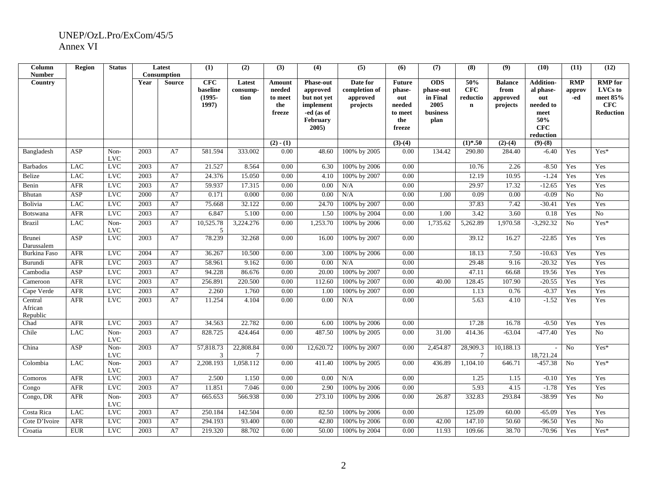| Column<br><b>Number</b>        | <b>Region</b> | <b>Status</b>      |      | Latest<br>Consumption | (1)                                          | (2)                         | (3)                                          | (4)                                                                                               | (5)                                               | (6)                                                                  | (7)                                                             | (8)                                   | (9)                                            | (10)                                                                                        | (11)                        | (12)                                                                    |
|--------------------------------|---------------|--------------------|------|-----------------------|----------------------------------------------|-----------------------------|----------------------------------------------|---------------------------------------------------------------------------------------------------|---------------------------------------------------|----------------------------------------------------------------------|-----------------------------------------------------------------|---------------------------------------|------------------------------------------------|---------------------------------------------------------------------------------------------|-----------------------------|-------------------------------------------------------------------------|
| Country                        |               |                    | Year | <b>Source</b>         | <b>CFC</b><br>baseline<br>$(1995 -$<br>1997) | Latest<br>consump-<br>tion  | Amount<br>needed<br>to meet<br>the<br>freeze | <b>Phase-out</b><br>approved<br>but not yet<br>implement<br>-ed (as of<br><b>February</b><br>2005 | Date for<br>completion of<br>approved<br>projects | <b>Future</b><br>phase-<br>out<br>needed<br>to meet<br>the<br>freeze | <b>ODS</b><br>phase-out<br>in Final<br>2005<br>business<br>plan | 50%<br>CFC<br>reductio<br>$\mathbf n$ | <b>Balance</b><br>from<br>approved<br>projects | <b>Addition-</b><br>al phase-<br>out<br>needed to<br>meet<br>50%<br><b>CFC</b><br>reduction | <b>RMP</b><br>approv<br>-ed | <b>RMP</b> for<br>LVCs to<br>meet 85%<br><b>CFC</b><br><b>Reduction</b> |
|                                |               |                    |      |                       |                                              |                             | $(2) - (1)$                                  |                                                                                                   |                                                   | $(3)-(4)$                                                            |                                                                 | $(1)*.50$                             | $(2)-(4)$                                      | $(9)-(8)$                                                                                   |                             |                                                                         |
| Bangladesh                     | ASP           | Non-<br><b>LVC</b> | 2003 | A7                    | 581.594                                      | 333.002                     | 0.00                                         | 48.60                                                                                             | 100% by 2005                                      | 0.00                                                                 | 134.42                                                          | 290.80                                | 284.40                                         | $-6.40$                                                                                     | Yes                         | $Yes*$                                                                  |
| <b>Barbados</b>                | LAC           | <b>LVC</b>         | 2003 | A7                    | 21.527                                       | 8.564                       | 0.00                                         | 6.30                                                                                              | 100% by 2006                                      | 0.00                                                                 |                                                                 | 10.76                                 | 2.26                                           | $-8.50$                                                                                     | Yes                         | Yes                                                                     |
| Belize                         | <b>LAC</b>    | <b>LVC</b>         | 2003 | A7                    | 24.376                                       | 15.050                      | 0.00                                         | 4.10                                                                                              | 100% by 2007                                      | 0.00                                                                 |                                                                 | 12.19                                 | 10.95                                          | $-1.24$                                                                                     | Yes                         | Yes                                                                     |
| Benin                          | <b>AFR</b>    | <b>LVC</b>         | 2003 | A7                    | 59.937                                       | 17.315                      | 0.00                                         | 0.00                                                                                              | N/A                                               | 0.00                                                                 |                                                                 | 29.97                                 | 17.32                                          | $-12.65$                                                                                    | Yes                         | Yes                                                                     |
| Bhutan                         | ASP           | <b>LVC</b>         | 2000 | A7                    | 0.171                                        | 0.000                       | 0.00                                         | 0.00                                                                                              | N/A                                               | 0.00                                                                 | 1.00                                                            | 0.09                                  | 0.00                                           | $-0.09$                                                                                     | $\overline{N_0}$            | No                                                                      |
| Bolivia                        | LAC           | <b>LVC</b>         | 2003 | A7                    | 75.668                                       | 32.122                      | 0.00                                         | 24.70                                                                                             | 100% by 2007                                      | 0.00                                                                 |                                                                 | 37.83                                 | 7.42                                           | $-30.41$                                                                                    | Yes                         | Yes                                                                     |
| Botswana                       | <b>AFR</b>    | <b>LVC</b>         | 2003 | A7                    | 6.847                                        | 5.100                       | 0.00                                         | 1.50                                                                                              | 100% by 2004                                      | 0.00                                                                 | 1.00                                                            | 3.42                                  | 3.60                                           | 0.18                                                                                        | Yes                         | $\overline{No}$                                                         |
| <b>Brazil</b>                  | <b>LAC</b>    | Non-<br><b>LVC</b> | 2003 | A7                    | 10,525.78<br>5                               | 3,224.276                   | 0.00                                         | 1,253.70                                                                                          | 100% by 2006                                      | 0.00                                                                 | 1,735.62                                                        | 5,262.89                              | 1,970.58                                       | $-3,292.32$                                                                                 | No                          | Yes*                                                                    |
| Brunei<br>Darussalem           | ASP           | <b>LVC</b>         | 2003 | A7                    | 78.239                                       | 32.268                      | 0.00                                         | 16.00                                                                                             | 100% by 2007                                      | 0.00                                                                 |                                                                 | 39.12                                 | 16.27                                          | $-22.85$                                                                                    | Yes                         | Yes                                                                     |
| <b>Burkina Faso</b>            | <b>AFR</b>    | <b>LVC</b>         | 2004 | A7                    | 36.267                                       | 10.500                      | 0.00                                         | 3.00                                                                                              | 100% by 2006                                      | 0.00                                                                 |                                                                 | 18.13                                 | 7.50                                           | $-10.63$                                                                                    | Yes                         | Yes                                                                     |
| Burundi                        | <b>AFR</b>    | <b>LVC</b>         | 2003 | A7                    | 58.961                                       | 9.162                       | 0.00                                         | 0.00                                                                                              | N/A                                               | 0.00                                                                 |                                                                 | 29.48                                 | 9.16                                           | $-20.32$                                                                                    | Yes                         | Yes                                                                     |
| Cambodia                       | <b>ASP</b>    | <b>LVC</b>         | 2003 | A7                    | 94.228                                       | 86.676                      | 0.00                                         | 20.00                                                                                             | 100% by 2007                                      | 0.00                                                                 |                                                                 | 47.11                                 | 66.68                                          | 19.56                                                                                       | Yes                         | Yes                                                                     |
| Cameroon                       | <b>AFR</b>    | <b>LVC</b>         | 2003 | A7                    | 256.891                                      | 220.500                     | 0.00                                         | 112.60                                                                                            | 100% by 2007                                      | 0.00                                                                 | 40.00                                                           | 128.45                                | 107.90                                         | $-20.55$                                                                                    | Yes                         | Yes                                                                     |
| Cape Verde                     | <b>AFR</b>    | <b>LVC</b>         | 2003 | A7                    | 2.260                                        | 1.760                       | 0.00                                         | 1.00                                                                                              | 100% by 2007                                      | 0.00                                                                 |                                                                 | 1.13                                  | 0.76                                           | $-0.37$                                                                                     | Yes                         | Yes                                                                     |
| Central<br>African<br>Republic | <b>AFR</b>    | <b>LVC</b>         | 2003 | A7                    | 11.254                                       | 4.104                       | 0.00                                         | 0.00                                                                                              | N/A                                               | 0.00                                                                 |                                                                 | 5.63                                  | 4.10                                           | $-1.52$                                                                                     | Yes                         | Yes                                                                     |
| Chad                           | <b>AFR</b>    | <b>LVC</b>         | 2003 | A7                    | 34.563                                       | 22.782                      | 0.00                                         | 6.00                                                                                              | 100% by 2006                                      | 0.00                                                                 |                                                                 | 17.28                                 | 16.78                                          | $-0.50$                                                                                     | Yes                         | Yes                                                                     |
| Chile                          | <b>LAC</b>    | Non-<br><b>LVC</b> | 2003 | A7                    | 828.725                                      | 424.464                     | 0.00                                         | 487.50                                                                                            | 100% by 2005                                      | 0.00                                                                 | 31.00                                                           | 414.36                                | $-63.04$                                       | $-477.40$                                                                                   | Yes                         | No                                                                      |
| China                          | <b>ASP</b>    | Non-<br><b>LVC</b> | 2003 | A7                    | 57,818.73<br>3                               | 22,808.84<br>$\overline{7}$ | 0.00                                         | 12,620.72                                                                                         | 100% by 2007                                      | 0.00                                                                 | 2,454.87                                                        | 28,909.3<br>$\overline{7}$            | 10,188.13                                      | 18,721.24                                                                                   | No                          | Yes*                                                                    |
| Colombia                       | LAC           | Non-<br><b>LVC</b> | 2003 | A7                    | 2,208.193                                    | 1,058.112                   | 0.00                                         | 411.40                                                                                            | 100% by 2005                                      | 0.00                                                                 | 436.89                                                          | 1,104.10                              | 646.71                                         | $-457.38$                                                                                   | No                          | Yes*                                                                    |
| Comoros                        | <b>AFR</b>    | <b>LVC</b>         | 2003 | A7                    | 2.500                                        | 1.150                       | 0.00                                         | 0.00                                                                                              | N/A                                               | 0.00                                                                 |                                                                 | 1.25                                  | 1.15                                           | $-0.10$                                                                                     | Yes                         | Yes                                                                     |
| Congo                          | <b>AFR</b>    | LVC                | 2003 | A7                    | 11.851                                       | 7.046                       | 0.00                                         | 2.90                                                                                              | 100% by 2006                                      | 0.00                                                                 |                                                                 | 5.93                                  | 4.15                                           | $-1.78$                                                                                     | Yes                         | Yes                                                                     |
| Congo, DR                      | <b>AFR</b>    | Non-<br><b>LVC</b> | 2003 | A7                    | 665.653                                      | 566.938                     | 0.00                                         | 273.10                                                                                            | 100% by 2006                                      | 0.00                                                                 | 26.87                                                           | 332.83                                | 293.84                                         | $-38.99$                                                                                    | Yes                         | ${\rm No}$                                                              |
| Costa Rica                     | <b>LAC</b>    | <b>LVC</b>         | 2003 | A7                    | 250.184                                      | 142.504                     | 0.00                                         | 82.50                                                                                             | 100% by 2006                                      | 0.00                                                                 |                                                                 | 125.09                                | 60.00                                          | $-65.09$                                                                                    | Yes                         | Yes                                                                     |
| Cote D'Ivoire                  | AFR           | <b>LVC</b>         | 2003 | A7                    | 294.193                                      | 93.400                      | 0.00                                         | 42.80                                                                                             | 100% by 2006                                      | 0.00                                                                 | 42.00                                                           | 147.10                                | 50.60                                          | $-96.50$                                                                                    | Yes                         | $\overline{No}$                                                         |
| Croatia                        | <b>EUR</b>    | <b>LVC</b>         | 2003 | A7                    | 219.320                                      | 88.702                      | 0.00                                         | 50.00                                                                                             | 100% by 2004                                      | 0.00                                                                 | 11.93                                                           | 109.66                                | 38.70                                          | $-70.96$                                                                                    | Yes                         | Yes*                                                                    |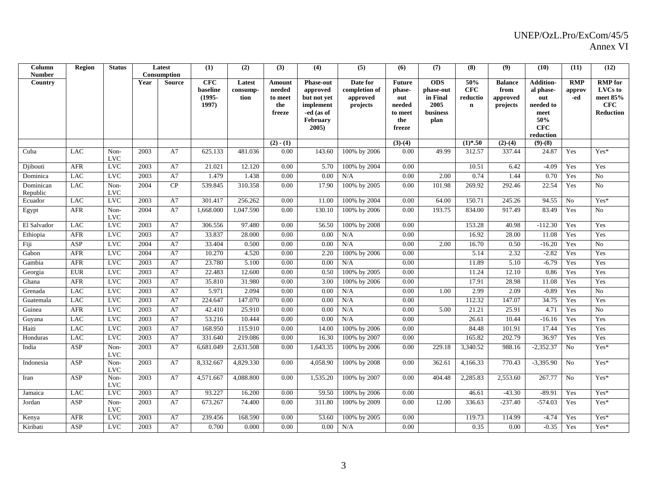| Column<br><b>Number</b> | <b>Region</b> | <b>Status</b>      |                   | Latest<br>Consumption | (1)                                          | (2)                        | (3)                                          | (4)                                                                                         | (5)                                               | (6)                                                                  | (7)                                                             | (8)                                   | (9)                                            | (10)                                                                                        | (11)                        | (12)                                                                    |
|-------------------------|---------------|--------------------|-------------------|-----------------------|----------------------------------------------|----------------------------|----------------------------------------------|---------------------------------------------------------------------------------------------|---------------------------------------------------|----------------------------------------------------------------------|-----------------------------------------------------------------|---------------------------------------|------------------------------------------------|---------------------------------------------------------------------------------------------|-----------------------------|-------------------------------------------------------------------------|
| Country                 |               |                    | Year              | <b>Source</b>         | <b>CFC</b><br>baseline<br>$(1995 -$<br>1997) | Latest<br>consump-<br>tion | Amount<br>needed<br>to meet<br>the<br>freeze | <b>Phase-out</b><br>approved<br>but not yet<br>implement<br>-ed (as of<br>February<br>2005) | Date for<br>completion of<br>approved<br>projects | <b>Future</b><br>phase-<br>out<br>needed<br>to meet<br>the<br>freeze | <b>ODS</b><br>phase-out<br>in Final<br>2005<br>business<br>plan | 50%<br>CFC<br>reductio<br>$\mathbf n$ | <b>Balance</b><br>from<br>approved<br>projects | <b>Addition-</b><br>al phase-<br>out<br>needed to<br>meet<br>50%<br><b>CFC</b><br>reduction | <b>RMP</b><br>approv<br>-ed | <b>RMP</b> for<br>LVCs to<br>meet 85%<br><b>CFC</b><br><b>Reduction</b> |
|                         |               |                    |                   |                       |                                              |                            | $(2) - (1)$                                  |                                                                                             |                                                   | $(3)-(4)$                                                            |                                                                 | $(1)*.50$                             | $(2)-(4)$                                      | $(9)-(8)$                                                                                   |                             |                                                                         |
| Cuba                    | <b>LAC</b>    | Non-<br><b>LVC</b> | 2003              | A7                    | 625.133                                      | 481.036                    | 0.00                                         | 143.60                                                                                      | 100% by 2006                                      | 0.00                                                                 | 49.99                                                           | 312.57                                | 337.44                                         | 24.87                                                                                       | Yes                         | Yes*                                                                    |
| Diibouti                | <b>AFR</b>    | <b>LVC</b>         | 2003              | A7                    | 21.021                                       | 12.120                     | 0.00                                         | 5.70                                                                                        | 100% by 2004                                      | 0.00                                                                 |                                                                 | 10.51                                 | 6.42                                           | $-4.09$                                                                                     | Yes                         | Yes                                                                     |
| Dominica                | <b>LAC</b>    | LVC                | 2003              | A7                    | 1.479                                        | 1.438                      | 0.00                                         | 0.00                                                                                        | N/A                                               | 0.00                                                                 | 2.00                                                            | 0.74                                  | 1.44                                           | 0.70                                                                                        | Yes                         | N <sub>o</sub>                                                          |
| Dominican<br>Republic   | <b>LAC</b>    | Non-<br><b>LVC</b> | 2004              | CP                    | 539.845                                      | 310.358                    | 0.00                                         | 17.90                                                                                       | 100% by 2005                                      | 0.00                                                                 | 101.98                                                          | 269.92                                | 292.46                                         | 22.54                                                                                       | Yes                         | No                                                                      |
| Ecuador                 | <b>LAC</b>    | <b>LVC</b>         | 2003              | A7                    | 301.417                                      | 256.262                    | 0.00                                         | 11.00                                                                                       | 100% by 2004                                      | 0.00                                                                 | 64.00                                                           | 150.71                                | 245.26                                         | 94.55                                                                                       | $\rm No$                    | Yes*                                                                    |
| Egypt                   | <b>AFR</b>    | Non-<br><b>LVC</b> | 2004              | A7                    | 1,668.000                                    | 1,047.590                  | 0.00                                         | 130.10                                                                                      | 100% by 2006                                      | 0.00                                                                 | 193.75                                                          | 834.00                                | 917.49                                         | 83.49                                                                                       | Yes                         | N <sub>o</sub>                                                          |
| El Salvador             | LAC           | <b>LVC</b>         | 2003              | A7                    | 306.556                                      | 97.480                     | 0.00                                         | 56.50                                                                                       | 100% by 2008                                      | 0.00                                                                 |                                                                 | 153.28                                | 40.98                                          | $-112.30$                                                                                   | Yes                         | Yes                                                                     |
| Ethiopia                | <b>AFR</b>    | <b>LVC</b>         | 2003              | A7                    | 33.837                                       | 28.000                     | 0.00                                         | 0.00                                                                                        | N/A                                               | 0.00                                                                 |                                                                 | 16.92                                 | 28.00                                          | 11.08                                                                                       | Yes                         | Yes                                                                     |
| Fiji                    | ASP           | <b>LVC</b>         | 2004              | A7                    | 33.404                                       | 0.500                      | 0.00                                         | 0.00                                                                                        | N/A                                               | 0.00                                                                 | 2.00                                                            | 16.70                                 | 0.50                                           | $-16.20$                                                                                    | Yes                         | No                                                                      |
| Gabon                   | <b>AFR</b>    | LVC                | 2004              | A7                    | 10.270                                       | 4.520                      | 0.00                                         | 2.20                                                                                        | 100% by 2006                                      | 0.00                                                                 |                                                                 | 5.14                                  | 2.32                                           | $-2.82$                                                                                     | Yes                         | Yes                                                                     |
| Gambia                  | <b>AFR</b>    | <b>LVC</b>         | 2003              | A7                    | 23.780                                       | 5.100                      | 0.00                                         | 0.00                                                                                        | N/A                                               | 0.00                                                                 |                                                                 | 11.89                                 | 5.10                                           | $-6.79$                                                                                     | Yes                         | Yes                                                                     |
| Georgia                 | <b>EUR</b>    | <b>LVC</b>         | 2003              | A7                    | 22.483                                       | 12.600                     | 0.00                                         | 0.50                                                                                        | 100% by 2005                                      | 0.00                                                                 |                                                                 | 11.24                                 | 12.10                                          | 0.86                                                                                        | Yes                         | Yes                                                                     |
| Ghana                   | AFR           | LVC                | 2003              | A7                    | 35.810                                       | 31.980                     | 0.00                                         | 3.00                                                                                        | 100% by 2006                                      | 0.00                                                                 |                                                                 | 17.91                                 | 28.98                                          | 11.08                                                                                       | Yes                         | Yes                                                                     |
| Grenada                 | LAC           | $_{\rm LVC}$       | 2003              | A7                    | 5.971                                        | 2.094                      | 0.00                                         | 0.00                                                                                        | N/A                                               | 0.00                                                                 | 1.00                                                            | 2.99                                  | 2.09                                           | $-0.89$                                                                                     | Yes                         | $\rm No$                                                                |
| Guatemala               | <b>LAC</b>    | LVC                | $\overline{2003}$ | A7                    | 224.647                                      | 147.070                    | 0.00                                         | 0.00                                                                                        | N/A                                               | 0.00                                                                 |                                                                 | 112.32                                | 147.07                                         | 34.75                                                                                       | Yes                         | Yes                                                                     |
| Guinea                  | AFR           | <b>LVC</b>         | 2003              | A7                    | 42.410                                       | 25.910                     | 0.00                                         | 0.00                                                                                        | N/A                                               | 0.00                                                                 | 5.00                                                            | 21.21                                 | 25.91                                          | 4.71                                                                                        | Yes                         | N <sub>o</sub>                                                          |
| Guyana                  | LAC           | <b>LVC</b>         | 2003              | A7                    | 53.216                                       | 10.444                     | 0.00                                         | 0.00                                                                                        | N/A                                               | 0.00                                                                 |                                                                 | 26.61                                 | 10.44                                          | $-16.16$                                                                                    | Yes                         | Yes                                                                     |
| Haiti                   | <b>LAC</b>    | <b>LVC</b>         | 2003              | A7                    | 168.950                                      | 115.910                    | 0.00                                         | 14.00                                                                                       | 100% by 2006                                      | 0.00                                                                 |                                                                 | 84.48                                 | 101.91                                         | 17.44                                                                                       | Yes                         | Yes                                                                     |
| Honduras                | LAC           | <b>LVC</b>         | 2003              | A7                    | 331.640                                      | 219.086                    | 0.00                                         | 16.30                                                                                       | 100% by 2007                                      | 0.00                                                                 |                                                                 | 165.82                                | 202.79                                         | 36.97                                                                                       | Yes                         | Yes                                                                     |
| India                   | <b>ASP</b>    | Non-<br><b>LVC</b> | 2003              | A7                    | 6,681.049                                    | 2,631.508                  | 0.00                                         | 1,643.35                                                                                    | 100% by 2006                                      | 0.00                                                                 | 229.18                                                          | 3,340.52                              | 988.16                                         | $-2,352.37$                                                                                 | No                          | $\mathrm{Yes}^*$                                                        |
| Indonesia               | ASP           | Non-<br><b>LVC</b> | 2003              | A7                    | 8,332.667                                    | 4,829.330                  | 0.00                                         | 4,058.90                                                                                    | 100% by 2008                                      | 0.00                                                                 | 362.61                                                          | 4,166.33                              | 770.43                                         | $-3,395.90$                                                                                 | N <sub>o</sub>              | $Yes*$                                                                  |
| Iran                    | ASP           | Non-<br><b>LVC</b> | 2003              | A7                    | 4,571.667                                    | 4,088.800                  | 0.00                                         | 1,535.20                                                                                    | 100% by 2007                                      | 0.00                                                                 | 404.48                                                          | 2,285.83                              | 2,553.60                                       | 267.77                                                                                      | No                          | Yes*                                                                    |
| Jamaica                 | LAC           | <b>LVC</b>         | 2003              | A7                    | 93.227                                       | 16.200                     | 0.00                                         | 59.50                                                                                       | 100% by 2006                                      | 0.00                                                                 |                                                                 | 46.61                                 | $-43.30$                                       | $-89.91$                                                                                    | Yes                         | Yes*                                                                    |
| Jordan                  | ASP           | Non-<br><b>LVC</b> | 2003              | A7                    | 673.267                                      | 74.400                     | 0.00                                         | 311.80                                                                                      | 100% by 2009                                      | 0.00                                                                 | 12.00                                                           | 336.63                                | $-237.40$                                      | $-574.03$                                                                                   | Yes                         | Yes*                                                                    |
| Kenya                   | <b>AFR</b>    | <b>LVC</b>         | 2003              | A7                    | 239.456                                      | 168.590                    | 0.00                                         | 53.60                                                                                       | 100% by 2005                                      | 0.00                                                                 |                                                                 | 119.73                                | 114.99                                         | $-4.74$                                                                                     | Yes                         | Yes*                                                                    |
| Kiribati                | ASP           | <b>LVC</b>         | 2003              | A7                    | 0.700                                        | 0.000                      | 0.00                                         | 0.00                                                                                        | N/A                                               | 0.00                                                                 |                                                                 | 0.35                                  | 0.00                                           | $-0.35$                                                                                     | Yes                         | Yes*                                                                    |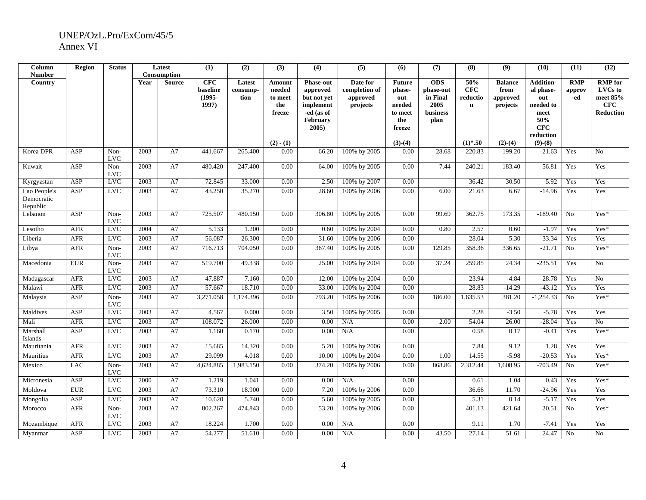| Column<br><b>Number</b>                | Region     | <b>Status</b>        |      | Latest<br>Consumption | (1)                                   | (2)                        | (3)                                          | (4)                                                                                         | (5)                                               | (6)                                                                  | (7)                                                                    | (8)                                          | (9)                                            | (10)                                                                                 | (11)                        | (12)                                                             |
|----------------------------------------|------------|----------------------|------|-----------------------|---------------------------------------|----------------------------|----------------------------------------------|---------------------------------------------------------------------------------------------|---------------------------------------------------|----------------------------------------------------------------------|------------------------------------------------------------------------|----------------------------------------------|------------------------------------------------|--------------------------------------------------------------------------------------|-----------------------------|------------------------------------------------------------------|
| Country                                |            |                      | Year | <b>Source</b>         | CFC<br>baseline<br>$(1995 -$<br>1997) | Latest<br>consump-<br>tion | Amount<br>needed<br>to meet<br>the<br>freeze | <b>Phase-out</b><br>approved<br>but not yet<br>implement<br>-ed (as of<br>February<br>2005) | Date for<br>completion of<br>approved<br>projects | <b>Future</b><br>phase-<br>out<br>needed<br>to meet<br>the<br>freeze | <b>ODS</b><br>phase-out<br>in Final<br>2005<br><b>business</b><br>plan | 50%<br><b>CFC</b><br>reductio<br>$\mathbf n$ | <b>Balance</b><br>from<br>approved<br>projects | <b>Addition-</b><br>al phase-<br>out<br>needed to<br>meet<br>50%<br>CFC<br>reduction | <b>RMP</b><br>approv<br>-ed | <b>RMP</b> for<br>LVCs to<br>meet 85%<br>CFC<br><b>Reduction</b> |
|                                        |            |                      |      |                       |                                       |                            | $(2) - (1)$                                  |                                                                                             |                                                   | $(3)-(4)$                                                            |                                                                        | $(1)*.50$                                    | $(2)-(4)$                                      | $(9)-(8)$                                                                            |                             |                                                                  |
| Korea DPR                              | ASP        | Non-<br><b>LVC</b>   | 2003 | A7                    | 441.667                               | 265.400                    | 0.00                                         | 66.20                                                                                       | 100% by 2005                                      | 0.00                                                                 | 28.68                                                                  | 220.83                                       | 199.20                                         | $-21.63$                                                                             | Yes                         | N <sub>o</sub>                                                   |
| Kuwait                                 | ASP        | Non-<br><b>LVC</b>   | 2003 | A7                    | 480.420                               | 247.400                    | 0.00                                         | 64.00                                                                                       | 100% by 2005                                      | 0.00                                                                 | 7.44                                                                   | 240.21                                       | 183.40                                         | $-56.81$                                                                             | Yes                         | Yes                                                              |
| Kyrgyzstan                             | ASP        | <b>LVC</b>           | 2003 | A7                    | 72.845                                | 33.000                     | 0.00                                         | 2.50                                                                                        | 100% by 2007                                      | 0.00                                                                 |                                                                        | 36.42                                        | 30.50                                          | $-5.92$                                                                              | Yes                         | Yes                                                              |
| Lao People's<br>Democratic<br>Republic | <b>ASP</b> | <b>LVC</b>           | 2003 | A7                    | 43.250                                | 35.270                     | 0.00                                         | 28.60                                                                                       | 100% by 2006                                      | 0.00                                                                 | 6.00                                                                   | 21.63                                        | 6.67                                           | $-14.96$                                                                             | Yes                         | Yes                                                              |
| Lebanon                                | ASP        | Non-<br><b>LVC</b>   | 2003 | A7                    | 725.507                               | 480.150                    | 0.00                                         | 306.80                                                                                      | 100% by 2005                                      | 0.00                                                                 | 99.69                                                                  | 362.75                                       | 173.35                                         | $-189.40$                                                                            | No                          | Yes*                                                             |
| Lesotho                                | <b>AFR</b> | <b>LVC</b>           | 2004 | A7                    | 5.133                                 | 1.200                      | 0.00                                         | 0.60                                                                                        | 100% by 2004                                      | 0.00                                                                 | 0.80                                                                   | 2.57                                         | 0.60                                           | $-1.97$                                                                              | Yes                         | Yes*                                                             |
| Liberia                                | <b>AFR</b> | <b>LVC</b>           | 2003 | A7                    | 56.087                                | 26.300                     | 0.00                                         | 31.60                                                                                       | 100% by 2006                                      | 0.00                                                                 |                                                                        | 28.04                                        | $-5.30$                                        | $-33.34$                                                                             | Yes                         | Yes                                                              |
| Libya                                  | <b>AFR</b> | Non-<br>$_{\rm LVC}$ | 2003 | A7                    | 716.713                               | 704.050                    | 0.00                                         | 367.40                                                                                      | 100% by 2005                                      | 0.00                                                                 | 129.85                                                                 | 358.36                                       | 336.65                                         | $-21.71$                                                                             | $\overline{No}$             | Yes*                                                             |
| Macedonia                              | <b>EUR</b> | Non-<br><b>LVC</b>   | 2003 | A7                    | 519.700                               | 49.338                     | 0.00                                         | 25.00                                                                                       | 100% by 2004                                      | 0.00                                                                 | 37.24                                                                  | 259.85                                       | 24.34                                          | $-235.51$                                                                            | Yes                         | No                                                               |
| Madagascar                             | <b>AFR</b> | $_{\rm LVC}$         | 2003 | A7                    | 47.887                                | 7.160                      | 0.00                                         | 12.00                                                                                       | 100% by 2004                                      | 0.00                                                                 |                                                                        | 23.94                                        | $-4.84$                                        | $-28.78$                                                                             | Yes                         | N <sub>o</sub>                                                   |
| Malawi                                 | <b>AFR</b> | <b>LVC</b>           | 2003 | A7                    | 57.667                                | 18.710                     | 0.00                                         | 33.00                                                                                       | 100% by 2004                                      | 0.00                                                                 |                                                                        | 28.83                                        | $-14.29$                                       | $-43.12$                                                                             | Yes                         | Yes                                                              |
| Malaysia                               | ASP        | Non-<br><b>LVC</b>   | 2003 | A7                    | 3,271.058                             | 1,174.396                  | 0.00                                         | 793.20                                                                                      | 100% by 2006                                      | 0.00                                                                 | 186.00                                                                 | 1,635.53                                     | 381.20                                         | $-1,254.33$                                                                          | No                          | Yes*                                                             |
| Maldives                               | ASP        | <b>LVC</b>           | 2003 | A7                    | 4.567                                 | 0.000                      | 0.00                                         | 3.50                                                                                        | 100% by 2005                                      | 0.00                                                                 |                                                                        | 2.28                                         | $-3.50$                                        | $-5.78$                                                                              | Yes                         | Yes                                                              |
| Mali                                   | <b>AFR</b> | <b>LVC</b>           | 2003 | A7                    | 108.072                               | 26.000                     | 0.00                                         | 0.00                                                                                        | N/A                                               | 0.00                                                                 | 2.00                                                                   | 54.04                                        | 26.00                                          | $-28.04$                                                                             | Yes                         | $\overline{No}$                                                  |
| Marshall<br>Islands                    | <b>ASP</b> | <b>LVC</b>           | 2003 | A7                    | 1.160                                 | 0.170                      | 0.00                                         | 0.00                                                                                        | N/A                                               | 0.00                                                                 |                                                                        | 0.58                                         | 0.17                                           | $-0.41$                                                                              | Yes                         | Yes*                                                             |
| Mauritania                             | <b>AFR</b> | <b>LVC</b>           | 2003 | A7                    | 15.685                                | 14.320                     | 0.00                                         | 5.20                                                                                        | 100% by 2006                                      | 0.00                                                                 |                                                                        | 7.84                                         | 9.12                                           | 1.28                                                                                 | Yes                         | Yes                                                              |
| Mauritius                              | <b>AFR</b> | <b>LVC</b>           | 2003 | A7                    | 29.099                                | 4.018                      | 0.00                                         | 10.00                                                                                       | 100% by 2004                                      | 0.00                                                                 | 1.00                                                                   | 14.55                                        | $-5.98$                                        | $-20.53$                                                                             | Yes                         | Yes*                                                             |
| Mexico                                 | <b>LAC</b> | Non-<br><b>LVC</b>   | 2003 | A7                    | 4,624.885                             | 1,983.150                  | 0.00                                         | 374.20                                                                                      | 100% by 2006                                      | 0.00                                                                 | 868.86                                                                 | 2,312.44                                     | 1,608.95                                       | $-703.49$                                                                            | No                          | Yes*                                                             |
| Micronesia                             | ASP        | <b>LVC</b>           | 2000 | A7                    | 1.219                                 | 1.041                      | 0.00                                         | 0.00                                                                                        | N/A                                               | 0.00                                                                 |                                                                        | 0.61                                         | 1.04                                           | 0.43                                                                                 | Yes                         | Yes*                                                             |
| Moldova                                | <b>EUR</b> | <b>LVC</b>           | 2003 | A7                    | 73.310                                | 18.900                     | 0.00                                         | 7.20                                                                                        | 100% by 2006                                      | 0.00                                                                 |                                                                        | 36.66                                        | 11.70                                          | $-24.96$                                                                             | Yes                         | Yes                                                              |
| Mongolia                               | <b>ASP</b> | <b>LVC</b>           | 2003 | A7                    | 10.620                                | 5.740                      | 0.00                                         | 5.60                                                                                        | 100% by 2005                                      | 0.00                                                                 |                                                                        | 5.31                                         | 0.14                                           | $-5.17$                                                                              | Yes                         | Yes                                                              |
| Morocco                                | <b>AFR</b> | Non-<br><b>LVC</b>   | 2003 | A7                    | 802.267                               | 474.843                    | 0.00                                         | 53.20                                                                                       | 100% by 2006                                      | 0.00                                                                 |                                                                        | 401.13                                       | 421.64                                         | 20.51                                                                                | No                          | Yes*                                                             |
| Mozambique                             | <b>AFR</b> | <b>LVC</b>           | 2003 | A7                    | 18.224                                | 1.700                      | 0.00                                         | 0.00                                                                                        | N/A                                               | 0.00                                                                 |                                                                        | 9.11                                         | 1.70                                           | $-7.41$                                                                              | Yes                         | Yes                                                              |
| Myanmar                                | ASP        | <b>LVC</b>           | 2003 | A7                    | 54.277                                | 51.610                     | 0.00                                         | 0.00                                                                                        | N/A                                               | 0.00                                                                 | 43.50                                                                  | 27.14                                        | 51.61                                          | 24.47                                                                                | No                          | No                                                               |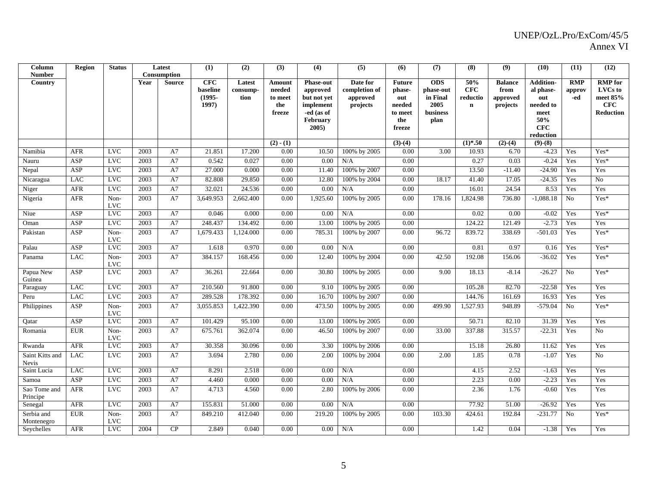| Column<br><b>Number</b>         | Region     | <b>Status</b>      |               | Latest<br>Consumption | (1)                                          | (2)                        | (3)                                          | (4)                                                                                         | (5)                                               | (6)                                                                  | (7)                                                             | (8)                                          | (9)                                            | (10)                                                                                        | (11)                        | (12)                                                                    |
|---------------------------------|------------|--------------------|---------------|-----------------------|----------------------------------------------|----------------------------|----------------------------------------------|---------------------------------------------------------------------------------------------|---------------------------------------------------|----------------------------------------------------------------------|-----------------------------------------------------------------|----------------------------------------------|------------------------------------------------|---------------------------------------------------------------------------------------------|-----------------------------|-------------------------------------------------------------------------|
| Country                         |            |                    | Year          | <b>Source</b>         | <b>CFC</b><br>baseline<br>$(1995 -$<br>1997) | Latest<br>consump-<br>tion | Amount<br>needed<br>to meet<br>the<br>freeze | <b>Phase-out</b><br>approved<br>but not yet<br>implement<br>-ed (as of<br>February<br>2005) | Date for<br>completion of<br>approved<br>projects | <b>Future</b><br>phase-<br>out<br>needed<br>to meet<br>the<br>freeze | <b>ODS</b><br>phase-out<br>in Final<br>2005<br>business<br>plan | 50%<br><b>CFC</b><br>reductio<br>$\mathbf n$ | <b>Balance</b><br>from<br>approved<br>projects | <b>Addition-</b><br>al phase-<br>out<br>needed to<br>meet<br>50%<br><b>CFC</b><br>reduction | <b>RMP</b><br>approv<br>-ed | <b>RMP</b> for<br>LVCs to<br>meet 85%<br><b>CFC</b><br><b>Reduction</b> |
|                                 |            |                    |               |                       |                                              |                            | $(2) - (1)$                                  |                                                                                             |                                                   | $(3)-(4)$                                                            |                                                                 | $(1)*.50$                                    | $(2)-(4)$                                      | $(9)-(8)$                                                                                   |                             |                                                                         |
| Namibia                         | <b>AFR</b> | <b>LVC</b>         | 2003          | A7                    | 21.851                                       | 17.200                     | 0.00                                         | 10.50                                                                                       | 100% by 2005                                      | 0.00                                                                 | 3.00                                                            | 10.93                                        | 6.70                                           | $-4.23$                                                                                     | Yes                         | Yes*                                                                    |
| Nauru                           | ASP        | <b>LVC</b>         | 2003          | A7                    | 0.542                                        | 0.027                      | 0.00                                         | 0.00                                                                                        | N/A                                               | 0.00                                                                 |                                                                 | 0.27                                         | 0.03                                           | $-0.24$                                                                                     | Yes                         | Yes*                                                                    |
| Nepal                           | ASP        | <b>LVC</b>         | 2003          | A7                    | 27.000                                       | 0.000                      | 0.00                                         | 11.40                                                                                       | 100% by 2007                                      | 0.00                                                                 |                                                                 | 13.50                                        | $-11.40$                                       | $-24.90$                                                                                    | Yes                         | Yes                                                                     |
| Nicaragua                       | LAC        | <b>LVC</b>         | 2003          | A7                    | 82.808                                       | 29.850                     | 0.00                                         | 12.80                                                                                       | 100% by 2004                                      | 0.00                                                                 | 18.17                                                           | 41.40                                        | 17.05                                          | $-24.35$                                                                                    | Yes                         | N <sub>o</sub>                                                          |
| Niger                           | <b>AFR</b> | <b>LVC</b>         | 2003          | A7                    | 32.021                                       | 24.536                     | 0.00                                         | 0.00                                                                                        | N/A                                               | 0.00                                                                 |                                                                 | 16.01                                        | 24.54                                          | 8.53                                                                                        | Yes                         | Yes                                                                     |
| Nigeria                         | <b>AFR</b> | Non-<br><b>LVC</b> | 2003          | A7                    | 3,649.953                                    | 2,662.400                  | 0.00                                         | 1,925.60                                                                                    | 100% by 2005                                      | 0.00                                                                 | 178.16                                                          | 1,824.98                                     | 736.80                                         | $-1,088.18$                                                                                 | No                          | $Yes*$                                                                  |
| Niue                            | ASP        | <b>LVC</b>         | 2003          | A7                    | 0.046                                        | 0.000                      | 0.00                                         | 0.00                                                                                        | N/A                                               | 0.00                                                                 |                                                                 | 0.02                                         | 0.00                                           | $-0.02$                                                                                     | Yes                         | Yes*                                                                    |
| Oman                            | ASP        | <b>LVC</b>         | 2003          | A7                    | 248.437                                      | 134.492                    | 0.00                                         | 13.00                                                                                       | 100% by 2005                                      | 0.00                                                                 |                                                                 | 124.22                                       | 121.49                                         | $-2.73$                                                                                     | Yes                         | Yes                                                                     |
| Pakistan                        | ASP        | Non-<br><b>LVC</b> | 2003          | A7                    | 1,679.433                                    | 1,124.000                  | 0.00                                         | 785.31                                                                                      | 100% by 2007                                      | 0.00                                                                 | 96.72                                                           | 839.72                                       | 338.69                                         | $-501.03$                                                                                   | Yes                         | Yes*                                                                    |
| Palau                           | ASP        | <b>LVC</b>         | 2003          | A7                    | 1.618                                        | 0.970                      | 0.00                                         | 0.00                                                                                        | N/A                                               | 0.00                                                                 |                                                                 | 0.81                                         | 0.97                                           | 0.16                                                                                        | Yes                         | Yes*                                                                    |
| Panama                          | <b>LAC</b> | Non-<br><b>LVC</b> | 2003          | A7                    | 384.157                                      | 168.456                    | 0.00                                         | 12.40                                                                                       | 100% by 2004                                      | 0.00                                                                 | 42.50                                                           | 192.08                                       | 156.06                                         | $-36.02$                                                                                    | Yes                         | Yes*                                                                    |
| Papua New<br>Guinea             | ASP        | <b>LVC</b>         | 2003          | A7                    | 36.261                                       | 22.664                     | 0.00                                         | 30.80                                                                                       | 100% by 2005                                      | 0.00                                                                 | 9.00                                                            | 18.13                                        | $-8.14$                                        | $-26.27$                                                                                    | No                          | $Yes*$                                                                  |
| Paraguay                        | LAC        | <b>LVC</b>         | 2003          | A7                    | 210.560                                      | 91.800                     | 0.00                                         | 9.10                                                                                        | 100% by 2005                                      | 0.00                                                                 |                                                                 | 105.28                                       | 82.70                                          | $-22.58$                                                                                    | Yes                         | Yes                                                                     |
| Peru                            | LAC        | <b>LVC</b>         | 2003          | A7                    | 289.528                                      | 178.392                    | 0.00                                         | 16.70                                                                                       | 100% by 2007                                      | 0.00                                                                 |                                                                 | 144.76                                       | 161.69                                         | 16.93                                                                                       | Yes                         | Yes                                                                     |
| Philippines                     | <b>ASP</b> | Non-<br><b>LVC</b> | 2003          | A7                    | 3,055.853                                    | 1,422.390                  | 0.00                                         | 473.50                                                                                      | 100% by 2005                                      | 0.00                                                                 | 499.90                                                          | 1,527.93                                     | 948.89                                         | $-579.04$                                                                                   | No                          | $Yes*$                                                                  |
| Qatar                           | ASP        | <b>LVC</b>         | 2003          | A7                    | 101.429                                      | 95.100                     | 0.00                                         | 13.00                                                                                       | 100% by 2005                                      | 0.00                                                                 |                                                                 | 50.71                                        | 82.10                                          | 31.39                                                                                       | Yes                         | Yes                                                                     |
| Romania                         | <b>EUR</b> | Non-<br><b>LVC</b> | 2003          | A7                    | 675.761                                      | 362.074                    | 0.00                                         | 46.50                                                                                       | 100% by 2007                                      | 0.00                                                                 | 33.00                                                           | 337.88                                       | 315.57                                         | $-22.31$                                                                                    | Yes                         | No                                                                      |
| Rwanda                          | <b>AFR</b> | <b>LVC</b>         | 2003          | A7                    | 30.358                                       | 30.096                     | 0.00                                         | 3.30                                                                                        | 100% by 2006                                      | 0.00                                                                 |                                                                 | 15.18                                        | 26.80                                          | 11.62                                                                                       | Yes                         | Yes                                                                     |
| Saint Kitts and<br><b>Nevis</b> | <b>LAC</b> | <b>LVC</b>         | $\sqrt{2003}$ | A7                    | 3.694                                        | 2.780                      | 0.00                                         | 2.00                                                                                        | 100% by 2004                                      | 0.00                                                                 | 2.00                                                            | 1.85                                         | 0.78                                           | $-1.07$                                                                                     | Yes                         | N <sub>o</sub>                                                          |
| Saint Lucia                     | <b>LAC</b> | <b>LVC</b>         | 2003          | A7                    | 8.291                                        | 2.518                      | 0.00                                         | 0.00                                                                                        | N/A                                               | 0.00                                                                 |                                                                 | 4.15                                         | 2.52                                           | $-1.63$                                                                                     | Yes                         | Yes                                                                     |
| Samoa                           | ASP        | <b>LVC</b>         | 2003          | A7                    | 4.460                                        | 0.000                      | 0.00                                         | 0.00                                                                                        | N/A                                               | 0.00                                                                 |                                                                 | 2.23                                         | 0.00                                           | $-2.23$                                                                                     | Yes                         | Yes                                                                     |
| Sao Tome and<br>Principe        | <b>AFR</b> | <b>LVC</b>         | 2003          | A7                    | 4.713                                        | 4.560                      | 0.00                                         | 2.80                                                                                        | 100% by 2006                                      | 0.00                                                                 |                                                                 | 2.36                                         | 1.76                                           | $-0.60$                                                                                     | Yes                         | Yes                                                                     |
| Senegal                         | <b>AFR</b> | <b>LVC</b>         | 2003          | A7                    | 155.831                                      | 51.000                     | 0.00                                         | 0.00                                                                                        | N/A                                               | 0.00                                                                 |                                                                 | 77.92                                        | 51.00                                          | $-26.92$                                                                                    | Yes                         | Yes                                                                     |
| Serbia and<br>Montenegro        | <b>EUR</b> | Non-<br><b>LVC</b> | 2003          | A7                    | 849.210                                      | 412.040                    | 0.00                                         | 219.20                                                                                      | 100% by 2005                                      | 0.00                                                                 | 103.30                                                          | 424.61                                       | 192.84                                         | $-231.77$                                                                                   | No                          | Yes*                                                                    |
| Seychelles                      | <b>AFR</b> | <b>LVC</b>         | 2004          | CP                    | 2.849                                        | 0.040                      | 0.00                                         | 0.00                                                                                        | N/A                                               | 0.00                                                                 |                                                                 | 1.42                                         | 0.04                                           | $-1.38$                                                                                     | Yes                         | Yes                                                                     |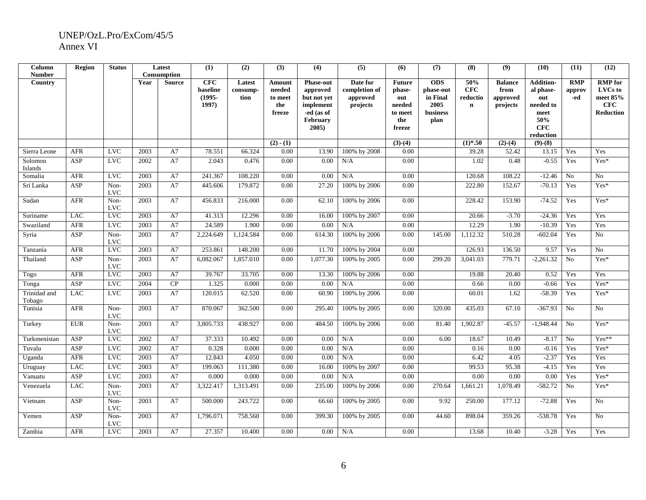| Column<br><b>Number</b> | Region     | <b>Status</b>        |      | Latest<br>Consumption | (1)                                          | (2)                        | (3)                                          | (4)                                                                                            | (5)                                               | (6)                                                                  | (7)                                                             | (8)                                   | (9)                                            | (10)                                                                                 | (11)                        | (12)                                                             |
|-------------------------|------------|----------------------|------|-----------------------|----------------------------------------------|----------------------------|----------------------------------------------|------------------------------------------------------------------------------------------------|---------------------------------------------------|----------------------------------------------------------------------|-----------------------------------------------------------------|---------------------------------------|------------------------------------------------|--------------------------------------------------------------------------------------|-----------------------------|------------------------------------------------------------------|
| Country                 |            |                      | Year | <b>Source</b>         | <b>CFC</b><br>baseline<br>$(1995 -$<br>1997) | Latest<br>consump-<br>tion | Amount<br>needed<br>to meet<br>the<br>freeze | <b>Phase-out</b><br>approved<br>but not yet<br>implement<br>-ed (as of<br>February<br>$2005$ ) | Date for<br>completion of<br>approved<br>projects | <b>Future</b><br>phase-<br>out<br>needed<br>to meet<br>the<br>freeze | <b>ODS</b><br>phase-out<br>in Final<br>2005<br>business<br>plan | 50%<br>CFC<br>reductio<br>$\mathbf n$ | <b>Balance</b><br>from<br>approved<br>projects | <b>Addition-</b><br>al phase-<br>out<br>needed to<br>meet<br>50%<br>CFC<br>reduction | <b>RMP</b><br>approv<br>-ed | <b>RMP</b> for<br>LVCs to<br>meet 85%<br>CFC<br><b>Reduction</b> |
|                         |            |                      |      |                       |                                              |                            | $(2) - (1)$                                  |                                                                                                |                                                   | $(3)-(4)$                                                            |                                                                 | $(1)*.50$                             | $(2)-(4)$                                      | $(9)-(8)$                                                                            |                             |                                                                  |
| Sierra Leone            | <b>AFR</b> | <b>LVC</b>           | 2003 | A7                    | 78.551                                       | 66.324                     | 0.00                                         | 13.90                                                                                          | 100% by 2008                                      | 0.00                                                                 |                                                                 | 39.28                                 | 52.42                                          | 13.15                                                                                | Yes                         | Yes                                                              |
| Solomon<br>Islands      | <b>ASP</b> | <b>LVC</b>           | 2002 | A7                    | 2.043                                        | 0.476                      | 0.00                                         | 0.00                                                                                           | N/A                                               | 0.00                                                                 |                                                                 | 1.02                                  | 0.48                                           | $-0.55$                                                                              | Yes                         | Yes*                                                             |
| Somalia                 | <b>AFR</b> | <b>LVC</b>           | 2003 | A7                    | 241.367                                      | 108.220                    | 0.00                                         | 0.00                                                                                           | N/A                                               | 0.00                                                                 |                                                                 | 120.68                                | 108.22                                         | $-12.46$                                                                             | No                          | No                                                               |
| Sri Lanka               | ASP        | Non-<br><b>LVC</b>   | 2003 | A7                    | 445.606                                      | 179.872                    | 0.00                                         | 27.20                                                                                          | 100% by 2006                                      | 0.00                                                                 |                                                                 | 222.80                                | 152.67                                         | $-70.13$                                                                             | Yes                         | Yes*                                                             |
| Sudan                   | <b>AFR</b> | Non-<br><b>LVC</b>   | 2003 | A7                    | 456.833                                      | 216.000                    | 0.00                                         | 62.10                                                                                          | 100% by 2006                                      | 0.00                                                                 |                                                                 | 228.42                                | 153.90                                         | $-74.52$                                                                             | Yes                         | Yes*                                                             |
| Suriname                | <b>LAC</b> | <b>LVC</b>           | 2003 | A7                    | 41.313                                       | 12.296                     | 0.00                                         | 16.00                                                                                          | 100% by 2007                                      | 0.00                                                                 |                                                                 | 20.66                                 | $-3.70$                                        | $-24.36$                                                                             | Yes                         | Yes                                                              |
| Swaziland               | <b>AFR</b> | <b>LVC</b>           | 2003 | A7                    | 24.589                                       | 1.900                      | 0.00                                         | 0.00                                                                                           | N/A                                               | 0.00                                                                 |                                                                 | 12.29                                 | 1.90                                           | $-10.39$                                                                             | Yes                         | Yes                                                              |
| Syria                   | ASP        | Non-<br><b>LVC</b>   | 2003 | A7                    | 2,224.649                                    | 1,124.584                  | 0.00                                         | 614.30                                                                                         | 100% by 2006                                      | 0.00                                                                 | 145.00                                                          | 1,112.32                              | 510.28                                         | $-602.04$                                                                            | Yes                         | No                                                               |
| Tanzania                | <b>AFR</b> | <b>LVC</b>           | 2003 | A7                    | 253.861                                      | 148.200                    | 0.00                                         | 11.70                                                                                          | 100% by 2004                                      | 0.00                                                                 |                                                                 | 126.93                                | 136.50                                         | 9.57                                                                                 | Yes                         | N <sub>o</sub>                                                   |
| Thailand                | ASP        | Non-<br>$_{\rm LVC}$ | 2003 | A7                    | 6,082.067                                    | 1,857.010                  | 0.00                                         | 1,077.30                                                                                       | 100% by 2005                                      | 0.00                                                                 | 299.20                                                          | 3,041.03                              | 779.71                                         | $-2,261.32$                                                                          | No                          | $Yes*$                                                           |
| Togo                    | <b>AFR</b> | <b>LVC</b>           | 2003 | A7                    | 39.767                                       | 33.705                     | 0.00                                         | 13.30                                                                                          | 100% by 2006                                      | 0.00                                                                 |                                                                 | 19.88                                 | 20.40                                          | 0.52                                                                                 | Yes                         | Yes                                                              |
| Tonga                   | ASP        | <b>LVC</b>           | 2004 | CP                    | 1.325                                        | 0.000                      | 0.00                                         | 0.00                                                                                           | N/A                                               | 0.00                                                                 |                                                                 | 0.66                                  | 0.00                                           | $-0.66$                                                                              | Yes                         | Yes*                                                             |
| Trinidad and<br>Tobago  | <b>LAC</b> | <b>LVC</b>           | 2003 | A7                    | 120.015                                      | 62.520                     | 0.00                                         | 60.90                                                                                          | 100% by 2006                                      | 0.00                                                                 |                                                                 | 60.01                                 | 1.62                                           | $-58.39$                                                                             | Yes                         | Yes*                                                             |
| Tunisia                 | <b>AFR</b> | Non-<br><b>LVC</b>   | 2003 | A7                    | 870.067                                      | 362.500                    | 0.00                                         | 295.40                                                                                         | 100% by 2005                                      | 0.00                                                                 | 320.00                                                          | 435.03                                | 67.10                                          | $-367.93$                                                                            | No                          | N <sub>o</sub>                                                   |
| Turkey                  | <b>EUR</b> | Non-<br><b>LVC</b>   | 2003 | A7                    | 3,805.733                                    | 438.927                    | 0.00                                         | 484.50                                                                                         | 100% by 2006                                      | 0.00                                                                 | 81.40                                                           | 1,902.87                              | $-45.57$                                       | $-1,948.44$                                                                          | No                          | Yes*                                                             |
| Turkmenistan            | ASP        | <b>LVC</b>           | 2002 | A7                    | 37.333                                       | 10.492                     | 0.00                                         | 0.00                                                                                           | N/A                                               | 0.00                                                                 | 6.00                                                            | 18.67                                 | 10.49                                          | $-8.17$                                                                              | No                          | $Yes**$                                                          |
| Tuvalu                  | <b>ASP</b> | LVC                  | 2002 | A7                    | 0.328                                        | 0.000                      | 0.00                                         | 0.00                                                                                           | N/A                                               | 0.00                                                                 |                                                                 | 0.16                                  | 0.00                                           | $-0.16$                                                                              | Yes                         | Yes*                                                             |
| Uganda                  | <b>AFR</b> | $_{\rm LVC}$         | 2003 | A7                    | 12.843                                       | 4.050                      | 0.00                                         | 0.00                                                                                           | N/A                                               | 0.00                                                                 |                                                                 | 6.42                                  | 4.05                                           | $-2.37$                                                                              | Yes                         | Yes                                                              |
| Uruguay                 | <b>LAC</b> | <b>LVC</b>           | 2003 | A7                    | 199.063                                      | 111.380                    | 0.00                                         | 16.00                                                                                          | 100% by 2007                                      | 0.00                                                                 |                                                                 | 99.53                                 | 95.38                                          | $-4.15$                                                                              | Yes                         | Yes                                                              |
| Vanuatu                 | <b>ASP</b> | <b>LVC</b>           | 2003 | A7                    | 0.000                                        | 0.000                      | 0.00                                         | 0.00                                                                                           | N/A                                               | 0.00                                                                 |                                                                 | 0.00                                  | 0.00                                           | 0.00                                                                                 | Yes                         | Yes*                                                             |
| Venezuela               | <b>LAC</b> | Non-<br><b>LVC</b>   | 2003 | A7                    | 3,322.417                                    | 1,313.491                  | 0.00                                         | 235.00                                                                                         | 100% by 2006                                      | 0.00                                                                 | 270.64                                                          | 1,661.21                              | 1,078.49                                       | $-582.72$                                                                            | No                          | Yes*                                                             |
| Vietnam                 | <b>ASP</b> | Non-<br><b>LVC</b>   | 2003 | A7                    | 500.000                                      | 243.722                    | 0.00                                         | 66.60                                                                                          | 100% by 2005                                      | 0.00                                                                 | 9.92                                                            | 250.00                                | 177.12                                         | $-72.88$                                                                             | Yes                         | N <sub>o</sub>                                                   |
| Yemen                   | ASP        | Non-<br><b>LVC</b>   | 2003 | A7                    | 1,796.071                                    | 758.560                    | 0.00                                         | 399.30                                                                                         | 100% by 2005                                      | 0.00                                                                 | 44.60                                                           | 898.04                                | 359.26                                         | $-538.78$                                                                            | Yes                         | N <sub>0</sub>                                                   |
| Zambia                  | <b>AFR</b> | <b>LVC</b>           | 2003 | A7                    | 27.357                                       | 10.400                     | 0.00                                         | 0.00                                                                                           | N/A                                               | 0.00                                                                 |                                                                 | 13.68                                 | 10.40                                          | $-3.28$                                                                              | Yes                         | Yes                                                              |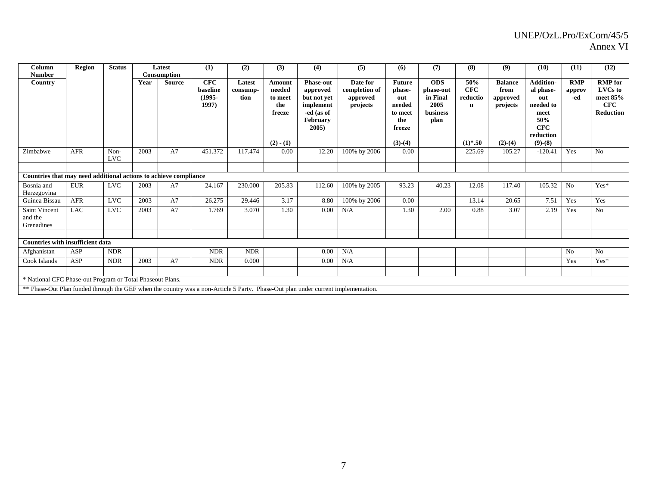| Column<br><b>Number</b>                                                                                                           | <b>Region</b> | <b>Status</b>      |      | Latest<br>Consumption | (1)                                          | (2)                        | (3)                                                 | (4)                                                                                        | (5)                                               | (6)                                                                  | (7)                                                                    | (8)                                          | (9)                                            | (10)                                                                                        | (11)                        | (12)                                                               |
|-----------------------------------------------------------------------------------------------------------------------------------|---------------|--------------------|------|-----------------------|----------------------------------------------|----------------------------|-----------------------------------------------------|--------------------------------------------------------------------------------------------|---------------------------------------------------|----------------------------------------------------------------------|------------------------------------------------------------------------|----------------------------------------------|------------------------------------------------|---------------------------------------------------------------------------------------------|-----------------------------|--------------------------------------------------------------------|
| Country                                                                                                                           |               |                    | Year | Source                | <b>CFC</b><br>baseline<br>$(1995 -$<br>1997) | Latest<br>consump-<br>tion | <b>Amount</b><br>needed<br>to meet<br>the<br>freeze | <b>Phase-out</b><br>approved<br>but not yet<br>implement<br>-ed (as of<br>February<br>2005 | Date for<br>completion of<br>approved<br>projects | <b>Future</b><br>phase-<br>out<br>needed<br>to meet<br>the<br>freeze | <b>ODS</b><br>phase-out<br>in Final<br>2005<br><b>business</b><br>plan | 50%<br><b>CFC</b><br>reductio<br>$\mathbf n$ | <b>Balance</b><br>from<br>approved<br>projects | <b>Addition-</b><br>al phase-<br>out<br>needed to<br>meet<br>50%<br><b>CFC</b><br>reduction | <b>RMP</b><br>approv<br>-ed | <b>RMP</b> for<br>LVCs to<br>meet $85%$<br>CFC<br><b>Reduction</b> |
|                                                                                                                                   |               |                    |      |                       |                                              |                            | $(2) - (1)$                                         |                                                                                            |                                                   | $(3)-(4)$                                                            |                                                                        | $(1)*.50$                                    | $(2)-(4)$                                      | $(9)-(8)$                                                                                   |                             |                                                                    |
| Zimbabwe                                                                                                                          | <b>AFR</b>    | Non-<br><b>LVC</b> | 2003 | A7                    | 451.372                                      | 117.474                    | 0.00                                                | 12.20                                                                                      | 100% by 2006                                      | 0.00                                                                 |                                                                        | 225.69                                       | 105.27                                         | $-120.41$                                                                                   | Yes                         | N <sub>o</sub>                                                     |
|                                                                                                                                   |               |                    |      |                       |                                              |                            |                                                     |                                                                                            |                                                   |                                                                      |                                                                        |                                              |                                                |                                                                                             |                             |                                                                    |
| Countries that may need additional actions to achieve compliance                                                                  |               |                    |      |                       |                                              |                            |                                                     |                                                                                            |                                                   |                                                                      |                                                                        |                                              |                                                |                                                                                             |                             |                                                                    |
| Bosnia and<br>Herzegovina                                                                                                         | <b>EUR</b>    | <b>LVC</b>         | 2003 | A7                    | 24.167                                       | 230.000                    | 205.83                                              | 112.60                                                                                     | 100% by 2005                                      | 93.23                                                                | 40.23                                                                  | 12.08                                        | 117.40                                         | 105.32                                                                                      | N <sub>o</sub>              | $Yes*$                                                             |
| Guinea Bissau                                                                                                                     | <b>AFR</b>    | <b>LVC</b>         | 2003 | A7                    | 26.275                                       | 29.446                     | 3.17                                                | 8.80                                                                                       | 100% by 2006                                      | 0.00                                                                 |                                                                        | 13.14                                        | 20.65                                          | 7.51                                                                                        | Yes                         | Yes                                                                |
| <b>Saint Vincent</b><br>and the<br>Grenadines                                                                                     | <b>LAC</b>    | <b>LVC</b>         | 2003 | A7                    | 1.769                                        | 3.070                      | 1.30                                                | 0.00                                                                                       | N/A                                               | 1.30                                                                 | 2.00                                                                   | 0.88                                         | 3.07                                           | 2.19                                                                                        | Yes                         | N <sub>o</sub>                                                     |
| <b>Countries with insufficient data</b>                                                                                           |               |                    |      |                       |                                              |                            |                                                     |                                                                                            |                                                   |                                                                      |                                                                        |                                              |                                                |                                                                                             |                             |                                                                    |
| Afghanistan                                                                                                                       | ASP           | <b>NDR</b>         |      |                       | <b>NDR</b>                                   | <b>NDR</b>                 |                                                     | 0.00                                                                                       | N/A                                               |                                                                      |                                                                        |                                              |                                                |                                                                                             | N <sub>o</sub>              | N <sub>o</sub>                                                     |
| Cook Islands                                                                                                                      | ASP           | <b>NDR</b>         | 2003 | A7                    | <b>NDR</b>                                   | 0.000                      |                                                     | 0.00                                                                                       | N/A                                               |                                                                      |                                                                        |                                              |                                                |                                                                                             | Yes                         | Yes*                                                               |
| * National CFC Phase-out Program or Total Phaseout Plans.                                                                         |               |                    |      |                       |                                              |                            |                                                     |                                                                                            |                                                   |                                                                      |                                                                        |                                              |                                                |                                                                                             |                             |                                                                    |
| ** Phase-Out Plan funded through the GEF when the country was a non-Article 5 Party. Phase-Out plan under current implementation. |               |                    |      |                       |                                              |                            |                                                     |                                                                                            |                                                   |                                                                      |                                                                        |                                              |                                                |                                                                                             |                             |                                                                    |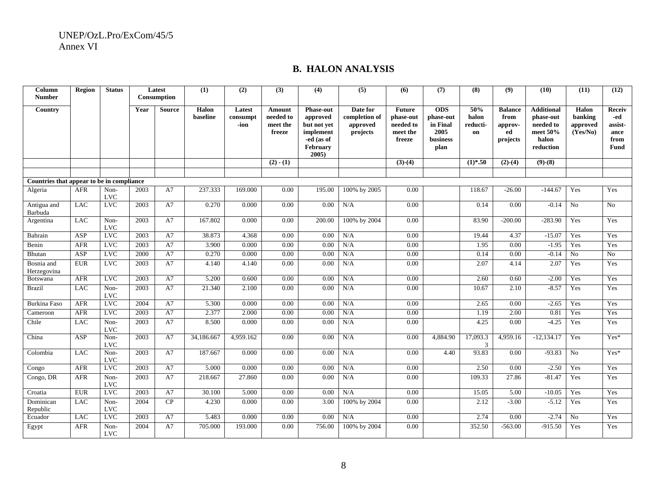#### **B. HALON ANALYSIS**

| Column<br><b>Number</b>                   | <b>Region</b> | <b>Status</b>      |      | Latest<br>Consumption | (1)               | (2)                        | (3)                                       | (4)                                                                                            | (5)                                               | (6)                                                           | (7)                                                             | (8)                            | (9)                                                 | (10)                                                                          | (11)                                     | (12)                                                    |
|-------------------------------------------|---------------|--------------------|------|-----------------------|-------------------|----------------------------|-------------------------------------------|------------------------------------------------------------------------------------------------|---------------------------------------------------|---------------------------------------------------------------|-----------------------------------------------------------------|--------------------------------|-----------------------------------------------------|-------------------------------------------------------------------------------|------------------------------------------|---------------------------------------------------------|
| Country                                   |               |                    | Year | <b>Source</b>         | Halon<br>baseline | Latest<br>consumpt<br>-ion | Amount<br>needed to<br>meet the<br>freeze | <b>Phase-out</b><br>approved<br>but not yet<br>implement<br>-ed (as of<br>February<br>$2005$ ) | Date for<br>completion of<br>approved<br>projects | <b>Future</b><br>phase-out<br>needed to<br>meet the<br>freeze | <b>ODS</b><br>phase-out<br>in Final<br>2005<br>business<br>plan | 50%<br>halon<br>reducti-<br>on | <b>Balance</b><br>from<br>approv-<br>ed<br>projects | <b>Additional</b><br>phase-out<br>needed to<br>meet 50%<br>halon<br>reduction | Halon<br>banking<br>approved<br>(Yes/No) | Receiv<br>-ed<br>assist-<br>ance<br>from<br><b>Fund</b> |
|                                           |               |                    |      |                       |                   |                            | $(2) - (1)$                               |                                                                                                |                                                   | $(3)-(4)$                                                     |                                                                 | $(1)*.50$                      | $(2)-(4)$                                           | $(9)-(8)$                                                                     |                                          |                                                         |
| Countries that appear to be in compliance |               |                    |      |                       |                   |                            |                                           |                                                                                                |                                                   |                                                               |                                                                 |                                |                                                     |                                                                               |                                          |                                                         |
| Algeria                                   | <b>AFR</b>    | Non-<br><b>LVC</b> | 2003 | A7                    | 237.333           | 169.000                    | 0.00                                      | 195.00                                                                                         | 100% by 2005                                      | 0.00                                                          |                                                                 | 118.67                         | $-26.00$                                            | $-144.67$                                                                     | Yes                                      | Yes                                                     |
| Antigua and<br>Barbuda                    | <b>LAC</b>    | <b>LVC</b>         | 2003 | A7                    | 0.270             | 0.000                      | 0.00                                      | 0.00                                                                                           | N/A                                               | 0.00                                                          |                                                                 | 0.14                           | 0.00                                                | $-0.14$                                                                       | N <sub>o</sub>                           | N <sub>0</sub>                                          |
| Argentina                                 | <b>LAC</b>    | Non-<br><b>LVC</b> | 2003 | A7                    | 167.802           | 0.000                      | 0.00                                      | 200.00                                                                                         | 100% by 2004                                      | 0.00                                                          |                                                                 | 83.90                          | $-200.00$                                           | $-283.90$                                                                     | Yes                                      | Yes                                                     |
| Bahrain                                   | ASP           | <b>LVC</b>         | 2003 | A7                    | 38.873            | 4.368                      | 0.00                                      | 0.00                                                                                           | N/A                                               | 0.00                                                          |                                                                 | 19.44                          | 4.37                                                | $-15.07$                                                                      | Yes                                      | Yes                                                     |
| Benin                                     | <b>AFR</b>    | <b>LVC</b>         | 2003 | A7                    | 3.900             | 0.000                      | 0.00                                      | 0.00                                                                                           | N/A                                               | 0.00                                                          |                                                                 | 1.95                           | 0.00                                                | $-1.95$                                                                       | Yes                                      | Yes                                                     |
| <b>Bhutan</b>                             | ASP           | $_{\rm LVC}$       | 2000 | A7                    | 0.270             | 0.000                      | 0.00                                      | 0.00                                                                                           | N/A                                               | 0.00                                                          |                                                                 | 0.14                           | 0.00                                                | $-0.14$                                                                       | No                                       | No                                                      |
| Bosnia and<br>Herzegovina                 | <b>EUR</b>    | <b>LVC</b>         | 2003 | A7                    | 4.140             | 4.140                      | 0.00                                      | 0.00                                                                                           | N/A                                               | 0.00                                                          |                                                                 | 2.07                           | 4.14                                                | 2.07                                                                          | Yes                                      | Yes                                                     |
| <b>Botswana</b>                           | <b>AFR</b>    | LVC                | 2003 | A7                    | 5.200             | 0.600                      | 0.00                                      | 0.00                                                                                           | N/A                                               | 0.00                                                          |                                                                 | 2.60                           | 0.60                                                | $-2.00$                                                                       | Yes                                      | Yes                                                     |
| <b>Brazil</b>                             | <b>LAC</b>    | Non-<br><b>LVC</b> | 2003 | A7                    | 21.340            | 2.100                      | 0.00                                      | 0.00                                                                                           | N/A                                               | 0.00                                                          |                                                                 | 10.67                          | 2.10                                                | $-8.57$                                                                       | Yes                                      | Yes                                                     |
| <b>Burkina Faso</b>                       | <b>AFR</b>    | <b>LVC</b>         | 2004 | A7                    | 5.300             | 0.000                      | 0.00                                      | 0.00                                                                                           | N/A                                               | 0.00                                                          |                                                                 | 2.65                           | 0.00                                                | $-2.65$                                                                       | Yes                                      | Yes                                                     |
| Cameroon                                  | <b>AFR</b>    | <b>LVC</b>         | 2003 | A7                    | 2.377             | 2.000                      | 0.00                                      | 0.00                                                                                           | N/A                                               | 0.00                                                          |                                                                 | 1.19                           | 2.00                                                | 0.81                                                                          | Yes                                      | Yes                                                     |
| Chile                                     | <b>LAC</b>    | Non-<br><b>LVC</b> | 2003 | A7                    | 8.500             | 0.000                      | 0.00                                      | 0.00                                                                                           | N/A                                               | 0.00                                                          |                                                                 | 4.25                           | 0.00                                                | $-4.25$                                                                       | Yes                                      | Yes                                                     |
| China                                     | ASP           | Non-<br><b>LVC</b> | 2003 | A7                    | 34,186.667        | 4,959.162                  | 0.00                                      | 0.00                                                                                           | N/A                                               | 0.00                                                          | 4,884.90                                                        | 17,093.3<br>3                  | 4,959.16                                            | $-12,134.17$                                                                  | Yes                                      | Yes*                                                    |
| Colombia                                  | <b>LAC</b>    | Non-<br><b>LVC</b> | 2003 | A7                    | 187.667           | 0.000                      | 0.00                                      | 0.00                                                                                           | N/A                                               | 0.00                                                          | 4.40                                                            | 93.83                          | 0.00                                                | $-93.83$                                                                      | No                                       | Yes*                                                    |
| Congo                                     | <b>AFR</b>    | <b>LVC</b>         | 2003 | A7                    | 5.000             | 0.000                      | 0.00                                      | 0.00                                                                                           | N/A                                               | 0.00                                                          |                                                                 | 2.50                           | 0.00                                                | $-2.50$                                                                       | Yes                                      | Yes                                                     |
| Congo, DR                                 | <b>AFR</b>    | Non-<br><b>LVC</b> | 2003 | A7                    | 218.667           | 27.860                     | 0.00                                      | 0.00                                                                                           | N/A                                               | 0.00                                                          |                                                                 | 109.33                         | 27.86                                               | $-81.47$                                                                      | Yes                                      | Yes                                                     |
| Croatia                                   | <b>EUR</b>    | <b>LVC</b>         | 2003 | A7                    | 30.100            | 5.000                      | 0.00                                      | 0.00                                                                                           | N/A                                               | 0.00                                                          |                                                                 | 15.05                          | 5.00                                                | $-10.05$                                                                      | Yes                                      | Yes                                                     |
| Dominican<br>Republic                     | <b>LAC</b>    | Non-<br><b>LVC</b> | 2004 | CP                    | 4.230             | 0.000                      | 0.00                                      | 3.00                                                                                           | 100% by 2004                                      | 0.00                                                          |                                                                 | 2.12                           | $-3.00$                                             | $-5.12$                                                                       | Yes                                      | Yes                                                     |
| Ecuador                                   | <b>LAC</b>    | <b>LVC</b>         | 2003 | A7                    | 5.483             | 0.000                      | 0.00                                      | 0.00                                                                                           | N/A                                               | 0.00                                                          |                                                                 | 2.74                           | 0.00                                                | $-2.74$                                                                       | No                                       | Yes                                                     |
| Egypt                                     | <b>AFR</b>    | Non-<br><b>LVC</b> | 2004 | A7                    | 705.000           | 193.000                    | 0.00                                      | 756.00                                                                                         | 100% by 2004                                      | 0.00                                                          |                                                                 | 352.50                         | $-563.00$                                           | $-915.50$                                                                     | Yes                                      | Yes                                                     |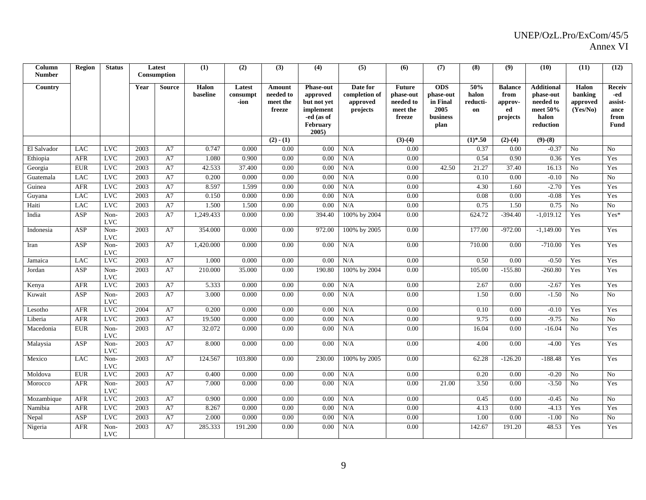| Column<br><b>Number</b> | Region     | <b>Status</b>      |      | Latest<br>Consumption | (1)               | (2)                        | (3)                                       | (4)                                                                                            | (5)                                               | (6)                                                           | (7)                                                             | (8)                            | (9)                                                 | (10)                                                                            | (11)                                     | (12)                                             |
|-------------------------|------------|--------------------|------|-----------------------|-------------------|----------------------------|-------------------------------------------|------------------------------------------------------------------------------------------------|---------------------------------------------------|---------------------------------------------------------------|-----------------------------------------------------------------|--------------------------------|-----------------------------------------------------|---------------------------------------------------------------------------------|------------------------------------------|--------------------------------------------------|
| Country                 |            |                    | Year | <b>Source</b>         | Halon<br>baseline | Latest<br>consumpt<br>-ion | Amount<br>needed to<br>meet the<br>freeze | <b>Phase-out</b><br>approved<br>but not yet<br>implement<br>-ed (as of<br>February<br>$2005$ ) | Date for<br>completion of<br>approved<br>projects | <b>Future</b><br>phase-out<br>needed to<br>meet the<br>freeze | <b>ODS</b><br>phase-out<br>in Final<br>2005<br>business<br>plan | 50%<br>halon<br>reducti-<br>on | <b>Balance</b><br>from<br>approv-<br>ed<br>projects | <b>Additional</b><br>phase-out<br>needed to<br>meet $50%$<br>halon<br>reduction | Halon<br>banking<br>approved<br>(Yes/No) | Receiv<br>-ed<br>assist-<br>ance<br>from<br>Fund |
|                         |            |                    |      |                       |                   |                            | $(2) - (1)$                               |                                                                                                |                                                   | $(3)-(4)$                                                     |                                                                 | $(1)*.50$                      | $(2)-(4)$                                           | $(9)-(8)$                                                                       |                                          |                                                  |
| El Salvador             | LAC        | <b>LVC</b>         | 2003 | A7                    | 0.747             | 0.000                      | 0.00                                      | 0.00                                                                                           | N/A                                               | 0.00                                                          |                                                                 | 0.37                           | 0.00                                                | $-0.37$                                                                         | <b>No</b>                                | No                                               |
| Ethiopia                | <b>AFR</b> | <b>LVC</b>         | 2003 | A7                    | 1.080             | 0.900                      | 0.00                                      | 0.00                                                                                           | N/A                                               | 0.00                                                          |                                                                 | 0.54                           | 0.90                                                | 0.36                                                                            | Yes                                      | Yes                                              |
| Georgia                 | <b>EUR</b> | <b>LVC</b>         | 2003 | A7                    | 42.533            | 37.400                     | 0.00                                      | 0.00                                                                                           | N/A                                               | 0.00                                                          | 42.50                                                           | 21.27                          | 37.40                                               | 16.13                                                                           | No                                       | Yes                                              |
| Guatemala               | <b>LAC</b> | <b>LVC</b>         | 2003 | A7                    | 0.200             | 0.000                      | 0.00                                      | 0.00                                                                                           | N/A                                               | 0.00                                                          |                                                                 | 0.10                           | 0.00                                                | $-0.10$                                                                         | $\overline{No}$                          | No                                               |
| Guinea                  | <b>AFR</b> | <b>LVC</b>         | 2003 | A7                    | 8.597             | 1.599                      | 0.00                                      | 0.00                                                                                           | N/A                                               | 0.00                                                          |                                                                 | 4.30                           | 1.60                                                | $-2.70$                                                                         | Yes                                      | Yes                                              |
| Guyana                  | LAC        | LVC                | 2003 | A7                    | 0.150             | 0.000                      | 0.00                                      | 0.00                                                                                           | N/A                                               | 0.00                                                          |                                                                 | 0.08                           | 0.00                                                | $-0.08$                                                                         | Yes                                      | Yes                                              |
| Haiti                   | LAC        | <b>LVC</b>         | 2003 | A7                    | 1.500             | 1.500                      | 0.00                                      | 0.00                                                                                           | N/A                                               | 0.00                                                          |                                                                 | 0.75                           | 1.50                                                | 0.75                                                                            | No                                       | N <sub>0</sub>                                   |
| India                   | ASP        | Non-<br><b>LVC</b> | 2003 | A7                    | 1,249.433         | 0.000                      | 0.00                                      | 394.40                                                                                         | 100% by 2004                                      | 0.00                                                          |                                                                 | 624.72                         | $-394.40$                                           | $-1,019.12$                                                                     | Yes                                      | $Yes*$                                           |
| Indonesia               | ASP        | Non-<br><b>LVC</b> | 2003 | A7                    | 354.000           | 0.000                      | 0.00                                      | 972.00                                                                                         | 100% by 2005                                      | 0.00                                                          |                                                                 | 177.00                         | $-972.00$                                           | $-1,149.00$                                                                     | Yes                                      | Yes                                              |
| Iran                    | ASP        | Non-<br><b>LVC</b> | 2003 | A7                    | 1,420.000         | 0.000                      | 0.00                                      | 0.00                                                                                           | N/A                                               | 0.00                                                          |                                                                 | 710.00                         | 0.00                                                | $-710.00$                                                                       | Yes                                      | Yes                                              |
| Jamaica                 | <b>LAC</b> | <b>LVC</b>         | 2003 | A7                    | 1.000             | 0.000                      | 0.00                                      | 0.00                                                                                           | N/A                                               | 0.00                                                          |                                                                 | 0.50                           | 0.00                                                | $-0.50$                                                                         | Yes                                      | Yes                                              |
| Jordan                  | ASP        | Non-<br><b>LVC</b> | 2003 | A7                    | 210.000           | 35.000                     | 0.00                                      | 190.80                                                                                         | 100% by 2004                                      | 0.00                                                          |                                                                 | 105.00                         | $-155.80$                                           | $-260.80$                                                                       | Yes                                      | Yes                                              |
| Kenya                   | <b>AFR</b> | <b>LVC</b>         | 2003 | A7                    | 5.333             | 0.000                      | 0.00                                      | 0.00                                                                                           | N/A                                               | 0.00                                                          |                                                                 | 2.67                           | 0.00                                                | $-2.67$                                                                         | Yes                                      | Yes                                              |
| Kuwait                  | ASP        | Non-<br><b>LVC</b> | 2003 | A7                    | 3.000             | 0.000                      | 0.00                                      | 0.00                                                                                           | N/A                                               | 0.00                                                          |                                                                 | 1.50                           | 0.00                                                | $-1.50$                                                                         | No                                       | No                                               |
| Lesotho                 | <b>AFR</b> | <b>LVC</b>         | 2004 | A7                    | 0.200             | 0.000                      | 0.00                                      | 0.00                                                                                           | N/A                                               | 0.00                                                          |                                                                 | 0.10                           | 0.00                                                | $-0.10$                                                                         | Yes                                      | Yes                                              |
| Liberia                 | <b>AFR</b> | <b>LVC</b>         | 2003 | A7                    | 19.500            | 0.000                      | 0.00                                      | 0.00                                                                                           | N/A                                               | 0.00                                                          |                                                                 | 9.75                           | 0.00                                                | $-9.75$                                                                         | No                                       | No                                               |
| Macedonia               | <b>EUR</b> | Non-<br><b>LVC</b> | 2003 | A7                    | 32.072            | 0.000                      | 0.00                                      | 0.00                                                                                           | N/A                                               | 0.00                                                          |                                                                 | 16.04                          | 0.00                                                | $-16.04$                                                                        | No                                       | Yes                                              |
| Malaysia                | ASP        | Non-<br><b>LVC</b> | 2003 | A7                    | 8.000             | 0.000                      | 0.00                                      | 0.00                                                                                           | N/A                                               | 0.00                                                          |                                                                 | 4.00                           | 0.00                                                | $-4.00$                                                                         | Yes                                      | Yes                                              |
| Mexico                  | <b>LAC</b> | Non-<br><b>LVC</b> | 2003 | A7                    | 124.567           | 103.800                    | 0.00                                      | 230.00                                                                                         | 100% by 2005                                      | 0.00                                                          |                                                                 | 62.28                          | $-126.20$                                           | $-188.48$                                                                       | Yes                                      | Yes                                              |
| Moldova                 | <b>EUR</b> | <b>LVC</b>         | 2003 | A7                    | 0.400             | 0.000                      | 0.00                                      | 0.00                                                                                           | N/A                                               | 0.00                                                          |                                                                 | 0.20                           | 0.00                                                | $-0.20$                                                                         | No                                       | N <sub>0</sub>                                   |
| Morocco                 | <b>AFR</b> | Non-<br><b>LVC</b> | 2003 | A7                    | 7.000             | 0.000                      | 0.00                                      | 0.00                                                                                           | N/A                                               | 0.00                                                          | 21.00                                                           | 3.50                           | 0.00                                                | $-3.50$                                                                         | No                                       | Yes                                              |
| Mozambique              | <b>AFR</b> | <b>LVC</b>         | 2003 | A7                    | 0.900             | 0.000                      | 0.00                                      | 0.00                                                                                           | N/A                                               | 0.00                                                          |                                                                 | 0.45                           | 0.00                                                | $-0.45$                                                                         | No                                       | N <sub>0</sub>                                   |
| Namibia                 | <b>AFR</b> | <b>LVC</b>         | 2003 | A7                    | 8.267             | 0.000                      | 0.00                                      | 0.00                                                                                           | N/A                                               | 0.00                                                          |                                                                 | 4.13                           | 0.00                                                | $-4.13$                                                                         | Yes                                      | Yes                                              |
| Nepal                   | ASP        | <b>LVC</b>         | 2003 | A7                    | 2.000             | 0.000                      | 0.00                                      | 0.00                                                                                           | N/A                                               | 0.00                                                          |                                                                 | 1.00                           | 0.00                                                | $-1.00$                                                                         | No                                       | No                                               |
| Nigeria                 | <b>AFR</b> | Non-<br><b>LVC</b> | 2003 | A7                    | 285.333           | 191.200                    | 0.00                                      | 0.00                                                                                           | N/A                                               | 0.00                                                          |                                                                 | 142.67                         | 191.20                                              | 48.53                                                                           | Yes                                      | Yes                                              |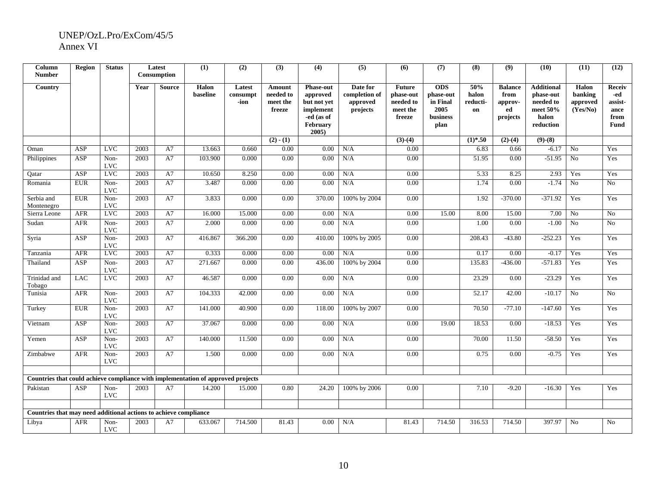| Column<br><b>Number</b>                                                          | <b>Region</b> | <b>Status</b>      |      | Latest<br>Consumption | (1)               | (2)                        | (3)                                       | (4)                                                                                                   | (5)                                               | (6)                                                           | (7)                                                             | (8)                            | (9)                                                 | (10)                                                                          | (11)                                     | (12)                                                           |
|----------------------------------------------------------------------------------|---------------|--------------------|------|-----------------------|-------------------|----------------------------|-------------------------------------------|-------------------------------------------------------------------------------------------------------|---------------------------------------------------|---------------------------------------------------------------|-----------------------------------------------------------------|--------------------------------|-----------------------------------------------------|-------------------------------------------------------------------------------|------------------------------------------|----------------------------------------------------------------|
| Country                                                                          |               |                    | Year | <b>Source</b>         | Halon<br>baseline | Latest<br>consumpt<br>-ion | Amount<br>needed to<br>meet the<br>freeze | <b>Phase-out</b><br>approved<br>but not yet<br>implement<br>-ed (as of<br><b>February</b><br>$2005$ ) | Date for<br>completion of<br>approved<br>projects | <b>Future</b><br>phase-out<br>needed to<br>meet the<br>freeze | <b>ODS</b><br>phase-out<br>in Final<br>2005<br>business<br>plan | 50%<br>halon<br>reducti-<br>on | <b>Balance</b><br>from<br>approv-<br>ed<br>projects | <b>Additional</b><br>phase-out<br>needed to<br>meet 50%<br>halon<br>reduction | Halon<br>banking<br>approved<br>(Yes/No) | <b>Receiv</b><br>-ed<br>assist-<br>ance<br>from<br><b>Fund</b> |
|                                                                                  |               |                    |      |                       |                   |                            | $(2) - (1)$                               |                                                                                                       |                                                   | $(3)-(4)$                                                     |                                                                 | $(1)*.50$                      | $(2)-(4)$                                           | $(9)-(8)$                                                                     |                                          |                                                                |
| Oman                                                                             | <b>ASP</b>    | <b>LVC</b>         | 2003 | A7                    | 13.663            | 0.660                      | 0.00                                      | 0.00                                                                                                  | N/A                                               | 0.00                                                          |                                                                 | 6.83                           | 0.66                                                | $-6.17$                                                                       | No                                       | Yes                                                            |
| Philippines                                                                      | ASP           | Non-<br><b>LVC</b> | 2003 | A7                    | 103.900           | 0.000                      | 0.00                                      | 0.00                                                                                                  | N/A                                               | 0.00                                                          |                                                                 | 51.95                          | 0.00                                                | $-51.95$                                                                      | No                                       | Yes                                                            |
| Qatar                                                                            | <b>ASP</b>    | <b>LVC</b>         | 2003 | A7                    | 10.650            | 8.250                      | 0.00                                      | 0.00                                                                                                  | N/A                                               | 0.00                                                          |                                                                 | 5.33                           | 8.25                                                | 2.93                                                                          | Yes                                      | Yes                                                            |
| Romania                                                                          | <b>EUR</b>    | Non-<br><b>LVC</b> | 2003 | A7                    | 3.487             | 0.000                      | 0.00                                      | 0.00                                                                                                  | N/A                                               | 0.00                                                          |                                                                 | 1.74                           | 0.00                                                | $-1.74$                                                                       | No                                       | N <sub>o</sub>                                                 |
| Serbia and<br>Montenegro                                                         | <b>EUR</b>    | Non-<br><b>LVC</b> | 2003 | A7                    | 3.833             | 0.000                      | 0.00                                      | 370.00                                                                                                | 100% by 2004                                      | 0.00                                                          |                                                                 | 1.92                           | $-370.00$                                           | $-371.92$                                                                     | Yes                                      | Yes                                                            |
| Sierra Leone                                                                     | <b>AFR</b>    | <b>LVC</b>         | 2003 | A7                    | 16.000            | 15.000                     | 0.00                                      | 0.00                                                                                                  | N/A                                               | 0.00                                                          | 15.00                                                           | 8.00                           | 15.00                                               | 7.00                                                                          | No                                       | N <sub>0</sub>                                                 |
| Sudan                                                                            | <b>AFR</b>    | Non-<br><b>LVC</b> | 2003 | A7                    | 2.000             | 0.000                      | 0.00                                      | 0.00                                                                                                  | N/A                                               | 0.00                                                          |                                                                 | 1.00                           | 0.00                                                | $-1.00$                                                                       | No                                       | No                                                             |
| Syria                                                                            | ASP           | Non-<br><b>LVC</b> | 2003 | A7                    | 416.867           | 366.200                    | $0.00\,$                                  | 410.00                                                                                                | 100% by 2005                                      | 0.00                                                          |                                                                 | 208.43                         | $-43.80$                                            | $-252.23$                                                                     | Yes                                      | Yes                                                            |
| Tanzania                                                                         | <b>AFR</b>    | LVC                | 2003 | A7                    | 0.333             | 0.000                      | 0.00                                      | 0.00                                                                                                  | N/A                                               | 0.00                                                          |                                                                 | 0.17                           | 0.00                                                | $-0.17$                                                                       | Yes                                      | Yes                                                            |
| Thailand                                                                         | <b>ASP</b>    | Non-<br><b>LVC</b> | 2003 | A7                    | 271.667           | 0.000                      | 0.00                                      | 436.00                                                                                                | 100% by 2004                                      | 0.00                                                          |                                                                 | 135.83                         | $-436.00$                                           | $-571.83$                                                                     | Yes                                      | Yes                                                            |
| Trinidad and<br>Tobago                                                           | <b>LAC</b>    | <b>LVC</b>         | 2003 | A7                    | 46.587            | 0.000                      | 0.00                                      | 0.00                                                                                                  | N/A                                               | 0.00                                                          |                                                                 | 23.29                          | 0.00                                                | $-23.29$                                                                      | Yes                                      | Yes                                                            |
| Tunisia                                                                          | <b>AFR</b>    | Non-<br><b>LVC</b> | 2003 | A7                    | 104.333           | 42.000                     | 0.00                                      | 0.00                                                                                                  | N/A                                               | 0.00                                                          |                                                                 | 52.17                          | 42.00                                               | $-10.17$                                                                      | N <sub>o</sub>                           | No                                                             |
| Turkey                                                                           | <b>EUR</b>    | Non-<br><b>LVC</b> | 2003 | A7                    | 141.000           | 40.900                     | 0.00                                      | 118.00                                                                                                | 100% by 2007                                      | 0.00                                                          |                                                                 | 70.50                          | $-77.10$                                            | $-147.60$                                                                     | Yes                                      | Yes                                                            |
| Vietnam                                                                          | ASP           | Non-<br><b>LVC</b> | 2003 | A7                    | 37.067            | 0.000                      | 0.00                                      | 0.00                                                                                                  | N/A                                               | 0.00                                                          | 19.00                                                           | 18.53                          | 0.00                                                | $-18.53$                                                                      | Yes                                      | Yes                                                            |
| Yemen                                                                            | ASP           | Non-<br><b>LVC</b> | 2003 | A7                    | 140.000           | 11.500                     | 0.00                                      | 0.00                                                                                                  | N/A                                               | 0.00                                                          |                                                                 | 70.00                          | 11.50                                               | $-58.50$                                                                      | Yes                                      | Yes                                                            |
| Zimbabwe                                                                         | AFR           | Non-<br><b>LVC</b> | 2003 | A7                    | 1.500             | 0.000                      | 0.00                                      | 0.00                                                                                                  | N/A                                               | 0.00                                                          |                                                                 | 0.75                           | 0.00                                                | $-0.75$                                                                       | Yes                                      | Yes                                                            |
| Countries that could achieve compliance with implementation of approved projects |               |                    |      |                       |                   |                            |                                           |                                                                                                       |                                                   |                                                               |                                                                 |                                |                                                     |                                                                               |                                          |                                                                |
| Pakistan                                                                         | <b>ASP</b>    | Non-<br><b>LVC</b> | 2003 | A7                    | 14.200            | 15.000                     | 0.80                                      | 24.20                                                                                                 | 100% by 2006                                      | 0.00                                                          |                                                                 | 7.10                           | $-9.20$                                             | $-16.30$                                                                      | Yes                                      | Yes                                                            |
|                                                                                  |               |                    |      |                       |                   |                            |                                           |                                                                                                       |                                                   |                                                               |                                                                 |                                |                                                     |                                                                               |                                          |                                                                |
| Countries that may need additional actions to achieve compliance                 |               |                    |      |                       |                   |                            |                                           |                                                                                                       |                                                   |                                                               |                                                                 |                                |                                                     |                                                                               |                                          |                                                                |
| Libya                                                                            | <b>AFR</b>    | Non-<br><b>LVC</b> | 2003 | A7                    | 633.067           | 714.500                    | 81.43                                     | 0.00                                                                                                  | N/A                                               | 81.43                                                         | 714.50                                                          | 316.53                         | 714.50                                              | 397.97                                                                        | N <sub>0</sub>                           | No                                                             |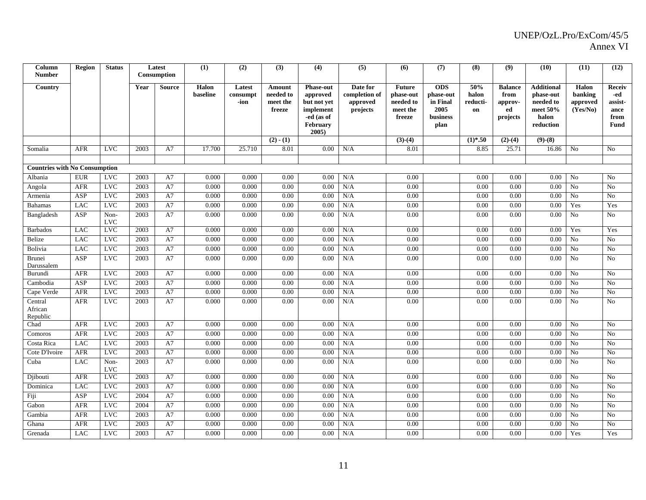| Column<br><b>Number</b>              | Region     | <b>Status</b>      |      | Latest<br>Consumption | (1)               | (2)                        | (3)                                       | (4)                                                                                        | (5)                                               | (6)                                                           | (7)                                                             | (8)                            | (9)                                                 | (10)                                                                             | (11)                                     | (12)                                                    |
|--------------------------------------|------------|--------------------|------|-----------------------|-------------------|----------------------------|-------------------------------------------|--------------------------------------------------------------------------------------------|---------------------------------------------------|---------------------------------------------------------------|-----------------------------------------------------------------|--------------------------------|-----------------------------------------------------|----------------------------------------------------------------------------------|------------------------------------------|---------------------------------------------------------|
| Country                              |            |                    | Year | <b>Source</b>         | Halon<br>baseline | Latest<br>consumpt<br>-ion | Amount<br>needed to<br>meet the<br>freeze | <b>Phase-out</b><br>approved<br>but not yet<br>implement<br>-ed (as of<br>February<br>2005 | Date for<br>completion of<br>approved<br>projects | <b>Future</b><br>phase-out<br>needed to<br>meet the<br>freeze | <b>ODS</b><br>phase-out<br>in Final<br>2005<br>business<br>plan | 50%<br>halon<br>reducti-<br>on | <b>Balance</b><br>from<br>approv-<br>ed<br>projects | <b>Additional</b><br>phase-out<br>needed to<br>meet $50\%$<br>halon<br>reduction | Halon<br>banking<br>approved<br>(Yes/No) | Receiv<br>-ed<br>assist-<br>ance<br>from<br><b>Fund</b> |
|                                      |            |                    |      |                       |                   |                            | $(2) - (1)$                               |                                                                                            |                                                   | $(3)-(4)$                                                     |                                                                 | $(1)*.50$                      | $(2)-(4)$                                           | $(9)$ - $(8)$                                                                    |                                          |                                                         |
| Somalia                              | <b>AFR</b> | <b>LVC</b>         | 2003 | A7                    | 17.700            | 25.710                     | 8.01                                      | 0.00                                                                                       | N/A                                               | 8.01                                                          |                                                                 | 8.85                           | 25.71                                               | 16.86                                                                            | N <sub>0</sub>                           | N <sub>0</sub>                                          |
|                                      |            |                    |      |                       |                   |                            |                                           |                                                                                            |                                                   |                                                               |                                                                 |                                |                                                     |                                                                                  |                                          |                                                         |
| <b>Countries with No Consumption</b> |            |                    |      |                       |                   |                            |                                           |                                                                                            |                                                   |                                                               |                                                                 |                                |                                                     |                                                                                  |                                          |                                                         |
| Albania                              | <b>EUR</b> | <b>LVC</b>         | 2003 | A7                    | 0.000             | 0.000                      | 0.00                                      | 0.00                                                                                       | N/A                                               | 0.00                                                          |                                                                 | 0.00                           | 0.00                                                | 0.00                                                                             | No                                       | N <sub>0</sub>                                          |
| Angola                               | <b>AFR</b> | <b>LVC</b>         | 2003 | A7                    | 0.000             | 0.000                      | 0.00                                      | 0.00                                                                                       | N/A                                               | 0.00                                                          |                                                                 | 0.00                           | 0.00                                                | 0.00                                                                             | No                                       | N <sub>0</sub>                                          |
| Armenia                              | ASP        | <b>LVC</b>         | 2003 | A7                    | 0.000             | 0.000                      | 0.00                                      | 0.00                                                                                       | N/A                                               | 0.00                                                          |                                                                 | 0.00                           | 0.00                                                | 0.00                                                                             | No                                       | N <sub>o</sub>                                          |
| <b>Bahamas</b>                       | <b>LAC</b> | <b>LVC</b>         | 2003 | A7                    | 0.000             | 0.000                      | 0.00                                      | 0.00                                                                                       | N/A                                               | 0.00                                                          |                                                                 | 0.00                           | 0.00                                                | 0.00                                                                             | Yes                                      | Yes                                                     |
| Bangladesh                           | ASP        | Non-<br><b>LVC</b> | 2003 | A7                    | 0.000             | 0.000                      | 0.00                                      | 0.00                                                                                       | N/A                                               | 0.00                                                          |                                                                 | 0.00                           | 0.00                                                | $0.00\,$                                                                         | No                                       | No                                                      |
| <b>Barbados</b>                      | <b>LAC</b> | <b>LVC</b>         | 2003 | A7                    | 0.000             | 0.000                      | 0.00                                      | 0.00                                                                                       | N/A                                               | 0.00                                                          |                                                                 | 0.00                           | 0.00                                                | 0.00                                                                             | Yes                                      | Yes                                                     |
| Belize                               | <b>LAC</b> | LVC                | 2003 | A7                    | 0.000             | 0.000                      | 0.00                                      | 0.00                                                                                       | N/A                                               | 0.00                                                          |                                                                 | 0.00                           | 0.00                                                | 0.00                                                                             | No                                       | No                                                      |
| Bolivia                              | <b>LAC</b> | <b>LVC</b>         | 2003 | A7                    | 0.000             | 0.000                      | 0.00                                      | 0.00                                                                                       | N/A                                               | 0.00                                                          |                                                                 | 0.00                           | 0.00                                                | $0.00\,$                                                                         | N <sub>o</sub>                           | No                                                      |
| Brunei<br>Darussalem                 | <b>ASP</b> | <b>LVC</b>         | 2003 | A7                    | 0.000             | 0.000                      | 0.00                                      | 0.00                                                                                       | N/A                                               | 0.00                                                          |                                                                 | 0.00                           | 0.00                                                | 0.00                                                                             | No                                       | N <sub>0</sub>                                          |
| Burundi                              | AFR        | <b>LVC</b>         | 2003 | A7                    | 0.000             | 0.000                      | 0.00                                      | 0.00                                                                                       | N/A                                               | 0.00                                                          |                                                                 | 0.00                           | 0.00                                                | 0.00                                                                             | No                                       | No                                                      |
| Cambodia                             | ASP        | <b>LVC</b>         | 2003 | A7                    | 0.000             | 0.000                      | 0.00                                      | 0.00                                                                                       | N/A                                               | 0.00                                                          |                                                                 | 0.00                           | 0.00                                                | $0.00\,$                                                                         | No                                       | No                                                      |
| Cape Verde                           | <b>AFR</b> | <b>LVC</b>         | 2003 | A7                    | 0.000             | 0.000                      | 0.00                                      | 0.00                                                                                       | N/A                                               | 0.00                                                          |                                                                 | 0.00                           | 0.00                                                | 0.00                                                                             | No                                       | No                                                      |
| Central<br>African<br>Republic       | AFR        | <b>LVC</b>         | 2003 | A7                    | 0.000             | 0.000                      | 0.00                                      | 0.00                                                                                       | N/A                                               | 0.00                                                          |                                                                 | 0.00                           | 0.00                                                | 0.00                                                                             | No                                       | N <sub>0</sub>                                          |
| Chad                                 | <b>AFR</b> | <b>LVC</b>         | 2003 | A7                    | 0.000             | 0.000                      | 0.00                                      | 0.00                                                                                       | N/A                                               | 0.00                                                          |                                                                 | 0.00                           | 0.00                                                | 0.00                                                                             | N <sub>o</sub>                           | No                                                      |
| Comoros                              | <b>AFR</b> | <b>LVC</b>         | 2003 | A7                    | 0.000             | 0.000                      | 0.00                                      | 0.00                                                                                       | N/A                                               | 0.00                                                          |                                                                 | 0.00                           | 0.00                                                | 0.00                                                                             | N <sub>o</sub>                           | N <sub>o</sub>                                          |
| Costa Rica                           | <b>LAC</b> | <b>LVC</b>         | 2003 | A7                    | 0.000             | 0.000                      | 0.00                                      | 0.00                                                                                       | N/A                                               | 0.00                                                          |                                                                 | 0.00                           | 0.00                                                | 0.00                                                                             | N <sub>0</sub>                           | N <sub>0</sub>                                          |
| Cote D'Ivoire                        | AFR        | <b>LVC</b>         | 2003 | A7                    | 0.000             | 0.000                      | 0.00                                      | 0.00                                                                                       | N/A                                               | 0.00                                                          |                                                                 | 0.00                           | 0.00                                                | 0.00                                                                             | No                                       | No                                                      |
| Cuba                                 | <b>LAC</b> | Non-<br><b>LVC</b> | 2003 | A7                    | 0.000             | 0.000                      | 0.00                                      | 0.00                                                                                       | N/A                                               | 0.00                                                          |                                                                 | 0.00                           | 0.00                                                | 0.00                                                                             | N <sub>o</sub>                           | N <sub>0</sub>                                          |
| Djibouti                             | <b>AFR</b> | <b>LVC</b>         | 2003 | A7                    | 0.000             | 0.000                      | 0.00                                      | 0.00                                                                                       | N/A                                               | 0.00                                                          |                                                                 | 0.00                           | 0.00                                                | 0.00                                                                             | No                                       | N <sub>0</sub>                                          |
| Dominica                             | LAC        | <b>LVC</b>         | 2003 | A7                    | 0.000             | 0.000                      | 0.00                                      | 0.00                                                                                       | N/A                                               | 0.00                                                          |                                                                 | 0.00                           | 0.00                                                | 0.00                                                                             | No                                       | No                                                      |
| Fiji                                 | ASP        | <b>LVC</b>         | 2004 | A7                    | 0.000             | 0.000                      | 0.00                                      | 0.00                                                                                       | N/A                                               | 0.00                                                          |                                                                 | 0.00                           | 0.00                                                | 0.00                                                                             | N <sub>o</sub>                           | No                                                      |
| Gabon                                | <b>AFR</b> | <b>LVC</b>         | 2004 | A7                    | 0.000             | 0.000                      | 0.00                                      | 0.00                                                                                       | N/A                                               | 0.00                                                          |                                                                 | 0.00                           | 0.00                                                | $0.00\,$                                                                         | N <sub>o</sub>                           | No                                                      |
| Gambia                               | <b>AFR</b> | <b>LVC</b>         | 2003 | A7                    | 0.000             | 0.000                      | 0.00                                      | 0.00                                                                                       | N/A                                               | 0.00                                                          |                                                                 | 0.00                           | 0.00                                                | 0.00                                                                             | N <sub>o</sub>                           | No                                                      |
| Ghana                                | AFR        | <b>LVC</b>         | 2003 | A7                    | 0.000             | 0.000                      | 0.00                                      | 0.00                                                                                       | N/A                                               | 0.00                                                          |                                                                 | 0.00                           | 0.00                                                | 0.00                                                                             | N <sub>o</sub>                           | N <sub>0</sub>                                          |
| Grenada                              | LAC        | <b>LVC</b>         | 2003 | A7                    | 0.000             | 0.000                      | 0.00                                      | 0.00                                                                                       | N/A                                               | 0.00                                                          |                                                                 | 0.00                           | 0.00                                                | 0.00                                                                             | Yes                                      | Yes                                                     |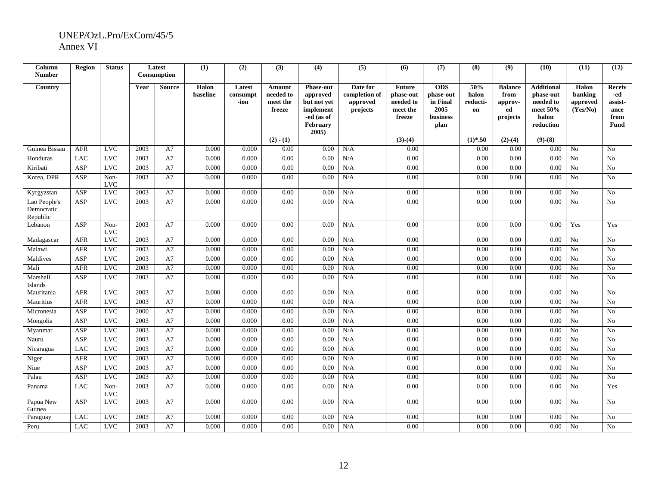| Column<br><b>Number</b>                | <b>Region</b>    | <b>Status</b>      |      | Latest<br>Consumption | (1)               | (2)                        | (3)                                              | (4)                                                                                               | (5)                                               | (6)                                                           | (7)                                                             | (8)                            | (9)                                                 | (10)                                                                          | (11)                                     | (12)                                                           |
|----------------------------------------|------------------|--------------------|------|-----------------------|-------------------|----------------------------|--------------------------------------------------|---------------------------------------------------------------------------------------------------|---------------------------------------------------|---------------------------------------------------------------|-----------------------------------------------------------------|--------------------------------|-----------------------------------------------------|-------------------------------------------------------------------------------|------------------------------------------|----------------------------------------------------------------|
| Country                                |                  |                    | Year | Source                | Halon<br>baseline | Latest<br>consumpt<br>-ion | <b>Amount</b><br>needed to<br>meet the<br>freeze | <b>Phase-out</b><br>approved<br>but not yet<br>implement<br>-ed (as of<br><b>February</b><br>2005 | Date for<br>completion of<br>approved<br>projects | <b>Future</b><br>phase-out<br>needed to<br>meet the<br>freeze | <b>ODS</b><br>phase-out<br>in Final<br>2005<br>business<br>plan | 50%<br>halon<br>reducti-<br>on | <b>Balance</b><br>from<br>approv-<br>ed<br>projects | <b>Additional</b><br>phase-out<br>needed to<br>meet 50%<br>halon<br>reduction | Halon<br>banking<br>approved<br>(Yes/No) | <b>Receiv</b><br>-ed<br>assist-<br>ance<br>from<br><b>Fund</b> |
|                                        |                  |                    |      |                       |                   |                            | $(2) - (1)$                                      |                                                                                                   |                                                   | $(3)-(4)$                                                     |                                                                 | $(1)*.50$                      | $(2)-(4)$                                           | $(9)-(8)$                                                                     |                                          |                                                                |
| Guinea Bissau                          | <b>AFR</b>       | <b>LVC</b>         | 2003 | A7                    | 0.000             | 0.000                      | 0.00                                             | 0.00                                                                                              | N/A                                               | 0.00                                                          |                                                                 | 0.00                           | 0.00                                                | 0.00                                                                          | No                                       | No                                                             |
| Honduras                               | LAC              | <b>LVC</b>         | 2003 | A7                    | 0.000             | 0.000                      | 0.00                                             | 0.00                                                                                              | N/A                                               | 0.00                                                          |                                                                 | 0.00                           | 0.00                                                | 0.00                                                                          | No                                       | N <sub>0</sub>                                                 |
| Kiribati                               | ASP              | <b>LVC</b>         | 2003 | A7                    | 0.000             | 0.000                      | 0.00                                             | 0.00                                                                                              | N/A                                               | 0.00                                                          |                                                                 | 0.00                           | 0.00                                                | 0.00                                                                          | N <sub>o</sub>                           | N <sub>0</sub>                                                 |
| Korea, DPR                             | <b>ASP</b>       | Non-<br><b>LVC</b> | 2003 | A7                    | 0.000             | 0.000                      | 0.00                                             | 0.00                                                                                              | N/A                                               | 0.00                                                          |                                                                 | 0.00                           | 0.00                                                | 0.00                                                                          | N <sub>o</sub>                           | N <sub>0</sub>                                                 |
| Kyrgyzstan                             | ASP              | <b>LVC</b>         | 2003 | A7                    | 0.000             | 0.000                      | 0.00                                             | 0.00                                                                                              | N/A                                               | 0.00                                                          |                                                                 | 0.00                           | 0.00                                                | 0.00                                                                          | No                                       | No                                                             |
| Lao People's<br>Democratic<br>Republic | <b>ASP</b>       | <b>LVC</b>         | 2003 | A7                    | 0.000             | 0.000                      | 0.00                                             | 0.00                                                                                              | N/A                                               | 0.00                                                          |                                                                 | 0.00                           | 0.00                                                | 0.00                                                                          | No                                       | N <sub>0</sub>                                                 |
| Lebanon                                | <b>ASP</b>       | Non-<br><b>LVC</b> | 2003 | A7                    | 0.000             | 0.000                      | 0.00                                             | 0.00                                                                                              | N/A                                               | 0.00                                                          |                                                                 | 0.00                           | 0.00                                                | 0.00                                                                          | Yes                                      | Yes                                                            |
| Madagascar                             | <b>AFR</b>       | $_{\rm LVC}$       | 2003 | A7                    | 0.000             | 0.000                      | 0.00                                             | 0.00                                                                                              | N/A                                               | 0.00                                                          |                                                                 | 0.00                           | 0.00                                                | 0.00                                                                          | No                                       | N <sub>0</sub>                                                 |
| Malawi                                 | <b>AFR</b>       | <b>LVC</b>         | 2003 | A7                    | 0.000             | 0.000                      | 0.00                                             | 0.00                                                                                              | N/A                                               | 0.00                                                          |                                                                 | 0.00                           | 0.00                                                | 0.00                                                                          | $\overline{No}$                          | N <sub>o</sub>                                                 |
| Maldives                               | ASP              | <b>LVC</b>         | 2003 | A7                    | 0.000             | 0.000                      | 0.00                                             | 0.00                                                                                              | N/A                                               | 0.00                                                          |                                                                 | 0.00                           | 0.00                                                | 0.00                                                                          | No                                       | N <sub>0</sub>                                                 |
| Mali                                   | <b>AFR</b>       | <b>LVC</b>         | 2003 | A7                    | 0.000             | 0.000                      | 0.00                                             | 0.00                                                                                              | N/A                                               | 0.00                                                          |                                                                 | 0.00                           | 0.00                                                | 0.00                                                                          | No                                       | No                                                             |
| Marshall<br>Islands                    | <b>ASP</b>       | <b>LVC</b>         | 2003 | A7                    | 0.000             | 0.000                      | 0.00                                             | 0.00                                                                                              | N/A                                               | 0.00                                                          |                                                                 | 0.00                           | 0.00                                                | $0.00\,$                                                                      | No                                       | N <sub>o</sub>                                                 |
| Mauritania                             | <b>AFR</b>       | <b>LVC</b>         | 2003 | A7                    | 0.000             | 0.000                      | 0.00                                             | 0.00                                                                                              | N/A                                               | 0.00                                                          |                                                                 | 0.00                           | 0.00                                                | 0.00                                                                          | No                                       | N <sub>0</sub>                                                 |
| Mauritius                              | <b>AFR</b>       | <b>LVC</b>         | 2003 | A7                    | 0.000             | 0.000                      | 0.00                                             | 0.00                                                                                              | N/A                                               | 0.00                                                          |                                                                 | 0.00                           | 0.00                                                | 0.00                                                                          | N <sub>o</sub>                           | N <sub>0</sub>                                                 |
| Micronesia                             | <b>ASP</b>       | <b>LVC</b>         | 2000 | A7                    | 0.000             | 0.000                      | 0.00                                             | 0.00                                                                                              | N/A                                               | 0.00                                                          |                                                                 | 0.00                           | 0.00                                                | 0.00                                                                          | No                                       | No                                                             |
| Mongolia                               | <b>ASP</b>       | <b>LVC</b>         | 2003 | A7                    | 0.000             | 0.000                      | 0.00                                             | 0.00                                                                                              | N/A                                               | 0.00                                                          |                                                                 | 0.00                           | 0.00                                                | 0.00                                                                          | N <sub>0</sub>                           | N <sub>0</sub>                                                 |
| Myanmar                                | <b>ASP</b>       | $_{\rm LVC}$       | 2003 | A7                    | 0.000             | 0.000                      | 0.00                                             | 0.00                                                                                              | N/A                                               | 0.00                                                          |                                                                 | 0.00                           | 0.00                                                | 0.00                                                                          | N <sub>0</sub>                           | N <sub>0</sub>                                                 |
| Nauru                                  | ASP              | <b>LVC</b>         | 2003 | A7                    | 0.000             | 0.000                      | 0.00                                             | 0.00                                                                                              | N/A                                               | $0.00\,$                                                      |                                                                 | 0.00                           | 0.00                                                | $0.00\,$                                                                      | No                                       | N <sub>o</sub>                                                 |
| Nicaragua                              | LAC              | <b>LVC</b>         | 2003 | A7                    | 0.000             | 0.000                      | 0.00                                             | 0.00                                                                                              | N/A                                               | 0.00                                                          |                                                                 | 0.00                           | 0.00                                                | 0.00                                                                          | No                                       | No                                                             |
| Niger                                  | <b>AFR</b>       | $_{\rm LVC}$       | 2003 | A7                    | 0.000             | 0.000                      | 0.00                                             | 0.00                                                                                              | N/A                                               | 0.00                                                          |                                                                 | 0.00                           | 0.00                                                | 0.00                                                                          | N <sub>o</sub>                           | No                                                             |
| Niue                                   | $\overline{ASP}$ | LVC                | 2003 | A7                    | 0.000             | 0.000                      | 0.00                                             | 0.00                                                                                              | N/A                                               | 0.00                                                          |                                                                 | 0.00                           | 0.00                                                | 0.00                                                                          | N <sub>o</sub>                           | No                                                             |
| Palau                                  | ASP              | <b>LVC</b>         | 2003 | A7                    | 0.000             | 0.000                      | 0.00                                             | 0.00                                                                                              | N/A                                               | 0.00                                                          |                                                                 | 0.00                           | 0.00                                                | 0.00                                                                          | No                                       | No                                                             |
| Panama                                 | <b>LAC</b>       | Non-<br><b>LVC</b> | 2003 | A7                    | 0.000             | 0.000                      | 0.00                                             | 0.00                                                                                              | N/A                                               | 0.00                                                          |                                                                 | 0.00                           | 0.00                                                | 0.00                                                                          | N <sub>o</sub>                           | Yes                                                            |
| Papua New<br>Guinea                    | ASP              | <b>LVC</b>         | 2003 | A7                    | 0.000             | 0.000                      | 0.00                                             | 0.00                                                                                              | N/A                                               | 0.00                                                          |                                                                 | 0.00                           | 0.00                                                | $0.00\,$                                                                      | No                                       | No                                                             |
| Paraguay                               | <b>LAC</b>       | <b>LVC</b>         | 2003 | A7                    | 0.000             | 0.000                      | 0.00                                             | 0.00                                                                                              | N/A                                               | 0.00                                                          |                                                                 | 0.00                           | 0.00                                                | 0.00                                                                          | N <sub>0</sub>                           | N <sub>0</sub>                                                 |
| Peru                                   | <b>LAC</b>       | <b>LVC</b>         | 2003 | A7                    | 0.000             | 0.000                      | 0.00                                             | 0.00                                                                                              | N/A                                               | 0.00                                                          |                                                                 | 0.00                           | 0.00                                                | 0.00                                                                          | N <sub>o</sub>                           | N <sub>0</sub>                                                 |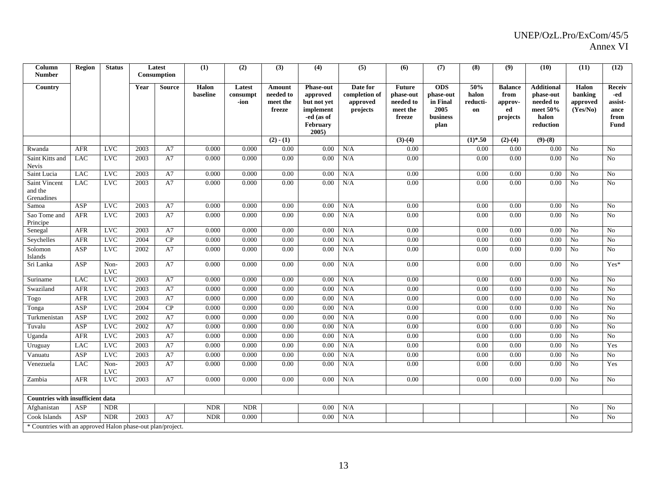| Column<br><b>Number</b>                                    | <b>Region</b>    | <b>Status</b>      |      | Latest<br>Consumption | (1)               | (2)                        | (3)                                       | (4)                                                                                        | (5)                                               | (6)                                                           | (7)                                                             | (8)                            | (9)                                                 | (10)                                                                          | (11)                                     | (12)                                                    |
|------------------------------------------------------------|------------------|--------------------|------|-----------------------|-------------------|----------------------------|-------------------------------------------|--------------------------------------------------------------------------------------------|---------------------------------------------------|---------------------------------------------------------------|-----------------------------------------------------------------|--------------------------------|-----------------------------------------------------|-------------------------------------------------------------------------------|------------------------------------------|---------------------------------------------------------|
| Country                                                    |                  |                    | Year | <b>Source</b>         | Halon<br>baseline | Latest<br>consumpt<br>-ion | Amount<br>needed to<br>meet the<br>freeze | <b>Phase-out</b><br>approved<br>but not yet<br>implement<br>-ed (as of<br>February<br>2005 | Date for<br>completion of<br>approved<br>projects | <b>Future</b><br>phase-out<br>needed to<br>meet the<br>freeze | <b>ODS</b><br>phase-out<br>in Final<br>2005<br>business<br>plan | 50%<br>halon<br>reducti-<br>on | <b>Balance</b><br>from<br>approv-<br>ed<br>projects | <b>Additional</b><br>phase-out<br>needed to<br>meet 50%<br>halon<br>reduction | Halon<br>banking<br>approved<br>(Yes/No) | <b>Receiv</b><br>-ed<br>assist-<br>ance<br>from<br>Fund |
|                                                            |                  |                    |      |                       |                   |                            | $(2) - (1)$                               |                                                                                            |                                                   | $(3)-(4)$                                                     |                                                                 | $(1)*.50$                      | $(2)-(4)$                                           | $(9)-(8)$                                                                     |                                          |                                                         |
| Rwanda                                                     | <b>AFR</b>       | <b>LVC</b>         | 2003 | A7                    | 0.000             | 0.000                      | 0.00                                      | 0.00                                                                                       | N/A                                               | 0.00                                                          |                                                                 | 0.00                           | 0.00                                                | 0.00                                                                          | No                                       | N <sub>0</sub>                                          |
| Saint Kitts and<br>Nevis                                   | <b>LAC</b>       | LVC                | 2003 | A7                    | 0.000             | 0.000                      | 0.00                                      | 0.00                                                                                       | N/A                                               | 0.00                                                          |                                                                 | 0.00                           | 0.00                                                | 0.00                                                                          | N <sub>o</sub>                           | N <sub>0</sub>                                          |
| Saint Lucia                                                | <b>LAC</b>       | <b>LVC</b>         | 2003 | A7                    | 0.000             | 0.000                      | 0.00                                      | 0.00                                                                                       | N/A                                               | 0.00                                                          |                                                                 | 0.00                           | 0.00                                                | 0.00                                                                          | No                                       | No                                                      |
| Saint Vincent<br>and the<br>Grenadines                     | <b>LAC</b>       | <b>LVC</b>         | 2003 | A7                    | 0.000             | 0.000                      | 0.00                                      | 0.00                                                                                       | N/A                                               | 0.00                                                          |                                                                 | 0.00                           | 0.00                                                | 0.00                                                                          | N <sub>0</sub>                           | No                                                      |
| Samoa                                                      | <b>ASP</b>       | <b>LVC</b>         | 2003 | A7                    | 0.000             | 0.000                      | 0.00                                      | 0.00                                                                                       | N/A                                               | 0.00                                                          |                                                                 | 0.00                           | 0.00                                                | 0.00                                                                          | No                                       | No                                                      |
| Sao Tome and<br>Principe                                   | <b>AFR</b>       | <b>LVC</b>         | 2003 | A7                    | 0.000             | 0.000                      | 0.00                                      | 0.00                                                                                       | N/A                                               | 0.00                                                          |                                                                 | 0.00                           | 0.00                                                | 0.00                                                                          | No                                       | No                                                      |
| Senegal                                                    | <b>AFR</b>       | <b>LVC</b>         | 2003 | A7                    | 0.000             | 0.000                      | 0.00                                      | 0.00                                                                                       | N/A                                               | 0.00                                                          |                                                                 | 0.00                           | 0.00                                                | 0.00                                                                          | No                                       | No                                                      |
| Seychelles                                                 | <b>AFR</b>       | $_{\rm LVC}$       | 2004 | CP                    | 0.000             | 0.000                      | 0.00                                      | 0.00                                                                                       | N/A                                               | 0.00                                                          |                                                                 | 0.00                           | 0.00                                                | 0.00                                                                          | No                                       | No                                                      |
| Solomon<br>Islands                                         | <b>ASP</b>       | <b>LVC</b>         | 2002 | A7                    | 0.000             | 0.000                      | 0.00                                      | 0.00                                                                                       | N/A                                               | 0.00                                                          |                                                                 | 0.00                           | 0.00                                                | 0.00                                                                          | No                                       | No                                                      |
| Sri Lanka                                                  | <b>ASP</b>       | Non-<br><b>LVC</b> | 2003 | A7                    | 0.000             | 0.000                      | 0.00                                      | 0.00                                                                                       | N/A                                               | 0.00                                                          |                                                                 | 0.00                           | 0.00                                                | 0.00                                                                          | No                                       | Yes*                                                    |
| Suriname                                                   | <b>LAC</b>       | $_{\rm LVC}$       | 2003 | A7                    | 0.000             | 0.000                      | 0.00                                      | 0.00                                                                                       | N/A                                               | 0.00                                                          |                                                                 | 0.00                           | 0.00                                                | 0.00                                                                          | No                                       | N <sub>0</sub>                                          |
| Swaziland                                                  | <b>AFR</b>       | <b>LVC</b>         | 2003 | A7                    | 0.000             | 0.000                      | 0.00                                      | 0.00                                                                                       | N/A                                               | 0.00                                                          |                                                                 | 0.00                           | 0.00                                                | 0.00                                                                          | No                                       | N <sub>o</sub>                                          |
| Togo                                                       | <b>AFR</b>       | <b>LVC</b>         | 2003 | A7                    | 0.000             | 0.000                      | 0.00                                      | 0.00                                                                                       | N/A                                               | 0.00                                                          |                                                                 | 0.00                           | 0.00                                                | 0.00                                                                          | No                                       | No                                                      |
| Tonga                                                      | ASP              | <b>LVC</b>         | 2004 | CP                    | 0.000             | 0.000                      | 0.00                                      | 0.00                                                                                       | N/A                                               | 0.00                                                          |                                                                 | 0.00                           | 0.00                                                | 0.00                                                                          | No                                       | No                                                      |
| Turkmenistan                                               | ASP              | <b>LVC</b>         | 2002 | A7                    | 0.000             | 0.000                      | 0.00                                      | 0.00                                                                                       | N/A                                               | 0.00                                                          |                                                                 | 0.00                           | 0.00                                                | 0.00                                                                          | No                                       | No                                                      |
| Tuvalu                                                     | $\overline{ASP}$ | LVC                | 2002 | A7                    | 0.000             | 0.000                      | 0.00                                      | 0.00                                                                                       | N/A                                               | 0.00                                                          |                                                                 | 0.00                           | 0.00                                                | 0.00                                                                          | No                                       | N <sub>0</sub>                                          |
| Uganda                                                     | <b>AFR</b>       | <b>LVC</b>         | 2003 | A7                    | 0.000             | 0.000                      | 0.00                                      | 0.00                                                                                       | N/A                                               | 0.00                                                          |                                                                 | 0.00                           | 0.00                                                | 0.00                                                                          | No                                       | No                                                      |
| Uruguay                                                    | LAC              | <b>LVC</b>         | 2003 | A7                    | 0.000             | 0.000                      | 0.00                                      | 0.00                                                                                       | N/A                                               | 0.00                                                          |                                                                 | 0.00                           | 0.00                                                | 0.00                                                                          | N <sub>0</sub>                           | Yes                                                     |
| Vanuatu                                                    | ASP              | <b>LVC</b>         | 2003 | A7                    | 0.000             | 0.000                      | 0.00                                      | 0.00                                                                                       | N/A                                               | 0.00                                                          |                                                                 | 0.00                           | 0.00                                                | 0.00                                                                          | No                                       | No                                                      |
| Venezuela                                                  | <b>LAC</b>       | Non-<br><b>LVC</b> | 2003 | A7                    | 0.000             | 0.000                      | 0.00                                      | 0.00                                                                                       | N/A                                               | 0.00                                                          |                                                                 | 0.00                           | 0.00                                                | 0.00                                                                          | No                                       | Yes                                                     |
| Zambia                                                     | <b>AFR</b>       | <b>LVC</b>         | 2003 | A7                    | 0.000             | 0.000                      | 0.00                                      | 0.00                                                                                       | N/A                                               | 0.00                                                          |                                                                 | 0.00                           | 0.00                                                | 0.00                                                                          | No                                       | No                                                      |
|                                                            |                  |                    |      |                       |                   |                            |                                           |                                                                                            |                                                   |                                                               |                                                                 |                                |                                                     |                                                                               |                                          |                                                         |
| Countries with insufficient data                           |                  |                    |      |                       |                   |                            |                                           |                                                                                            |                                                   |                                                               |                                                                 |                                |                                                     |                                                                               |                                          |                                                         |
| Afghanistan                                                | ASP              | <b>NDR</b>         |      |                       | <b>NDR</b>        | <b>NDR</b>                 |                                           | 0.00                                                                                       | N/A                                               |                                                               |                                                                 |                                |                                                     |                                                                               | No                                       | No                                                      |
| Cook Islands                                               | <b>ASP</b>       | <b>NDR</b>         | 2003 | A7                    | <b>NDR</b>        | 0.000                      |                                           | 0.00                                                                                       | N/A                                               |                                                               |                                                                 |                                |                                                     |                                                                               | N <sub>o</sub>                           | No                                                      |
| * Countries with an approved Halon phase-out plan/project. |                  |                    |      |                       |                   |                            |                                           |                                                                                            |                                                   |                                                               |                                                                 |                                |                                                     |                                                                               |                                          |                                                         |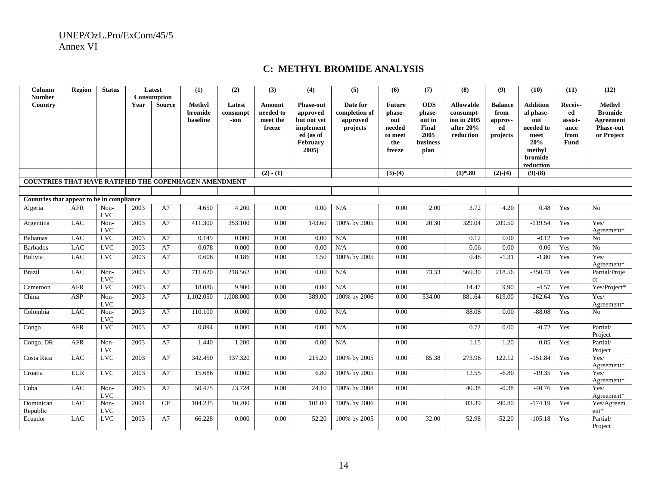## **C: METHYL BROMIDE ANALYSIS**

| Column<br><b>Number</b>                                      | Region     | <b>Status</b>      |      | Latest<br><b>Consumption</b> | (1)                           | (2)                        | (3)                                       | $\overline{(4)}$                                                                              | (5)                                               | (6)                                                                  | (7)                                                                 | (8)                                                                    | (9)                                                 | (10)                                                                                              | (11)                                                    | (12)                                                                           |
|--------------------------------------------------------------|------------|--------------------|------|------------------------------|-------------------------------|----------------------------|-------------------------------------------|-----------------------------------------------------------------------------------------------|---------------------------------------------------|----------------------------------------------------------------------|---------------------------------------------------------------------|------------------------------------------------------------------------|-----------------------------------------------------|---------------------------------------------------------------------------------------------------|---------------------------------------------------------|--------------------------------------------------------------------------------|
| <b>Country</b>                                               |            |                    | Year | <b>Source</b>                | Methyl<br>bromide<br>baseline | Latest<br>consumpt<br>-ion | Amount<br>needed to<br>meet the<br>freeze | <b>Phase-out</b><br>approved<br>but not yet<br>implement<br>ed (as of<br>February<br>$2005$ ) | Date for<br>completion of<br>approved<br>projects | <b>Future</b><br>phase-<br>out<br>needed<br>to meet<br>the<br>freeze | <b>ODS</b><br>phase-<br>out in<br>Final<br>2005<br>business<br>plan | <b>Allowable</b><br>consumpt-<br>ion in 2005<br>after 20%<br>reduction | <b>Balance</b><br>from<br>approv-<br>ed<br>projects | <b>Addition</b><br>al phase-<br>out<br>needed to<br>meet<br>20%<br>methyl<br>bromide<br>reduction | Receiv-<br>ed<br>assist-<br>ance<br>from<br><b>Fund</b> | Methyl<br><b>Bromide</b><br><b>Agreement</b><br><b>Phase-out</b><br>or Project |
|                                                              |            |                    |      |                              |                               |                            | $(2) - (1)$                               |                                                                                               |                                                   | $(3)-(4)$                                                            |                                                                     | $(1)$ *.80                                                             | $(2)-(4)$                                           | $(9)-(8)$                                                                                         |                                                         |                                                                                |
| <b>COUNTRIES THAT HAVE RATIFIED THE COPENHAGEN AMENDMENT</b> |            |                    |      |                              |                               |                            |                                           |                                                                                               |                                                   |                                                                      |                                                                     |                                                                        |                                                     |                                                                                                   |                                                         |                                                                                |
|                                                              |            |                    |      |                              |                               |                            |                                           |                                                                                               |                                                   |                                                                      |                                                                     |                                                                        |                                                     |                                                                                                   |                                                         |                                                                                |
| Countries that appear to be in compliance                    |            |                    |      |                              |                               |                            |                                           |                                                                                               |                                                   |                                                                      |                                                                     |                                                                        |                                                     |                                                                                                   |                                                         |                                                                                |
| Algeria                                                      | <b>AFR</b> | Non-<br><b>LVC</b> | 2003 | A7                           | 4.650                         | 4.200                      | 0.00                                      | 0.00                                                                                          | N/A                                               | 0.00                                                                 | 2.00                                                                | 3.72                                                                   | 4.20                                                | 0.48                                                                                              | Yes                                                     | No                                                                             |
| Argentina                                                    | <b>LAC</b> | Non-<br><b>LVC</b> | 2003 | A7                           | 411.300                       | 353.100                    | 0.00                                      | 143.60                                                                                        | 100% by 2005                                      | 0.00                                                                 | 20.30                                                               | 329.04                                                                 | 209.50                                              | $-119.54$                                                                                         | Yes                                                     | Yes/<br>Agreement*                                                             |
| <b>Bahamas</b>                                               | <b>LAC</b> | <b>LVC</b>         | 2003 | A7                           | 0.149                         | 0.000                      | 0.00                                      | 0.00                                                                                          | N/A                                               | 0.00                                                                 |                                                                     | 0.12                                                                   | 0.00                                                | $-0.12$                                                                                           | Yes                                                     | N <sub>0</sub>                                                                 |
| <b>Barbados</b>                                              | <b>LAC</b> | <b>LVC</b>         | 2003 | A7                           | 0.078                         | 0.000                      | 0.00                                      | 0.00                                                                                          | N/A                                               | 0.00                                                                 |                                                                     | 0.06                                                                   | 0.00                                                | $-0.06$                                                                                           | Yes                                                     | No                                                                             |
| <b>Bolivia</b>                                               | <b>LAC</b> | $_{\rm LVC}$       | 2003 | A7                           | 0.606                         | 0.186                      | 0.00                                      | 1.50                                                                                          | 100% by 2005                                      | 0.00                                                                 |                                                                     | 0.48                                                                   | $-1.31$                                             | $-1.80$                                                                                           | Yes                                                     | Yes/<br>Agreement*                                                             |
| <b>Brazil</b>                                                | <b>LAC</b> | Non-<br><b>LVC</b> | 2003 | A7                           | 711.620                       | 218.562                    | 0.00                                      | 0.00                                                                                          | N/A                                               | 0.00                                                                 | 73.33                                                               | 569.30                                                                 | 218.56                                              | $-350.73$                                                                                         | Yes                                                     | Partial/Proje<br>ct                                                            |
| Cameroon                                                     | <b>AFR</b> | <b>LVC</b>         | 2003 | A7                           | 18.086                        | 9.900                      | 0.00                                      | 0.00                                                                                          | N/A                                               | 0.00                                                                 |                                                                     | 14.47                                                                  | 9.90                                                | $-4.57$                                                                                           | Yes                                                     | Yes/Project*                                                                   |
| China                                                        | ASP        | Non-<br><b>LVC</b> | 2003 | A7                           | 1,102.050                     | 1,008.000                  | 0.00                                      | 389.00                                                                                        | 100% by 2006                                      | 0.00                                                                 | 534.00                                                              | 881.64                                                                 | 619.00                                              | $-262.64$                                                                                         | Yes                                                     | Yes/<br>Agreement*                                                             |
| Colombia                                                     | <b>LAC</b> | Non-<br><b>LVC</b> | 2003 | A7                           | 110.100                       | 0.000                      | 0.00                                      | 0.00                                                                                          | N/A                                               | 0.00                                                                 |                                                                     | 88.08                                                                  | 0.00                                                | $-88.08$                                                                                          | Yes                                                     | No                                                                             |
| Congo                                                        | AFR        | <b>LVC</b>         | 2003 | A7                           | 0.894                         | 0.000                      | 0.00                                      | 0.00                                                                                          | N/A                                               | 0.00                                                                 |                                                                     | 0.72                                                                   | 0.00                                                | $-0.72$                                                                                           | Yes                                                     | Partial/<br>Project                                                            |
| Congo, DR                                                    | <b>AFR</b> | Non-<br><b>LVC</b> | 2003 | A7                           | 1.440                         | 1.200                      | 0.00                                      | 0.00                                                                                          | N/A                                               | 0.00                                                                 |                                                                     | 1.15                                                                   | 1.20                                                | 0.05                                                                                              | Yes                                                     | Partial/<br>Project                                                            |
| Costa Rica                                                   | LAC        | <b>LVC</b>         | 2003 | A7                           | 342.450                       | 337.320                    | 0.00                                      | 215.20                                                                                        | 100% by 2005                                      | 0.00                                                                 | 85.38                                                               | 273.96                                                                 | 122.12                                              | $-151.84$                                                                                         | Yes                                                     | $\mathrm{Yes}/$<br>Agreement*                                                  |
| Croatia                                                      | <b>EUR</b> | <b>LVC</b>         | 2003 | A7                           | 15.686                        | 0.000                      | 0.00                                      | 6.80                                                                                          | 100% by 2005                                      | 0.00                                                                 |                                                                     | 12.55                                                                  | $-6.80$                                             | $-19.35$                                                                                          | Yes                                                     | Yes/<br>Agreement*                                                             |
| Cuba                                                         | <b>LAC</b> | Non-<br><b>LVC</b> | 2003 | A7                           | 50.475                        | 23.724                     | 0.00                                      | 24.10                                                                                         | 100% by 2008                                      | 0.00                                                                 |                                                                     | 40.38                                                                  | $-0.38$                                             | $-40.76$                                                                                          | Yes                                                     | Yes/<br>Agreement*                                                             |
| Dominican<br>Republic                                        | <b>LAC</b> | Non-<br><b>LVC</b> | 2004 | CP                           | 104.235                       | 10.200                     | 0.00                                      | 101.00                                                                                        | 100% by 2006                                      | 0.00                                                                 |                                                                     | 83.39                                                                  | $-90.80$                                            | $-174.19$                                                                                         | Yes                                                     | Yes/Agreem<br>$\mathrm{ent}^*$                                                 |
| Ecuador                                                      | <b>LAC</b> | LVC                | 2003 | A7                           | 66.228                        | 0.000                      | 0.00                                      | 52.20                                                                                         | 100% by 2005                                      | 0.00                                                                 | 32.00                                                               | 52.98                                                                  | $-52.20$                                            | $-105.18$                                                                                         | Yes                                                     | Partial/<br>Project                                                            |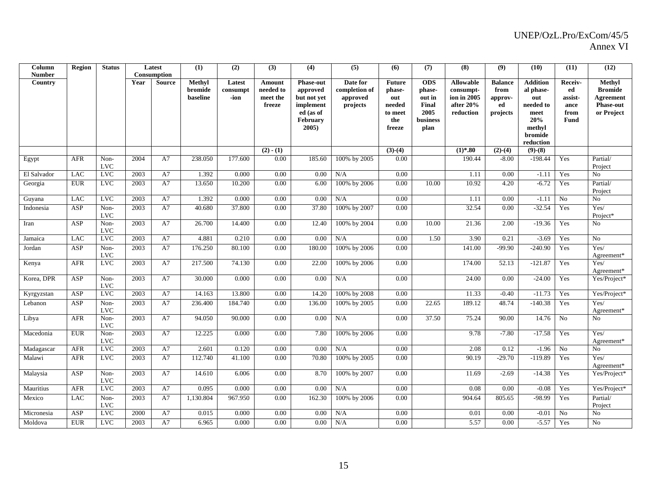| Column<br><b>Number</b> | Region     | <b>Status</b>        |      | Latest<br><b>Consumption</b> | (1)                           | (2)                        | (3)                                       | (4)                                                      | (5)                                               | (6)                                      | (7)                                            | (8)                                                       | (9)                                     | (10)                                             | (11)                             | (12)                                                      |
|-------------------------|------------|----------------------|------|------------------------------|-------------------------------|----------------------------|-------------------------------------------|----------------------------------------------------------|---------------------------------------------------|------------------------------------------|------------------------------------------------|-----------------------------------------------------------|-----------------------------------------|--------------------------------------------------|----------------------------------|-----------------------------------------------------------|
| Country                 |            |                      | Year | <b>Source</b>                | Methyl<br>bromide<br>baseline | Latest<br>consumpt<br>-ion | Amount<br>needed to<br>meet the<br>freeze | <b>Phase-out</b><br>approved<br>but not yet<br>implement | Date for<br>completion of<br>approved<br>projects | <b>Future</b><br>phase-<br>out<br>needed | <b>ODS</b><br>phase-<br>out in<br><b>Final</b> | <b>Allowable</b><br>consumpt-<br>ion in 2005<br>after 20% | <b>Balance</b><br>from<br>approv-<br>ed | <b>Addition</b><br>al phase-<br>out<br>needed to | Receiv-<br>ed<br>assist-<br>ance | Methyl<br><b>Bromide</b><br>Agreement<br><b>Phase-out</b> |
|                         |            |                      |      |                              |                               |                            |                                           | ed (as of<br><b>February</b><br>$2005$ )                 |                                                   | to meet<br>the<br>freeze                 | 2005<br>business<br>plan                       | reduction                                                 | projects                                | meet<br>20%<br>methyl<br>bromide<br>reduction    | from<br><b>Fund</b>              | or Project                                                |
|                         |            |                      |      |                              |                               |                            | $(2) - (1)$                               |                                                          |                                                   | $(3)-(4)$                                |                                                | $(1)*.80$                                                 | $(2)-(4)$                               | $(9)-(8)$                                        |                                  |                                                           |
| Egypt                   | <b>AFR</b> | Non-<br><b>LVC</b>   | 2004 | A7                           | 238.050                       | 177.600                    | 0.00                                      | 185.60                                                   | 100% by 2005                                      | 0.00                                     |                                                | 190.44                                                    | $-8.00$                                 | $-198.44$                                        | Yes                              | Partial/<br>Project                                       |
| El Salvador             | LAC        | <b>LVC</b>           | 2003 | A7                           | 1.392                         | 0.000                      | 0.00                                      | 0.00                                                     | N/A                                               | 0.00                                     |                                                | 1.11                                                      | 0.00                                    | $-1.11$                                          | Yes                              | No                                                        |
| Georgia                 | <b>EUR</b> | <b>LVC</b>           | 2003 | A7                           | 13.650                        | 10.200                     | 0.00                                      | 6.00                                                     | 100% by 2006                                      | 0.00                                     | 10.00                                          | 10.92                                                     | 4.20                                    | $-6.72$                                          | Yes                              | Partial/<br>Project                                       |
| Guyana                  | <b>LAC</b> | <b>LVC</b>           | 2003 | A7                           | 1.392                         | 0.000                      | 0.00                                      | 0.00                                                     | N/A                                               | 0.00                                     |                                                | 1.11                                                      | 0.00                                    | $-1.11$                                          | N <sub>o</sub>                   | ${\rm No}$                                                |
| Indonesia               | ASP        | Non-<br><b>LVC</b>   | 2003 | A7                           | 40.680                        | 37.800                     | 0.00                                      | 37.80                                                    | 100% by 2007                                      | 0.00                                     |                                                | 32.54                                                     | 0.00                                    | $-32.54$                                         | Yes                              | Yes/<br>Project*                                          |
| Iran                    | ASP        | Non-<br><b>LVC</b>   | 2003 | A7                           | 26.700                        | 14.400                     | 0.00                                      | 12.40                                                    | 100% by 2004                                      | 0.00                                     | 10.00                                          | 21.36                                                     | 2.00                                    | $-19.36$                                         | Yes                              | No                                                        |
| Jamaica                 | LAC        | $_{\rm LVC}$         | 2003 | A7                           | 4.881                         | 0.210                      | 0.00                                      | 0.00                                                     | N/A                                               | 0.00                                     | 1.50                                           | 3.90                                                      | 0.21                                    | $-3.69$                                          | Yes                              | No                                                        |
| Jordan                  | <b>ASP</b> | Non-<br><b>LVC</b>   | 2003 | A7                           | 176.250                       | 80.100                     | 0.00                                      | 180.00                                                   | 100% by 2006                                      | 0.00                                     |                                                | 141.00                                                    | $-99.90$                                | $-240.90$                                        | Yes                              | Yes/<br>Agreement*                                        |
| Kenya                   | <b>AFR</b> | <b>LVC</b>           | 2003 | A7                           | 217.500                       | 74.130                     | $0.00\,$                                  | 22.00                                                    | 100% by 2006                                      | 0.00                                     |                                                | 174.00                                                    | 52.13                                   | $-121.87$                                        | Yes                              | Yes/<br>Agreement*                                        |
| Korea, DPR              | ASP        | Non-<br><b>LVC</b>   | 2003 | A7                           | 30.000                        | 0.000                      | 0.00                                      | 0.00                                                     | N/A                                               | 0.00                                     |                                                | 24.00                                                     | 0.00                                    | $-24.00$                                         | Yes                              | Yes/Project*                                              |
| Kyrgyzstan              | ASP        | <b>LVC</b>           | 2003 | A7                           | 14.163                        | 13.800                     | 0.00                                      | 14.20                                                    | 100% by 2008                                      | 0.00                                     |                                                | 11.33                                                     | $-0.40$                                 | $-11.73$                                         | Yes                              | Yes/Project*                                              |
| Lebanon                 | ASP        | Non-<br><b>LVC</b>   | 2003 | A7                           | 236.400                       | 184.740                    | 0.00                                      | 136.00                                                   | 100% by 2005                                      | 0.00                                     | 22.65                                          | 189.12                                                    | 48.74                                   | $-140.38$                                        | Yes                              | Yes/<br>Agreement*                                        |
| Libya                   | <b>AFR</b> | Non-<br><b>LVC</b>   | 2003 | A7                           | 94.050                        | 90.000                     | 0.00                                      | 0.00                                                     | $\rm N/A$                                         | 0.00                                     | 37.50                                          | 75.24                                                     | 90.00                                   | 14.76                                            | No                               | No                                                        |
| Macedonia               | <b>EUR</b> | Non-<br>$_{\rm LVC}$ | 2003 | A7                           | 12.225                        | 0.000                      | 0.00                                      | 7.80                                                     | 100% by 2006                                      | 0.00                                     |                                                | 9.78                                                      | $-7.80$                                 | $-17.58$                                         | Yes                              | Yes/<br>Agreement*                                        |
| Madagascar              | <b>AFR</b> | <b>LVC</b>           | 2003 | A7                           | 2.601                         | 0.120                      | 0.00                                      | 0.00                                                     | N/A                                               | 0.00                                     |                                                | 2.08                                                      | 0.12                                    | $-1.96$                                          | No                               | No                                                        |
| Malawi                  | AFR        | <b>LVC</b>           | 2003 | A7                           | 112.740                       | 41.100                     | 0.00                                      | 70.80                                                    | 100% by 2005                                      | 0.00                                     |                                                | 90.19                                                     | $-29.70$                                | $-119.89$                                        | Yes                              | Yes/<br>Agreement*                                        |
| Malaysia                | ASP        | Non-<br><b>LVC</b>   | 2003 | A7                           | 14.610                        | 6.006                      | 0.00                                      | 8.70                                                     | 100% by 2007                                      | 0.00                                     |                                                | 11.69                                                     | $-2.69$                                 | $-14.38$                                         | Yes                              | Yes/Project*                                              |
| Mauritius               | <b>AFR</b> | <b>LVC</b>           | 2003 | A7                           | 0.095                         | 0.000                      | 0.00                                      | 0.00                                                     | N/A                                               | 0.00                                     |                                                | 0.08                                                      | 0.00                                    | $-0.08$                                          | Yes                              | Yes/Project*                                              |
| Mexico                  | <b>LAC</b> | Non-<br><b>LVC</b>   | 2003 | A7                           | 1,130.804                     | 967.950                    | 0.00                                      | 162.30                                                   | 100% by 2006                                      | 0.00                                     |                                                | 904.64                                                    | 805.65                                  | $-98.99$                                         | Yes                              | Partial/<br>Project                                       |
| Micronesia              | ASP        | <b>LVC</b>           | 2000 | A7                           | 0.015                         | 0.000                      | 0.00                                      | 0.00                                                     | $\rm N/A$                                         | 0.00                                     |                                                | 0.01                                                      | 0.00                                    | $-0.01$                                          | No                               | ${\rm No}$                                                |
| Moldova                 | <b>EUR</b> | $_{\rm LVC}$         | 2003 | A7                           | 6.965                         | 0.000                      | 0.00                                      | 0.00                                                     | $\rm N/A$                                         | 0.00                                     |                                                | 5.57                                                      | 0.00                                    | $-5.57$                                          | Yes                              | No                                                        |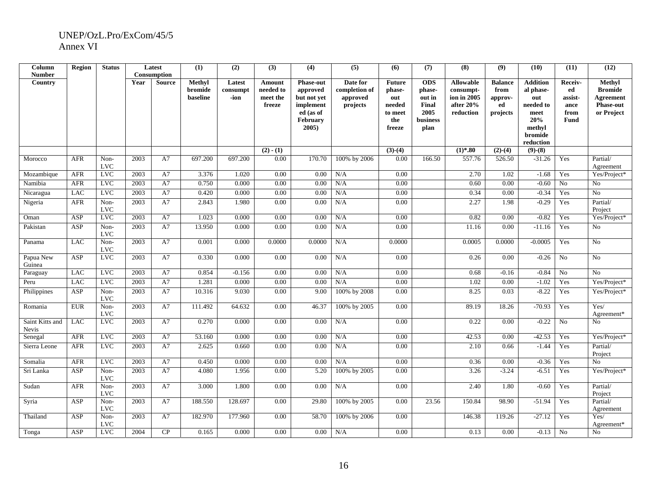| Column<br><b>Number</b>  | <b>Region</b> | <b>Status</b>        |      | Latest<br>Consumption | (1)                           | (2)                        | (3)                                       | (4)                                                                                                  | (5)                                               | (6)                                                                  | (7)                                                                        | (8)                                                                    | (9)                                                 | (10)                                                                                              | (11)                                             | (12)                                                                           |
|--------------------------|---------------|----------------------|------|-----------------------|-------------------------------|----------------------------|-------------------------------------------|------------------------------------------------------------------------------------------------------|---------------------------------------------------|----------------------------------------------------------------------|----------------------------------------------------------------------------|------------------------------------------------------------------------|-----------------------------------------------------|---------------------------------------------------------------------------------------------------|--------------------------------------------------|--------------------------------------------------------------------------------|
| Country                  |               |                      | Year | <b>Source</b>         | Methyl<br>bromide<br>baseline | Latest<br>consumpt<br>-ion | Amount<br>needed to<br>meet the<br>freeze | <b>Phase-out</b><br>approved<br>but not yet<br>implement<br>ed (as of<br><b>February</b><br>$2005$ ) | Date for<br>completion of<br>approved<br>projects | <b>Future</b><br>phase-<br>out<br>needed<br>to meet<br>the<br>freeze | <b>ODS</b><br>phase-<br>out in<br>Final<br>2005<br><b>business</b><br>plan | <b>Allowable</b><br>consumpt-<br>ion in 2005<br>after 20%<br>reduction | <b>Balance</b><br>from<br>approv-<br>ed<br>projects | <b>Addition</b><br>al phase-<br>out<br>needed to<br>meet<br>20%<br>methyl<br>bromide<br>reduction | Receiv-<br>ed<br>assist-<br>ance<br>from<br>Fund | Methyl<br><b>Bromide</b><br><b>Agreement</b><br><b>Phase-out</b><br>or Project |
| Morocco                  | <b>AFR</b>    | Non-                 | 2003 | A7                    | 697.200                       | 697.200                    | $(2) - (1)$<br>0.00                       | 170.70                                                                                               | 100% by 2006                                      | $(3)-(4)$<br>0.00                                                    | 166.50                                                                     | $(1)*.80$<br>557.76                                                    | $(2)-(4)$<br>526.50                                 | $(9)-(8)$<br>$-31.26$                                                                             | Yes                                              | Partial/                                                                       |
|                          |               | <b>LVC</b>           |      |                       |                               |                            |                                           |                                                                                                      |                                                   |                                                                      |                                                                            |                                                                        |                                                     |                                                                                                   |                                                  | Agreement                                                                      |
| Mozambique               | <b>AFR</b>    | <b>LVC</b>           | 2003 | A7                    | 3.376                         | 1.020                      | 0.00                                      | 0.00                                                                                                 | N/A                                               | 0.00                                                                 |                                                                            | 2.70                                                                   | 1.02                                                | $-1.68$                                                                                           | Yes                                              | Yes/Project*                                                                   |
| Namibia                  | <b>AFR</b>    | <b>LVC</b>           | 2003 | A7                    | 0.750                         | 0.000                      | 0.00                                      | 0.00                                                                                                 | N/A                                               | 0.00                                                                 |                                                                            | 0.60                                                                   | 0.00                                                | $-0.60$                                                                                           | No                                               | No                                                                             |
| Nicaragua                | <b>LAC</b>    | LVC                  | 2003 | A7                    | 0.420                         | 0.000                      | 0.00                                      | 0.00                                                                                                 | N/A                                               | 0.00                                                                 |                                                                            | 0.34                                                                   | 0.00                                                | $-0.34$                                                                                           | Yes                                              | No                                                                             |
| Nigeria                  | AFR           | Non-<br>$_{\rm LVC}$ | 2003 | A7                    | 2.843                         | 1.980                      | 0.00                                      | 0.00                                                                                                 | N/A                                               | 0.00                                                                 |                                                                            | 2.27                                                                   | 1.98                                                | $-0.29$                                                                                           | Yes                                              | Partial/<br>Project                                                            |
| Oman                     | <b>ASP</b>    | <b>LVC</b>           | 2003 | A7                    | 1.023                         | 0.000                      | 0.00                                      | 0.00                                                                                                 | N/A                                               | 0.00                                                                 |                                                                            | 0.82                                                                   | 0.00                                                | $-0.82$                                                                                           | Yes                                              | Yes/Project*                                                                   |
| Pakistan                 | <b>ASP</b>    | Non-<br><b>LVC</b>   | 2003 | A7                    | 13.950                        | 0.000                      | 0.00                                      | 0.00                                                                                                 | N/A                                               | 0.00                                                                 |                                                                            | 11.16                                                                  | 0.00                                                | $-11.16$                                                                                          | Yes                                              | N <sub>o</sub>                                                                 |
| Panama                   | <b>LAC</b>    | Non-<br><b>LVC</b>   | 2003 | A7                    | 0.001                         | 0.000                      | 0.0000                                    | 0.0000                                                                                               | N/A                                               | 0.0000                                                               |                                                                            | 0.0005                                                                 | 0.0000                                              | $-0.0005$                                                                                         | Yes                                              | N <sub>o</sub>                                                                 |
| Papua New<br>Guinea      | ASP           | <b>LVC</b>           | 2003 | A7                    | 0.330                         | 0.000                      | 0.00                                      | 0.00                                                                                                 | N/A                                               | 0.00                                                                 |                                                                            | 0.26                                                                   | 0.00                                                | $-0.26$                                                                                           | N <sub>o</sub>                                   | N <sub>o</sub>                                                                 |
| Paraguay                 | <b>LAC</b>    | <b>LVC</b>           | 2003 | A7                    | 0.854                         | $-0.156$                   | 0.00                                      | 0.00                                                                                                 | N/A                                               | 0.00                                                                 |                                                                            | 0.68                                                                   | $-0.16$                                             | $-0.84$                                                                                           | No                                               | $\rm No$                                                                       |
| Peru                     | <b>LAC</b>    | <b>LVC</b>           | 2003 | A7                    | 1.281                         | 0.000                      | 0.00                                      | 0.00                                                                                                 | N/A                                               | 0.00                                                                 |                                                                            | 1.02                                                                   | 0.00                                                | $-1.02$                                                                                           | Yes                                              | Yes/Project*                                                                   |
| Philippines              | ASP           | Non-<br><b>LVC</b>   | 2003 | A7                    | 10.316                        | 9.030                      | 0.00                                      | 9.00                                                                                                 | 100% by 2008                                      | 0.00                                                                 |                                                                            | 8.25                                                                   | 0.03                                                | $-8.22$                                                                                           | Yes                                              | Yes/Project*                                                                   |
| Romania                  | <b>EUR</b>    | Non-<br><b>LVC</b>   | 2003 | A7                    | 111.492                       | 64.632                     | 0.00                                      | 46.37                                                                                                | 100% by 2005                                      | 0.00                                                                 |                                                                            | 89.19                                                                  | 18.26                                               | $-70.93$                                                                                          | Yes                                              | Yes/<br>Agreement*                                                             |
| Saint Kitts and<br>Nevis | <b>LAC</b>    | <b>LVC</b>           | 2003 | A7                    | 0.270                         | 0.000                      | 0.00                                      | 0.00                                                                                                 | N/A                                               | 0.00                                                                 |                                                                            | 0.22                                                                   | 0.00                                                | $-0.22$                                                                                           | No                                               | N <sub>0</sub>                                                                 |
| Senegal                  | <b>AFR</b>    | <b>LVC</b>           | 2003 | A7                    | 53.160                        | 0.000                      | 0.00                                      | 0.00                                                                                                 | N/A                                               | 0.00                                                                 |                                                                            | 42.53                                                                  | 0.00                                                | $-42.53$                                                                                          | Yes                                              | Yes/Project*                                                                   |
| Sierra Leone             | AFR           | <b>LVC</b>           | 2003 | A7                    | 2.625                         | 0.660                      | 0.00                                      | 0.00                                                                                                 | N/A                                               | 0.00                                                                 |                                                                            | 2.10                                                                   | 0.66                                                | $-1.44$                                                                                           | Yes                                              | Partial/<br>Project                                                            |
| Somalia                  | <b>AFR</b>    | <b>LVC</b>           | 2003 | A7                    | 0.450                         | 0.000                      | 0.00                                      | 0.00                                                                                                 | N/A                                               | 0.00                                                                 |                                                                            | 0.36                                                                   | $0.00\,$                                            | $-0.36$                                                                                           | Yes                                              | No                                                                             |
| Sri Lanka                | <b>ASP</b>    | Non-<br>$_{\rm LVC}$ | 2003 | A7                    | 4.080                         | 1.956                      | 0.00                                      | 5.20                                                                                                 | 100% by 2005                                      | 0.00                                                                 |                                                                            | 3.26                                                                   | $-3.24$                                             | $-6.51$                                                                                           | Yes                                              | Yes/Project*                                                                   |
| Sudan                    | AFR           | Non-<br><b>LVC</b>   | 2003 | A7                    | 3.000                         | 1.800                      | 0.00                                      | 0.00                                                                                                 | N/A                                               | 0.00                                                                 |                                                                            | 2.40                                                                   | 1.80                                                | $-0.60$                                                                                           | Yes                                              | Partial/<br>Project                                                            |
| Syria                    | ASP           | Non-<br><b>LVC</b>   | 2003 | A7                    | 188.550                       | 128.697                    | 0.00                                      | 29.80                                                                                                | 100% by 2005                                      | 0.00                                                                 | 23.56                                                                      | 150.84                                                                 | 98.90                                               | $-51.94$                                                                                          | Yes                                              | Partial/<br>Agreement                                                          |
| Thailand                 | ASP           | Non-<br><b>LVC</b>   | 2003 | A7                    | 182.970                       | 177.960                    | 0.00                                      | 58.70                                                                                                | 100% by 2006                                      | 0.00                                                                 |                                                                            | 146.38                                                                 | 119.26                                              | $-27.12$                                                                                          | Yes                                              | Yes/<br>Agreement*                                                             |
| Tonga                    | ASP           | <b>LVC</b>           | 2004 | CP                    | 0.165                         | 0.000                      | 0.00                                      | 0.00                                                                                                 | N/A                                               | 0.00                                                                 |                                                                            | 0.13                                                                   | 0.00                                                | $-0.13$                                                                                           | No                                               | No                                                                             |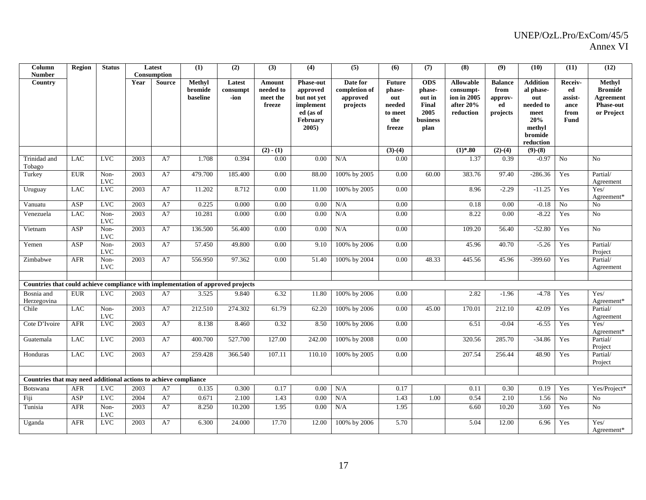| Column<br><b>Number</b>                                                          | <b>Region</b> | <b>Status</b>      |      | Latest<br>Consumption | (1)                                  | (2)                        | (3)                             | (4)                                                           | (5)                       | (6)                                | (7)                                      | (8)                                          | (9)                       | (10)                                                       | (11)                     | (12)                                  |
|----------------------------------------------------------------------------------|---------------|--------------------|------|-----------------------|--------------------------------------|----------------------------|---------------------------------|---------------------------------------------------------------|---------------------------|------------------------------------|------------------------------------------|----------------------------------------------|---------------------------|------------------------------------------------------------|--------------------------|---------------------------------------|
| Country                                                                          |               |                    | Year | <b>Source</b>         | <b>Methyl</b><br>bromide<br>baseline | Latest<br>consumpt<br>-ion | Amount<br>needed to<br>meet the | <b>Phase-out</b><br>approved                                  | Date for<br>completion of | <b>Future</b><br>phase-<br>out     | <b>ODS</b><br>phase-<br>out in           | <b>Allowable</b><br>consumpt-<br>ion in 2005 | <b>Balance</b><br>from    | <b>Addition</b><br>al phase-<br>out                        | Receiv-<br>ed<br>assist- | Methyl<br><b>Bromide</b><br>Agreement |
|                                                                                  |               |                    |      |                       |                                      |                            | freeze                          | but not yet<br>implement<br>ed (as of<br>February<br>$2005$ ) | approved<br>projects      | needed<br>to meet<br>the<br>freeze | <b>Final</b><br>2005<br>business<br>plan | after 20%<br>reduction                       | approv-<br>ed<br>projects | needed to<br>meet<br>20%<br>methyl<br>bromide<br>reduction | ance<br>from<br>Fund     | <b>Phase-out</b><br>or Project        |
|                                                                                  |               |                    |      |                       |                                      |                            | $(2) - (1)$                     |                                                               |                           | $(3)-(4)$                          |                                          | $(1)*.80$                                    | $(2)-(4)$                 | $(9)-(8)$                                                  |                          |                                       |
| Trinidad and<br>Tobago                                                           | <b>LAC</b>    | <b>LVC</b>         | 2003 | A7                    | 1.708                                | 0.394                      | 0.00                            | 0.00                                                          | N/A                       | 0.00                               |                                          | 1.37                                         | 0.39                      | $-0.97$                                                    | No                       | No                                    |
| Turkey                                                                           | <b>EUR</b>    | Non-<br><b>LVC</b> | 2003 | A7                    | 479.700                              | 185.400                    | 0.00                            | 88.00                                                         | 100% by 2005              | 0.00                               | 60.00                                    | 383.76                                       | 97.40                     | $-286.36$                                                  | Yes                      | Partial/<br>Agreement                 |
| Uruguay                                                                          | <b>LAC</b>    | <b>LVC</b>         | 2003 | A7                    | 11.202                               | 8.712                      | 0.00                            | 11.00                                                         | 100% by 2005              | 0.00                               |                                          | 8.96                                         | $-2.29$                   | $-11.25$                                                   | Yes                      | Yes/<br>Agreement*                    |
| Vanuatu                                                                          | ASP           | <b>LVC</b>         | 2003 | A7                    | 0.225                                | 0.000                      | 0.00                            | 0.00                                                          | N/A                       | 0.00                               |                                          | 0.18                                         | 0.00                      | $-0.18$                                                    | N <sub>o</sub>           | No                                    |
| Venezuela                                                                        | <b>LAC</b>    | Non-<br><b>LVC</b> | 2003 | A7                    | 10.281                               | 0.000                      | 0.00                            | 0.00                                                          | N/A                       | 0.00                               |                                          | 8.22                                         | 0.00                      | $-8.22$                                                    | Yes                      | No                                    |
| Vietnam                                                                          | ASP           | Non-<br><b>LVC</b> | 2003 | A7                    | 136.500                              | 56.400                     | 0.00                            | 0.00                                                          | N/A                       | 0.00                               |                                          | 109.20                                       | 56.40                     | $-52.80$                                                   | Yes                      | N <sub>o</sub>                        |
| Yemen                                                                            | ASP           | Non-<br><b>LVC</b> | 2003 | A7                    | 57.450                               | 49.800                     | 0.00                            | 9.10                                                          | 100% by 2006              | 0.00                               |                                          | 45.96                                        | 40.70                     | $-5.26$                                                    | Yes                      | Partial/<br>Project                   |
| Zimbabwe                                                                         | <b>AFR</b>    | Non-<br><b>LVC</b> | 2003 | A7                    | 556.950                              | 97.362                     | 0.00                            | 51.40                                                         | 100% by 2004              | 0.00                               | 48.33                                    | 445.56                                       | 45.96                     | $-399.60$                                                  | Yes                      | Partial/<br>Agreement                 |
|                                                                                  |               |                    |      |                       |                                      |                            |                                 |                                                               |                           |                                    |                                          |                                              |                           |                                                            |                          |                                       |
| Countries that could achieve compliance with implementation of approved projects |               |                    |      |                       |                                      |                            |                                 |                                                               |                           |                                    |                                          |                                              |                           |                                                            |                          |                                       |
| Bosnia and<br>Herzegovina                                                        | <b>EUR</b>    | <b>LVC</b>         | 2003 | A7                    | 3.525                                | 9.840                      | 6.32                            | 11.80                                                         | 100% by 2006              | 0.00                               |                                          | 2.82                                         | $-1.96$                   | $-4.78$                                                    | Yes                      | Yes/<br>Agreement*                    |
| Chile                                                                            | <b>LAC</b>    | Non-<br><b>LVC</b> | 2003 | A7                    | 212.510                              | 274.302                    | 61.79                           | 62.20                                                         | 100% by 2006              | 0.00                               | 45.00                                    | 170.01                                       | 212.10                    | 42.09                                                      | Yes                      | Partial/<br>Agreement                 |
| Cote D'Ivoire                                                                    | <b>AFR</b>    | <b>LVC</b>         | 2003 | A7                    | 8.138                                | 8.460                      | 0.32                            | 8.50                                                          | 100% by 2006              | 0.00                               |                                          | 6.51                                         | $-0.04$                   | $-6.55$                                                    | Yes                      | Yes/<br>Agreement*                    |
| Guatemala                                                                        | <b>LAC</b>    | <b>LVC</b>         | 2003 | A7                    | 400.700                              | 527.700                    | 127.00                          | 242.00                                                        | 100% by 2008              | 0.00                               |                                          | 320.56                                       | 285.70                    | $-34.86$                                                   | Yes                      | Partial/<br>Project                   |
| Honduras                                                                         | <b>LAC</b>    | <b>LVC</b>         | 2003 | A7                    | 259.428                              | 366.540                    | 107.11                          | 110.10                                                        | 100% by 2005              | 0.00                               |                                          | 207.54                                       | 256.44                    | 48.90                                                      | Yes                      | Partial/<br>Project                   |
|                                                                                  |               |                    |      |                       |                                      |                            |                                 |                                                               |                           |                                    |                                          |                                              |                           |                                                            |                          |                                       |
| Countries that may need additional actions to achieve compliance                 |               |                    |      |                       |                                      |                            |                                 |                                                               |                           |                                    |                                          |                                              |                           |                                                            |                          |                                       |
| Botswana                                                                         | <b>AFR</b>    | <b>LVC</b>         | 2003 | A7                    | 0.135                                | 0.300                      | 0.17                            | 0.00                                                          | N/A                       | 0.17                               |                                          | 0.11                                         | 0.30                      | 0.19                                                       | Yes                      | Yes/Project*                          |
| Fiji                                                                             | ASP           | <b>LVC</b>         | 2004 | A7                    | 0.671                                | 2.100                      | 1.43                            | 0.00                                                          | N/A                       | 1.43                               | 1.00                                     | 0.54                                         | $\overline{2.10}$         | 1.56                                                       | N <sub>o</sub>           | No                                    |
| Tunisia                                                                          | <b>AFR</b>    | Non-<br><b>LVC</b> | 2003 | A7                    | 8.250                                | 10.200                     | 1.95                            | $0.00\,$                                                      | N/A                       | 1.95                               |                                          | 6.60                                         | 10.20                     | 3.60                                                       | Yes                      | No                                    |
| Uganda                                                                           | <b>AFR</b>    | <b>LVC</b>         | 2003 | A7                    | 6.300                                | 24.000                     | 17.70                           | 12.00                                                         | 100% by 2006              | 5.70                               |                                          | 5.04                                         | 12.00                     | 6.96                                                       | Yes                      | Yes/<br>Agreement*                    |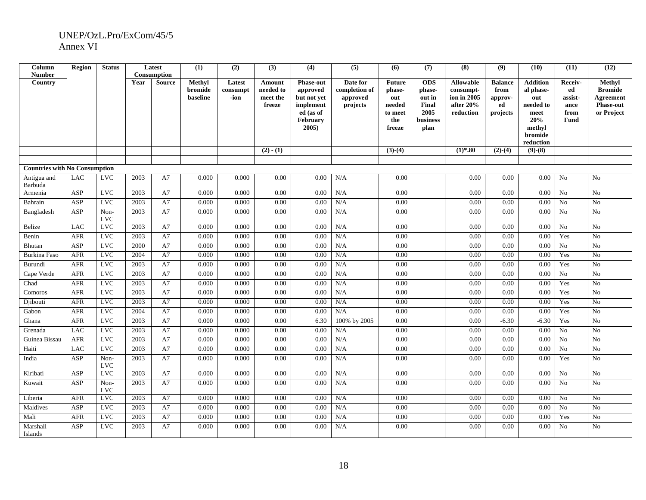| Column<br><b>Number</b>              | <b>Region</b> | <b>Status</b>      |      | Latest<br>Consumption | (1)      | (2)      | (3)                | (4)                      | (5)                  | (6)           | (7)             | (8)                      | (9)            | (10)                 | (11)            | (12)                          |
|--------------------------------------|---------------|--------------------|------|-----------------------|----------|----------|--------------------|--------------------------|----------------------|---------------|-----------------|--------------------------|----------------|----------------------|-----------------|-------------------------------|
| Country                              |               |                    | Year | <b>Source</b>         | Methyl   | Latest   | Amount             | <b>Phase-out</b>         | Date for             | <b>Future</b> | <b>ODS</b>      | <b>Allowable</b>         | <b>Balance</b> | <b>Addition</b>      | Receiv-         | Methyl                        |
|                                      |               |                    |      |                       | bromide  | consumpt | needed to          | approved                 | completion of        | phase-        | phase-          | consumpt-                | from           | al phase-            | ed              | <b>Bromide</b>                |
|                                      |               |                    |      |                       | baseline | -ion     | meet the<br>freeze | but not yet<br>implement | approved<br>projects | out<br>needed | out in<br>Final | ion in 2005<br>after 20% | approv-<br>ed  | out<br>needed to     | assist-<br>ance | Agreement<br><b>Phase-out</b> |
|                                      |               |                    |      |                       |          |          |                    | ed (as of                |                      | to meet       | 2005            | reduction                | projects       | meet                 | from            | or Project                    |
|                                      |               |                    |      |                       |          |          |                    | February                 |                      | the           | business        |                          |                | 20%                  | Fund            |                               |
|                                      |               |                    |      |                       |          |          |                    | 2005                     |                      | freeze        | plan            |                          |                | methyl               |                 |                               |
|                                      |               |                    |      |                       |          |          |                    |                          |                      |               |                 |                          |                | bromide<br>reduction |                 |                               |
|                                      |               |                    |      |                       |          |          | $(2) - (1)$        |                          |                      | $(3)-(4)$     |                 | $(1)*.80$                | $(2)-(4)$      | $(9)-(8)$            |                 |                               |
|                                      |               |                    |      |                       |          |          |                    |                          |                      |               |                 |                          |                |                      |                 |                               |
| <b>Countries with No Consumption</b> |               |                    |      |                       |          |          |                    |                          |                      |               |                 |                          |                |                      |                 |                               |
| Antigua and<br>Barbuda               | <b>LAC</b>    | <b>LVC</b>         | 2003 | A7                    | 0.000    | 0.000    | 0.00               | 0.00                     | N/A                  | 0.00          |                 | 0.00                     | 0.00           | 0.00                 | No              | No                            |
| Armenia                              | ASP           | <b>LVC</b>         | 2003 | A7                    | 0.000    | 0.000    | 0.00               | 0.00                     | N/A                  | 0.00          |                 | 0.00                     | 0.00           | 0.00                 | No              | No                            |
| Bahrain                              | <b>ASP</b>    | <b>LVC</b>         | 2003 | A7                    | 0.000    | 0.000    | 0.00               | 0.00                     | N/A                  | 0.00          |                 | 0.00                     | 0.00           | 0.00                 | No              | N <sub>o</sub>                |
| Bangladesh                           | ASP           | Non-<br><b>LVC</b> | 2003 | A7                    | 0.000    | 0.000    | 0.00               | 0.00                     | N/A                  | 0.00          |                 | 0.00                     | 0.00           | 0.00                 | N <sub>o</sub>  | No                            |
| Belize                               | <b>LAC</b>    | <b>LVC</b>         | 2003 | A7                    | 0.000    | 0.000    | 0.00               | 0.00                     | N/A                  | 0.00          |                 | 0.00                     | 0.00           | 0.00                 | N <sub>o</sub>  | N <sub>0</sub>                |
| Benin                                | <b>AFR</b>    | <b>LVC</b>         | 2003 | A7                    | 0.000    | 0.000    | 0.00               | 0.00                     | N/A                  | 0.00          |                 | 0.00                     | 0.00           | 0.00                 | Yes             | No                            |
| Bhutan                               | <b>ASP</b>    | <b>LVC</b>         | 2000 | A7                    | 0.000    | 0.000    | 0.00               | 0.00                     | N/A                  | 0.00          |                 | 0.00                     | 0.00           | 0.00                 | N <sub>o</sub>  | N <sub>o</sub>                |
| <b>Burkina Faso</b>                  | <b>AFR</b>    | <b>LVC</b>         | 2004 | A7                    | 0.000    | 0.000    | 0.00               | 0.00                     | N/A                  | 0.00          |                 | 0.00                     | 0.00           | 0.00                 | Yes             | N <sub>0</sub>                |
| Burundi                              | ${\sf AFR}$   | <b>LVC</b>         | 2003 | A7                    | 0.000    | 0.000    | 0.00               | 0.00                     | N/A                  | 0.00          |                 | 0.00                     | 0.00           | 0.00                 | Yes             | No                            |
| Cape Verde                           | <b>AFR</b>    | <b>LVC</b>         | 2003 | A7                    | 0.000    | 0.000    | 0.00               | 0.00                     | N/A                  | 0.00          |                 | 0.00                     | 0.00           | 0.00                 | No              | N <sub>o</sub>                |
| Chad                                 | <b>AFR</b>    | <b>LVC</b>         | 2003 | A7                    | 0.000    | 0.000    | 0.00               | 0.00                     | N/A                  | 0.00          |                 | 0.00                     | 0.00           | 0.00                 | Yes             | No                            |
| Comoros                              | <b>AFR</b>    | <b>LVC</b>         | 2003 | A7                    | 0.000    | 0.000    | 0.00               | 0.00                     | N/A                  | 0.00          |                 | 0.00                     | 0.00           | 0.00                 | Yes             | No                            |
| Djibouti                             | <b>AFR</b>    | <b>LVC</b>         | 2003 | A7                    | 0.000    | 0.000    | 0.00               | 0.00                     | N/A                  | 0.00          |                 | 0.00                     | 0.00           | 0.00                 | Yes             | $\overline{N_0}$              |
| Gabon                                | <b>AFR</b>    | <b>LVC</b>         | 2004 | A7                    | 0.000    | 0.000    | 0.00               | 0.00                     | N/A                  | 0.00          |                 | 0.00                     | 0.00           | 0.00                 | Yes             | N <sub>o</sub>                |
| Ghana                                | <b>AFR</b>    | <b>LVC</b>         | 2003 | A7                    | 0.000    | 0.000    | 0.00               | 6.30                     | 100% by 2005         | 0.00          |                 | 0.00                     | $-6.30$        | $-6.30$              | Yes             | N <sub>0</sub>                |
| Grenada                              | <b>LAC</b>    | <b>LVC</b>         | 2003 | A7                    | 0.000    | 0.000    | 0.00               | 0.00                     | N/A                  | 0.00          |                 | 0.00                     | 0.00           | 0.00                 | N <sub>0</sub>  | No                            |
| Guinea Bissau                        | AFR           | <b>LVC</b>         | 2003 | A7                    | 0.000    | 0.000    | 0.00               | 0.00                     | N/A                  | 0.00          |                 | 0.00                     | 0.00           | 0.00                 | No              | N <sub>0</sub>                |
| Haiti                                | <b>LAC</b>    | <b>LVC</b>         | 2003 | A7                    | 0.000    | 0.000    | 0.00               | 0.00                     | N/A                  | 0.00          |                 | 0.00                     | 0.00           | 0.00                 | No              | No                            |
| India                                | ASP           | Non-<br><b>LVC</b> | 2003 | A7                    | 0.000    | 0.000    | 0.00               | 0.00                     | N/A                  | 0.00          |                 | 0.00                     | 0.00           | 0.00                 | Yes             | No                            |
| Kiribati                             | ASP           | <b>LVC</b>         | 2003 | A7                    | 0.000    | 0.000    | 0.00               | 0.00                     | N/A                  | 0.00          |                 | 0.00                     | 0.00           | 0.00                 | N <sub>0</sub>  | N <sub>0</sub>                |
| Kuwait                               | ASP           | Non-<br><b>LVC</b> | 2003 | A7                    | 0.000    | 0.000    | 0.00               | 0.00                     | N/A                  | 0.00          |                 | 0.00                     | 0.00           | 0.00                 | No              | No                            |
| Liberia                              | <b>AFR</b>    | LVC                | 2003 | A7                    | 0.000    | 0.000    | 0.00               | 0.00                     | N/A                  | 0.00          |                 | 0.00                     | 0.00           | 0.00                 | N <sub>0</sub>  | No                            |
| Maldives                             | ASP           | <b>LVC</b>         | 2003 | A7                    | 0.000    | 0.000    | 0.00               | 0.00                     | N/A                  | 0.00          |                 | 0.00                     | 0.00           | 0.00                 | No              | No                            |
| Mali                                 | AFR           | <b>LVC</b>         | 2003 | A7                    | 0.000    | 0.000    | 0.00               | 0.00                     | N/A                  | 0.00          |                 | 0.00                     | 0.00           | 0.00                 | Yes             | No                            |
| Marshall<br>Islands                  | ASP           | <b>LVC</b>         | 2003 | A7                    | 0.000    | 0.000    | 0.00               | 0.00                     | N/A                  | 0.00          |                 | 0.00                     | 0.00           | 0.00                 | N <sub>0</sub>  | No                            |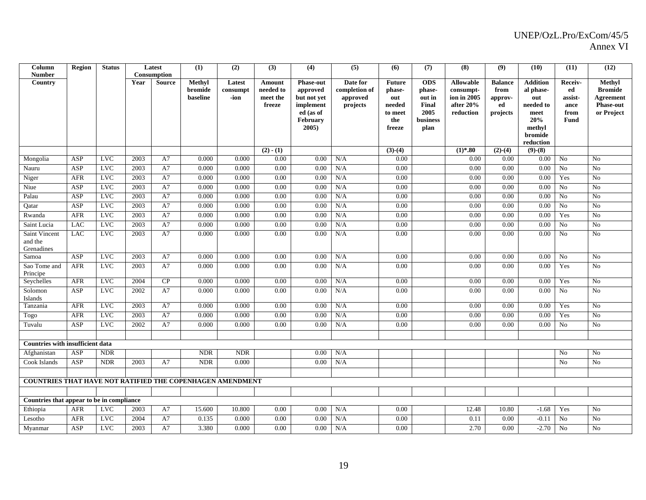| Column<br><b>Number</b>                                   | <b>Region</b> | <b>Status</b> |      | Latest<br><b>Consumption</b> | (1)                           | (2)                        | (3)                                       | (4)                                                                                                  | (5)                                               | (6)                                                                  | (7)                                                                 | (8)                                                                      | (9)                                                 | (10)                                                                                              | (11)                                                    | (12)                                                                           |
|-----------------------------------------------------------|---------------|---------------|------|------------------------------|-------------------------------|----------------------------|-------------------------------------------|------------------------------------------------------------------------------------------------------|---------------------------------------------------|----------------------------------------------------------------------|---------------------------------------------------------------------|--------------------------------------------------------------------------|-----------------------------------------------------|---------------------------------------------------------------------------------------------------|---------------------------------------------------------|--------------------------------------------------------------------------------|
| Country                                                   |               |               | Year | <b>Source</b>                | Methyl<br>bromide<br>baseline | Latest<br>consumpt<br>-ion | Amount<br>needed to<br>meet the<br>freeze | <b>Phase-out</b><br>approved<br>but not yet<br>implement<br>ed (as of<br><b>February</b><br>$2005$ ) | Date for<br>completion of<br>approved<br>projects | <b>Future</b><br>phase-<br>out<br>needed<br>to meet<br>the<br>freeze | <b>ODS</b><br>phase-<br>out in<br>Final<br>2005<br>business<br>plan | <b>Allowable</b><br>consumpt-<br>ion in 2005<br>after $20%$<br>reduction | <b>Balance</b><br>from<br>approv-<br>ed<br>projects | <b>Addition</b><br>al phase-<br>out<br>needed to<br>meet<br>20%<br>methyl<br>bromide<br>reduction | Receiv-<br>ed<br>assist-<br>ance<br>from<br><b>Fund</b> | Methyl<br><b>Bromide</b><br><b>Agreement</b><br><b>Phase-out</b><br>or Project |
| Mongolia                                                  | ASP           | <b>LVC</b>    | 2003 | A7                           | 0.000                         | 0.000                      | $(2) - (1)$<br>0.00                       | 0.00                                                                                                 | N/A                                               | $(3)-(4)$<br>0.00                                                    |                                                                     | $(1)*.80$<br>0.00                                                        | $(2)-(4)$<br>0.00                                   | $(9)-(8)$<br>0.00                                                                                 | No                                                      | N <sub>0</sub>                                                                 |
| Nauru                                                     | ASP           | <b>LVC</b>    | 2003 | A7                           | 0.000                         | 0.000                      | 0.00                                      | 0.00                                                                                                 | N/A                                               | 0.00                                                                 |                                                                     | 0.00                                                                     | 0.00                                                | 0.00                                                                                              | No                                                      | No                                                                             |
| Niger                                                     | <b>AFR</b>    | <b>LVC</b>    | 2003 | A7                           | 0.000                         | 0.000                      | 0.00                                      | 0.00                                                                                                 | N/A                                               | 0.00                                                                 |                                                                     | 0.00                                                                     | 0.00                                                | 0.00                                                                                              | Yes                                                     | N <sub>0</sub>                                                                 |
| Niue                                                      | ASP           | <b>LVC</b>    | 2003 | A7                           | 0.000                         | 0.000                      | 0.00                                      | 0.00                                                                                                 | N/A                                               | 0.00                                                                 |                                                                     | 0.00                                                                     | 0.00                                                | 0.00                                                                                              | No                                                      | No                                                                             |
| Palau                                                     | ASP           | <b>LVC</b>    | 2003 | A7                           | 0.000                         | 0.000                      | 0.00                                      | 0.00                                                                                                 | N/A                                               | 0.00                                                                 |                                                                     | 0.00                                                                     | 0.00                                                | 0.00                                                                                              | N <sub>0</sub>                                          | No                                                                             |
| Qatar                                                     | ASP           | $_{\rm LVC}$  | 2003 | A7                           | 0.000                         | 0.000                      | 0.00                                      | 0.00                                                                                                 | N/A                                               | 0.00                                                                 |                                                                     | 0.00                                                                     | 0.00                                                | 0.00                                                                                              | No                                                      | $\rm No$                                                                       |
| Rwanda                                                    | <b>AFR</b>    | <b>LVC</b>    | 2003 | A7                           | 0.000                         | 0.000                      | 0.00                                      | 0.00                                                                                                 | N/A                                               | 0.00                                                                 |                                                                     | 0.00                                                                     | 0.00                                                | 0.00                                                                                              | Yes                                                     | N <sub>o</sub>                                                                 |
| Saint Lucia                                               | <b>LAC</b>    | <b>LVC</b>    | 2003 | A7                           | 0.000                         | 0.000                      | 0.00                                      | 0.00                                                                                                 | N/A                                               | 0.00                                                                 |                                                                     | 0.00                                                                     | 0.00                                                | 0.00                                                                                              | No                                                      | No                                                                             |
| Saint Vincent<br>and the<br>Grenadines                    | <b>LAC</b>    | <b>LVC</b>    | 2003 | A7                           | 0.000                         | 0.000                      | 0.00                                      | 0.00                                                                                                 | N/A                                               | 0.00                                                                 |                                                                     | 0.00                                                                     | 0.00                                                | 0.00                                                                                              | N <sub>0</sub>                                          | N <sub>o</sub>                                                                 |
| Samoa                                                     | ASP           | <b>LVC</b>    | 2003 | A7                           | 0.000                         | 0.000                      | $0.00\,$                                  | 0.00                                                                                                 | N/A                                               | 0.00                                                                 |                                                                     | 0.00                                                                     | 0.00                                                | 0.00                                                                                              | No                                                      | No                                                                             |
| Sao Tome and<br>Principe                                  | <b>AFR</b>    | <b>LVC</b>    | 2003 | A7                           | 0.000                         | 0.000                      | 0.00                                      | 0.00                                                                                                 | N/A                                               | 0.00                                                                 |                                                                     | 0.00                                                                     | 0.00                                                | 0.00                                                                                              | Yes                                                     | N <sub>0</sub>                                                                 |
| Seychelles                                                | <b>AFR</b>    | LVC           | 2004 | CP                           | 0.000                         | 0.000                      | 0.00                                      | 0.00                                                                                                 | N/A                                               | 0.00                                                                 |                                                                     | 0.00                                                                     | 0.00                                                | 0.00                                                                                              | Yes                                                     | N <sub>0</sub>                                                                 |
| Solomon<br>Islands                                        | ASP           | <b>LVC</b>    | 2002 | A7                           | 0.000                         | 0.000                      | 0.00                                      | 0.00                                                                                                 | N/A                                               | 0.00                                                                 |                                                                     | 0.00                                                                     | 0.00                                                | 0.00                                                                                              | No                                                      | No                                                                             |
| Tanzania                                                  | <b>AFR</b>    | <b>LVC</b>    | 2003 | A7                           | 0.000                         | 0.000                      | 0.00                                      | 0.00                                                                                                 | N/A                                               | 0.00                                                                 |                                                                     | 0.00                                                                     | 0.00                                                | 0.00                                                                                              | Yes                                                     | No                                                                             |
| Togo                                                      | AFR           | <b>LVC</b>    | 2003 | A7                           | 0.000                         | 0.000                      | 0.00                                      | 0.00                                                                                                 | N/A                                               | 0.00                                                                 |                                                                     | 0.00                                                                     | 0.00                                                | 0.00                                                                                              | Yes                                                     | No                                                                             |
| Tuvalu                                                    | ASP           | <b>LVC</b>    | 2002 | A7                           | 0.000                         | 0.000                      | 0.00                                      | 0.00                                                                                                 | N/A                                               | 0.00                                                                 |                                                                     | 0.00                                                                     | 0.00                                                | 0.00                                                                                              | No                                                      | N <sub>o</sub>                                                                 |
| <b>Countries with insufficient data</b>                   |               |               |      |                              |                               |                            |                                           |                                                                                                      |                                                   |                                                                      |                                                                     |                                                                          |                                                     |                                                                                                   |                                                         |                                                                                |
| Afghanistan                                               | ASP           | <b>NDR</b>    |      |                              | <b>NDR</b>                    | <b>NDR</b>                 |                                           | 0.00                                                                                                 | N/A                                               |                                                                      |                                                                     |                                                                          |                                                     |                                                                                                   | No                                                      | No                                                                             |
| Cook Islands                                              | ASP           | <b>NDR</b>    | 2003 | A7                           | <b>NDR</b>                    | 0.000                      |                                           | 0.00                                                                                                 | N/A                                               |                                                                      |                                                                     |                                                                          |                                                     |                                                                                                   | No                                                      | N <sub>o</sub>                                                                 |
|                                                           |               |               |      |                              |                               |                            |                                           |                                                                                                      |                                                   |                                                                      |                                                                     |                                                                          |                                                     |                                                                                                   |                                                         |                                                                                |
| COUNTRIES THAT HAVE NOT RATIFIED THE COPENHAGEN AMENDMENT |               |               |      |                              |                               |                            |                                           |                                                                                                      |                                                   |                                                                      |                                                                     |                                                                          |                                                     |                                                                                                   |                                                         |                                                                                |
|                                                           |               |               |      |                              |                               |                            |                                           |                                                                                                      |                                                   |                                                                      |                                                                     |                                                                          |                                                     |                                                                                                   |                                                         |                                                                                |
| Countries that appear to be in compliance                 |               |               |      |                              |                               |                            |                                           |                                                                                                      |                                                   |                                                                      |                                                                     |                                                                          |                                                     |                                                                                                   |                                                         |                                                                                |
| Ethiopia                                                  | <b>AFR</b>    | <b>LVC</b>    | 2003 | A7                           | 15.600                        | 10.800                     | 0.00                                      | 0.00                                                                                                 | N/A                                               | 0.00                                                                 |                                                                     | 12.48                                                                    | 10.80                                               | $-1.68$                                                                                           | Yes                                                     | No                                                                             |
| Lesotho                                                   | <b>AFR</b>    | <b>LVC</b>    | 2004 | A7                           | 0.135                         | 0.000                      | 0.00                                      | 0.00                                                                                                 | N/A                                               | 0.00                                                                 |                                                                     | 0.11                                                                     | 0.00                                                | $-0.11$                                                                                           | No                                                      | No                                                                             |
| Myanmar                                                   | ASP           | <b>LVC</b>    | 2003 | A7                           | 3.380                         | 0.000                      | 0.00                                      | 0.00                                                                                                 | N/A                                               | 0.00                                                                 |                                                                     | 2.70                                                                     | 0.00                                                | $-2.70$                                                                                           | N <sub>0</sub>                                          | N <sub>0</sub>                                                                 |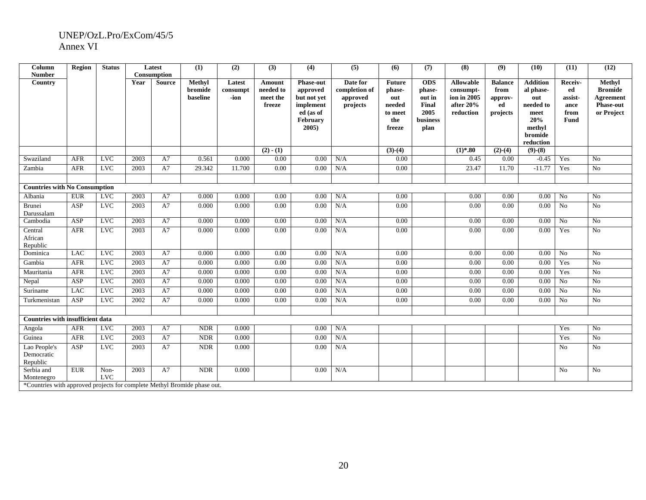| Column<br><b>Number</b>                                                                              | <b>Region</b> | <b>Status</b>      |      | Latest<br>Consumption | (1)                           | (2)                        | (3)                                       | (4)                                                                                           | (5)                                               | (6)                                                                  | (7)                                                                 | (8)                                                                       | (9)                                                 | (10)                                                                                              | (11)                                             | (12)                                                                    |
|------------------------------------------------------------------------------------------------------|---------------|--------------------|------|-----------------------|-------------------------------|----------------------------|-------------------------------------------|-----------------------------------------------------------------------------------------------|---------------------------------------------------|----------------------------------------------------------------------|---------------------------------------------------------------------|---------------------------------------------------------------------------|-----------------------------------------------------|---------------------------------------------------------------------------------------------------|--------------------------------------------------|-------------------------------------------------------------------------|
| Country                                                                                              |               |                    | Year | <b>Source</b>         | Methyl<br>bromide<br>baseline | Latest<br>consumpt<br>-ion | Amount<br>needed to<br>meet the<br>freeze | <b>Phase-out</b><br>approved<br>but not yet<br>implement<br>ed (as of<br>February<br>$2005$ ) | Date for<br>completion of<br>approved<br>projects | <b>Future</b><br>phase-<br>out<br>needed<br>to meet<br>the<br>freeze | <b>ODS</b><br>phase-<br>out in<br>Final<br>2005<br>business<br>plan | <b>Allowable</b><br>consumpt-<br>ion in 2005<br>after $20\%$<br>reduction | <b>Balance</b><br>from<br>approv-<br>ed<br>projects | <b>Addition</b><br>al phase-<br>out<br>needed to<br>meet<br>20%<br>methyl<br>bromide<br>reduction | Receiv-<br>ed<br>assist-<br>ance<br>from<br>Fund | Methyl<br><b>Bromide</b><br>Agreement<br><b>Phase-out</b><br>or Project |
|                                                                                                      |               |                    |      |                       |                               |                            | $(2) - (1)$                               |                                                                                               |                                                   | $(3)-(4)$                                                            |                                                                     | $(1)*.80$                                                                 | $(2)-(4)$                                           | $(9)-(8)$                                                                                         |                                                  |                                                                         |
| Swaziland                                                                                            | <b>AFR</b>    | <b>LVC</b>         | 2003 | A7                    | 0.561                         | 0.000                      | 0.00                                      | 0.00                                                                                          | N/A                                               | 0.00                                                                 |                                                                     | 0.45                                                                      | 0.00                                                | $-0.45$                                                                                           | Yes                                              | N <sub>0</sub>                                                          |
| Zambia                                                                                               | <b>AFR</b>    | <b>LVC</b>         | 2003 | A7                    | 29.342                        | 11.700                     | 0.00                                      | 0.00                                                                                          | N/A                                               | 0.00                                                                 |                                                                     | 23.47                                                                     | 11.70                                               | $-11.77$                                                                                          | Yes                                              | No                                                                      |
|                                                                                                      |               |                    |      |                       |                               |                            |                                           |                                                                                               |                                                   |                                                                      |                                                                     |                                                                           |                                                     |                                                                                                   |                                                  |                                                                         |
| <b>Countries with No Consumption</b>                                                                 |               |                    |      |                       |                               |                            |                                           |                                                                                               |                                                   |                                                                      |                                                                     |                                                                           |                                                     |                                                                                                   |                                                  |                                                                         |
| Albania                                                                                              | <b>EUR</b>    | <b>LVC</b>         | 2003 | A7                    | 0.000                         | 0.000                      | 0.00                                      | 0.00                                                                                          | N/A                                               | 0.00                                                                 |                                                                     | 0.00                                                                      | 0.00                                                | 0.00                                                                                              | No                                               | No                                                                      |
| Brunei<br>Darussalam                                                                                 | ASP           | <b>LVC</b>         | 2003 | A7                    | 0.000                         | 0.000                      | 0.00                                      | 0.00                                                                                          | N/A                                               | 0.00                                                                 |                                                                     | 0.00                                                                      | 0.00                                                | 0.00                                                                                              | No                                               | No                                                                      |
| Cambodia                                                                                             | ASP           | <b>LVC</b>         | 2003 | A7                    | 0.000                         | 0.000                      | 0.00                                      | 0.00                                                                                          | N/A                                               | 0.00                                                                 |                                                                     | 0.00                                                                      | 0.00                                                | 0.00                                                                                              | No                                               | No                                                                      |
| Central<br>African<br>Republic                                                                       | AFR           | <b>LVC</b>         | 2003 | A7                    | 0.000                         | 0.000                      | 0.00                                      | 0.00                                                                                          | N/A                                               | 0.00                                                                 |                                                                     | 0.00                                                                      | 0.00                                                | 0.00                                                                                              | Yes                                              | No                                                                      |
| Dominica                                                                                             | <b>LAC</b>    | <b>LVC</b>         | 2003 | A7                    | 0.000                         | 0.000                      | 0.00                                      | 0.00                                                                                          | N/A                                               | 0.00                                                                 |                                                                     | 0.00                                                                      | 0.00                                                | 0.00                                                                                              | No                                               | N <sub>0</sub>                                                          |
| Gambia                                                                                               | <b>AFR</b>    | <b>LVC</b>         | 2003 | A7                    | 0.000                         | 0.000                      | 0.00                                      | 0.00                                                                                          | N/A                                               | 0.00                                                                 |                                                                     | 0.00                                                                      | 0.00                                                | 0.00                                                                                              | Yes                                              | No                                                                      |
| Mauritania                                                                                           | <b>AFR</b>    | <b>LVC</b>         | 2003 | A7                    | 0.000                         | 0.000                      | 0.00                                      | 0.00                                                                                          | N/A                                               | 0.00                                                                 |                                                                     | 0.00                                                                      | 0.00                                                | 0.00                                                                                              | Yes                                              | No                                                                      |
| Nepal                                                                                                | ASP           | <b>LVC</b>         | 2003 | A7                    | 0.000                         | 0.000                      | 0.00                                      | 0.00                                                                                          | N/A                                               | 0.00                                                                 |                                                                     | 0.00                                                                      | 0.00                                                | 0.00                                                                                              | No                                               | No                                                                      |
| Suriname                                                                                             | <b>LAC</b>    | <b>LVC</b>         | 2003 | A7                    | 0.000                         | 0.000                      | 0.00                                      | 0.00                                                                                          | N/A                                               | 0.00                                                                 |                                                                     | 0.00                                                                      | 0.00                                                | 0.00                                                                                              | No                                               | No                                                                      |
| Turkmenistan                                                                                         | ASP           | <b>LVC</b>         | 2002 | A7                    | 0.000                         | 0.000                      | 0.00                                      | 0.00                                                                                          | N/A                                               | 0.00                                                                 |                                                                     | 0.00                                                                      | 0.00                                                | 0.00                                                                                              | No                                               | No                                                                      |
| <b>Countries with insufficient data</b>                                                              |               |                    |      |                       |                               |                            |                                           |                                                                                               |                                                   |                                                                      |                                                                     |                                                                           |                                                     |                                                                                                   |                                                  |                                                                         |
| Angola                                                                                               | <b>AFR</b>    | <b>LVC</b>         | 2003 | A7                    | <b>NDR</b>                    | 0.000                      |                                           | 0.00                                                                                          | N/A                                               |                                                                      |                                                                     |                                                                           |                                                     |                                                                                                   | Yes                                              | No                                                                      |
| Guinea                                                                                               | AFR           | <b>LVC</b>         | 2003 | A7                    | <b>NDR</b>                    | 0.000                      |                                           | 0.00                                                                                          | N/A                                               |                                                                      |                                                                     |                                                                           |                                                     |                                                                                                   | Yes                                              | No                                                                      |
| Lao People's<br>Democratic<br>Republic                                                               | ASP           | <b>LVC</b>         | 2003 | A7                    | <b>NDR</b>                    | 0.000                      |                                           | 0.00                                                                                          | N/A                                               |                                                                      |                                                                     |                                                                           |                                                     |                                                                                                   | N <sub>o</sub>                                   | No                                                                      |
| Serbia and<br>Montenegro<br>*Countries with approved projects for complete Methyl Bromide phase out. | <b>EUR</b>    | Non-<br><b>LVC</b> | 2003 | A7                    | <b>NDR</b>                    | 0.000                      |                                           | 0.00                                                                                          | N/A                                               |                                                                      |                                                                     |                                                                           |                                                     |                                                                                                   | No                                               | No                                                                      |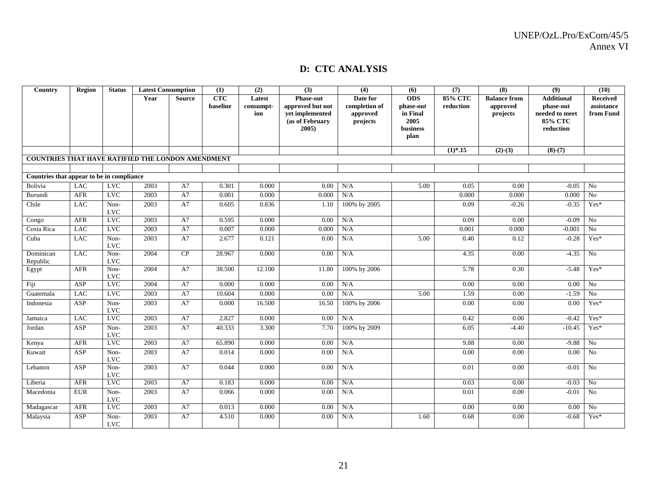#### **D: CTC ANALYSIS**

| Country                                                  | Region      | <b>Status</b>      | <b>Latest Consumption</b> |               | (1)                    | (2)                        | (3)                                                                                    | (4)                                               | (6)                                                             | (7)                  | (8)                                         | (9)                                                                             | (10)                                |
|----------------------------------------------------------|-------------|--------------------|---------------------------|---------------|------------------------|----------------------------|----------------------------------------------------------------------------------------|---------------------------------------------------|-----------------------------------------------------------------|----------------------|---------------------------------------------|---------------------------------------------------------------------------------|-------------------------------------|
|                                                          |             |                    | Year                      | <b>Source</b> | <b>CTC</b><br>baseline | Latest<br>consumpt-<br>ion | <b>Phase-out</b><br>approved but not<br>vet implemented<br>(as of February<br>$2005$ ) | Date for<br>completion of<br>approved<br>projects | <b>ODS</b><br>phase-out<br>in Final<br>2005<br>business<br>plan | 85% CTC<br>reduction | <b>Balance from</b><br>approved<br>projects | <b>Additional</b><br>phase-out<br>needed to meet<br><b>85% CTC</b><br>reduction | Received<br>assistance<br>from Fund |
|                                                          |             |                    |                           |               |                        |                            |                                                                                        |                                                   |                                                                 | $(1)*.15$            | $(2)-(3)$                                   | $(8)-(7)$                                                                       |                                     |
| <b>COUNTRIES THAT HAVE RATIFIED THE LONDON AMENDMENT</b> |             |                    |                           |               |                        |                            |                                                                                        |                                                   |                                                                 |                      |                                             |                                                                                 |                                     |
| Countries that appear to be in compliance                |             |                    |                           |               |                        |                            |                                                                                        |                                                   |                                                                 |                      |                                             |                                                                                 |                                     |
| Bolivia                                                  | <b>LAC</b>  | <b>LVC</b>         | 2003                      | A7            | 0.301                  | 0.000                      | 0.00                                                                                   | N/A                                               | 5.00                                                            | 0.05                 | 0.00                                        | $-0.05$                                                                         | No                                  |
| Burundi                                                  | AFR         | <b>LVC</b>         | 2003                      | A7            | 0.001                  | 0.000                      | 0.000                                                                                  | N/A                                               |                                                                 | 0.000                | 0.000                                       | 0.000                                                                           | No                                  |
| Chile                                                    | <b>LAC</b>  | Non-<br><b>LVC</b> | 2003                      | A7            | 0.605                  | 0.836                      | 1.10                                                                                   | 100% by 2005                                      |                                                                 | 0.09                 | $-0.26$                                     | $-0.35$                                                                         | $Yes*$                              |
| Congo                                                    | <b>AFR</b>  | <b>LVC</b>         | 2003                      | A7            | 0.595                  | 0.000                      | 0.00                                                                                   | N/A                                               |                                                                 | 0.09                 | 0.00                                        | $-0.09$                                                                         | No                                  |
| Costa Rica                                               | <b>LAC</b>  | <b>LVC</b>         | 2003                      | A7            | 0.007                  | 0.000                      | 0.000                                                                                  | N/A                                               |                                                                 | 0.001                | 0.000                                       | $-0.001$                                                                        | $\rm No$                            |
| Cuba                                                     | <b>LAC</b>  | Non-<br><b>LVC</b> | 2003                      | A7            | 2.677                  | 0.121                      | 0.00                                                                                   | N/A                                               | 5.00                                                            | 0.40                 | 0.12                                        | $-0.28$                                                                         | Yes*                                |
| Dominican<br>Republic                                    | <b>LAC</b>  | Non-<br><b>LVC</b> | 2004                      | CP            | 28.967                 | 0.000                      | 0.00                                                                                   | N/A                                               |                                                                 | 4.35                 | 0.00                                        | $-4.35$                                                                         | N <sub>o</sub>                      |
| Egypt                                                    | AFR         | Non-<br><b>LVC</b> | 2004                      | A7            | 38.500                 | 12.100                     | 11.80                                                                                  | 100% by 2006                                      |                                                                 | 5.78                 | 0.30                                        | $-5.48$                                                                         | Yes*                                |
| Fiji                                                     | ASP         | <b>LVC</b>         | 2004                      | A7            | 0.000                  | 0.000                      | 0.00                                                                                   | N/A                                               |                                                                 | 0.00                 | 0.00                                        | 0.00                                                                            | No                                  |
| Guatemala                                                | <b>LAC</b>  | <b>LVC</b>         | 2003                      | A7            | 10.604                 | 0.000                      | 0.00                                                                                   | N/A                                               | 5.00                                                            | 1.59                 | 0.00                                        | $-1.59$                                                                         | No                                  |
| Indonesia                                                | ASP         | Non-<br><b>LVC</b> | 2003                      | A7            | 0.000                  | 16.500                     | 16.50                                                                                  | 100% by 2006                                      |                                                                 | 0.00                 | 0.00                                        | 0.00                                                                            | Yes*                                |
| Jamaica                                                  | <b>LAC</b>  | <b>LVC</b>         | 2003                      | A7            | 2.827                  | 0.000                      | 0.00                                                                                   | N/A                                               |                                                                 | 0.42                 | 0.00                                        | $-0.42$                                                                         | Yes*                                |
| Jordan                                                   | ASP         | Non-<br><b>LVC</b> | 2003                      | A7            | 40.333                 | 3.300                      | 7.70                                                                                   | 100% by 2009                                      |                                                                 | 6.05                 | $-4.40$                                     | $-10.45$                                                                        | $Yes*$                              |
| Kenya                                                    | <b>AFR</b>  | <b>LVC</b>         | 2003                      | A7            | 65.890                 | 0.000                      | 0.00                                                                                   | N/A                                               |                                                                 | 9.88                 | 0.00                                        | $-9.88$                                                                         | N <sub>o</sub>                      |
| Kuwait                                                   | ASP         | Non-<br><b>LVC</b> | 2003                      | A7            | 0.014                  | 0.000                      | 0.00                                                                                   | N/A                                               |                                                                 | 0.00                 | 0.00                                        | 0.00                                                                            | $\overline{N_0}$                    |
| Lebanon                                                  | ASP         | Non-<br><b>LVC</b> | 2003                      | A7            | 0.044                  | 0.000                      | 0.00                                                                                   | N/A                                               |                                                                 | 0.01                 | 0.00                                        | $-0.01$                                                                         | No                                  |
| Liberia                                                  | AFR         | <b>LVC</b>         | 2003                      | A7            | 0.183                  | 0.000                      | 0.00                                                                                   | N/A                                               |                                                                 | 0.03                 | 0.00                                        | $-0.03$                                                                         | No                                  |
| Macedonia                                                | ${\rm EUR}$ | Non-<br><b>LVC</b> | 2003                      | A7            | 0.066                  | 0.000                      | $0.00\,$                                                                               | N/A                                               |                                                                 | 0.01                 | 0.00                                        | $-0.01$                                                                         | No                                  |
| Madagascar                                               | AFR         | <b>LVC</b>         | 2003                      | A7            | 0.013                  | 0.000                      | 0.00                                                                                   | N/A                                               |                                                                 | 0.00                 | 0.00                                        | 0.00                                                                            | No                                  |
| Malaysia                                                 | ASP         | Non-<br><b>LVC</b> | 2003                      | A7            | 4.510                  | 0.000                      | 0.00                                                                                   | N/A                                               | 1.60                                                            | 0.68                 | 0.00                                        | $-0.68$                                                                         | Yes*                                |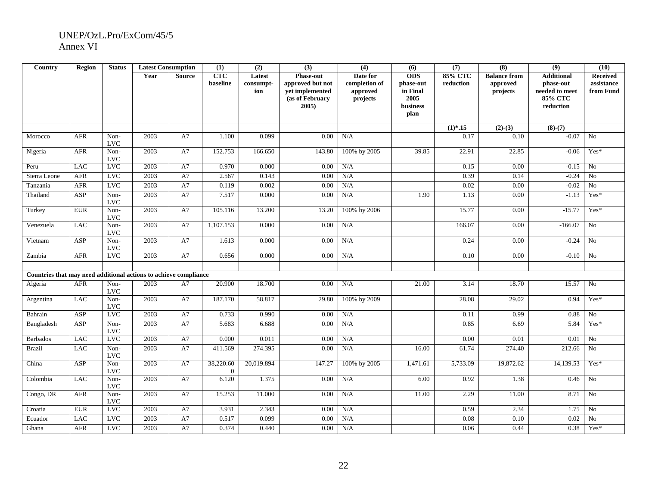| Country                                                          | <b>Region</b> | <b>Status</b>      | <b>Latest Consumption</b> |               | (1)                         | (2)                        | (3)                                                                                | $\overline{(4)}$                                  | (6)                                                             | (7)                     | (8)                                         | (9)                                                                      | (10)                                       |
|------------------------------------------------------------------|---------------|--------------------|---------------------------|---------------|-----------------------------|----------------------------|------------------------------------------------------------------------------------|---------------------------------------------------|-----------------------------------------------------------------|-------------------------|---------------------------------------------|--------------------------------------------------------------------------|--------------------------------------------|
|                                                                  |               |                    | Year                      | <b>Source</b> | <b>CTC</b><br>baseline      | Latest<br>consumpt-<br>ion | <b>Phase-out</b><br>approved but not<br>vet implemented<br>(as of February<br>2005 | Date for<br>completion of<br>approved<br>projects | <b>ODS</b><br>phase-out<br>in Final<br>2005<br>business<br>plan | $85\%$ CTC<br>reduction | <b>Balance from</b><br>approved<br>projects | <b>Additional</b><br>phase-out<br>needed to meet<br>85% CTC<br>reduction | <b>Received</b><br>assistance<br>from Fund |
|                                                                  |               |                    |                           |               |                             |                            |                                                                                    |                                                   |                                                                 | $(1)*.15$               | $(2)-(3)$                                   | $(8)-(7)$                                                                |                                            |
| Morocco                                                          | <b>AFR</b>    | Non-<br><b>LVC</b> | 2003                      | A7            | 1.100                       | 0.099                      | 0.00                                                                               | N/A                                               |                                                                 | 0.17                    | 0.10                                        | $-0.07$                                                                  | No                                         |
| Nigeria                                                          | <b>AFR</b>    | Non-<br><b>LVC</b> | 2003                      | A7            | 152.753                     | 166.650                    | 143.80                                                                             | 100% by 2005                                      | 39.85                                                           | 22.91                   | 22.85                                       | $-0.06$                                                                  | Yes*                                       |
| Peru                                                             | <b>LAC</b>    | <b>LVC</b>         | 2003                      | A7            | 0.970                       | 0.000                      | 0.00                                                                               | N/A                                               |                                                                 | 0.15                    | 0.00                                        | $-0.15$                                                                  | No                                         |
| Sierra Leone                                                     | <b>AFR</b>    | <b>LVC</b>         | 2003                      | A7            | 2.567                       | 0.143                      | 0.00                                                                               | $\rm N/A$                                         |                                                                 | 0.39                    | 0.14                                        | $-0.24$                                                                  | No                                         |
| Tanzania                                                         | <b>AFR</b>    | <b>LVC</b>         | 2003                      | A7            | 0.119                       | 0.002                      | 0.00                                                                               | N/A                                               |                                                                 | 0.02                    | 0.00                                        | $-0.02$                                                                  | $\overline{No}$                            |
| Thailand                                                         | ASP           | Non-<br><b>LVC</b> | 2003                      | A7            | 7.517                       | 0.000                      | 0.00                                                                               | N/A                                               | 1.90                                                            | 1.13                    | 0.00                                        | $-1.13$                                                                  | Yes*                                       |
| Turkey                                                           | <b>EUR</b>    | Non-<br><b>LVC</b> | 2003                      | A7            | 105.116                     | 13.200                     | 13.20                                                                              | 100% by 2006                                      |                                                                 | 15.77                   | 0.00                                        | $-15.77$                                                                 | Yes*                                       |
| Venezuela                                                        | <b>LAC</b>    | Non-<br><b>LVC</b> | 2003                      | A7            | 1,107.153                   | 0.000                      | 0.00                                                                               | N/A                                               |                                                                 | 166.07                  | 0.00                                        | $-166.07$                                                                | No                                         |
| Vietnam                                                          | <b>ASP</b>    | Non-<br><b>LVC</b> | 2003                      | A7            | 1.613                       | 0.000                      | 0.00                                                                               | N/A                                               |                                                                 | 0.24                    | 0.00                                        | $-0.24$                                                                  | No                                         |
| Zambia                                                           | AFR           | <b>LVC</b>         | 2003                      | A7            | 0.656                       | 0.000                      | 0.00                                                                               | N/A                                               |                                                                 | 0.10                    | 0.00                                        | $-0.10$                                                                  | No                                         |
| Countries that may need additional actions to achieve compliance |               |                    |                           |               |                             |                            |                                                                                    |                                                   |                                                                 |                         |                                             |                                                                          |                                            |
| Algeria                                                          | <b>AFR</b>    | Non-<br><b>LVC</b> | 2003                      | A7            | 20.900                      | 18.700                     | 0.00                                                                               | N/A                                               | 21.00                                                           | 3.14                    | 18.70                                       | 15.57                                                                    | No                                         |
| Argentina                                                        | <b>LAC</b>    | Non-<br><b>LVC</b> | 2003                      | A7            | 187.170                     | 58.817                     | 29.80                                                                              | 100% by 2009                                      |                                                                 | 28.08                   | 29.02                                       | 0.94                                                                     | $Yes*$                                     |
| Bahrain                                                          | ASP           | <b>LVC</b>         | 2003                      | A7            | 0.733                       | 0.990                      | 0.00                                                                               | N/A                                               |                                                                 | 0.11                    | 0.99                                        | 0.88                                                                     | N <sub>o</sub>                             |
| Bangladesh                                                       | <b>ASP</b>    | Non-<br><b>LVC</b> | 2003                      | A7            | 5.683                       | 6.688                      | 0.00                                                                               | N/A                                               |                                                                 | 0.85                    | 6.69                                        | 5.84                                                                     | Yes*                                       |
| <b>Barbados</b>                                                  | $_{\rm LAC}$  | <b>LVC</b>         | 2003                      | A7            | 0.000                       | 0.011                      | 0.00                                                                               | N/A                                               |                                                                 | 0.00                    | 0.01                                        | 0.01                                                                     | $\rm No$                                   |
| <b>Brazil</b>                                                    | <b>LAC</b>    | Non-<br><b>LVC</b> | 2003                      | A7            | 411.569                     | 274.395                    | 0.00                                                                               | N/A                                               | 16.00                                                           | 61.74                   | 274.40                                      | 212.66                                                                   | N <sub>o</sub>                             |
| China                                                            | ASP           | Non-<br><b>LVC</b> | 2003                      | $\rm A7$      | 38,220.60<br>$\overline{0}$ | 20,019.894                 | 147.27                                                                             | 100% by 2005                                      | 1,471.61                                                        | 5,733.09                | 19,872.62                                   | 14,139.53                                                                | Yes*                                       |
| Colombia                                                         | <b>LAC</b>    | Non-<br><b>LVC</b> | 2003                      | A7            | 6.120                       | 1.375                      | 0.00                                                                               | N/A                                               | 6.00                                                            | 0.92                    | 1.38                                        | 0.46                                                                     | No                                         |
| Congo, DR                                                        | AFR           | Non-<br><b>LVC</b> | 2003                      | A7            | 15.253                      | 11.000                     | $0.00\,$                                                                           | N/A                                               | 11.00                                                           | 2.29                    | 11.00                                       | 8.71                                                                     | No                                         |
| Croatia                                                          | <b>EUR</b>    | LVC                | 2003                      | A7            | 3.931                       | 2.343                      | 0.00                                                                               | N/A                                               |                                                                 | 0.59                    | 2.34                                        | 1.75                                                                     | No                                         |
| Ecuador                                                          | <b>LAC</b>    | <b>LVC</b>         | 2003                      | A7            | 0.517                       | 0.099                      | 0.00                                                                               | N/A                                               |                                                                 | 0.08                    | 0.10                                        | 0.02                                                                     | No                                         |
| Ghana                                                            | <b>AFR</b>    | <b>LVC</b>         | 2003                      | A7            | 0.374                       | 0.440                      | 0.00                                                                               | N/A                                               |                                                                 | 0.06                    | 0.44                                        | 0.38                                                                     | Yes*                                       |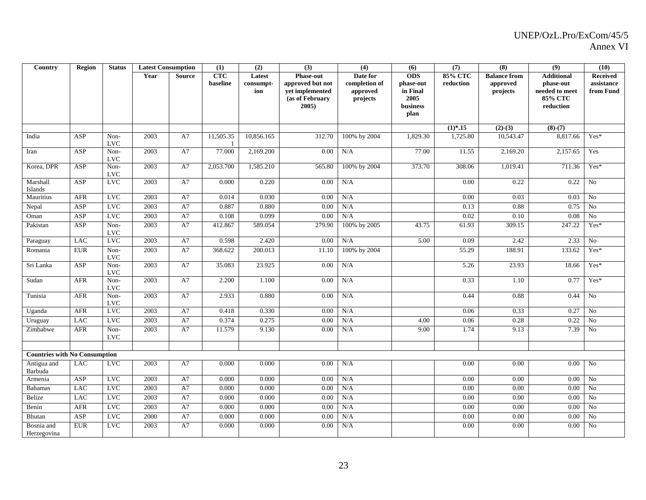| Country                              | <b>Region</b> | <b>Status</b>        | <b>Latest Consumption</b> |               | (1)                    | (2)                        | (3)                                                                                    | (4)                                               | (6)                                                                    | (7)                         | (8)                                         | (9)                                                                             | (10)                                |
|--------------------------------------|---------------|----------------------|---------------------------|---------------|------------------------|----------------------------|----------------------------------------------------------------------------------------|---------------------------------------------------|------------------------------------------------------------------------|-----------------------------|---------------------------------------------|---------------------------------------------------------------------------------|-------------------------------------|
|                                      |               |                      | Year                      | <b>Source</b> | <b>CTC</b><br>baseline | Latest<br>consumpt-<br>ion | <b>Phase-out</b><br>approved but not<br>vet implemented<br>(as of February<br>$2005$ ) | Date for<br>completion of<br>approved<br>projects | <b>ODS</b><br>phase-out<br>in Final<br>2005<br><b>business</b><br>plan | <b>85% CTC</b><br>reduction | <b>Balance from</b><br>approved<br>projects | <b>Additional</b><br>phase-out<br>needed to meet<br><b>85% CTC</b><br>reduction | Received<br>assistance<br>from Fund |
|                                      |               |                      |                           |               |                        |                            |                                                                                        |                                                   |                                                                        | $(1)*.15$                   | $(2)-(3)$                                   | $(8)-(7)$                                                                       |                                     |
| India                                | ASP           | Non-<br><b>LVC</b>   | 2003                      | A7            | 11,505.35              | 10.856.165                 | 312.70                                                                                 | 100% by 2004                                      | 1,829.30                                                               | 1,725.80                    | 10,543.47                                   | 8,817.66                                                                        | $Yes*$                              |
| Iran                                 | ASP           | Non-<br>$_{\rm LVC}$ | 2003                      | A7            | 77.000                 | 2,169.200                  | 0.00                                                                                   | N/A                                               | 77.00                                                                  | 11.55                       | 2,169.20                                    | 2,157.65                                                                        | Yes                                 |
| Korea, DPR                           | ASP           | Non-<br><b>LVC</b>   | 2003                      | A7            | 2,053.700              | 1,585.210                  | 565.80                                                                                 | 100% by 2004                                      | 373.70                                                                 | 308.06                      | 1,019.41                                    | 711.36                                                                          | Yes*                                |
| Marshall<br><b>Islands</b>           | ASP           | <b>LVC</b>           | 2003                      | A7            | 0.000                  | 0.220                      | 0.00                                                                                   | N/A                                               |                                                                        | 0.00                        | 0.22                                        | 0.22                                                                            | No                                  |
| Mauritius                            | AFR           | <b>LVC</b>           | 2003                      | A7            | 0.014                  | 0.030                      | 0.00                                                                                   | N/A                                               |                                                                        | 0.00                        | 0.03                                        | 0.03                                                                            | N <sub>0</sub>                      |
| Nepal                                | ASP           | <b>LVC</b>           | 2003                      | A7            | 0.887                  | 0.880                      | 0.00                                                                                   | N/A                                               |                                                                        | 0.13                        | 0.88                                        | 0.75                                                                            | No                                  |
| Oman                                 | ASP           | <b>LVC</b>           | 2003                      | A7            | 0.108                  | 0.099                      | 0.00                                                                                   | N/A                                               |                                                                        | 0.02                        | 0.10                                        | 0.08                                                                            | No                                  |
| Pakistan                             | ASP           | Non-<br><b>LVC</b>   | 2003                      | A7            | 412.867                | 589.054                    | 279.90                                                                                 | 100% by 2005                                      | 43.75                                                                  | 61.93                       | 309.15                                      | 247.22                                                                          | Yes*                                |
| Paraguay                             | <b>LAC</b>    | <b>LVC</b>           | 2003                      | $\rm A7$      | 0.598                  | 2.420                      | 0.00                                                                                   | N/A                                               | 5.00                                                                   | 0.09                        | 2.42                                        | 2.33                                                                            | No                                  |
| Romania                              | <b>EUR</b>    | Non-<br><b>LVC</b>   | 2003                      | A7            | 368.622                | 200.013                    | 11.10                                                                                  | 100% by 2004                                      |                                                                        | 55.29                       | 188.91                                      | 133.62                                                                          | Yes*                                |
| Sri Lanka                            | ASP           | Non-<br>$_{\rm LVC}$ | 2003                      | A7            | 35.083                 | 23.925                     | 0.00                                                                                   | N/A                                               |                                                                        | 5.26                        | 23.93                                       | 18.66                                                                           | Yes*                                |
| Sudan                                | AFR           | Non-<br><b>LVC</b>   | 2003                      | A7            | 2.200                  | 1.100                      | 0.00                                                                                   | N/A                                               |                                                                        | 0.33                        | 1.10                                        | 0.77                                                                            | Yes*                                |
| Tunisia                              | AFR           | Non-<br><b>LVC</b>   | 2003                      | A7            | 2.933                  | 0.880                      | 0.00                                                                                   | N/A                                               |                                                                        | 0.44                        | 0.88                                        | 0.44                                                                            | No                                  |
| Uganda                               | <b>AFR</b>    | <b>LVC</b>           | 2003                      | A7            | 0.418                  | 0.330                      | 0.00                                                                                   | N/A                                               |                                                                        | 0.06                        | 0.33                                        | 0.27                                                                            | N <sub>o</sub>                      |
| Uruguay                              | <b>LAC</b>    | LVC                  | 2003                      | A7            | 0.374                  | 0.275                      | 0.00                                                                                   | N/A                                               | 4.00                                                                   | 0.06                        | 0.28                                        | 0.22                                                                            | No                                  |
| Zimbabwe                             | <b>AFR</b>    | Non-<br><b>LVC</b>   | 2003                      | A7            | 11.579                 | 9.130                      | 0.00                                                                                   | N/A                                               | 9.00                                                                   | 1.74                        | 9.13                                        | 7.39                                                                            | N <sub>o</sub>                      |
|                                      |               |                      |                           |               |                        |                            |                                                                                        |                                                   |                                                                        |                             |                                             |                                                                                 |                                     |
| <b>Countries with No Consumption</b> |               |                      |                           |               |                        |                            |                                                                                        |                                                   |                                                                        |                             |                                             |                                                                                 |                                     |
| Antigua and<br>Barbuda               | <b>LAC</b>    | <b>LVC</b>           | 2003                      | A7            | 0.000                  | 0.000                      | 0.00                                                                                   | N/A                                               |                                                                        | 0.00                        | 0.00                                        | 0.00                                                                            | N <sub>0</sub>                      |
| Armenia                              | ASP           | <b>LVC</b>           | 2003                      | A7            | 0.000                  | 0.000                      | 0.00                                                                                   | N/A                                               |                                                                        | 0.00                        | 0.00                                        | 0.00                                                                            | No                                  |
| <b>Bahamas</b>                       | <b>LAC</b>    | <b>LVC</b>           | 2003                      | A7            | 0.000                  | 0.000                      | 0.00                                                                                   | N/A                                               |                                                                        | 0.00                        | 0.00                                        | $0.00\,$                                                                        | No                                  |
| Belize                               | <b>LAC</b>    | <b>LVC</b>           | 2003                      | A7            | 0.000                  | 0.000                      | 0.00                                                                                   | N/A                                               |                                                                        | 0.00                        | 0.00                                        | 0.00                                                                            | No                                  |
| Benin                                | AFR           | <b>LVC</b>           | 2003                      | A7            | 0.000                  | 0.000                      | 0.00                                                                                   | N/A                                               |                                                                        | 0.00                        | 0.00                                        | 0.00                                                                            | No                                  |
| Bhutan                               | ASP           | LVC                  | 2000                      | A7            | 0.000                  | 0.000                      | 0.00                                                                                   | N/A                                               |                                                                        | 0.00                        | 0.00                                        | 0.00                                                                            | N <sub>o</sub>                      |
| Bosnia and<br>Herzegovina            | ${\rm EUR}$   | <b>LVC</b>           | 2003                      | A7            | 0.000                  | 0.000                      | 0.00                                                                                   | N/A                                               |                                                                        | 0.00                        | 0.00                                        | 0.00                                                                            | N <sub>o</sub>                      |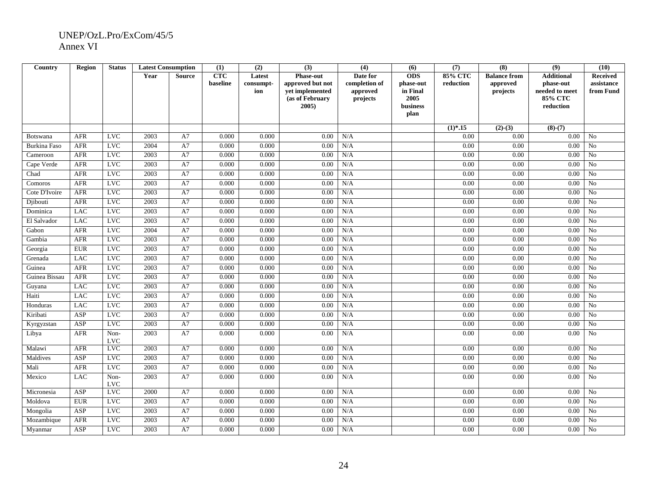| Country             | <b>Region</b> | <b>Status</b>      |      | <b>Latest Consumption</b> | (1)             | (2)                        | (3)                                                                                 | $\overline{(4)}$                                  | (6)                                                     | (7)                     | (8)                                         | (9)                                                                             | (10)                                       |
|---------------------|---------------|--------------------|------|---------------------------|-----------------|----------------------------|-------------------------------------------------------------------------------------|---------------------------------------------------|---------------------------------------------------------|-------------------------|---------------------------------------------|---------------------------------------------------------------------------------|--------------------------------------------|
|                     |               |                    | Year | <b>Source</b>             | CTC<br>baseline | Latest<br>consumpt-<br>ion | <b>Phase-out</b><br>approved but not<br>vet implemented<br>(as of February<br>2005) | Date for<br>completion of<br>approved<br>projects | <b>ODS</b><br>phase-out<br>in Final<br>2005<br>business | $85\%$ CTC<br>reduction | <b>Balance from</b><br>approved<br>projects | <b>Additional</b><br>phase-out<br>needed to meet<br><b>85% CTC</b><br>reduction | <b>Received</b><br>assistance<br>from Fund |
|                     |               |                    |      |                           |                 |                            |                                                                                     |                                                   | plan                                                    |                         |                                             |                                                                                 |                                            |
|                     |               |                    |      |                           |                 |                            |                                                                                     |                                                   |                                                         | $(1)*.15$               | $(2)-(3)$                                   | $(8)-(7)$                                                                       |                                            |
| <b>Botswana</b>     | <b>AFR</b>    | <b>LVC</b>         | 2003 | A7                        | 0.000           | 0.000                      | 0.00                                                                                | N/A                                               |                                                         | 0.00                    | 0.00                                        | 0.00                                                                            | N <sub>0</sub>                             |
| <b>Burkina Faso</b> | AFR           | <b>LVC</b>         | 2004 | A7                        | 0.000           | 0.000                      | 0.00                                                                                | N/A                                               |                                                         | 0.00                    | 0.00                                        | 0.00                                                                            | No                                         |
| Cameroon            | AFR           | <b>LVC</b>         | 2003 | A7                        | 0.000           | 0.000                      | 0.00                                                                                | N/A                                               |                                                         | 0.00                    | 0.00                                        | 0.00                                                                            | No                                         |
| Cape Verde          | AFR           | <b>LVC</b>         | 2003 | A7                        | 0.000           | 0.000                      | 0.00                                                                                | N/A                                               |                                                         | 0.00                    | 0.00                                        | 0.00                                                                            | No                                         |
| Chad                | AFR           | LVC                | 2003 | A7                        | 0.000           | 0.000                      | 0.00                                                                                | N/A                                               |                                                         | 0.00                    | 0.00                                        | 0.00                                                                            | No                                         |
| Comoros             | AFR           | <b>LVC</b>         | 2003 | A7                        | 0.000           | 0.000                      | 0.00                                                                                | N/A                                               |                                                         | 0.00                    | 0.00                                        | 0.00                                                                            | No                                         |
| Cote D'Ivoire       | AFR           | LVC                | 2003 | A7                        | 0.000           | 0.000                      | 0.00                                                                                | N/A                                               |                                                         | 0.00                    | 0.00                                        | 0.00                                                                            | N <sub>0</sub>                             |
| Djibouti            | AFR           | <b>LVC</b>         | 2003 | A7                        | 0.000           | 0.000                      | 0.00                                                                                | N/A                                               |                                                         | 0.00                    | 0.00                                        | 0.00                                                                            | No                                         |
| Dominica            | <b>LAC</b>    | LVC                | 2003 | A7                        | 0.000           | 0.000                      | 0.00                                                                                | N/A                                               |                                                         | 0.00                    | 0.00                                        | 0.00                                                                            | N <sub>o</sub>                             |
| El Salvador         | <b>LAC</b>    | LVC                | 2003 | A7                        | 0.000           | 0.000                      | 0.00                                                                                | N/A                                               |                                                         | 0.00                    | 0.00                                        | 0.00                                                                            | No                                         |
| Gabon               | <b>AFR</b>    | <b>LVC</b>         | 2004 | A7                        | 0.000           | 0.000                      | 0.00                                                                                | N/A                                               |                                                         | 0.00                    | 0.00                                        | 0.00                                                                            | No                                         |
| Gambia              | <b>AFR</b>    | <b>LVC</b>         | 2003 | A7                        | 0.000           | 0.000                      | 0.00                                                                                | N/A                                               |                                                         | 0.00                    | 0.00                                        | 0.00                                                                            | N <sub>0</sub>                             |
| Georgia             | <b>EUR</b>    | <b>LVC</b>         | 2003 | A7                        | 0.000           | 0.000                      | 0.00                                                                                | N/A                                               |                                                         | $0.00\,$                | 0.00                                        | 0.00                                                                            | $\rm No$                                   |
| Grenada             | <b>LAC</b>    | LVC                | 2003 | A7                        | 0.000           | 0.000                      | 0.00                                                                                | N/A                                               |                                                         | 0.00                    | 0.00                                        | 0.00                                                                            | No                                         |
| Guinea              | AFR           | <b>LVC</b>         | 2003 | A7                        | 0.000           | 0.000                      | 0.00                                                                                | N/A                                               |                                                         | 0.00                    | 0.00                                        | 0.00                                                                            | No                                         |
| Guinea Bissau       | <b>AFR</b>    | LVC                | 2003 | A7                        | 0.000           | 0.000                      | 0.00                                                                                | N/A                                               |                                                         | 0.00                    | 0.00                                        | 0.00                                                                            | N <sub>o</sub>                             |
| Guyana              | <b>LAC</b>    | <b>LVC</b>         | 2003 | A7                        | 0.000           | 0.000                      | 0.00                                                                                | N/A                                               |                                                         | 0.00                    | 0.00                                        | 0.00                                                                            | No                                         |
| Haiti               | <b>LAC</b>    | <b>LVC</b>         | 2003 | A7                        | 0.000           | 0.000                      | 0.00                                                                                | N/A                                               |                                                         | 0.00                    | 0.00                                        | 0.00                                                                            | N <sub>o</sub>                             |
| Honduras            | <b>LAC</b>    | LVC                | 2003 | A7                        | 0.000           | 0.000                      | 0.00                                                                                | N/A                                               |                                                         | 0.00                    | 0.00                                        | 0.00                                                                            | No                                         |
| Kiribati            | ASP           | <b>LVC</b>         | 2003 | A7                        | 0.000           | 0.000                      | 0.00                                                                                | N/A                                               |                                                         | 0.00                    | 0.00                                        | 0.00                                                                            | No                                         |
| Kyrgyzstan          | ASP           | <b>LVC</b>         | 2003 | A7                        | 0.000           | 0.000                      | 0.00                                                                                | N/A                                               |                                                         | 0.00                    | 0.00                                        | 0.00                                                                            | N <sub>o</sub>                             |
| Libya               | AFR           | Non-<br><b>LVC</b> | 2003 | A7                        | 0.000           | 0.000                      | 0.00                                                                                | N/A                                               |                                                         | 0.00                    | 0.00                                        | 0.00                                                                            | No                                         |
| Malawi              | <b>AFR</b>    | <b>LVC</b>         | 2003 | A7                        | 0.000           | 0.000                      | 0.00                                                                                | N/A                                               |                                                         | 0.00                    | 0.00                                        | 0.00                                                                            | No                                         |
| Maldives            | ASP           | LVC                | 2003 | A7                        | 0.000           | 0.000                      | 0.00                                                                                | N/A                                               |                                                         | 0.00                    | 0.00                                        | 0.00                                                                            | N <sub>o</sub>                             |
| Mali                | <b>AFR</b>    | $_{\rm LVC}$       | 2003 | A7                        | 0.000           | 0.000                      | 0.00                                                                                | N/A                                               |                                                         | 0.00                    | 0.00                                        | 0.00                                                                            | No                                         |
| Mexico              | <b>LAC</b>    | Non-<br><b>LVC</b> | 2003 | A7                        | 0.000           | 0.000                      | 0.00                                                                                | N/A                                               |                                                         | 0.00                    | 0.00                                        | 0.00                                                                            | N <sub>0</sub>                             |
| Micronesia          | ASP           | <b>LVC</b>         | 2000 | A7                        | 0.000           | 0.000                      | 0.00                                                                                | N/A                                               |                                                         | 0.00                    | 0.00                                        | 0.00                                                                            | N <sub>o</sub>                             |
| Moldova             | <b>EUR</b>    | <b>LVC</b>         | 2003 | A7                        | 0.000           | 0.000                      | 0.00                                                                                | N/A                                               |                                                         | 0.00                    | 0.00                                        | 0.00                                                                            | No                                         |
| Mongolia            | ASP           | LVC                | 2003 | A7                        | 0.000           | 0.000                      | 0.00                                                                                | N/A                                               |                                                         | 0.00                    | 0.00                                        | 0.00                                                                            | No                                         |
| Mozambique          | ${\rm AFR}$   | <b>LVC</b>         | 2003 | A7                        | 0.000           | 0.000                      | 0.00                                                                                | N/A                                               |                                                         | 0.00                    | 0.00                                        | 0.00                                                                            | No                                         |
| Myanmar             | ASP           | <b>LVC</b>         | 2003 | A7                        | 0.000           | 0.000                      | 0.00                                                                                | N/A                                               |                                                         | 0.00                    | 0.00                                        | 0.00                                                                            | N <sub>0</sub>                             |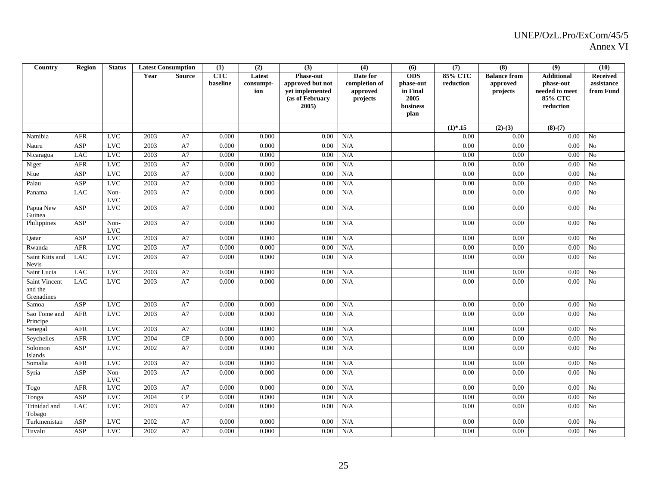| Country                                | <b>Region</b> | <b>Status</b>        | <b>Latest Consumption</b> |               | (1)                    | (2)                        | (3)                                                                                    | (4)                                               | (6)                                                             | (7)                         | (8)                                         | (9)                                                                      | (10)                                       |
|----------------------------------------|---------------|----------------------|---------------------------|---------------|------------------------|----------------------------|----------------------------------------------------------------------------------------|---------------------------------------------------|-----------------------------------------------------------------|-----------------------------|---------------------------------------------|--------------------------------------------------------------------------|--------------------------------------------|
|                                        |               |                      | Year                      | <b>Source</b> | <b>CTC</b><br>baseline | Latest<br>consumpt-<br>ion | <b>Phase-out</b><br>approved but not<br>vet implemented<br>(as of February<br>$2005$ ) | Date for<br>completion of<br>approved<br>projects | <b>ODS</b><br>phase-out<br>in Final<br>2005<br>business<br>plan | <b>85% CTC</b><br>reduction | <b>Balance from</b><br>approved<br>projects | <b>Additional</b><br>phase-out<br>needed to meet<br>85% CTC<br>reduction | <b>Received</b><br>assistance<br>from Fund |
|                                        |               |                      |                           |               |                        |                            |                                                                                        |                                                   |                                                                 | $(1)*.15$                   | $(2)-(3)$                                   | $(8)-(7)$                                                                |                                            |
| Namibia                                | <b>AFR</b>    | <b>LVC</b>           | 2003                      | A7            | 0.000                  | 0.000                      | 0.00                                                                                   | N/A                                               |                                                                 | 0.00                        | 0.00                                        | 0.00                                                                     | N <sub>o</sub>                             |
| Nauru                                  | ASP           | <b>LVC</b>           | 2003                      | $\rm A7$      | 0.000                  | 0.000                      | 0.00                                                                                   | N/A                                               |                                                                 | 0.00                        | 0.00                                        | 0.00                                                                     | $\rm No$                                   |
| Nicaragua                              | <b>LAC</b>    | LVC                  | 2003                      | A7            | 0.000                  | 0.000                      | 0.00                                                                                   | N/A                                               |                                                                 | 0.00                        | 0.00                                        | 0.00                                                                     | No                                         |
| Niger                                  | AFR           | <b>LVC</b>           | 2003                      | A7            | 0.000                  | 0.000                      | 0.00                                                                                   | N/A                                               |                                                                 | 0.00                        | $0.00\,$                                    | 0.00                                                                     | N <sub>o</sub>                             |
| Niue                                   | ASP           | <b>LVC</b>           | 2003                      | A7            | 0.000                  | 0.000                      | 0.00                                                                                   | N/A                                               |                                                                 | 0.00                        | 0.00                                        | 0.00                                                                     | N <sub>o</sub>                             |
| Palau                                  | ASP           | <b>LVC</b>           | 2003                      | A7            | 0.000                  | 0.000                      | 0.00                                                                                   | N/A                                               |                                                                 | 0.00                        | $0.00\,$                                    | 0.00                                                                     | $\overline{No}$                            |
| Panama                                 | <b>LAC</b>    | Non-<br><b>LVC</b>   | 2003                      | A7            | 0.000                  | 0.000                      | 0.00                                                                                   | N/A                                               |                                                                 | 0.00                        | 0.00                                        | 0.00                                                                     | N <sub>o</sub>                             |
| Papua New<br>Guinea                    | ASP           | <b>LVC</b>           | 2003                      | A7            | 0.000                  | 0.000                      | 0.00                                                                                   | N/A                                               |                                                                 | 0.00                        | 0.00                                        | 0.00                                                                     | No                                         |
| Philippines                            | ASP           | Non-<br>$_{\rm LVC}$ | 2003                      | A7            | 0.000                  | 0.000                      | 0.00                                                                                   | N/A                                               |                                                                 | 0.00                        | 0.00                                        | 0.00                                                                     | No                                         |
| Qatar                                  | ASP           | <b>LVC</b>           | 2003                      | A7            | 0.000                  | 0.000                      | 0.00                                                                                   | N/A                                               |                                                                 | 0.00                        | 0.00                                        | 0.00                                                                     | N <sub>o</sub>                             |
| Rwanda                                 | <b>AFR</b>    | <b>LVC</b>           | 2003                      | A7            | 0.000                  | 0.000                      | 0.00                                                                                   | N/A                                               |                                                                 | 0.00                        | 0.00                                        | $0.00\,$                                                                 | No                                         |
| Saint Kitts and<br>Nevis               | <b>LAC</b>    | <b>LVC</b>           | 2003                      | A7            | 0.000                  | 0.000                      | 0.00                                                                                   | N/A                                               |                                                                 | 0.00                        | 0.00                                        | 0.00                                                                     | N <sub>0</sub>                             |
| Saint Lucia                            | <b>LAC</b>    | <b>LVC</b>           | 2003                      | A7            | 0.000                  | 0.000                      | 0.00                                                                                   | N/A                                               |                                                                 | 0.00                        | 0.00                                        | 0.00                                                                     | N <sub>o</sub>                             |
| Saint Vincent<br>and the<br>Grenadines | <b>LAC</b>    | LVC                  | 2003                      | $\rm A7$      | 0.000                  | 0.000                      | 0.00                                                                                   | N/A                                               |                                                                 | 0.00                        | 0.00                                        | $0.00\,$                                                                 | N <sub>o</sub>                             |
| Samoa                                  | ASP           | <b>LVC</b>           | 2003                      | A7            | 0.000                  | 0.000                      | 0.00                                                                                   | N/A                                               |                                                                 | 0.00                        | 0.00                                        | 0.00                                                                     | No                                         |
| Sao Tome and<br>Principe               | <b>AFR</b>    | <b>LVC</b>           | 2003                      | A7            | 0.000                  | 0.000                      | 0.00                                                                                   | N/A                                               |                                                                 | 0.00                        | 0.00                                        | 0.00                                                                     | N <sub>o</sub>                             |
| Senegal                                | AFR           | <b>LVC</b>           | 2003                      | A7            | 0.000                  | 0.000                      | 0.00                                                                                   | N/A                                               |                                                                 | 0.00                        | 0.00                                        | 0.00                                                                     | N <sub>0</sub>                             |
| Seychelles                             | AFR           | <b>LVC</b>           | 2004                      | ${\bf CP}$    | 0.000                  | 0.000                      | 0.00                                                                                   | N/A                                               |                                                                 | 0.00                        | 0.00                                        | 0.00                                                                     | No                                         |
| Solomon<br>Islands                     | ASP           | <b>LVC</b>           | 2002                      | A7            | 0.000                  | 0.000                      | 0.00                                                                                   | N/A                                               |                                                                 | 0.00                        | 0.00                                        | 0.00                                                                     | N <sub>o</sub>                             |
| Somalia                                | <b>AFR</b>    | <b>LVC</b>           | 2003                      | A7            | 0.000                  | 0.000                      | 0.00                                                                                   | N/A                                               |                                                                 | 0.00                        | 0.00                                        | 0.00                                                                     | N <sub>o</sub>                             |
| Syria                                  | ASP           | Non-<br><b>LVC</b>   | 2003                      | A7            | 0.000                  | 0.000                      | 0.00                                                                                   | N/A                                               |                                                                 | 0.00                        | 0.00                                        | 0.00                                                                     | N <sub>o</sub>                             |
| Togo                                   | <b>AFR</b>    | <b>LVC</b>           | 2003                      | A7            | 0.000                  | 0.000                      | 0.00                                                                                   | N/A                                               |                                                                 | 0.00                        | $0.00\,$                                    | 0.00                                                                     | No                                         |
| Tonga                                  | ASP           | LVC                  | 2004                      | CP            | 0.000                  | 0.000                      | 0.00                                                                                   | N/A                                               |                                                                 | 0.00                        | 0.00                                        | 0.00                                                                     | No                                         |
| Trinidad and<br>Tobago                 | <b>LAC</b>    | <b>LVC</b>           | 2003                      | A7            | 0.000                  | 0.000                      | 0.00                                                                                   | N/A                                               |                                                                 | 0.00                        | 0.00                                        | 0.00                                                                     | No                                         |
| Turkmenistan                           | ASP           | <b>LVC</b>           | 2002                      | A7            | 0.000                  | 0.000                      | 0.00                                                                                   | N/A                                               |                                                                 | 0.00                        | 0.00                                        | 0.00                                                                     | N <sub>o</sub>                             |
| Tuvalu                                 | ASP           | LVC                  | 2002                      | A7            | 0.000                  | 0.000                      | 0.00                                                                                   | N/A                                               |                                                                 | 0.00                        | 0.00                                        | 0.00                                                                     | No                                         |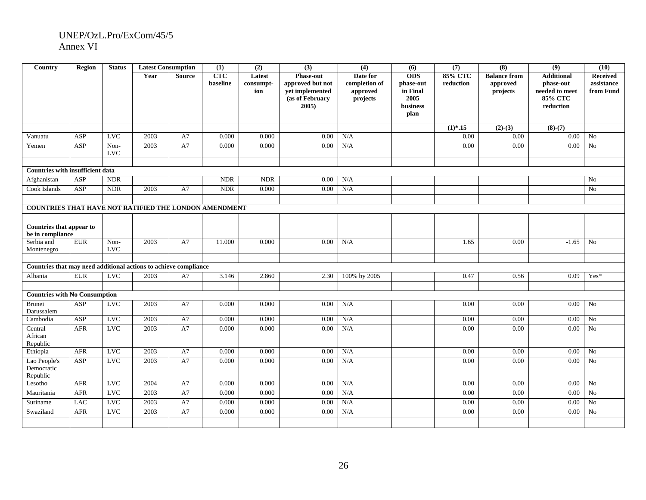| Country                                                          | Region           | <b>Status</b>      |      | <b>Latest Consumption</b> | (1)                    | (2)                        | (3)                                                                                    | (4)                                               | (6)                                                             | (7)                         | (8)                                         | (9)                                                                      | (10)                                       |
|------------------------------------------------------------------|------------------|--------------------|------|---------------------------|------------------------|----------------------------|----------------------------------------------------------------------------------------|---------------------------------------------------|-----------------------------------------------------------------|-----------------------------|---------------------------------------------|--------------------------------------------------------------------------|--------------------------------------------|
|                                                                  |                  |                    | Year | <b>Source</b>             | <b>CTC</b><br>baseline | Latest<br>consumpt-<br>ion | <b>Phase-out</b><br>approved but not<br>vet implemented<br>(as of February<br>$2005$ ) | Date for<br>completion of<br>approved<br>projects | <b>ODS</b><br>phase-out<br>in Final<br>2005<br>business<br>plan | <b>85% CTC</b><br>reduction | <b>Balance from</b><br>approved<br>projects | <b>Additional</b><br>phase-out<br>needed to meet<br>85% CTC<br>reduction | <b>Received</b><br>assistance<br>from Fund |
|                                                                  |                  |                    |      |                           |                        |                            |                                                                                        |                                                   |                                                                 | $(1)*.15$                   | $(2)-(3)$                                   | $(8)-(7)$                                                                |                                            |
| Vanuatu                                                          | ASP              | <b>LVC</b>         | 2003 | A7                        | 0.000                  | 0.000                      | 0.00                                                                                   | N/A                                               |                                                                 | 0.00                        | 0.00                                        | $0.00\,$                                                                 | N <sub>0</sub>                             |
| Yemen                                                            | ASP              | Non-<br><b>LVC</b> | 2003 | A7                        | 0.000                  | 0.000                      | 0.00                                                                                   | N/A                                               |                                                                 | 0.00                        | 0.00                                        | 0.00                                                                     | N <sub>0</sub>                             |
| <b>Countries with insufficient data</b>                          |                  |                    |      |                           |                        |                            |                                                                                        |                                                   |                                                                 |                             |                                             |                                                                          |                                            |
| Afghanistan                                                      | ASP              | <b>NDR</b>         |      |                           | <b>NDR</b>             | <b>NDR</b>                 | 0.00                                                                                   | N/A                                               |                                                                 |                             |                                             |                                                                          | N <sub>0</sub>                             |
| Cook Islands                                                     | $\overline{ASP}$ | <b>NDR</b>         | 2003 | A7                        | <b>NDR</b>             | 0.000                      | 0.00                                                                                   | N/A                                               |                                                                 |                             |                                             |                                                                          | $\overline{No}$                            |
|                                                                  |                  |                    |      |                           |                        |                            |                                                                                        |                                                   |                                                                 |                             |                                             |                                                                          |                                            |
| COUNTRIES THAT HAVE NOT RATIFIED THE LONDON AMENDMENT            |                  |                    |      |                           |                        |                            |                                                                                        |                                                   |                                                                 |                             |                                             |                                                                          |                                            |
|                                                                  |                  |                    |      |                           |                        |                            |                                                                                        |                                                   |                                                                 |                             |                                             |                                                                          |                                            |
| Countries that appear to<br>be in compliance                     |                  |                    |      |                           |                        |                            |                                                                                        |                                                   |                                                                 |                             |                                             |                                                                          |                                            |
| Serbia and<br>Montenegro                                         | <b>EUR</b>       | Non-<br><b>LVC</b> | 2003 | A7                        | 11.000                 | 0.000                      | 0.00                                                                                   | N/A                                               |                                                                 | 1.65                        | 0.00                                        | $-1.65$                                                                  | No                                         |
|                                                                  |                  |                    |      |                           |                        |                            |                                                                                        |                                                   |                                                                 |                             |                                             |                                                                          |                                            |
| Countries that may need additional actions to achieve compliance |                  |                    |      |                           |                        |                            |                                                                                        |                                                   |                                                                 |                             |                                             |                                                                          |                                            |
| Albania                                                          | <b>EUR</b>       | LVC                | 2003 | A7                        | 3.146                  | 2.860                      | 2.30                                                                                   | 100% by 2005                                      |                                                                 | 0.47                        | 0.56                                        | 0.09                                                                     | Yes*                                       |
| <b>Countries with No Consumption</b>                             |                  |                    |      |                           |                        |                            |                                                                                        |                                                   |                                                                 |                             |                                             |                                                                          |                                            |
| Brunei                                                           | ASP              | <b>LVC</b>         | 2003 | A7                        | 0.000                  | 0.000                      | 0.00                                                                                   | N/A                                               |                                                                 | 0.00                        | 0.00                                        | $0.00\,$                                                                 | No                                         |
| Darussalem                                                       |                  |                    |      |                           |                        |                            |                                                                                        |                                                   |                                                                 |                             |                                             |                                                                          |                                            |
| Cambodia                                                         | ASP              | <b>LVC</b>         | 2003 | A7                        | 0.000                  | 0.000                      | 0.00                                                                                   | N/A                                               |                                                                 | 0.00                        | 0.00                                        | 0.00                                                                     | No                                         |
| Central<br>African<br>Republic                                   | <b>AFR</b>       | <b>LVC</b>         | 2003 | A7                        | 0.000                  | 0.000                      | 0.00                                                                                   | N/A                                               |                                                                 | 0.00                        | 0.00                                        | 0.00                                                                     | No                                         |
| Ethiopia                                                         | AFR              | <b>LVC</b>         | 2003 | ${\rm A}7$                | 0.000                  | 0.000                      | 0.00                                                                                   | N/A                                               |                                                                 | 0.00                        | 0.00                                        | 0.00                                                                     | No                                         |
| Lao People's<br>Democratic<br>Republic                           | ASP              | <b>LVC</b>         | 2003 | A7                        | 0.000                  | 0.000                      | 0.00                                                                                   | N/A                                               |                                                                 | 0.00                        | 0.00                                        | 0.00                                                                     | No                                         |
| Lesotho                                                          | AFR              | <b>LVC</b>         | 2004 | A7                        | 0.000                  | 0.000                      | 0.00                                                                                   | N/A                                               |                                                                 | 0.00                        | 0.00                                        | 0.00                                                                     | No                                         |
| Mauritania                                                       | AFR              | <b>LVC</b>         | 2003 | A7                        | 0.000                  | 0.000                      | 0.00                                                                                   | N/A                                               |                                                                 | 0.00                        | 0.00                                        | 0.00                                                                     | $\rm No$                                   |
| Suriname                                                         | <b>LAC</b>       | <b>LVC</b>         | 2003 | A7                        | 0.000                  | 0.000                      | 0.00                                                                                   | N/A                                               |                                                                 | 0.00                        | 0.00                                        | 0.00                                                                     | No                                         |
| Swaziland                                                        | AFR              | <b>LVC</b>         | 2003 | A7                        | 0.000                  | 0.000                      | 0.00                                                                                   | N/A                                               |                                                                 | 0.00                        | 0.00                                        | 0.00                                                                     | No                                         |
|                                                                  |                  |                    |      |                           |                        |                            |                                                                                        |                                                   |                                                                 |                             |                                             |                                                                          |                                            |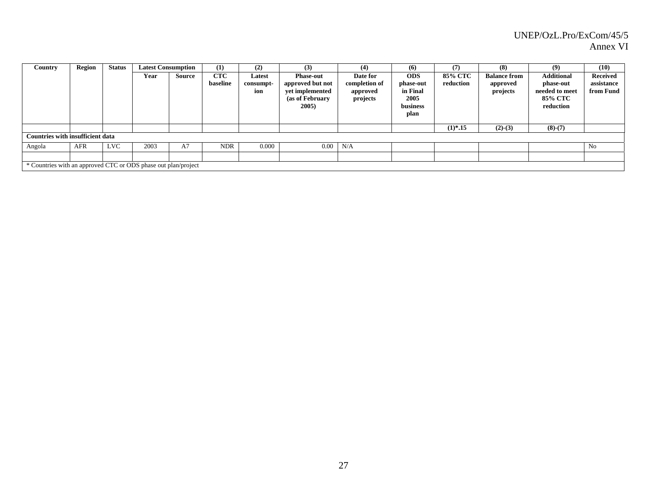| Country                                                        | Region | <b>Status</b> |      | <b>Latest Consumption</b> | (1)                    | (2)                        | (3)                                                                                  | (4)                                               | (6)                                                             | (7)                  | (8)                                         | (9)                                                                             | (10)                                       |
|----------------------------------------------------------------|--------|---------------|------|---------------------------|------------------------|----------------------------|--------------------------------------------------------------------------------------|---------------------------------------------------|-----------------------------------------------------------------|----------------------|---------------------------------------------|---------------------------------------------------------------------------------|--------------------------------------------|
|                                                                |        |               | Year | Source                    | <b>CTC</b><br>baseline | Latest<br>consumpt-<br>ion | <b>Phase-out</b><br>approved but not<br>yet implemented<br>(as of February)<br>2005) | Date for<br>completion of<br>approved<br>projects | <b>ODS</b><br>phase-out<br>in Final<br>2005<br>business<br>plan | 85% CTC<br>reduction | <b>Balance from</b><br>approved<br>projects | <b>Additional</b><br>phase-out<br>needed to meet<br><b>85% CTC</b><br>reduction | <b>Received</b><br>assistance<br>from Fund |
|                                                                |        |               |      |                           |                        |                            |                                                                                      |                                                   |                                                                 | $(1)*.15$            | $(2)-(3)$                                   | $(8)-(7)$                                                                       |                                            |
| <b>Countries with insufficient data</b>                        |        |               |      |                           |                        |                            |                                                                                      |                                                   |                                                                 |                      |                                             |                                                                                 |                                            |
| Angola                                                         | AFR    | <b>LVC</b>    | 2003 | A7                        | <b>NDR</b>             | 0.000                      | 0.00                                                                                 | N/A                                               |                                                                 |                      |                                             |                                                                                 | N <sub>0</sub>                             |
|                                                                |        |               |      |                           |                        |                            |                                                                                      |                                                   |                                                                 |                      |                                             |                                                                                 |                                            |
| * Countries with an approved CTC or ODS phase out plan/project |        |               |      |                           |                        |                            |                                                                                      |                                                   |                                                                 |                      |                                             |                                                                                 |                                            |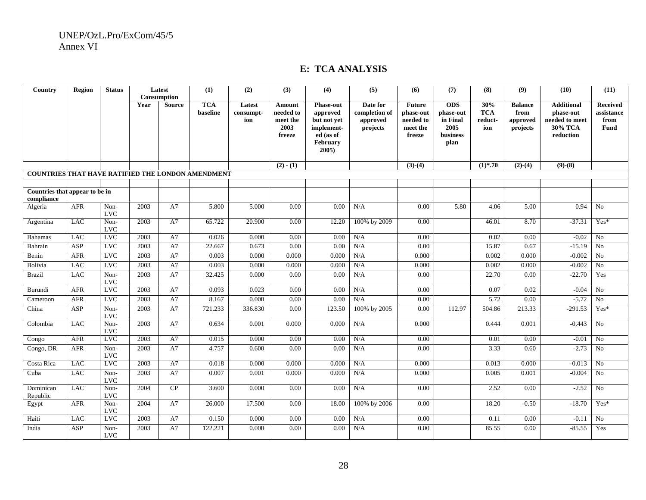## **E: TCA ANALYSIS**

| Country                                           | <b>Region</b> | <b>Status</b>              |      | Latest        | (1)        | (2)       | (3)         | (4)                  | $\overline{(5)}$ | (6)           | (7)        | (8)        | (9)            | (10)              | (11)             |
|---------------------------------------------------|---------------|----------------------------|------|---------------|------------|-----------|-------------|----------------------|------------------|---------------|------------|------------|----------------|-------------------|------------------|
|                                                   |               |                            |      | Consumption   |            |           |             |                      |                  |               |            |            |                |                   |                  |
|                                                   |               |                            | Year | <b>Source</b> | <b>TCA</b> | Latest    | Amount      | <b>Phase-out</b>     | Date for         | <b>Future</b> | <b>ODS</b> | 30%        | <b>Balance</b> | <b>Additional</b> | Received         |
|                                                   |               |                            |      |               | baseline   | consumpt- | needed to   | approved             | completion of    | phase-out     | phase-out  | <b>TCA</b> | from           | phase-out         | assistance       |
|                                                   |               |                            |      |               |            | ion       | meet the    | but not yet          | approved         | needed to     | in Final   | reduct-    | approved       | needed to meet    | from             |
|                                                   |               |                            |      |               |            |           | 2003        | implement-           | projects         | meet the      | 2005       | ion        | projects       | 30% TCA           | Fund             |
|                                                   |               |                            |      |               |            |           | freeze      | ed (as of            |                  | freeze        | business   |            |                | reduction         |                  |
|                                                   |               |                            |      |               |            |           |             | February<br>$2005$ ) |                  |               | plan       |            |                |                   |                  |
|                                                   |               |                            |      |               |            |           |             |                      |                  |               |            |            |                |                   |                  |
|                                                   |               |                            |      |               |            |           | $(2) - (1)$ |                      |                  | $(3)-(4)$     |            | $(1)$ *.70 | $(2)-(4)$      | $(9)-(8)$         |                  |
| COUNTRIES THAT HAVE RATIFIED THE LONDON AMENDMENT |               |                            |      |               |            |           |             |                      |                  |               |            |            |                |                   |                  |
|                                                   |               |                            |      |               |            |           |             |                      |                  |               |            |            |                |                   |                  |
| Countries that appear to be in                    |               |                            |      |               |            |           |             |                      |                  |               |            |            |                |                   |                  |
| compliance                                        |               |                            |      |               |            |           |             |                      |                  |               |            |            |                |                   |                  |
| Algeria                                           | AFR           | Non-<br><b>LVC</b>         | 2003 | A7            | 5.800      | 5.000     | 0.00        | 0.00                 | N/A              | 0.00          | 5.80       | 4.06       | 5.00           | 0.94              | N <sub>0</sub>   |
| Argentina                                         | <b>LAC</b>    | Non-                       | 2003 | A7            | 65.722     | 20.900    | 0.00        | 12.20                | 100% by 2009     | 0.00          |            | 46.01      | 8.70           | $-37.31$          | $Yes*$           |
|                                                   |               | <b>LVC</b>                 |      |               |            |           |             |                      |                  |               |            |            |                |                   |                  |
| <b>Bahamas</b>                                    | <b>LAC</b>    | <b>LVC</b>                 | 2003 | A7            | 0.026      | 0.000     | 0.00        | 0.00                 | N/A              | 0.00          |            | 0.02       | 0.00           | $-0.02$           | No               |
| Bahrain                                           | ASP           | <b>LVC</b>                 | 2003 | A7            | 22.667     | 0.673     | 0.00        | 0.00                 | N/A              | 0.00          |            | 15.87      | 0.67           | $-15.19$          | $\overline{N_0}$ |
| Benin                                             | AFR           | LVC                        | 2003 | A7            | 0.003      | 0.000     | 0.000       | 0.000                | N/A              | 0.000         |            | 0.002      | 0.000          | $-0.002$          | N <sub>0</sub>   |
| Bolivia                                           | <b>LAC</b>    | <b>LVC</b>                 | 2003 | A7            | 0.003      | 0.000     | 0.000       | 0.000                | N/A              | 0.000         |            | 0.002      | 0.000          | $-0.002$          | No               |
| <b>Brazil</b>                                     | <b>LAC</b>    | Non-                       | 2003 | A7            | 32.425     | 0.000     | 0.00        | 0.00                 | N/A              | 0.00          |            | 22.70      | 0.00           | $-22.70$          | Yes              |
| Burundi                                           | <b>AFR</b>    | <b>LVC</b><br><b>LVC</b>   | 2003 | A7            | 0.093      | 0.023     | 0.00        | 0.00                 | N/A              | 0.00          |            | 0.07       | 0.02           | $-0.04$           | No               |
|                                                   | <b>AFR</b>    | <b>LVC</b>                 | 2003 | A7            | 8.167      | 0.000     | 0.00        | 0.00                 | N/A              | 0.00          |            | 5.72       | 0.00           | $-5.72$           | N <sub>o</sub>   |
| Cameroon                                          |               |                            |      |               |            |           |             |                      |                  |               |            |            |                |                   |                  |
| China                                             | <b>ASP</b>    | Non-<br><b>LVC</b>         | 2003 | A7            | 721.233    | 336.830   | 0.00        | 123.50               | 100% by 2005     | 0.00          | 112.97     | 504.86     | 213.33         | $-291.53$         | Yes*             |
| Colombia                                          | <b>LAC</b>    | Non-                       | 2003 | A7            | 0.634      | 0.001     | 0.000       | 0.000                | N/A              | 0.000         |            | 0.444      | 0.001          | $-0.443$          | N <sub>0</sub>   |
|                                                   | <b>AFR</b>    | $_{\rm LVC}$<br><b>LVC</b> | 2003 | A7            | 0.015      | 0.000     | 0.00        | 0.00                 | N/A              | 0.00          |            | 0.01       | 0.00           | $-0.01$           | N <sub>0</sub>   |
| Congo                                             | <b>AFR</b>    | Non-                       | 2003 | A7            | 4.757      | 0.600     | 0.00        | 0.00                 | N/A              | 0.00          |            | 3.33       | 0.60           | $-2.73$           | No               |
| Congo, DR                                         |               | <b>LVC</b>                 |      |               |            |           |             |                      |                  |               |            |            |                |                   |                  |
| Costa Rica                                        | <b>LAC</b>    | <b>LVC</b>                 | 2003 | A7            | 0.018      | 0.000     | 0.000       | 0.000                | N/A              | 0.000         |            | 0.013      | 0.000          | $-0.013$          | No               |
| Cuba                                              | <b>LAC</b>    | Non-                       | 2003 | A7            | 0.007      | 0.001     | 0.000       | 0.000                | N/A              | 0.000         |            | 0.005      | 0.001          | $-0.004$          | N <sub>0</sub>   |
| Dominican                                         | <b>LAC</b>    | <b>LVC</b>                 |      | CP            |            |           |             |                      |                  |               |            |            |                |                   | No               |
| Republic                                          |               | Non-<br><b>LVC</b>         | 2004 |               | 3.600      | 0.000     | 0.00        | 0.00                 | N/A              | 0.00          |            | 2.52       | 0.00           | $-2.52$           |                  |
| Egypt                                             | AFR           | Non-<br><b>LVC</b>         | 2004 | A7            | 26.000     | 17.500    | 0.00        | 18.00                | 100% by 2006     | 0.00          |            | 18.20      | $-0.50$        | $-18.70$          | $Yes*$           |
| Haiti                                             | <b>LAC</b>    | <b>LVC</b>                 | 2003 | A7            | 0.150      | 0.000     | 0.00        | 0.00                 | N/A              | 0.00          |            | 0.11       | 0.00           | $-0.11$           | N <sub>0</sub>   |
| India                                             | ASP           | Non-                       | 2003 | A7            | 122.221    | 0.000     | 0.00        | 0.00                 | N/A              | 0.00          |            | 85.55      | 0.00           | $-85.55$          | Yes              |
|                                                   |               | <b>LVC</b>                 |      |               |            |           |             |                      |                  |               |            |            |                |                   |                  |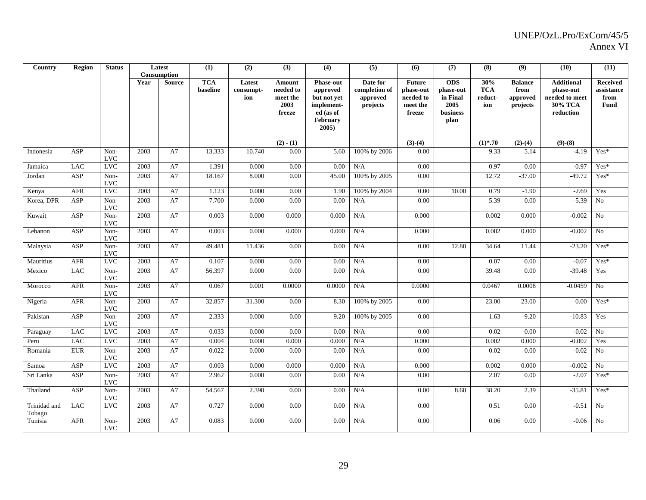| Country      | Region     | <b>Status</b>            |      | Latest        | (1)        | (2)       | (3)         | (4)               | (5)           | (6)           | (7)        | (8)        | (9)            | (10)              | (11)            |
|--------------|------------|--------------------------|------|---------------|------------|-----------|-------------|-------------------|---------------|---------------|------------|------------|----------------|-------------------|-----------------|
|              |            |                          |      | Consumption   |            |           |             |                   |               |               |            |            |                |                   |                 |
|              |            |                          | Year | <b>Source</b> | <b>TCA</b> | Latest    | Amount      | <b>Phase-out</b>  | Date for      | <b>Future</b> | <b>ODS</b> | 30%        | <b>Balance</b> | <b>Additional</b> | <b>Received</b> |
|              |            |                          |      |               | baseline   | consumpt- | needed to   | approved          | completion of | phase-out     | phase-out  | <b>TCA</b> | from           | phase-out         | assistance      |
|              |            |                          |      |               |            | ion       | meet the    | but not yet       | approved      | needed to     | in Final   | reduct-    | approved       | needed to meet    | from            |
|              |            |                          |      |               |            |           | 2003        | implement-        | projects      | meet the      | 2005       | ion        | projects       | 30% TCA           | <b>Fund</b>     |
|              |            |                          |      |               |            |           | freeze      | ed (as of         |               | freeze        | business   |            |                | reduction         |                 |
|              |            |                          |      |               |            |           |             | February<br>2005) |               |               | plan       |            |                |                   |                 |
|              |            |                          |      |               |            |           |             |                   |               |               |            |            |                |                   |                 |
|              |            |                          |      |               |            |           | $(2) - (1)$ |                   |               | $(3)-(4)$     |            | $(1)$ *.70 | $(2)-(4)$      | $(9)-(8)$         |                 |
| Indonesia    | ASP        | Non-                     | 2003 | A7            | 13.333     | 10.740    | 0.00        | 5.60              | 100% by 2006  | 0.00          |            | 9.33       | 5.14           | $-4.19$           | $Yes*$          |
|              |            | <b>LVC</b>               |      |               |            |           |             |                   |               |               |            |            |                |                   |                 |
| Jamaica      | <b>LAC</b> | <b>LVC</b>               | 2003 | A7            | 1.391      | 0.000     | 0.00        | 0.00              | N/A           | 0.00          |            | 0.97       | 0.00           | $-0.97$           | Yes*            |
| Jordan       | ASP        | Non-                     | 2003 | A7            | 18.167     | 8.000     | 0.00        | 45.00             | 100% by 2005  | 0.00          |            | 12.72      | $-37.00$       | $-49.72$          | Yes*            |
|              |            | <b>LVC</b>               |      |               |            |           |             |                   |               |               |            |            |                |                   |                 |
| Kenya        | <b>AFR</b> | <b>LVC</b>               | 2003 | A7            | 1.123      | 0.000     | 0.00        | 1.90              | 100% by 2004  | 0.00          | 10.00      | 0.79       | $-1.90$        | $-2.69$           | Yes             |
| Korea, DPR   | ASP        | Non-                     | 2003 | A7            | 7.700      | 0.000     | 0.00        | 0.00              | N/A           | 0.00          |            | 5.39       | 0.00           | $-5.39$           | N <sub>o</sub>  |
|              |            | <b>LVC</b>               |      |               |            |           |             |                   |               |               |            |            |                |                   |                 |
| Kuwait       | ASP        | Non-                     | 2003 | A7            | 0.003      | 0.000     | 0.000       | 0.000             | N/A           | 0.000         |            | 0.002      | 0.000          | $-0.002$          | No              |
|              |            | <b>LVC</b>               |      |               |            |           |             |                   |               |               |            |            |                |                   |                 |
| Lebanon      | ASP        | Non-                     | 2003 | A7            | 0.003      | 0.000     | 0.000       | 0.000             | N/A           | 0.000         |            | 0.002      | 0.000          | $-0.002$          | N <sub>o</sub>  |
|              |            | <b>LVC</b>               |      |               |            |           |             |                   |               |               |            |            |                |                   |                 |
| Malaysia     | ASP        | Non-                     | 2003 | A7            | 49.481     | 11.436    | 0.00        | 0.00              | N/A           | 0.00          | 12.80      | 34.64      | 11.44          | $-23.20$          | Yes*            |
| Mauritius    | <b>AFR</b> | <b>LVC</b><br><b>LVC</b> | 2003 | A7            | 0.107      | 0.000     | 0.00        | 0.00              | N/A           | 0.00          |            | 0.07       | 0.00           | $-0.07$           | Yes*            |
|              |            |                          |      |               |            |           |             |                   |               |               |            |            |                |                   |                 |
| Mexico       | <b>LAC</b> | Non-<br><b>LVC</b>       | 2003 | A7            | 56.397     | 0.000     | 0.00        | 0.00              | N/A           | 0.00          |            | 39.48      | 0.00           | $-39.48$          | Yes             |
| Morocco      | <b>AFR</b> | Non-                     | 2003 | A7            | 0.067      | 0.001     | 0.0000      | 0.0000            | N/A           | 0.0000        |            | 0.0467     | 0.0008         | $-0.0459$         | N <sub>o</sub>  |
|              |            | <b>LVC</b>               |      |               |            |           |             |                   |               |               |            |            |                |                   |                 |
| Nigeria      | AFR        | Non-                     | 2003 | A7            | 32.857     | 31.300    | 0.00        | 8.30              | 100% by 2005  | 0.00          |            | 23.00      | 23.00          | 0.00              | Yes*            |
|              |            | <b>LVC</b>               |      |               |            |           |             |                   |               |               |            |            |                |                   |                 |
| Pakistan     | ASP        | Non-                     | 2003 | A7            | 2.333      | 0.000     | 0.00        | 9.20              | 100% by 2005  | 0.00          |            | 1.63       | $-9.20$        | $-10.83$          | Yes             |
|              |            | <b>LVC</b>               |      |               |            |           |             |                   |               |               |            |            |                |                   |                 |
| Paraguay     | <b>LAC</b> | <b>LVC</b>               | 2003 | A7            | 0.033      | 0.000     | 0.00        | 0.00              | N/A           | 0.00          |            | 0.02       | 0.00           | $-0.02$           | $\overline{No}$ |
| Peru         | <b>LAC</b> | <b>LVC</b>               | 2003 | A7            | 0.004      | 0.000     | 0.000       | 0.000             | N/A           | 0.000         |            | 0.002      | 0.000          | $-0.002$          | Yes             |
| Romania      | <b>EUR</b> | Non-                     | 2003 | A7            | 0.022      | 0.000     | 0.00        | 0.00              | N/A           | 0.00          |            | 0.02       | 0.00           | $-0.02$           | No              |
|              |            | <b>LVC</b>               |      |               |            |           |             |                   |               |               |            |            |                |                   |                 |
| Samoa        | ASP        | <b>LVC</b>               | 2003 | A7            | 0.003      | 0.000     | 0.000       | 0.000             | N/A           | 0.000         |            | 0.002      | 0.000          | $-0.002$          | N <sub>o</sub>  |
| Sri Lanka    | ASP        | Non-                     | 2003 | A7            | 2.962      | 0.000     | 0.00        | 0.00              | N/A           | 0.00          |            | 2.07       | 0.00           | $-2.07$           | Yes*            |
|              |            | <b>LVC</b>               |      |               |            |           |             |                   |               |               |            |            |                |                   |                 |
| Thailand     | ASP        | Non-                     | 2003 | A7            | 54.567     | 2.390     | 0.00        | 0.00              | N/A           | 0.00          | 8.60       | 38.20      | 2.39           | $-35.81$          | Yes*            |
|              |            | <b>LVC</b>               |      |               |            |           |             |                   |               |               |            |            |                |                   |                 |
| Trinidad and | <b>LAC</b> | <b>LVC</b>               | 2003 | A7            | 0.727      | 0.000     | 0.00        | 0.00              | N/A           | 0.00          |            | 0.51       | 0.00           | $-0.51$           | No              |
| Tobago       |            |                          |      |               |            |           |             |                   |               |               |            |            |                |                   | No              |
| Tunisia      | <b>AFR</b> | Non-<br><b>LVC</b>       | 2003 | A7            | 0.083      | 0.000     | 0.00        | 0.00              | N/A           | 0.00          |            | 0.06       | 0.00           | $-0.06$           |                 |
|              |            |                          |      |               |            |           |             |                   |               |               |            |            |                |                   |                 |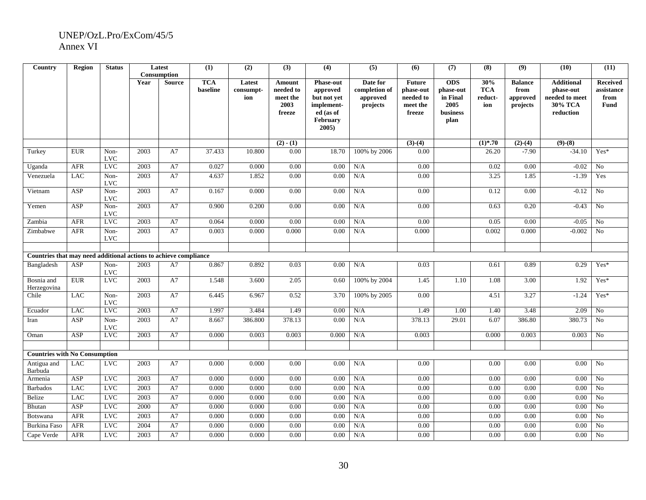| Country                                                          | <b>Region</b> | <b>Status</b>            |      | Latest        | (1)        | (2)                 | (3)                 | (4)                          | (5)                       | (6)                        | (7)        | (8)        | (9)                    | (10)                           | (11)                          |
|------------------------------------------------------------------|---------------|--------------------------|------|---------------|------------|---------------------|---------------------|------------------------------|---------------------------|----------------------------|------------|------------|------------------------|--------------------------------|-------------------------------|
|                                                                  |               |                          |      | Consumption   | <b>TCA</b> |                     |                     |                              |                           |                            | <b>ODS</b> | 30%        |                        |                                |                               |
|                                                                  |               |                          | Year | <b>Source</b> | baseline   | Latest<br>consumpt- | Amount<br>needed to | <b>Phase-out</b><br>approved | Date for<br>completion of | <b>Future</b><br>phase-out | phase-out  | <b>TCA</b> | <b>Balance</b><br>from | <b>Additional</b><br>phase-out | <b>Received</b><br>assistance |
|                                                                  |               |                          |      |               |            | ion                 | meet the            | but not yet                  | approved                  | needed to                  | in Final   | reduct-    | approved               | $\bf{needed}$ to $\bf{meet}$   | from                          |
|                                                                  |               |                          |      |               |            |                     | 2003                | implement-                   | projects                  | meet the                   | 2005       | ion        | projects               | 30% TCA                        | <b>Fund</b>                   |
|                                                                  |               |                          |      |               |            |                     | freeze              | ed (as of                    |                           | freeze                     | business   |            |                        | reduction                      |                               |
|                                                                  |               |                          |      |               |            |                     |                     | <b>February</b>              |                           |                            | plan       |            |                        |                                |                               |
|                                                                  |               |                          |      |               |            |                     |                     | $2005$ )                     |                           |                            |            |            |                        |                                |                               |
|                                                                  |               |                          |      |               |            |                     |                     |                              |                           |                            |            |            |                        |                                |                               |
|                                                                  |               |                          |      |               |            |                     | $(2) - (1)$         |                              |                           | $(3)-(4)$                  |            | $(1)*.70$  | $(2)-(4)$              | $(9)-(8)$                      |                               |
| Turkey                                                           | <b>EUR</b>    | Non-<br><b>LVC</b>       | 2003 | A7            | 37.433     | 10.800              | 0.00                | 18.70                        | 100% by 2006              | 0.00                       |            | 26.20      | $-7.90$                | $-34.10$                       | $Yes*$                        |
| Uganda                                                           | <b>AFR</b>    | <b>LVC</b>               | 2003 | A7            | 0.027      | 0.000               | $\overline{0.00}$   | 0.00                         | N/A                       | 0.00                       |            | 0.02       | 0.00                   | $-0.02$                        | No                            |
| Venezuela                                                        | <b>LAC</b>    | Non-                     | 2003 | A7            | 4.637      | 1.852               | $0.00\,$            | 0.00                         | N/A                       | 0.00                       |            | 3.25       | 1.85                   | $-1.39$                        | Yes                           |
|                                                                  |               | <b>LVC</b>               |      |               |            |                     |                     |                              |                           |                            |            |            |                        |                                |                               |
| Vietnam                                                          | <b>ASP</b>    | Non-                     | 2003 | A7            | 0.167      | 0.000               | 0.00                | 0.00                         | N/A                       | 0.00                       |            | 0.12       | 0.00                   | $-0.12$                        | No                            |
|                                                                  |               | <b>LVC</b>               |      |               |            |                     |                     |                              |                           |                            |            |            |                        |                                |                               |
| Yemen                                                            | <b>ASP</b>    | Non-                     | 2003 | A7            | 0.900      | 0.200               | $0.00\,$            | 0.00                         | N/A                       | 0.00                       |            | 0.63       | 0.20                   | $-0.43$                        | $\rm No$                      |
|                                                                  |               | <b>LVC</b>               |      |               |            |                     |                     |                              |                           |                            |            |            |                        |                                |                               |
| Zambia                                                           | <b>AFR</b>    | <b>LVC</b>               | 2003 | A7            | 0.064      | 0.000               | 0.00                | 0.00                         | N/A                       | 0.00                       |            | 0.05       | 0.00                   | $-0.05$                        | No                            |
| Zimbabwe                                                         | ${\sf AFR}$   | Non-                     | 2003 | A7            | 0.003      | 0.000               | 0.000               | 0.00                         | N/A                       | 0.000                      |            | 0.002      | 0.000                  | $-0.002$                       | No                            |
|                                                                  |               | <b>LVC</b>               |      |               |            |                     |                     |                              |                           |                            |            |            |                        |                                |                               |
| Countries that may need additional actions to achieve compliance |               |                          |      |               |            |                     |                     |                              |                           |                            |            |            |                        |                                |                               |
|                                                                  |               |                          |      |               |            |                     |                     |                              |                           |                            |            |            |                        |                                |                               |
| Bangladesh                                                       | ASP           | Non-<br><b>LVC</b>       | 2003 | A7            | 0.867      | 0.892               | 0.03                | 0.00                         | N/A                       | 0.03                       |            | 0.61       | 0.89                   | 0.29                           | $Yes*$                        |
| Bosnia and                                                       | ${\rm EUR}$   | <b>LVC</b>               | 2003 | A7            | 1.548      | 3.600               | 2.05                | 0.60                         | 100% by 2004              | 1.45                       | 1.10       | 1.08       | 3.00                   | 1.92                           | Yes*                          |
| Herzegovina                                                      |               |                          |      |               |            |                     |                     |                              |                           |                            |            |            |                        |                                |                               |
| Chile                                                            | <b>LAC</b>    | Non-                     | 2003 | A7            | 6.445      | 6.967               | 0.52                | 3.70                         | 100% by 2005              | 0.00                       |            | 4.51       | 3.27                   | $-1.24$                        | Yes*                          |
|                                                                  |               | <b>LVC</b>               |      |               |            |                     |                     |                              |                           |                            |            |            |                        |                                |                               |
| Ecuador                                                          | <b>LAC</b>    | <b>LVC</b>               | 2003 | A7            | 1.997      | 3.484               | 1.49                | 0.00                         | N/A                       | 1.49                       | 1.00       | 1.40       | 3.48                   | 2.09                           | N <sub>o</sub>                |
| Iran                                                             | <b>ASP</b>    | Non-                     | 2003 | A7            | 8.667      | 386.800             | 378.13              | 0.00                         | N/A                       | 378.13                     | 29.01      | 6.07       | 386.80                 | 380.73                         | N <sub>0</sub>                |
| Oman                                                             | ASP           | <b>LVC</b><br><b>LVC</b> | 2003 | A7            | 0.000      | 0.003               | 0.003               | 0.000                        | N/A                       | 0.003                      |            | 0.000      | 0.003                  | 0.003                          | No                            |
|                                                                  |               |                          |      |               |            |                     |                     |                              |                           |                            |            |            |                        |                                |                               |
| <b>Countries with No Consumption</b>                             |               |                          |      |               |            |                     |                     |                              |                           |                            |            |            |                        |                                |                               |
| Antigua and                                                      | <b>LAC</b>    | <b>LVC</b>               | 2003 | A7            | 0.000      | 0.000               | 0.00                | 0.00                         | N/A                       | 0.00                       |            | 0.00       | 0.00                   | 0.00                           | No                            |
| Barbuda                                                          |               |                          |      |               |            |                     |                     |                              |                           |                            |            |            |                        |                                |                               |
| Armenia                                                          | ASP           | <b>LVC</b>               | 2003 | A7            | 0.000      | 0.000               | 0.00                | 0.00                         | N/A                       | 0.00                       |            | 0.00       | 0.00                   | 0.00                           | No                            |
| <b>Barbados</b>                                                  | LAC           | <b>LVC</b>               | 2003 | A7            | 0.000      | 0.000               | 0.00                | 0.00                         | N/A                       | 0.00                       |            | 0.00       | 0.00                   | 0.00                           | No                            |
| Belize                                                           | <b>LAC</b>    | <b>LVC</b>               | 2003 | A7            | 0.000      | 0.000               | 0.00                | 0.00                         | N/A                       | 0.00                       |            | 0.00       | 0.00                   | 0.00                           | No                            |
| Bhutan                                                           | ASP           | LVC                      | 2000 | ${\rm A}7$    | 0.000      | 0.000               | 0.00                | 0.00                         | N/A                       | 0.00                       |            | 0.00       | 0.00                   | 0.00                           | No                            |
| <b>Botswana</b>                                                  | <b>AFR</b>    | <b>LVC</b>               | 2003 | A7            | 0.000      | 0.000               | 0.00                | 0.00                         | N/A                       | 0.00                       |            | 0.00       | 0.00                   | 0.00                           | N <sub>o</sub>                |
| Burkina Faso                                                     | <b>AFR</b>    | <b>LVC</b>               | 2004 | A7            | 0.000      | 0.000               | 0.00                | 0.00                         | N/A                       | 0.00                       |            | 0.00       | 0.00                   | 0.00                           | N <sub>o</sub>                |
| Cape Verde                                                       | <b>AFR</b>    | <b>LVC</b>               | 2003 | A7            | 0.000      | 0.000               | 0.00                | 0.00                         | N/A                       | 0.00                       |            | 0.00       | 0.00                   | 0.00                           | N <sub>o</sub>                |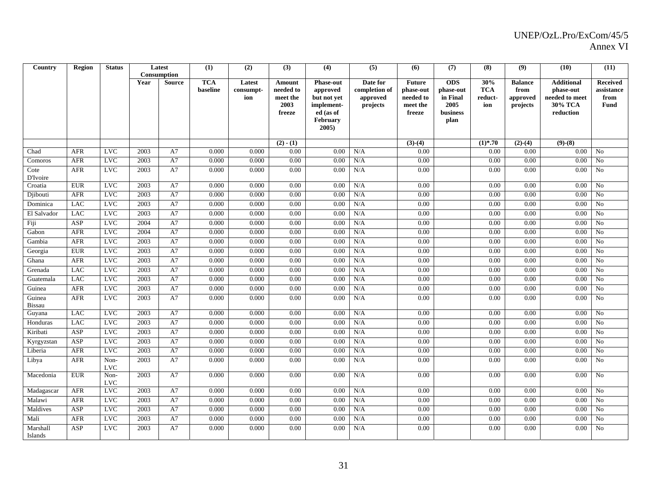| Country         | Region      | <b>Status</b>      |      | Latest        | (1)        | (2)       | (3)              | (4)                     | (5)           | (6)                | (7)              | (8)        | (9)            | (10)                 | (11)            |
|-----------------|-------------|--------------------|------|---------------|------------|-----------|------------------|-------------------------|---------------|--------------------|------------------|------------|----------------|----------------------|-----------------|
|                 |             |                    |      | Consumption   |            |           |                  |                         |               |                    |                  |            |                |                      |                 |
|                 |             |                    | Year | <b>Source</b> | <b>TCA</b> | Latest    | Amount           | <b>Phase-out</b>        | Date for      | <b>Future</b>      | <b>ODS</b>       | 30%        | <b>Balance</b> | <b>Additional</b>    | <b>Received</b> |
|                 |             |                    |      |               | baseline   | consumpt- | needed to        | approved                | completion of | phase-out          | phase-out        | <b>TCA</b> | from           | phase-out            | assistance      |
|                 |             |                    |      |               |            | ion       | meet the<br>2003 | but not yet             | approved      | needed to          | in Final         | reduct-    | approved       | needed to meet       | from            |
|                 |             |                    |      |               |            |           | freeze           | implement-<br>ed (as of | projects      | meet the<br>freeze | 2005<br>business | ion        | projects       | 30% TCA<br>reduction | <b>Fund</b>     |
|                 |             |                    |      |               |            |           |                  | February                |               |                    | plan             |            |                |                      |                 |
|                 |             |                    |      |               |            |           |                  | 2005)                   |               |                    |                  |            |                |                      |                 |
|                 |             |                    |      |               |            |           |                  |                         |               |                    |                  |            |                |                      |                 |
|                 |             |                    |      |               |            |           | $(2) - (1)$      |                         |               | $(3)-(4)$          |                  | $(1)$ *.70 | $(2)-(4)$      | $(9)-(8)$            |                 |
| Chad            | <b>AFR</b>  | <b>LVC</b>         | 2003 | A7            | 0.000      | 0.000     | 0.00             | 0.00                    | N/A           | 0.00               |                  | 0.00       | 0.00           | 0.00                 | No              |
| Comoros         | <b>AFR</b>  | <b>LVC</b>         | 2003 | A7            | 0.000      | 0.000     | 0.00             | 0.00                    | N/A           | 0.00               |                  | 0.00       | 0.00           | 0.00                 | $\rm No$        |
| Cote            | <b>AFR</b>  | <b>LVC</b>         | 2003 | A7            | 0.000      | 0.000     | 0.00             | 0.00                    | $\rm N/A$     | 0.00               |                  | 0.00       | 0.00           | 0.00                 | No              |
| <b>D'Ivoire</b> |             |                    |      |               |            |           |                  |                         |               |                    |                  |            |                |                      |                 |
| Croatia         | <b>EUR</b>  | <b>LVC</b>         | 2003 | A7            | 0.000      | 0.000     | 0.00             | 0.00                    | N/A           | 0.00               |                  | 0.00       | 0.00           | 0.00                 | No              |
| Djibouti        | <b>AFR</b>  | <b>LVC</b>         | 2003 | A7            | 0.000      | 0.000     | 0.00             | 0.00                    | N/A           | 0.00               |                  | 0.00       | 0.00           | 0.00                 | N <sub>o</sub>  |
| Dominica        | <b>LAC</b>  | <b>LVC</b>         | 2003 | A7            | 0.000      | 0.000     | 0.00             | 0.00                    | N/A           | 0.00               |                  | 0.00       | 0.00           | 0.00                 | N <sub>0</sub>  |
| El Salvador     | <b>LAC</b>  | <b>LVC</b>         | 2003 | A7            | 0.000      | 0.000     | 0.00             | 0.00                    | N/A           | 0.00               |                  | 0.00       | 0.00           | 0.00                 | $\overline{No}$ |
| Fiji            | ASP         | <b>LVC</b>         | 2004 | A7            | 0.000      | 0.000     | 0.00             | 0.00                    | N/A           | 0.00               |                  | 0.00       | 0.00           | 0.00                 | N <sub>0</sub>  |
| Gabon           | <b>AFR</b>  | <b>LVC</b>         | 2004 | A7            | 0.000      | 0.000     | 0.00             | 0.00                    | N/A           | 0.00               |                  | 0.00       | 0.00           | 0.00                 | N <sub>0</sub>  |
| Gambia          | <b>AFR</b>  | <b>LVC</b>         | 2003 | A7            | 0.000      | 0.000     | 0.00             | 0.00                    | N/A           | 0.00               |                  | 0.00       | 0.00           | 0.00                 | No              |
| Georgia         | <b>EUR</b>  | <b>LVC</b>         | 2003 | A7            | 0.000      | 0.000     | 0.00             | 0.00                    | N/A           | 0.00               |                  | 0.00       | 0.00           | 0.00                 | No              |
| Ghana           | <b>AFR</b>  | <b>LVC</b>         | 2003 | A7            | 0.000      | 0.000     | 0.00             | 0.00                    | N/A           | 0.00               |                  | 0.00       | 0.00           | 0.00                 | $\rm No$        |
| Grenada         | <b>LAC</b>  | <b>LVC</b>         | 2003 | A7            | 0.000      | 0.000     | 0.00             | 0.00                    | N/A           | 0.00               |                  | 0.00       | 0.00           | 0.00                 | No              |
| Guatemala       | <b>LAC</b>  | <b>LVC</b>         | 2003 | A7            | 0.000      | 0.000     | 0.00             | 0.00                    | $\rm N/A$     | 0.00               |                  | 0.00       | 0.00           | 0.00                 | N <sub>o</sub>  |
| Guinea          | <b>AFR</b>  | <b>LVC</b>         | 2003 | A7            | 0.000      | 0.000     | 0.00             | 0.00                    | $\rm N/A$     | 0.00               |                  | 0.00       | 0.00           | 0.00                 | $\rm No$        |
| Guinea          | <b>AFR</b>  | LVC                | 2003 | A7            | 0.000      | 0.000     | 0.00             | 0.00                    | N/A           | 0.00               |                  | 0.00       | 0.00           | 0.00                 | N <sub>o</sub>  |
| <b>Bissau</b>   |             | <b>LVC</b>         | 2003 | A7            |            | 0.000     |                  |                         |               |                    |                  |            | 0.00           |                      | No              |
| Guyana          | <b>LAC</b>  | <b>LVC</b>         |      |               | 0.000      |           | 0.00             | 0.00                    | N/A           | 0.00               |                  | 0.00       |                | 0.00                 |                 |
| Honduras        | <b>LAC</b>  |                    | 2003 | A7            | 0.000      | 0.000     | 0.00             | 0.00                    | N/A           | 0.00               |                  | 0.00       | 0.00           | 0.00                 | No              |
| Kiribati        | ASP         | <b>LVC</b>         | 2003 | A7            | 0.000      | 0.000     | 0.00             | 0.00                    | N/A           | 0.00               |                  | 0.00       | 0.00           | 0.00                 | No              |
| Kyrgyzstan      | ASP         | <b>LVC</b>         | 2003 | A7            | 0.000      | 0.000     | 0.00             | 0.00                    | N/A           | 0.00               |                  | 0.00       | 0.00           | 0.00                 | N <sub>0</sub>  |
| Liberia         | <b>AFR</b>  | <b>LVC</b>         | 2003 | A7            | 0.000      | 0.000     | 0.00             | 0.00                    | N/A           | 0.00               |                  | 0.00       | 0.00           | 0.00                 | $\rm No$        |
| Libya           | <b>AFR</b>  | Non-<br><b>LVC</b> | 2003 | A7            | 0.000      | 0.000     | 0.00             | 0.00                    | N/A           | 0.00               |                  | 0.00       | 0.00           | 0.00                 | $\rm No$        |
| Macedonia       | <b>EUR</b>  | Non-               | 2003 | A7            | 0.000      | 0.000     | 0.00             | 0.00                    | N/A           | 0.00               |                  | 0.00       | 0.00           | 0.00                 | No              |
|                 |             | <b>LVC</b>         |      |               |            |           |                  |                         |               |                    |                  |            |                |                      |                 |
| Madagascar      | ${\rm AFR}$ | <b>LVC</b>         | 2003 | A7            | 0.000      | 0.000     | 0.00             | 0.00                    | N/A           | 0.00               |                  | 0.00       | 0.00           | 0.00                 | No              |
| Malawi          | <b>AFR</b>  | <b>LVC</b>         | 2003 | A7            | 0.000      | 0.000     | 0.00             | 0.00                    | $\rm N/A$     | 0.00               |                  | 0.00       | 0.00           | 0.00                 | No              |
| Maldives        | ASP         | <b>LVC</b>         | 2003 | A7            | 0.000      | 0.000     | 0.00             | 0.00                    | N/A           | 0.00               |                  | 0.00       | 0.00           | 0.00                 | No              |
| Mali            | <b>AFR</b>  | <b>LVC</b>         | 2003 | A7            | 0.000      | 0.000     | 0.00             | 0.00                    | N/A           | 0.00               |                  | 0.00       | 0.00           | 0.00                 | $\rm No$        |
| Marshall        | ASP         | <b>LVC</b>         | 2003 | A7            | 0.000      | 0.000     | 0.00             | 0.00                    | N/A           | 0.00               |                  | 0.00       | 0.00           | 0.00                 | No              |
| Islands         |             |                    |      |               |            |           |                  |                         |               |                    |                  |            |                |                      |                 |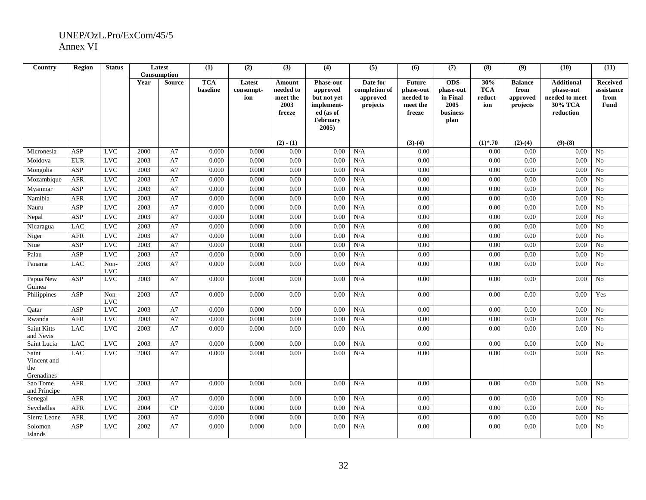| Country           | Region     | <b>Status</b> | Latest |               | (1)                    | (2)                 | (3)                 | (4)                          | (5)                       | (6)                        | (7)                     | (8)               | (9)                    | (10)                           | (11)                          |
|-------------------|------------|---------------|--------|---------------|------------------------|---------------------|---------------------|------------------------------|---------------------------|----------------------------|-------------------------|-------------------|------------------------|--------------------------------|-------------------------------|
|                   |            |               |        | Consumption   |                        |                     |                     |                              |                           |                            |                         |                   |                        |                                |                               |
|                   |            |               | Year   | <b>Source</b> | <b>TCA</b><br>baseline | Latest<br>consumpt- | Amount<br>needed to | <b>Phase-out</b><br>approved | Date for<br>completion of | <b>Future</b><br>phase-out | <b>ODS</b><br>phase-out | 30%<br><b>TCA</b> | <b>Balance</b><br>from | <b>Additional</b><br>phase-out | <b>Received</b><br>assistance |
|                   |            |               |        |               |                        | ion                 | meet the            | but not yet                  | approved                  | needed to                  | in Final                | reduct-           | approved               | needed to meet                 | from                          |
|                   |            |               |        |               |                        |                     | 2003                | implement-                   | projects                  | meet the                   | 2005                    | ion               | projects               | 30% TCA                        | Fund                          |
|                   |            |               |        |               |                        |                     | freeze              | ed (as of                    |                           | freeze                     | business                |                   |                        | reduction                      |                               |
|                   |            |               |        |               |                        |                     |                     | February                     |                           |                            | plan                    |                   |                        |                                |                               |
|                   |            |               |        |               |                        |                     |                     | 2005                         |                           |                            |                         |                   |                        |                                |                               |
|                   |            |               |        |               |                        |                     |                     |                              |                           |                            |                         |                   |                        |                                |                               |
|                   |            |               |        |               |                        |                     | $(2) - (1)$         |                              |                           | $\overline{(3)-(4)}$       |                         | $(1)$ *.70        | $(2)-(4)$              | $(9)-(8)$                      |                               |
| Micronesia        | ASP        | <b>LVC</b>    | 2000   | A7            | 0.000                  | 0.000               | 0.00                | 0.00                         | N/A                       | 0.00                       |                         | 0.00              | 0.00                   | 0.00                           | No                            |
| Moldova           | <b>EUR</b> | <b>LVC</b>    | 2003   | A7            | 0.000                  | 0.000               | 0.00                | 0.00                         | N/A                       | 0.00                       |                         | 0.00              | 0.00                   | 0.00                           | No                            |
| Mongolia          | ASP        | <b>LVC</b>    | 2003   | A7            | 0.000                  | 0.000               | 0.00                | 0.00                         | N/A                       | 0.00                       |                         | 0.00              | 0.00                   | 0.00                           | No                            |
| Mozambique        | AFR        | <b>LVC</b>    | 2003   | A7            | 0.000                  | 0.000               | 0.00                | 0.00                         | N/A                       | 0.00                       |                         | 0.00              | 0.00                   | 0.00                           | No                            |
| Myanmar           | ASP        | <b>LVC</b>    | 2003   | A7            | 0.000                  | 0.000               | 0.00                | 0.00                         | N/A                       | 0.00                       |                         | 0.00              | 0.00                   | 0.00                           | No                            |
| Namibia           | <b>AFR</b> | <b>LVC</b>    | 2003   | A7            | 0.000                  | 0.000               | 0.00                | 0.00                         | N/A                       | 0.00                       |                         | 0.00              | 0.00                   | 0.00                           | No                            |
| Nauru             | ASP        | <b>LVC</b>    | 2003   | A7            | 0.000                  | 0.000               | 0.00                | 0.00                         | N/A                       | 0.00                       |                         | 0.00              | 0.00                   | 0.00                           | N <sub>o</sub>                |
| Nepal             | ASP        | <b>LVC</b>    | 2003   | A7            | 0.000                  | 0.000               | 0.00                | 0.00                         | N/A                       | 0.00                       |                         | 0.00              | 0.00                   | 0.00                           | N <sub>o</sub>                |
| Nicaragua         | <b>LAC</b> | <b>LVC</b>    | 2003   | A7            | 0.000                  | 0.000               | 0.00                | 0.00                         | N/A                       | 0.00                       |                         | 0.00              | 0.00                   | 0.00                           | No                            |
| Niger             | <b>AFR</b> | <b>LVC</b>    | 2003   | A7            | 0.000                  | 0.000               | 0.00                | 0.00                         | N/A                       | 0.00                       |                         | 0.00              | 0.00                   | 0.00                           | No                            |
| Niue              | ASP        | <b>LVC</b>    | 2003   | A7            | 0.000                  | 0.000               | 0.00                | 0.00                         | N/A                       | 0.00                       |                         | 0.00              | 0.00                   | 0.00                           | No                            |
| Palau             | ASP        | <b>LVC</b>    | 2003   | A7            | 0.000                  | 0.000               | 0.00                | 0.00                         | N/A                       | 0.00                       |                         | 0.00              | 0.00                   | 0.00                           | No                            |
| Panama            | <b>LAC</b> | Non-          | 2003   | A7            | 0.000                  | 0.000               | 0.00                | 0.00                         | N/A                       | 0.00                       |                         | 0.00              | 0.00                   | 0.00                           | No                            |
|                   |            | <b>LVC</b>    |        |               |                        |                     |                     |                              |                           |                            |                         |                   |                        |                                |                               |
| Papua New         | ASP        | <b>LVC</b>    | 2003   | A7            | 0.000                  | 0.000               | 0.00                | 0.00                         | N/A                       | 0.00                       |                         | 0.00              | 0.00                   | 0.00                           | N <sub>o</sub>                |
| Guinea            | ASP        | Non-          | 2003   | A7            | 0.000                  | 0.000               | 0.00                | 0.00                         | N/A                       | 0.00                       |                         | 0.00              | 0.00                   | 0.00                           | Yes                           |
| Philippines       |            | <b>LVC</b>    |        |               |                        |                     |                     |                              |                           |                            |                         |                   |                        |                                |                               |
| Qatar             | ASP        | <b>LVC</b>    | 2003   | A7            | 0.000                  | 0.000               | 0.00                | 0.00                         | N/A                       | 0.00                       |                         | 0.00              | 0.00                   | 0.00                           | No                            |
| Rwanda            | <b>AFR</b> | <b>LVC</b>    | 2003   | A7            | 0.000                  | 0.000               | 0.00                | 0.00                         | N/A                       | 0.00                       |                         | 0.00              | 0.00                   | 0.00                           | No                            |
| Saint Kitts       | <b>LAC</b> | <b>LVC</b>    | 2003   | A7            | 0.000                  | 0.000               | 0.00                | 0.00                         | N/A                       | 0.00                       |                         | 0.00              | 0.00                   | 0.00                           | N <sub>o</sub>                |
| and Nevis         |            |               |        |               |                        |                     |                     |                              |                           |                            |                         |                   |                        |                                |                               |
| Saint Lucia       | <b>LAC</b> | <b>LVC</b>    | 2003   | A7            | 0.000                  | 0.000               | 0.00                | 0.00                         | N/A                       | 0.00                       |                         | 0.00              | 0.00                   | 0.00                           | N <sub>o</sub>                |
| Saint             | <b>LAC</b> | <b>LVC</b>    | 2003   | A7            | 0.000                  | 0.000               | 0.00                | 0.00                         | N/A                       | 0.00                       |                         | 0.00              | 0.00                   | 0.00                           | N <sub>o</sub>                |
| Vincent and       |            |               |        |               |                        |                     |                     |                              |                           |                            |                         |                   |                        |                                |                               |
| the<br>Grenadines |            |               |        |               |                        |                     |                     |                              |                           |                            |                         |                   |                        |                                |                               |
| Sao Tome          | <b>AFR</b> | <b>LVC</b>    | 2003   | A7            | 0.000                  | 0.000               | 0.00                | 0.00                         | N/A                       | 0.00                       |                         | 0.00              | 0.00                   | 0.00                           | No                            |
| and Principe      |            |               |        |               |                        |                     |                     |                              |                           |                            |                         |                   |                        |                                |                               |
| Senegal           | <b>AFR</b> | <b>LVC</b>    | 2003   | A7            | 0.000                  | 0.000               | 0.00                | 0.00                         | N/A                       | 0.00                       |                         | 0.00              | 0.00                   | 0.00                           | No                            |
| Seychelles        | <b>AFR</b> | <b>LVC</b>    | 2004   | CP            | 0.000                  | 0.000               | 0.00                | 0.00                         | N/A                       | 0.00                       |                         | 0.00              | 0.00                   | 0.00                           | No                            |
| Sierra Leone      | <b>AFR</b> | <b>LVC</b>    | 2003   | A7            | 0.000                  | 0.000               | 0.00                | 0.00                         | N/A                       | 0.00                       |                         | 0.00              | 0.00                   | 0.00                           | No                            |
| Solomon           | ASP        | <b>LVC</b>    | 2002   | A7            | 0.000                  | 0.000               | 0.00                | 0.00                         | N/A                       | 0.00                       |                         | 0.00              | 0.00                   | 0.00                           | No                            |
| Islands           |            |               |        |               |                        |                     |                     |                              |                           |                            |                         |                   |                        |                                |                               |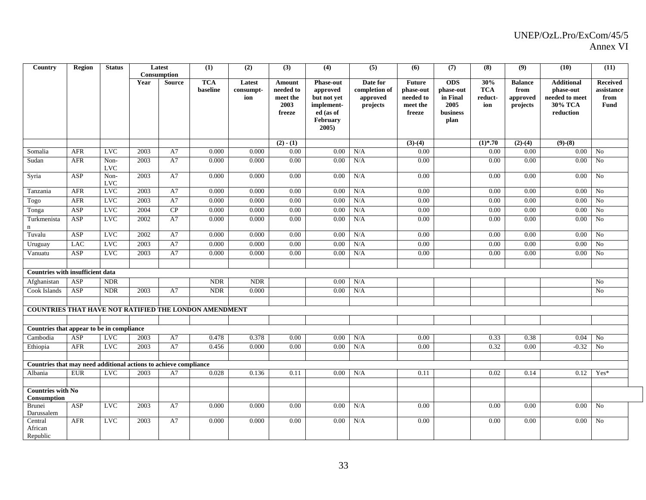| Country                                                          | <b>Region</b> | <b>Status</b>      |      | Latest<br>Consumption | (1)                    | (2)                        | (3)                                     | (4)                                                       | (5)                                               | (6)                                                 | (7)                                         | (8)                                 | (9)                                            | (10)                                                        | (11)                                                 |
|------------------------------------------------------------------|---------------|--------------------|------|-----------------------|------------------------|----------------------------|-----------------------------------------|-----------------------------------------------------------|---------------------------------------------------|-----------------------------------------------------|---------------------------------------------|-------------------------------------|------------------------------------------------|-------------------------------------------------------------|------------------------------------------------------|
|                                                                  |               |                    | Year | <b>Source</b>         | <b>TCA</b><br>baseline | Latest<br>consumpt-<br>ion | Amount<br>needed to<br>meet the<br>2003 | <b>Phase-out</b><br>approved<br>but not yet<br>implement- | Date for<br>completion of<br>approved<br>projects | <b>Future</b><br>phase-out<br>needed to<br>meet the | <b>ODS</b><br>phase-out<br>in Final<br>2005 | 30%<br><b>TCA</b><br>reduct-<br>ion | <b>Balance</b><br>from<br>approved<br>projects | <b>Additional</b><br>phase-out<br>needed to meet<br>30% TCA | <b>Received</b><br>assistance<br>from<br><b>Fund</b> |
|                                                                  |               |                    |      |                       |                        |                            | freeze                                  | ed (as of<br>February<br>2005)                            |                                                   | freeze                                              | business<br>plan                            |                                     |                                                | reduction                                                   |                                                      |
|                                                                  |               |                    |      |                       |                        |                            | $(2) - (1)$                             |                                                           |                                                   | $(3)-(4)$                                           |                                             | $(1)$ *.70                          | $\overline{(2)}$ - $(4)$                       | $(9)-(8)$                                                   |                                                      |
| Somalia                                                          | AFR           | <b>LVC</b>         | 2003 | A7                    | 0.000                  | 0.000                      | 0.00                                    | 0.00                                                      | N/A                                               | 0.00                                                |                                             | 0.00                                | 0.00                                           | $0.00\,$                                                    | N <sub>o</sub>                                       |
| Sudan                                                            | <b>AFR</b>    | Non-<br><b>LVC</b> | 2003 | A7                    | 0.000                  | 0.000                      | 0.00                                    | 0.00                                                      | N/A                                               | 0.00                                                |                                             | 0.00                                | 0.00                                           | 0.00                                                        | N <sub>o</sub>                                       |
| Syria                                                            | ASP           | Non-<br><b>LVC</b> | 2003 | A7                    | 0.000                  | 0.000                      | 0.00                                    | 0.00                                                      | N/A                                               | 0.00                                                |                                             | 0.00                                | 0.00                                           | $0.00\,$                                                    | No                                                   |
| Tanzania                                                         | <b>AFR</b>    | <b>LVC</b>         | 2003 | A7                    | 0.000                  | 0.000                      | 0.00                                    | 0.00                                                      | N/A                                               | 0.00                                                |                                             | 0.00                                | 0.00                                           | 0.00                                                        | N <sub>0</sub>                                       |
| Togo                                                             | <b>AFR</b>    | <b>LVC</b>         | 2003 | A7                    | 0.000                  | 0.000                      | 0.00                                    | 0.00                                                      | N/A                                               | 0.00                                                |                                             | 0.00                                | 0.00                                           | 0.00                                                        | No                                                   |
| Tonga                                                            | ASP           | <b>LVC</b>         | 2004 | CP                    | 0.000                  | 0.000                      | 0.00                                    | 0.00                                                      | N/A                                               | 0.00                                                |                                             | 0.00                                | 0.00                                           | 0.00                                                        | No                                                   |
| Turkmenista                                                      | ASP           | <b>LVC</b>         | 2002 | A7                    | 0.000                  | 0.000                      | 0.00                                    | 0.00                                                      | N/A                                               | 0.00                                                |                                             | 0.00                                | 0.00                                           | 0.00                                                        | No                                                   |
| Tuvalu                                                           | ASP           | <b>LVC</b>         | 2002 | A7                    | 0.000                  | 0.000                      | 0.00                                    | 0.00                                                      | N/A                                               | 0.00                                                |                                             | 0.00                                | 0.00                                           | 0.00                                                        | No                                                   |
| Uruguay                                                          | <b>LAC</b>    | <b>LVC</b>         | 2003 | A7                    | 0.000                  | 0.000                      | 0.00                                    | 0.00                                                      | N/A                                               | 0.00                                                |                                             | 0.00                                | 0.00                                           | 0.00                                                        | N <sub>0</sub>                                       |
| Vanuatu                                                          | ASP           | $_{\rm LVC}$       | 2003 | A7                    | 0.000                  | 0.000                      | 0.00                                    | 0.00                                                      | N/A                                               | 0.00                                                |                                             | 0.00                                | 0.00                                           | 0.00                                                        | $\rm No$                                             |
| Countries with insufficient data                                 |               |                    |      |                       |                        |                            |                                         |                                                           |                                                   |                                                     |                                             |                                     |                                                |                                                             |                                                      |
| Afghanistan                                                      | ASP           | <b>NDR</b>         |      |                       | <b>NDR</b>             | <b>NDR</b>                 |                                         | 0.00                                                      | N/A                                               |                                                     |                                             |                                     |                                                |                                                             | N <sub>0</sub>                                       |
| Cook Islands                                                     | ASP           | <b>NDR</b>         | 2003 | A7                    | <b>NDR</b>             | 0.000                      |                                         | 0.00                                                      | N/A                                               |                                                     |                                             |                                     |                                                |                                                             | N <sub>o</sub>                                       |
| COUNTRIES THAT HAVE NOT RATIFIED THE LONDON AMENDMENT            |               |                    |      |                       |                        |                            |                                         |                                                           |                                                   |                                                     |                                             |                                     |                                                |                                                             |                                                      |
|                                                                  |               |                    |      |                       |                        |                            |                                         |                                                           |                                                   |                                                     |                                             |                                     |                                                |                                                             |                                                      |
| Countries that appear to be in compliance                        |               |                    |      |                       |                        |                            |                                         |                                                           |                                                   |                                                     |                                             |                                     |                                                |                                                             |                                                      |
| Cambodia                                                         | ASP           | <b>LVC</b>         | 2003 | A7                    | 0.478                  | 0.378                      | 0.00                                    | 0.00                                                      | N/A                                               | 0.00                                                |                                             | 0.33                                | 0.38                                           | 0.04                                                        | No                                                   |
| Ethiopia                                                         | <b>AFR</b>    | <b>LVC</b>         | 2003 | A7                    | 0.456                  | 0.000                      | 0.00                                    | 0.00                                                      | N/A                                               | 0.00                                                |                                             | 0.32                                | 0.00                                           | $-0.32$                                                     | No                                                   |
| Countries that may need additional actions to achieve compliance |               |                    |      |                       |                        |                            |                                         |                                                           |                                                   |                                                     |                                             |                                     |                                                |                                                             |                                                      |
| Albania                                                          | <b>EUR</b>    | <b>LVC</b>         | 2003 | A7                    | 0.028                  | 0.136                      | 0.11                                    | 0.00                                                      | N/A                                               | 0.11                                                |                                             | 0.02                                | 0.14                                           | 0.12                                                        | Yes*                                                 |
| <b>Countries with No</b>                                         |               |                    |      |                       |                        |                            |                                         |                                                           |                                                   |                                                     |                                             |                                     |                                                |                                                             |                                                      |
| Consumption<br><b>Brunei</b>                                     | ASP           | <b>LVC</b>         | 2003 | A7                    | 0.000                  | 0.000                      | 0.00                                    | 0.00                                                      | N/A                                               | 0.00                                                |                                             | 0.00                                | 0.00                                           | 0.00                                                        | No                                                   |
| Darussalem                                                       |               |                    |      |                       |                        |                            |                                         | 0.00                                                      |                                                   |                                                     |                                             |                                     |                                                |                                                             |                                                      |
| Central<br>African<br>Republic                                   | AFR           | <b>LVC</b>         | 2003 | A7                    | 0.000                  | 0.000                      | 0.00                                    |                                                           | N/A                                               | 0.00                                                |                                             | 0.00                                | 0.00                                           | 0.00                                                        | No                                                   |